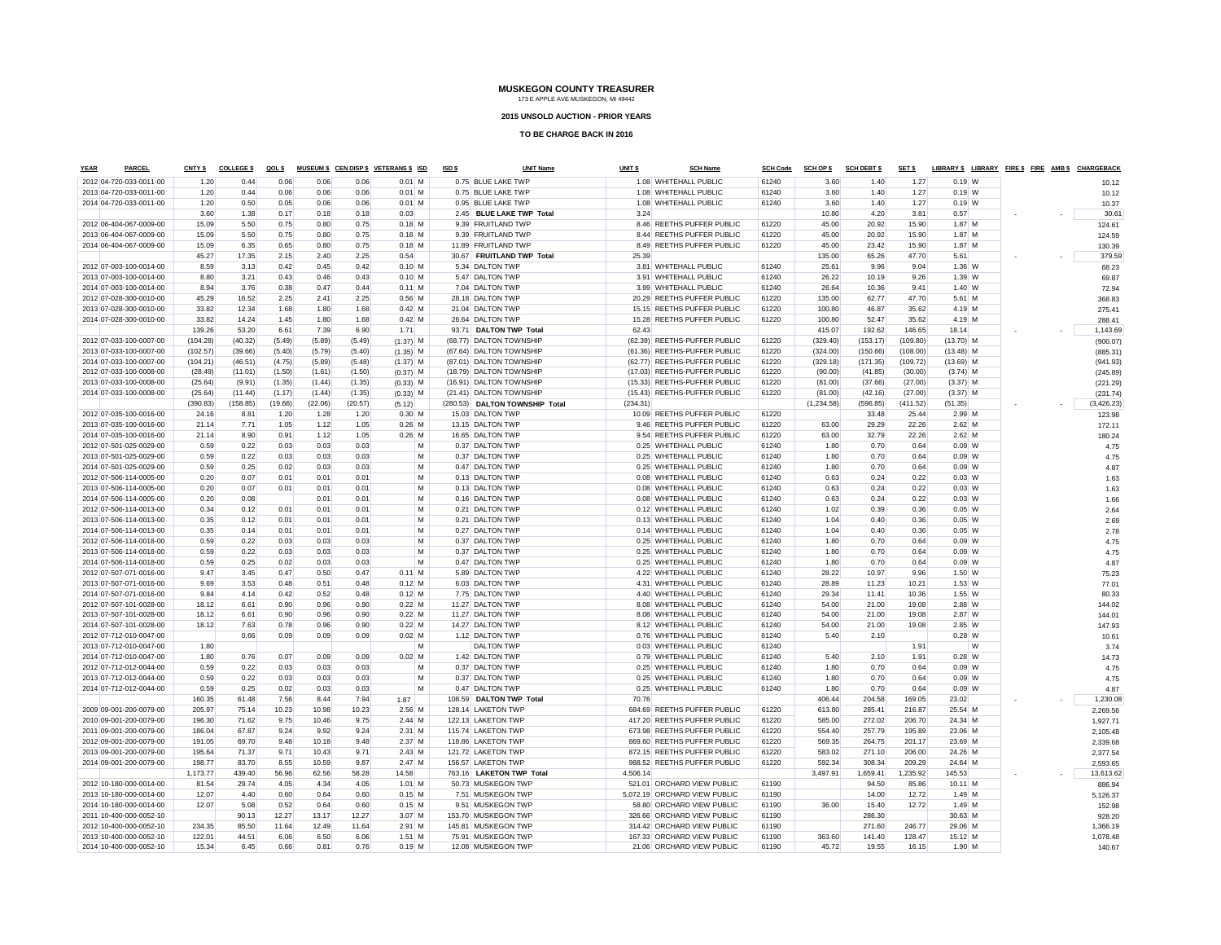#### **2015 UNSOLD AUCTION - PRIOR YEARS**

| <b>YEAR</b> | PARCEL                  | CNTY \$          | <b>COLLEGE \$</b> | QOLS          |               |               | MUSEUM \$ CEN DISP \$ VETERANS \$ ISD | ISD\$ | <b>UNIT Name</b>                              | UNIT \$  | <b>SCH Name</b>              | <b>SCH Code</b> | SCH OP \$        | <b>SCH DEBT \$</b> | SET \$           |                    |   |  | LIBRARY \$ LIBRARY FIRE \$ FIRE AMB \$ CHARGEBACK |
|-------------|-------------------------|------------------|-------------------|---------------|---------------|---------------|---------------------------------------|-------|-----------------------------------------------|----------|------------------------------|-----------------|------------------|--------------------|------------------|--------------------|---|--|---------------------------------------------------|
|             | 2012 04-720-033-0011-00 | 1.20             | 0.44              | 0.06          | 0.06          | 0.06          | $0.01$ M                              |       | 0.75 BLUE LAKE TWP                            |          | 1.08 WHITEHALL PUBLIC        | 61240           | 3.60             | 1.40               | 1.27             | $0.19$ W           |   |  | 10.12                                             |
|             | 2013 04-720-033-0011-00 | 1.20             | 0.44              | 0.06          | 0.06          | 0.06          | $0.01$ M                              |       | 0.75 BLUE LAKE TWP                            |          | 1.08 WHITEHALL PUBLIC        | 61240           | 3.60             | 1.40               | 1.27             | $0.19$ W           |   |  | 10.12                                             |
|             | 2014 04-720-033-0011-00 | 1.20             | 0.50              | 0.05          | 0.06          | 0.06          | $0.01$ M                              |       | 0.95 BLUE LAKE TWP                            |          | 1.08 WHITEHALL PUBLIC        | 61240           | 3.60             | 1.40               | 1.27             | $0.19$ W           |   |  | 10.37                                             |
|             |                         | 3.60             | 1.38              | 0.17          | 0.18          | 0.18          | 0.03                                  |       | 2.45 BLUE LAKE TWP Total                      | 3.24     |                              |                 | 10.80            | 4.20               | 3.81             | 0.57               |   |  | 30.61                                             |
|             | 2012 06-404-067-0009-00 | 15.09            | 5.50              | 0.75          | 0.80          | 0.75          | $0.18$ M                              |       | 9.39 FRUITLAND TWP                            |          | 8.46 REETHS PUFFER PUBLIC    | 61220           | 45.00            | 20.92              | 15.90            | 1.87 M             |   |  | 124.61                                            |
|             | 2013 06-404-067-0009-00 | 15.09            | 5.50              | 0.75          | 0.80          | 0.75          | $0.18$ M                              |       | 9.39 FRUITLAND TWP                            |          | 8.44 REETHS PUFFER PUBLIC    | 61220           | 45.00            | 20.92              | 15.90            | $1.87$ M           |   |  | 124.59                                            |
|             | 2014 06-404-067-0009-00 | 15.09            | 6.35              | 0.65          | 0.80          | 0.75          | $0.18$ M                              |       | 11.89 FRUITLAND TWP                           |          | 8.49 REETHS PUFFER PUBLIC    | 61220           | 45.00            | 23.42              | 15.90            | $1.87$ M           |   |  | 130.39                                            |
|             |                         | 45.27            | 17.35             | 2.15          | 2.40          | 2.25          | 0.54                                  |       | 30.67 FRUITLAND TWP Total                     | 25.39    |                              |                 | 135.00           | 65.26              | 47.70            | 5.61               |   |  | 379.59                                            |
|             | 2012 07-003-100-0014-00 | 8.59             | 3.13              | 0.42          | 0.45          | 0.42          | $0.10$ M                              |       | 5.34 DALTON TWP                               |          | 3.81 WHITEHALL PUBLIC        | 61240           | 25.61            | 9.96               | 9.04             | 1.36 W             |   |  | 68.23                                             |
|             | 2013 07-003-100-0014-00 | 8.80             | 3.21              | 0.43          | 0.46          | 0.43          | $0.10$ M                              |       | 5.47 DALTON TWP                               |          | 3.91 WHITEHALL PUBLIC        | 61240           | 26.22            | 10.19              | 9.26             | 1.39 W             |   |  | 69.87                                             |
|             | 2014 07-003-100-0014-00 | 8.94             | 3.76              | 0.38          | 0.47          | 0.44          | $0.11$ M                              |       | 7.04 DALTON TWP                               |          | 3.99 WHITEHALL PUBLIC        | 61240           | 26.64            | 10.36              | 9.41             | 1.40 W             |   |  | 72.94                                             |
|             | 2012 07-028-300-0010-00 | 45.29            | 16.52             | 2.25          | 2.41          | 2.25          | $0.56$ M                              |       | 28.18 DALTON TWP                              |          | 20.29 REETHS PUFFER PUBLIC   | 61220           | 135.00           | 62.77              | 47.70            | $5.61$ M           |   |  | 368.83                                            |
|             | 2013 07-028-300-0010-00 | 33.82            | 12.34             | 1.68          | 1.80          | 1.68          | $0.42$ M                              |       | 21.04 DALTON TWP                              |          | 15.15 REETHS PUFFER PUBLIC   | 61220           | 100.80           | 46.87              | 35.62            | 4.19 M             |   |  | 275.41                                            |
|             | 2014 07-028-300-0010-00 | 33.82            | 14.24             | 1.45          | 1.80          | 1.68          | $0.42$ M                              |       | 26.64 DALTON TWP                              |          | 15.28 REETHS PUFFER PUBLIC   | 61220           | 100.80           | 52.47              | 35.62            | 4.19 M             |   |  | 288.41                                            |
|             |                         | 139.26           | 53.20             | 6.61          | 7.39          | 6.90          | 1.71                                  |       | 93.71 DALTON TWP Total                        | 62.43    |                              |                 | 415.07           | 192.62             | 146.65           | 18.14              |   |  | 1,143.69                                          |
|             | 2012 07-033-100-0007-00 | (104.28)         | (40.32)           | (5.49)        | (5.89)        | (5.49)        | $(1.37)$ M                            |       | (68.77) DALTON TOWNSHIP                       |          | (62.39) REETHS-PUFFER PUBLIC | 61220           | (329.40)         | (153.17)           | (109.80)         | $(13.70)$ M        |   |  | (900.07)                                          |
|             | 2013 07-033-100-0007-00 | (102.57)         | (39.66)           | (5.40)        | (5.79)        | (5.40)        | $(1.35)$ M                            |       | (67.64) DALTON TOWNSHIP                       |          | (61.36) REETHS-PUFFER PUBLIC | 61220           | (324.00)         | (150.66)           | (108.00)         | $(13.48)$ M        |   |  | (885.31)                                          |
|             | 2014 07-033-100-0007-00 | (104.21)         | (46.51)           | (4.75)        | (5.89)        | (5.48)        | $(1.37)$ M                            |       | (87.01) DALTON TOWNSHIP                       |          | (62.77) REETHS-PUFFER PUBLIC | 61220           | (329.18)         | (171.35)           | (109.72)         | $(13.69)$ M        |   |  | (941.93)                                          |
|             | 2012 07-033-100-0008-00 | (28.49)          | (11.01)           | (1.50)        | (1.61)        | (1.50)        | $(0.37)$ M                            |       | (18.79) DALTON TOWNSHIP                       |          | (17.03) REETHS-PUFFER PUBLIC | 61220           | (90.00)          | (41.85)            | (30.00)          | $(3.74)$ M         |   |  | (245.89)                                          |
|             | 2013 07-033-100-0008-00 | (25.64)          | (9.91)            | (1.35)        | (1.44)        | (1.35)        | $(0.33)$ M                            |       | (16.91) DALTON TOWNSHIP                       |          | (15.33) REETHS-PUFFER PUBLIC | 61220           | (81.00)          | (37.66)            | (27.00)          | $(3.37)$ M         |   |  | (221.29)                                          |
|             | 2014 07-033-100-0008-00 | (25.64)          | (11.44)           | (1.17)        | (1.44)        | (1.35)        | $(0.33)$ M                            |       | (21.41) DALTON TOWNSHIP                       |          | (15.43) REETHS-PUFFER PUBLIC | 61220           | (81.00)          | (42.16)            | (27.00)          | $(3.37)$ M         |   |  | (231.74)                                          |
|             |                         | (390.83)         | (158.85)          | (19.66)       | (22.06)       | (20.57)       | (5.12)                                |       | (280.53) DALTON TOWNSHIP Total                | (234.31) |                              |                 | (1, 234.58)      | (596.85)           | (411.52)         | (51.35)            |   |  | (3, 426.23)                                       |
|             | 2012 07-035-100-0016-00 | 24.16            | 8.81              | 1.20          | 1.28          | 1.20          | $0.30$ M                              |       | 15.03 DALTON TWP                              |          | 10.09 REETHS PUFFER PUBLIC   | 61220           |                  | 33.48              | 25.44            | 2.99 M             |   |  | 123.98                                            |
|             | 2013 07-035-100-0016-00 | 21.14            | 7.71              | 1.05          | 1.12          | 1.05          | $0.26$ M                              |       | 13.15 DALTON TWP                              |          | 9.46 REETHS PUFFER PUBLIC    | 61220           | 63.00            | 29.29              | 22.26            | $2.62$ M           |   |  | 172.11                                            |
|             | 2014 07-035-100-0016-00 | 21.14            | 8.90              | 0.91          | 1.12          | 1.05          | $0.26$ M                              |       | 16.65 DALTON TWP                              |          | 9.54 REETHS PUFFER PUBLIC    | 61220           | 63.00            | 32.79              | 22.26            | $2.62$ M           |   |  | 180.24                                            |
|             | 2012 07-501-025-0029-00 | 0.59             | 0.22              | 0.03          | 0.03          | 0.03          | M                                     |       | 0.37 DALTON TWP                               |          | 0.25 WHITEHALL PUBLIC        | 61240           | 1.80             | 0.70               | 0.64             | $0.09$ W           |   |  | 4.75                                              |
|             | 2013 07-501-025-0029-00 | 0.59             | 0.22              | 0.03          | 0.03          | 0.03          | M                                     |       | 0.37 DALTON TWP                               |          | 0.25 WHITEHALL PUBLIC        | 61240           | 1.80             | 0.70               | 0.64             | $0.09$ W           |   |  | 4.75                                              |
|             | 2014 07-501-025-0029-00 | 0.59             | 0.25              | 0.02          | 0.03          | 0.03          | M                                     |       | 0.47 DALTON TWP                               |          | 0.25 WHITEHALL PUBLIC        | 61240           | 1.80             | 0.70               | 0.64             | $0.09$ W           |   |  | 4.87                                              |
|             | 2012 07-506-114-0005-00 | 0.20             | 0.07              | 0.01          | 0.01          | 0.01          | M                                     |       | 0.13 DALTON TWP                               |          | 0.08 WHITEHALL PUBLIC        | 61240           | 0.63             | 0.24               | 0.22             | $0.03$ W           |   |  | 1.63                                              |
|             | 2013 07-506-114-0005-00 | 0.20             | 0.07              | 0.01          | 0.01          | 0.01          | M                                     |       | 0.13 DALTON TWP                               |          | 0.08 WHITEHALL PUBLIC        | 61240           | 0.63             | 0.24               | 0.22             | $0.03$ W           |   |  | 1.63                                              |
|             | 2014 07-506-114-0005-00 | 0.20             | 0.08              |               | 0.01          | 0.01          | M                                     |       | 0.16 DALTON TWP                               |          | 0.08 WHITEHALL PUBLIC        | 61240           | 0.63             | 0.24               | 0.22             | $0.03$ W           |   |  | 1.66                                              |
|             | 2012 07-506-114-0013-00 | 0.34             | 0.12              | 0.01          | 0.01          | 0.01          | M                                     |       | 0.21 DALTON TWP                               |          | 0.12 WHITEHALL PUBLIC        | 61240           | 1.02             | 0.39               | 0.36             | $0.05$ W           |   |  | 2.64                                              |
|             | 2013 07-506-114-0013-00 | 0.35             | 0.12              | 0.01          | 0.01          | 0.01          | M                                     |       | 0.21 DALTON TWP                               |          | 0.13 WHITEHALL PUBLIC        | 61240           | 1.04             | 0.40               | 0.36             | $0.05$ W           |   |  | 2.69                                              |
|             | 2014 07-506-114-0013-00 | 0.35             | 0.14              | 0.01          | 0.01          | 0.01          | M                                     |       | 0.27 DALTON TWP                               |          | 0.14 WHITEHALL PUBLIC        | 61240           | 1.04             | 0.40               | 0.36             | $0.05$ W           |   |  | 2.78                                              |
|             | 2012 07-506-114-0018-00 | 0.59             | 0.22              | 0.03          | 0.03          | 0.03          | M                                     |       | 0.37 DALTON TWP                               |          | 0.25 WHITEHALL PUBLIC        | 61240           | 1.80             | 0.70               | 0.64             | $0.09$ W           |   |  | 4.75                                              |
|             | 2013 07-506-114-0018-00 | 0.59             | 0.22              | 0.03          | 0.03          | 0.03          | M                                     |       | 0.37 DALTON TWP                               |          | 0.25 WHITEHALL PUBLIC        | 61240           | 1.80             | 0.70               | 0.64             | $0.09$ W           |   |  | 4.75                                              |
|             | 2014 07-506-114-0018-00 | 0.59             | 0.25              | 0.02          | 0.03          | 0.03          | M                                     |       | 0.47 DALTON TWP                               |          | 0.25 WHITEHALL PUBLIC        | 61240           | 1.80             | 0.70               | 0.64             | $0.09$ W           |   |  | 4.87                                              |
|             | 2012 07-507-071-0016-00 | 9.47             | 3.45              | 0.47          | 0.50          | 0.47          | $0.11$ M                              |       | 5.89 DALTON TWP                               |          | 4.22 WHITEHALL PUBLIC        | 61240           | 28.22            | 10.97              | 9.96             | $1.50$ W           |   |  | 75.23                                             |
|             | 2013 07-507-071-0016-00 | 9.69             | 3.53              | 0.48          | 0.51          | 0.48          | $0.12$ M                              |       | 6.03 DALTON TWP                               |          | 4.31 WHITEHALL PUBLIC        | 61240           | 28.89            | 11.23              | 10.21            | $1.53$ W           |   |  | 77.01                                             |
|             | 2014 07-507-071-0016-00 | 9.84             | 4.14              | 0.42          | 0.52          | 0.48          | 0.12 M                                |       | 7.75 DALTON TWP                               |          | 4.40 WHITEHALL PUBLIC        | 61240           | 29.34            | 11.41              | 10.36            | $1.55$ W           |   |  | 80.33                                             |
|             | 2012 07-507-101-0028-00 | 18.12            | 6.61              | 0.90          | 0.96          | 0.90          | $0.22$ M                              |       | 11.27 DALTON TWP                              |          | 8.08 WHITEHALL PUBLIC        | 61240           | 54.00            | 21.00              | 19.08            | 2.88 W             |   |  | 144.02                                            |
|             | 2013 07-507-101-0028-00 | 18.12            | 6.61              | 0.90          | 0.96          | 0.90          | $0.22$ M                              |       | 11.27 DALTON TWP                              |          | 8.08 WHITEHALL PUBLIC        | 61240           | 54.00            | 21.00              | 19.08            | 2.87 W             |   |  | 144.01                                            |
|             | 2014 07-507-101-0028-00 | 18.12            | 7.63              | 0.78          | 0.96          | 0.90          | $0.22$ M                              |       | 14.27 DALTON TWP                              |          | 8.12 WHITEHALL PUBLIC        | 61240           | 54.00            | 21.00              | 19.08            | 2.85 W             |   |  | 147.93                                            |
|             | 2012 07-712-010-0047-00 |                  | 0.66              | 0.09          | 0.09          | 0.09          | $0.02$ M                              |       | 1.12 DALTON TWP                               |          | 0.76 WHITEHALL PUBLIC        | 61240           | 5.40             | 2.10               |                  | $0.28$ W           |   |  | 10.61                                             |
|             | 2013 07-712-010-0047-00 | 1.80             |                   |               |               |               | M                                     |       | <b>DALTON TWP</b>                             |          | 0.03 WHITEHALL PUBLIC        | 61240           |                  |                    | 1.91             |                    | W |  | 3.74                                              |
|             | 2014 07-712-010-0047-00 | 1.80             | 0.76              | 0.07          | 0.09          | 0.09          | $0.02$ M                              |       | 1.42 DALTON TWP                               |          | 0.79 WHITEHALL PUBLIC        | 61240           | 5.40             | 2.10               | 1.91             | $0.28$ W           |   |  | 14.73                                             |
|             | 2012 07-712-012-0044-00 | 0.59             | 0.22              | 0.03          | 0.03          | 0.03          | M                                     |       | 0.37 DALTON TWP                               |          | 0.25 WHITEHALL PUBLIC        | 61240           | 1.80             | 0.70               | 0.64             | $0.09$ W           |   |  | 4.75                                              |
|             | 2013 07-712-012-0044-00 | 0.59             | 0.22              | 0.03          | 0.03          | 0.03          | M                                     |       | 0.37 DALTON TWP                               |          | 0.25 WHITEHALL PUBLIC        | 61240           | 1.80             | 0.70               | 0.64             | $0.09$ W           |   |  | 4.75                                              |
|             | 2014 07-712-012-0044-00 | 0.59             | 0.25              | 0.02          | 0.03          | 0.03          | M                                     |       | 0.47 DALTON TWP                               |          | 0.25 WHITEHALL PUBLIC        | 61240           | 1.80             | 0.70               | 0.64             | $0.09$ W           |   |  | 4.87                                              |
|             | 2009 09-001-200-0079-00 | 160.35<br>205.97 | 61.48<br>75.14    | 7.56<br>10.23 | 8.44<br>10.98 | 7.94<br>10.23 | 1.87<br>$2.56$ M                      |       | 108.59 DALTON TWP Total<br>128.14 LAKETON TWP | 70.76    | 684.69 REETHS PUFFER PUBLIC  | 61220           | 406.44<br>613.80 | 204.58<br>285.41   | 169.05<br>216.87 | 23.02<br>25.54 M   |   |  | 1,230.08                                          |
|             | 2010 09-001-200-0079-00 | 196.30           |                   |               | 10.46         | 9.75          | $2.44$ M                              |       | 122.13   AKETON TWE                           |          | 417.20 REETHS PUFFER PUBLIC  | 61220           |                  |                    |                  | 24.34 M            |   |  | 2,269.56                                          |
|             | 2011 09-001-200-0079-00 | 186.04           | 71.62<br>67.87    | 9.75<br>9.24  | 9.92          |               | $2.31$ M                              |       | 115.74   AKETON TWP                           |          | 673.98 REETHS PUFFER PUBLIC  | 61220           | 585.00<br>554.40 | 272.02             | 206.70<br>195.89 | 23.06 M            |   |  | 1.927.71                                          |
|             | 2012 09-001-200-0079-00 | 191.05           | 69.70             | 9.48          | 10.18         | 9.24<br>9.48  | 2.37M                                 |       | 118.86 LAKETON TWP                            |          | 869.60 REETHS PUFFER PUBLIC  | 61220           | 569.35           | 257.79<br>264.75   | 201.17           | 23.69 M            |   |  | 2,105.48                                          |
|             | 2013 09-001-200-0079-00 | 195.64           | 71.37             |               | 10.43         | 9.71          | $2.43$ M                              |       |                                               |          | 872.15 REETHS PUFFER PUBLIC  | 61220           | 583.02           | 271.10             | 206.00           |                    |   |  | 2,339.68                                          |
|             | 2014 09-001-200-0079-00 | 198.77           | 83.70             | 9.71<br>8.55  | 10.59         | 9.87          | $2.47$ M                              |       | 121.72 LAKETON TWP<br>156.57 LAKETON TWP      |          | 988.52 REETHS PUFFER PUBLIC  | 61220           | 592.34           | 308.34             | 209.29           | 24.26 M<br>24.64 M |   |  | 2,377.54                                          |
|             |                         | 1,173.77         | 439.40            | 56.96         | 62.56         | 58.28         | 14.58                                 |       | 763.16 LAKETON TWP Total                      | 4,506.14 |                              |                 | 3,497.91         | 1,659.41           | 1,235.92         | 145.53             |   |  | 2,593.65<br>13,613.62                             |
|             | 2012 10-180-000-0014-00 | 81.54            | 29.74             | 4.05          | 4.34          | 4.05          | $1.01$ M                              |       | 50.73 MUSKEGON TWP                            |          | 521.01 ORCHARD VIEW PUBLIC   | 61190           |                  | 94.50              | 85.86            | 10.11 M            |   |  |                                                   |
|             | 2013 10-180-000-0014-00 | 12.07            | 4.40              | 0.60          | 0.64          | 0.60          | $0.15$ M                              |       | 7.51 MUSKEGON TWP                             |          | 5,072.19 ORCHARD VIEW PUBLIC | 61190           |                  | 14.00              | 12.72            | $1.49$ M           |   |  | 886.94                                            |
|             | 2014 10-180-000-0014-00 |                  | 5.08              | 0.52          | 0.64          | 0.60          | $0.15$ M                              |       | 9.51 MUSKEGON TWP                             |          | 58.80 ORCHARD VIEW PUBLIC    | 61190           |                  |                    |                  | $1.49$ M           |   |  | 5,126.37                                          |
|             | 2011 10-400-000-0052-10 | 12.07            | 90.13             | 12.27         | 13.17         | 12.27         | $3.07$ M                              |       | 153.70 MUSKEGON TWP                           |          | 326.66 ORCHARD VIEW PUBLIC   | 61190           | 36.00            | 15.40<br>286.30    | 12.72            | 30.63 M            |   |  | 152.98<br>928.20                                  |
|             | 2012 10-400-000-0052-10 | 234.35           | 85.50             | 11.64         | 12.49         | 11.64         | $2.91$ M                              |       | 145.81 MUSKEGON TWP                           |          | 314.42 ORCHARD VIEW PUBLIC   | 61190           |                  | 271.60             | 246.77           | 29.06 M            |   |  | 1,366.19                                          |
|             | 2013 10-400-000-0052-10 | 122.01           | 44.51             | 6.06          | 6.50          | 6.06          | $1.51$ M                              |       | 75.91 MUSKEGON TWP                            |          | 167.33 ORCHARD VIEW PUBLIC   | 61190           | 363.60           | 141.40             | 128.47           | 15.12 M            |   |  | 1,078.48                                          |
|             | 2014 10-400-000-0052-10 | 15.34            | 6.45              | 0.66          | 0.81          | 0.76          | $0.19$ M                              |       | 12.08 MUSKEGON TWP                            |          | 21.06 ORCHARD VIEW PUBLIC    | 61190           | 45.72            | 19.55              | 16.15            | 1.90 M             |   |  | 140.67                                            |
|             |                         |                  |                   |               |               |               |                                       |       |                                               |          |                              |                 |                  |                    |                  |                    |   |  |                                                   |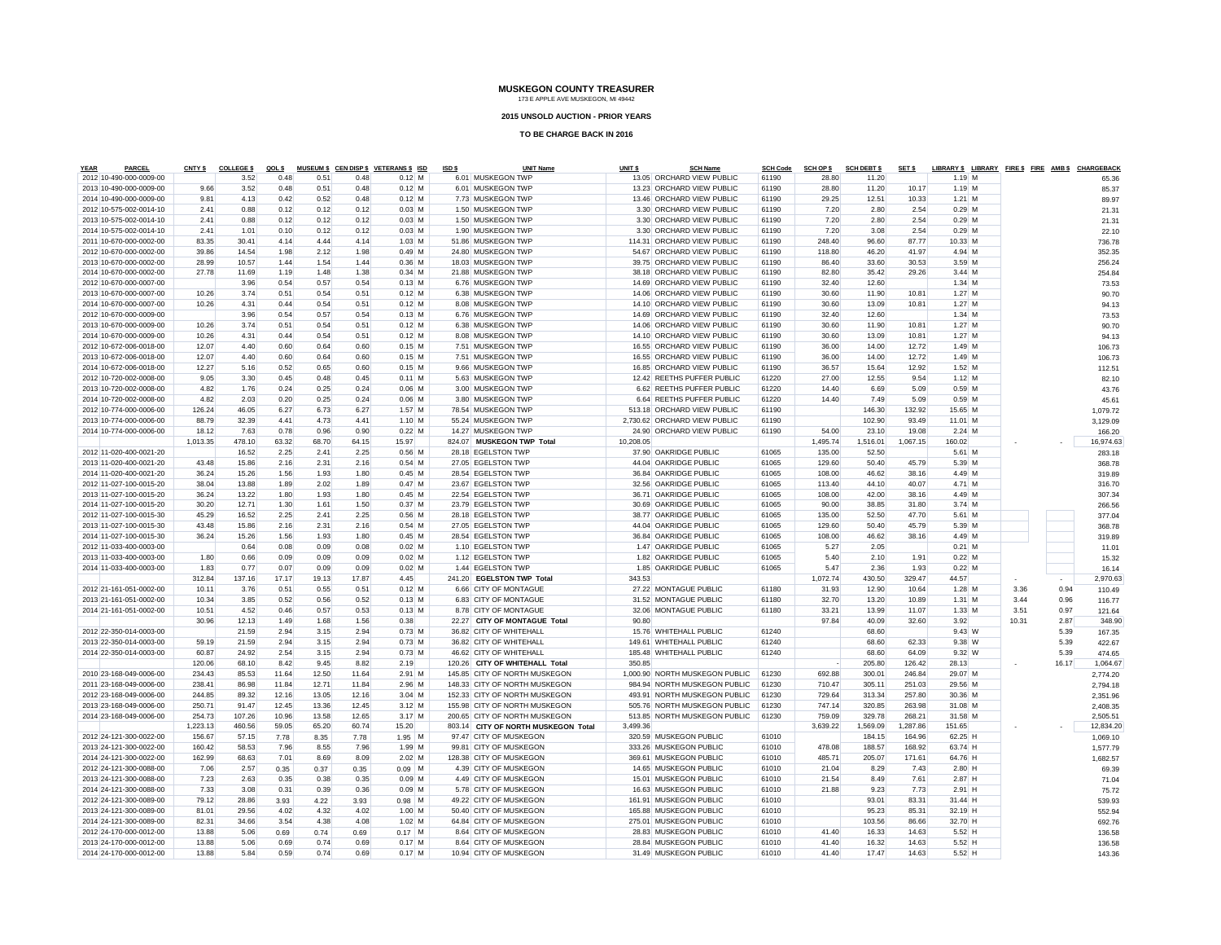**2015 UNSOLD AUCTION - PRIOR YEARS**

| <b>PARCEL</b><br>YEAR   | CNTY <sub>\$</sub> | <b>COLLEGES</b> | QOL \$ |       |       | MUSEUM \$ CEN DISP \$ VETERANS \$ ISD | ISD \$ | <b>UNIT Name</b>                    | UNIT <sub>s</sub> | <b>SCH Name</b>                | <b>SCH Code</b> | <b>SCH OP \$</b> | <b>SCH DEBT \$</b> | SET \$   | LIBRARY \$ LIBRARY FIRE \$ FIRE AMB \$ CHARGEBACK |       |       |           |
|-------------------------|--------------------|-----------------|--------|-------|-------|---------------------------------------|--------|-------------------------------------|-------------------|--------------------------------|-----------------|------------------|--------------------|----------|---------------------------------------------------|-------|-------|-----------|
| 2012 10-490-000-0009-00 |                    | 3.52            | 0.48   | 0.51  | 0.48  | $0.12$ M                              |        | 6.01 MUSKEGON TWP                   |                   | 13.05 ORCHARD VIEW PUBLIC      | 61190           | 28.80            | 11.20              |          | $1.19$ M                                          |       |       | 65.36     |
| 2013 10-490-000-0009-00 | 9.66               | 3.52            | 0.48   | 0.51  | 0.48  | $0.12$ M                              |        | 6.01 MUSKEGON TWP                   |                   | 13.23 ORCHARD VIEW PUBLIC      | 61190           | 28.80            | 11.20              | 10.17    | $1.19$ M                                          |       |       | 85.37     |
| 2014 10-490-000-0009-00 | 9.81               | 4.13            | 0.42   | 0.52  | 0.48  | $0.12$ M                              |        | 7.73 MUSKEGON TWP                   |                   | 13.46 ORCHARD VIEW PUBLIC      | 61190           | 29.25            | 12.51              | 10.33    | $1.21$ M                                          |       |       | 89.97     |
| 2012 10-575-002-0014-10 | 2.41               | 0.88            | 0.12   | 0.12  | 0.12  | $0.03$ M                              |        | 1.50 MUSKEGON TWP                   |                   | 3.30 ORCHARD VIEW PUBLIC       | 61190           | 7.20             | 2.80               | 2.54     | $0.29$ M                                          |       |       | 21.31     |
| 2013 10-575-002-0014-10 | 2.41               | 0.88            | 0.12   | 0.12  | 0.12  | $0.03$ M                              |        | 1.50 MUSKEGON TWP                   |                   | 3.30 ORCHARD VIEW PUBLIC       | 61190           | 7.20             | 2.80               | 2.54     | $0.29$ M                                          |       |       | 21.31     |
| 2014 10-575-002-0014-10 | 2.41               | 1.01            | 0.10   | 0.12  | 0.12  | $0.03$ M                              |        | 1.90 MUSKEGON TWP                   |                   | 3.30 ORCHARD VIEW PUBLIC       | 61190           | 7.20             | 3.08               | 2.54     | $0.29$ M                                          |       |       | 22.10     |
| 2011 10-670-000-0002-00 | 83.35              | 30.41           | 4.14   | 4.44  | 4.14  | $1.03$ M                              |        | 51.86 MUSKEGON TWP                  |                   | 114.31 ORCHARD VIEW PUBLIC     | 61190           | 248.40           | 96.60              | 87.77    | 10.33 M                                           |       |       | 736.78    |
| 2012 10-670-000-0002-00 | 39.86              | 14.54           | 1.98   | 2.12  | 1.98  | $0.49$ M                              |        | 24.80 MUSKEGON TWP                  |                   | 54.67 ORCHARD VIEW PUBLIC      | 61190           | 118.80           | 46.20              | 41.97    | 4.94 M                                            |       |       | 352.35    |
| 2013 10-670-000-0002-00 | 28.99              | 10.57           | 1.44   | 1.54  | 1.44  | $0.36$ M                              |        | 18.03 MUSKEGON TWP                  |                   | 39.75 ORCHARD VIEW PUBLIC      | 61190           | 86.40            | 33.60              | 30.53    | 3.59 M                                            |       |       | 256.24    |
| 2014 10-670-000-0002-00 | 27.78              | 11.69           | 1.19   | 1.48  | 1.38  | $0.34$ M                              |        | 21.88 MUSKEGON TWP                  |                   | 38.18 ORCHARD VIEW PUBLIC      | 61190           | 82.80            | 35.42              | 29.26    | $3.44$ M                                          |       |       | 254.84    |
| 2012 10-670-000-0007-00 |                    | 3.96            | 0.54   | 0.57  | 0.54  | $0.13$ M                              |        | 6.76 MUSKEGON TWP                   |                   | 14.69 ORCHARD VIEW PUBLIC      | 61190           | 32.40            | 12.60              |          | $1.34$ M                                          |       |       | 73.53     |
| 2013 10-670-000-0007-00 | 10.26              | 3.74            | 0.51   | 0.54  | 0.51  | $0.12$ M                              |        | 6.38 MUSKEGON TWP                   |                   | 14.06 ORCHARD VIEW PUBLIC      | 61190           | 30.60            | 11.90              | 10.81    | $1.27$ M                                          |       |       | 90.70     |
| 2014 10-670-000-0007-00 | 10.26              | 4.31            | 0.44   | 0.54  | 0.51  | $0.12$ M                              |        | 8.08 MUSKEGON TWP                   |                   | 14.10 ORCHARD VIEW PUBLIC      | 61190           | 30.60            | 13.09              | 10.81    | $1.27$ M                                          |       |       | 94.13     |
| 2012 10-670-000-0009-00 |                    | 3.96            | 0.54   | 0.57  | 0.54  | $0.13$ M                              |        | 6.76 MUSKEGON TWP                   |                   | 14.69 ORCHARD VIEW PUBLIC      | 61190           | 32.40            | 12.60              |          | $1.34$ M                                          |       |       | 73.53     |
| 2013 10-670-000-0009-00 | 10.26              | 3.74            | 0.51   | 0.54  | 0.51  | $0.12$ M                              |        | 6.38 MUSKEGON TWP                   |                   | 14.06 ORCHARD VIEW PUBLIC      | 61190           | 30.60            | 11.90              | 10.81    | $1.27$ M                                          |       |       | 90.70     |
| 2014 10-670-000-0009-00 | 10.26              | 4.31            | 0.44   | 0.54  | 0.51  | $0.12$ M                              |        | 8.08 MUSKEGON TWP                   |                   | 14.10 ORCHARD VIEW PUBLIC      | 61190           | 30.60            | 13.09              | 10.81    | $1.27$ M                                          |       |       | 94.13     |
| 2012 10-672-006-0018-00 | 12.07              | 4.40            | 0.60   | 0.64  | 0.60  | $0.15$ M                              |        | 7.51 MUSKEGON TWP                   |                   | 16.55 ORCHARD VIEW PUBLIC      | 61190           | 36.00            | 14.00              | 12.72    | $1.49$ M                                          |       |       | 106.73    |
| 2013 10-672-006-0018-00 | 12.07              | 4.40            | 0.60   | 0.64  | 0.60  | $0.15$ M                              |        | 7.51 MUSKEGON TWP                   |                   | 16.55 ORCHARD VIEW PUBLIC      | 61190           | 36.00            | 14.00              | 12.72    | $1.49$ M                                          |       |       | 106.73    |
| 2014 10-672-006-0018-00 | 12.27              | 5.16            | 0.52   | 0.65  | 0.60  | $0.15$ M                              |        | 9.66 MUSKEGON TWP                   |                   | 16.85 ORCHARD VIEW PUBLIC      | 61190           | 36.57            | 15.64              | 12.92    | $1.52$ M                                          |       |       | 112.51    |
| 2012 10-720-002-0008-00 | 9.05               | 3.30            | 0.45   | 0.48  | 0.45  | $0.11$ M                              |        | 5.63 MUSKEGON TWP                   |                   | 12.42 REETHS PUFFER PUBLIC     | 61220           | 27.00            | 12.55              | 9.54     | $1.12$ M                                          |       |       |           |
| 2013 10-720-002-0008-00 | 4.82               | 1.76            | 0.24   | 0.25  | 0.24  | $0.06$ M                              |        | 3.00 MUSKEGON TWP                   |                   | 6.62 REETHS PUFFER PUBLIC      | 61220           | 14.40            | 6.69               | 5.09     | $0.59$ M                                          |       |       | 82.10     |
|                         |                    |                 |        |       |       |                                       |        |                                     |                   |                                |                 |                  |                    |          |                                                   |       |       | 43.76     |
| 2014 10-720-002-0008-00 | 4.82               | 2.03            | 0.20   | 0.25  | 0.24  | $0.06$ M                              |        | 3.80 MUSKEGON TWP                   |                   | 6.64 REETHS PUFFER PUBLIC      | 61220           | 14.40            | 7.49               | 5.09     | $0.59$ M                                          |       |       | 45.61     |
| 2012 10-774-000-0006-00 | 126.24             | 46.05           | 6.27   | 6.73  | 6.27  | $1.57$ M                              |        | 78.54 MUSKEGON TWP                  |                   | 513.18 ORCHARD VIEW PUBLIC     | 61190           |                  | 146.30             | 132.92   | 15.65 M                                           |       |       | 1,079.72  |
| 2013 10-774-000-0006-00 | 88.79              | 32.39           | 4.41   | 4.73  | 4.41  | $1.10$ M                              |        | 55.24 MUSKEGON TWP                  |                   | 2,730.62 ORCHARD VIEW PUBLIC   | 61190           |                  | 102.90             | 93.49    | 11.01 M                                           |       |       | 3,129.09  |
| 2014 10-774-000-0006-00 | 18.12              | 7.63            | 0.78   | 0.96  | 0.90  | $0.22$ M                              |        | 14.27 MUSKEGON TWP                  |                   | 24.90 ORCHARD VIEW PUBLIC      | 61190           | 54.00            | 23.10              | 19.08    | $2.24$ M                                          |       |       | 166.20    |
|                         | 1,013.35           | 478.10          | 63.32  | 68.70 | 64.15 | 15.97                                 |        | 824.07 MUSKEGON TWP Total           | 10,208.05         |                                |                 | 1,495.74         | 1,516.01           | 1,067.15 | 160.02                                            |       |       | 16,974.63 |
| 2012 11-020-400-0021-20 |                    | 16.52           | 2.25   | 2.41  | 2.25  | $0.56$ M                              |        | 28.18 EGELSTON TWP                  |                   | 37.90 OAKRIDGE PUBLIC          | 61065           | 135.00           | 52.50              |          | 5.61 M                                            |       |       | 283.18    |
| 2013 11-020-400-0021-20 | 43.48              | 15.86           | 2.16   | 2.31  | 2.16  | $0.54$ M                              |        | 27.05 EGELSTON TWP                  |                   | 44.04 OAKRIDGE PUBLIC          | 61065           | 129.60           | 50.40              | 45.79    | 5.39 M                                            |       |       | 368.78    |
| 2014 11-020-400-0021-20 | 36.24              | 15.26           | 1.56   | 1.93  | 1.80  | $0.45$ M                              |        | 28.54 EGELSTON TWP                  |                   | 36.84 OAKRIDGE PUBLIC          | 61065           | 108.00           | 46.62              | 38.16    | 4.49 M                                            |       |       | 319.89    |
| 2012 11-027-100-0015-20 | 38.04              | 13.88           | 1.89   | 2.02  | 1.89  | $0.47$ M                              |        | 23.67 EGELSTON TWP                  |                   | 32.56 OAKRIDGE PUBLIC          | 61065           | 113.40           | 44.10              | 40.07    | 4.71 M                                            |       |       | 316.70    |
| 2013 11-027-100-0015-20 | 36.24              | 13.22           | 1.80   | 1.93  | 1.80  | $0.45$ M                              |        | 22.54 EGELSTON TWP                  |                   | 36.71 OAKRIDGE PUBLIC          | 61065           | 108.00           | 42.00              | 38.16    | $4.49$ M                                          |       |       | 307.34    |
| 2014 11-027-100-0015-20 | 30.20              | 12.71           | 1.30   | 1.61  | 1.50  | $0.37$ M                              |        | 23.79 EGELSTON TWP                  |                   | 30.69 OAKRIDGE PUBLIC          | 61065           | 90.00            | 38.85              | 31.80    | $3.74$ M                                          |       |       | 266.56    |
| 2012 11-027-100-0015-30 | 45.29              | 16.52           | 2.25   | 2.41  | 2.25  | $0.56$ M                              |        | 28.18 EGELSTON TWP                  |                   | 38.77 OAKRIDGE PUBLIC          | 61065           | 135.00           | 52.50              | 47.70    | 5.61 M                                            |       |       | 377.04    |
| 2013 11-027-100-0015-30 | 43.48              | 15.86           | 2.16   | 2.31  | 2.16  | $0.54$ M                              |        | 27.05 EGELSTON TWP                  |                   | 44.04 OAKRIDGE PUBLIC          | 61065           | 129.60           | 50.40              | 45.79    | 5.39 M                                            |       |       | 368.78    |
| 2014 11-027-100-0015-30 | 36.24              | 15.26           | 1.56   | 1.93  | 1.80  | $0.45$ M                              |        | 28.54 EGELSTON TWP                  |                   | 36.84 OAKRIDGE PUBLIC          | 61065           | 108.00           | 46.62              | 38.16    | 4.49 M                                            |       |       | 319.89    |
| 2012 11-033-400-0003-00 |                    | 0.64            | 0.08   | 0.09  | 0.08  | $0.02$ M                              |        | 1.10 EGELSTON TWP                   |                   | 1.47 OAKRIDGE PUBLIC           | 61065           | 5.27             | 2.05               |          | $0.21$ M                                          |       |       | 11.01     |
| 2013 11-033-400-0003-00 | 1.80               | 0.66            | 0.09   | 0.09  | 0.09  | $0.02$ M                              |        | 1.12 EGELSTON TWP                   |                   | 1.82 OAKRIDGE PUBLIC           | 61065           | 5.40             | 2.10               | 1.91     | $0.22$ M                                          |       |       | 15.32     |
| 2014 11-033-400-0003-00 | 1.83               | 0.77            | 0.07   | 0.09  | 0.09  | $0.02$ M                              |        | 1.44 EGELSTON TWP                   |                   | 1.85 OAKRIDGE PUBLIC           | 61065           | 5.47             | 2.36               | 1.93     | $0.22$ M                                          |       |       | 16.14     |
|                         | 312.84             | 137.16          | 17.17  | 19.13 | 17.87 | 4.45                                  |        | 241.20 EGELSTON TWP Total           | 343.53            |                                |                 | 1,072.74         | 430.50             | 329.47   | 44.57                                             |       |       | 2,970.63  |
| 2012 21-161-051-0002-00 | 10.11              | 3.76            | 0.51   | 0.55  | 0.51  | $0.12$ M                              |        | 6.66 CITY OF MONTAGUE               |                   | 27.22 MONTAGUE PUBLIC          | 61180           | 31.93            | 12.90              | 10.64    | $1.28$ M                                          | 3.36  | 0.94  | 110.49    |
| 2013 21-161-051-0002-00 | 10.34              | 3.85            | 0.52   | 0.56  | 0.52  | $0.13$ M                              |        | 6.83 CITY OF MONTAGUE               |                   | 31.52 MONTAGUE PUBLIC          | 61180           | 32.70            | 13.20              | 10.89    | $1.31$ M                                          | 3.44  | 0.96  | 116.77    |
| 2014 21-161-051-0002-00 | 10.51              | 4.52            | 0.46   | 0.57  | 0.53  | $0.13$ M                              |        | 8.78 CITY OF MONTAGUE               |                   | 32.06 MONTAGUE PUBLIC          | 61180           | 33.21            | 13.99              | 11.07    | $1.33$ M                                          | 3.51  | 0.97  | 121.64    |
|                         | 30.96              | 12.13           | 1.49   | 1.68  | 1.56  | 0.38                                  |        | 22.27 CITY OF MONTAGUE Total        | 90.80             |                                |                 | 97.84            | 40.09              | 32.60    | 3.92                                              | 10.31 | 2.87  | 348.90    |
| 2012 22-350-014-0003-00 |                    | 21.59           | 2.94   | 3.15  | 2.94  | $0.73$ M                              |        | 36.82 CITY OF WHITEHALL             |                   | 15.76 WHITEHALL PUBLIC         | 61240           |                  | 68.60              |          | 9.43 W                                            |       | 5.39  | 167.35    |
| 2013 22-350-014-0003-00 | 59.19              | 21.59           | 2.94   | 3.15  | 2.94  | $0.73$ M                              |        | 36.82 CITY OF WHITEHALL             |                   | 149.61 WHITEHALL PUBLIC        | 61240           |                  | 68.60              | 62.33    | 9.38 W                                            |       | 5.39  | 422.67    |
| 2014 22-350-014-0003-00 | 60.87              | 24.92           | 2.54   | 3.15  | 2.94  | $0.73$ M                              |        | 46.62 CITY OF WHITEHALL             |                   | 185.48 WHITEHALL PUBLIC        | 61240           |                  | 68.60              | 64.09    | $9.32$ W                                          |       | 5.39  | 474.65    |
|                         | 120.06             | 68.10           | 8.42   | 9.45  | 8.82  | 2.19                                  |        | 120.26 CITY OF WHITEHALL Total      | 350.85            |                                |                 |                  | 205.80             | 126.42   | 28.13                                             |       | 16.17 | 1,064.67  |
| 2010 23-168-049-0006-00 | 234.43             | 85.53           | 11.64  | 12.50 | 11.64 | $2.91$ M                              |        | 145.85 CITY OF NORTH MUSKEGON       |                   | 1,000.90 NORTH MUSKEGON PUBLIC | 61230           | 692.88           | 300.01             | 246.84   | 29.07 M                                           |       |       | 2,774.20  |
| 2011 23-168-049-0006-00 | 238.41             | 86.98           | 11.84  | 12.71 | 11.84 | $2.96$ M                              |        | 148.33 CITY OF NORTH MUSKEGON       |                   | 984.94 NORTH MUSKEGON PUBLIC   | 61230           | 710.47           | 305.11             | 251.03   | 29.56 M                                           |       |       | 2,794.18  |
| 2012 23-168-049-0006-00 | 244.85             | 89.32           | 12.16  | 13.05 | 12.16 | $3.04$ M                              |        | 152.33 CITY OF NORTH MUSKEGON       |                   | 493.91 NORTH MUSKEGON PUBLIC   | 61230           | 729.64           | 313.34             | 257.80   | 30.36 M                                           |       |       | 2,351.96  |
| 2013 23-168-049-0006-00 | 250.71             | 91.47           | 12.45  | 13.36 | 12.45 | $3.12$ M                              |        | 155.98 CITY OF NORTH MUSKEGON       |                   | 505.76 NORTH MUSKEGON PUBLIC   | 61230           | 747.14           | 320.85             | 263.98   | 31.08 M                                           |       |       | 2.408.35  |
| 2014 23-168-049-0006-00 | 254.73             | 107.26          | 10.96  | 13.58 | 12.65 | $3.17$ M                              |        | 200.65 CITY OF NORTH MUSKEGON       |                   | 513.85 NORTH MUSKEGON PUBLIC   | 61230           | 759.09           | 329.78             | 268.21   | 31.58 M                                           |       |       |           |
|                         |                    |                 |        |       | 60.74 |                                       |        |                                     | 3.499.36          |                                |                 |                  |                    |          |                                                   |       |       | 2,505.51  |
|                         | 1,223.13           | 460.56          | 59.05  | 65.20 |       | 15.20                                 |        | 803.14 CITY OF NORTH MUSKEGON Total |                   |                                |                 | 3,639.22         | 1,569.09           | 1,287.86 | 151.65                                            |       |       | 12,834.20 |
| 2012 24-121-300-0022-00 | 156.67             | 57.15           | 7.78   | 8.35  | 7.78  | $1.95$ M                              |        | 97.47 CITY OF MUSKEGON              |                   | 320.59 MUSKEGON PUBLIC         | 61010           |                  | 184.15             | 164.96   | $62.25$ H                                         |       |       | 1,069.10  |
| 2013 24-121-300-0022-00 | 160.42             | 58.53           | 7.96   | 8.55  | 7.96  | $1.99$ M                              |        | 99.81 CITY OF MUSKEGON              |                   | 333.26 MUSKEGON PUBLIC         | 61010           | 478.08           | 188.57             | 168.92   | 63.74 H                                           |       |       | 1,577.79  |
| 2014 24-121-300-0022-00 | 162.99             | 68.63           | 7.01   | 8.69  | 8.09  | $2.02$ M                              |        | 128.38 CITY OF MUSKEGON             |                   | 369.61 MUSKEGON PUBLIC         | 61010           | 485.71           | 205.07             | 171.61   | 64.76 H                                           |       |       | 1,682.57  |
| 2012 24-121-300-0088-00 | 7.06               | 2.57            | 0.35   | 0.37  | 0.35  | $0.09$ M                              |        | 4.39 CITY OF MUSKEGON               |                   | 14.65 MUSKEGON PUBLIC          | 61010           | 21.04            | 8.29               | 7.43     | $2.80$ H                                          |       |       | 69.39     |
| 2013 24-121-300-0088-00 | 7.23               | 2.63            | 0.35   | 0.38  | 0.35  | $0.09$ M                              |        | 4.49 CITY OF MUSKEGON               |                   | 15.01 MUSKEGON PUBLIC          | 61010           | 21.54            | 8.49               | 7.61     | $2.87$ H                                          |       |       | 71.04     |
| 2014 24-121-300-0088-00 | 7.33               | 3.08            | 0.31   | 0.39  | 0.36  | $0.09$ M                              |        | 5.78 CITY OF MUSKEGON               |                   | 16.63 MUSKEGON PUBLIC          | 61010           | 21.88            | 9.23               | 7.73     | $2.91$ H                                          |       |       | 75.72     |
| 2012 24-121-300-0089-00 | 79.12              | 28.86           | 3.93   | 4.22  | 3.93  | $0.98$ M                              |        | 49.22 CITY OF MUSKEGON              |                   | 161.91 MUSKEGON PUBLIC         | 61010           |                  | 93.01              | 83.31    | 31.44 H                                           |       |       | 539.93    |
| 2013 24-121-300-0089-00 | 81.01              | 29.56           | 4.02   | 4.32  | 4.02  | $1.00$ M                              |        | 50.40 CITY OF MUSKEGON              |                   | 165.88 MUSKEGON PUBLIC         | 61010           |                  | 95.23              | 85.31    | 32.19 H                                           |       |       | 552.94    |
| 2014 24-121-300-0089-00 | 82.31              | 34.66           | 3.54   | 4.38  | 4.08  | $1.02$ M                              |        | 64.84 CITY OF MUSKEGON              |                   | 275.01 MUSKEGON PUBLIC         | 61010           |                  | 103.56             | 86.66    | 32.70 H                                           |       |       | 692.76    |
| 2012 24-170-000-0012-00 | 13.88              | 5.06            | 0.69   | 0.74  | 0.69  | $0.17$ M                              |        | 8.64 CITY OF MUSKEGON               |                   | 28.83 MUSKEGON PUBLIC          | 61010           | 41.40            | 16.33              | 14.63    | $5.52$ H                                          |       |       | 136.58    |
| 2013 24-170-000-0012-00 | 13.88              | 5.06            | 0.69   | 0.74  | 0.69  | $0.17$ M                              |        | 8.64 CITY OF MUSKEGON               |                   | 28.84 MUSKEGON PUBLIC          | 61010           | 41.40            | 16.32              | 14.63    | $5.52$ H                                          |       |       | 136,58    |
| 2014 24-170-000-0012-00 | 13.88              | 5.84            | 0.59   | 0.74  | 0.69  | $0.17$ M                              |        | 10.94 CITY OF MUSKEGON              |                   | 31.49 MUSKEGON PUBLIC          | 61010           | 41.40            | 17.47              | 14.63    | $5.52$ H                                          |       |       | 143.36    |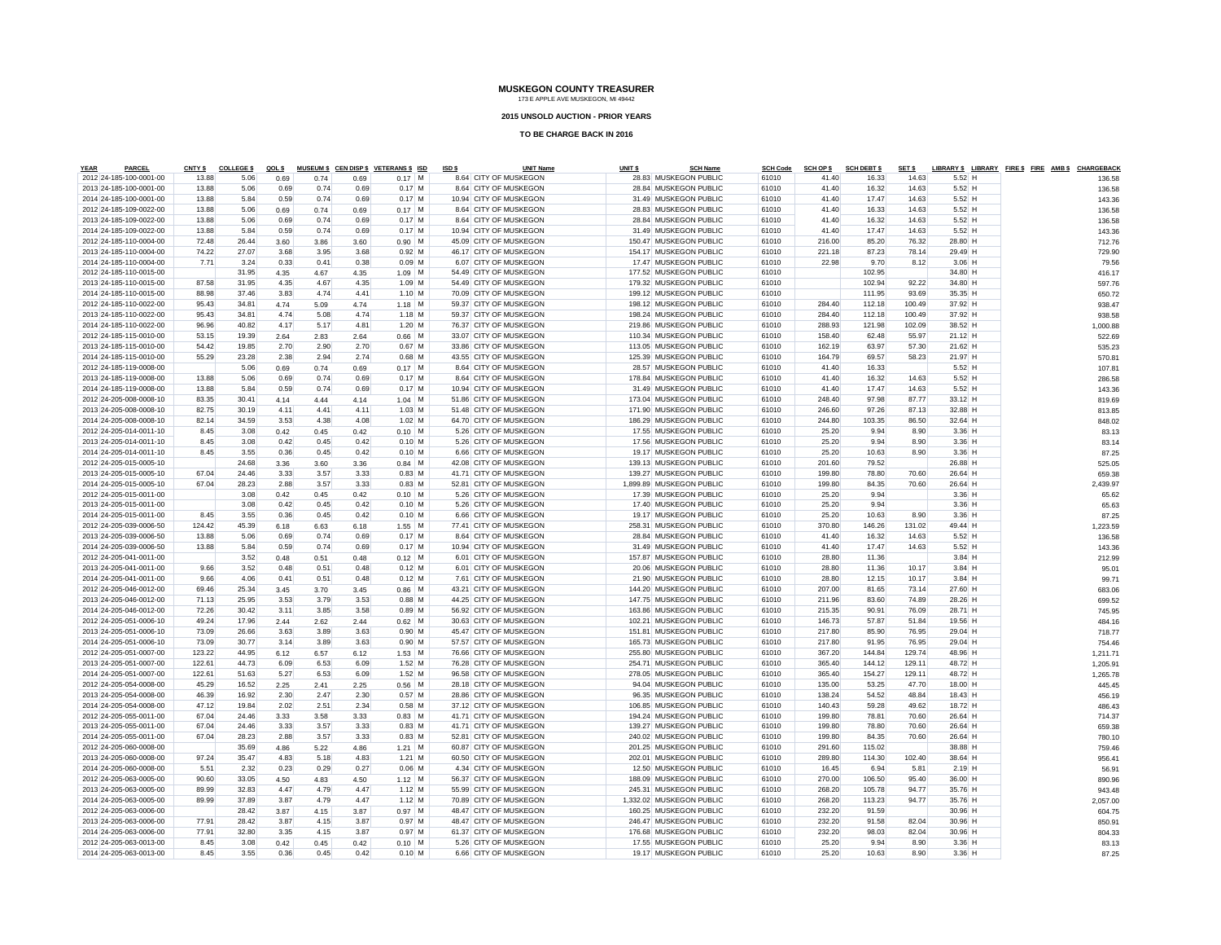#### **2015 UNSOLD AUCTION - PRIOR YEARS**

| <b>YEAR</b><br>PARCE                               | CNTY \$ | <b>COLLEGES</b> | QOL \$ |      |      | MUSEUM \$ CEN DISP \$ VETERANS \$ ISD | ISD \$ | <b>UNIT Name</b>                                 | UNIT <sub>\$</sub> | <b>SCH Name</b>          | <b>SCH Code</b> | <b>SCH OP \$</b> | <b>SCH DEBT \$</b> | SET \$ |           | LIBRARY \$ LIBRARY FIRE \$ FIRE AMB \$ CHARGEBACK |          |
|----------------------------------------------------|---------|-----------------|--------|------|------|---------------------------------------|--------|--------------------------------------------------|--------------------|--------------------------|-----------------|------------------|--------------------|--------|-----------|---------------------------------------------------|----------|
| 2012 24-185-100-0001-00                            | 13.88   | 5.06            | 0.69   | 0.74 | 0.69 | $0.17$ M                              |        | 8.64 CITY OF MUSKEGON                            |                    | 28.83 MUSKEGON PUBLIC    | 61010           | 41.40            | 16.33              | 14.63  | $5.52$ H  |                                                   | 136.58   |
| 2013 24-185-100-0001-00                            | 13.88   | 5.06            | 0.69   | 0.74 | 0.69 | $0.17$ M                              |        | 8.64 CITY OF MUSKEGON                            |                    | 28.84 MUSKEGON PUBLIC    | 61010           | 41.40            | 16.32              | 14.63  | $5.52$ H  |                                                   | 136.58   |
| 2014 24-185-100-0001-00                            | 13.88   | 5.84            | 0.59   | 0.74 | 0.69 | $0.17$ M                              |        | 10.94 CITY OF MUSKEGON                           |                    | 31.49 MUSKEGON PUBLIC    | 61010           | 41.40            | 17.47              | 14.63  | $5.52$ H  |                                                   | 143.36   |
| 2012 24-185-109-0022-00                            | 13.88   | 5.06            | 0.69   | 0.74 | 0.69 | $0.17$ M                              |        | 8.64 CITY OF MUSKEGON                            |                    | 28.83 MUSKEGON PUBLIC    | 61010           | 41.40            | 16.33              | 14.63  | $5.52$ H  |                                                   | 136.58   |
| 2013 24-185-109-0022-00                            | 13.88   | 5.06            | 0.69   | 0.74 | 0.69 | $0.17$ M                              |        | 8.64 CITY OF MUSKEGON                            |                    | 28.84 MUSKEGON PUBLIC    | 61010           | 41.40            | 16.32              | 14.63  | $5.52$ H  |                                                   | 136.58   |
| 2014 24-185-109-0022-00                            | 13.88   | 5.84            | 0.59   | 0.74 | 0.69 | $0.17$ M                              |        | 10.94 CITY OF MUSKEGON                           |                    | 31.49 MUSKEGON PUBLIC    | 61010           | 41.40            | 17.47              | 14.63  | $5.52$ H  |                                                   | 143.36   |
| 2012 24-185-110-0004-00                            | 72.48   | 26.44           | 3.60   | 3.86 | 3.60 | $0.90$ M                              |        | 45.09 CITY OF MUSKEGON                           |                    | 150.47 MUSKEGON PUBLIC   | 61010           | 216.00           | 85.20              | 76.32  | 28.80 H   |                                                   | 712.76   |
| 2013 24-185-110-0004-00                            | 74.22   | 27.07           | 3.68   | 3.95 | 3.68 | $0.92$ M                              |        | 46.17 CITY OF MUSKEGON                           |                    | 154.17 MUSKEGON PUBLIC   | 61010           | 221.18           | 87.23              | 78.14  | 29.49 H   |                                                   | 729.90   |
| 2014 24-185-110-0004-00                            | 7.71    | 3.24            | 0.33   | 0.41 | 0.38 | $0.09$ M                              |        | 6.07 CITY OF MUSKEGON                            |                    | 17.47 MUSKEGON PUBLIC    | 61010           | 22.98            | 9.70               | 8.12   | $3.06$ H  |                                                   | 79.56    |
| 2012 24-185-110-0015-00                            |         | 31.95           | 4.35   | 4.67 | 4.35 | $1.09$ M                              |        | 54.49 CITY OF MUSKEGON                           |                    | 177.52 MUSKEGON PUBLIC   | 61010           |                  | 102.95             |        | 34.80 H   |                                                   | 416.17   |
| 2013 24-185-110-0015-00                            | 87.58   | 31.95           | 4.35   | 4.67 | 4.35 | $1.09$ M                              |        | 54.49 CITY OF MUSKEGON                           |                    | 179.32 MUSKEGON PUBLIC   | 61010           |                  | 102.94             | 92.22  | 34.80 H   |                                                   | 597.76   |
| 2014 24-185-110-0015-00                            | 88.98   | 37.46           | 3.83   | 4.74 | 4.41 | $1.10$ M                              |        | 70.09 CITY OF MUSKEGON                           |                    | 199.12 MUSKEGON PUBLIC   | 61010           |                  | 111.95             | 93.69  | 35.35 H   |                                                   | 650.72   |
| 2012 24-185-110-0022-00                            | 95.43   | 34.81           | 4.74   | 5.09 | 4.74 | $1.18$ M                              |        | 59.37 CITY OF MUSKEGON                           |                    | 198.12 MUSKEGON PUBLIC   | 61010           | 284.40           | 112.18             | 100.49 | 37.92 H   |                                                   | 938.47   |
| 2013 24-185-110-0022-00                            | 95.43   | 34.81           | 4.74   | 5.08 | 4.74 | $1.18$ M                              |        | 59.37 CITY OF MUSKEGON                           |                    | 198.24 MUSKEGON PUBLIC   | 61010           | 284.40           | 112.18             | 100.49 | 37.92 H   |                                                   | 938.58   |
| 2014 24-185-110-0022-00                            | 96.96   | 40.82           | 4.17   | 5.17 | 4.81 | $1.20$ M                              |        | 76.37 CITY OF MUSKEGON                           |                    | 219.86 MUSKEGON PUBLIC   | 61010           | 288.93           | 121.98             | 102.09 | 38.52 H   |                                                   | 1,000.88 |
| 2012 24-185-115-0010-00                            | 53.15   | 19.39           | 2.64   | 2.83 | 2.64 | $0.66$ M                              |        | 33.07 CITY OF MUSKEGON                           |                    | 110.34 MUSKEGON PUBLIC   | 61010           | 158.40           | 62.48              | 55.97  | 21.12 H   |                                                   | 522.69   |
| 2013 24-185-115-0010-00                            | 54.42   | 19.85           | 2.70   | 2.90 | 2.70 | $0.67$ M                              |        | 33.86 CITY OF MUSKEGON                           |                    | 113.05 MUSKEGON PUBLIC   | 61010           | 162.19           | 63.97              | 57.30  | 21.62 H   |                                                   | 535.23   |
| 2014 24-185-115-0010-00                            | 55.29   | 23.28           | 2.38   | 2.94 | 2.74 | $0.68$ M                              |        | 43.55 CITY OF MUSKEGON                           |                    | 125.39 MUSKEGON PUBLIC   | 61010           | 164.79           | 69.57              | 58.23  | 21.97 H   |                                                   | 570.81   |
| 2012 24-185-119-0008-00                            |         | 5.06            | 0.69   | 0.74 | 0.69 | $0.17$ M                              |        | 8.64 CITY OF MUSKEGON                            |                    | 28.57 MUSKEGON PUBLIC    | 61010           | 41.40            | 16.33              |        | $5.52$ H  |                                                   | 107.81   |
| 2013 24-185-119-0008-00                            | 13.88   | 5.06            | 0.69   | 0.74 | 0.69 | $0.17$ M                              |        | 8.64 CITY OF MUSKEGON                            |                    | 178.84 MUSKEGON PUBLIC   | 61010           | 41.40            | 16.32              | 14.63  | $5.52$ H  |                                                   |          |
|                                                    | 13.88   | 5.84            | 0.59   | 0.74 | 0.69 | $0.17$ M                              |        |                                                  |                    | 31.49 MUSKEGON PUBLIC    | 61010           | 41.40            | 17.47              | 14.63  | $5.52$ H  |                                                   | 286.58   |
| 2014 24-185-119-0008-00<br>2012 24-205-008-0008-10 | 83.35   | 30.41           |        |      |      |                                       |        | 10.94 CITY OF MUSKEGON<br>51.86 CITY OF MUSKEGON |                    | 173.04 MUSKEGON PUBLIC   | 61010           | 248.40           | 97.98              | 87.77  | $33.12$ H |                                                   | 143.36   |
|                                                    |         |                 | 4.14   | 4.44 | 4.14 | $1.04$ M                              |        |                                                  |                    |                          |                 |                  |                    |        |           |                                                   | 819.69   |
| 2013 24-205-008-0008-10                            | 82.75   | 30.19           | 4.11   | 4.41 | 4.11 | $1.03$ M                              |        | 51.48 CITY OF MUSKEGON                           |                    | 171.90 MUSKEGON PUBLIC   | 61010           | 246.60           | 97.26              | 87.13  | 32.88 H   |                                                   | 813.85   |
| 2014 24-205-008-0008-10                            | 82.14   | 34.59           | 3.53   | 4.38 | 4.08 | $1.02$ M                              |        | 64.70 CITY OF MUSKEGON                           |                    | 186.29 MUSKEGON PUBLIC   | 61010           | 244.80           | 103.35             | 86.50  | 32.64 H   |                                                   | 848.02   |
| 2012 24-205-014-0011-10                            | 8.45    | 3.08            | 0.42   | 0.45 | 0.42 | $0.10$ M                              |        | 5.26 CITY OF MUSKEGON                            |                    | 17.55 MUSKEGON PUBLIC    | 61010           | 25.20            | 9.94               | 8.90   | $3.36$ H  |                                                   | 83.13    |
| 2013 24-205-014-0011-10                            | 8.45    | 3.08            | 0.42   | 0.45 | 0.42 | $0.10$ M                              |        | 5.26 CITY OF MUSKEGON                            |                    | 17.56 MUSKEGON PUBLIC    | 61010           | 25.20            | 9.94               | 8.90   | $3.36$ H  |                                                   | 83.14    |
| 2014 24-205-014-0011-10                            | 8.45    | 3.55            | 0.36   | 0.45 | 0.42 | $0.10$ M                              |        | 6.66 CITY OF MUSKEGON                            |                    | 19.17 MUSKEGON PUBLIC    | 61010           | 25.20            | 10.63              | 8.90   | $3.36$ H  |                                                   | 87.25    |
| 2012 24-205-015-0005-10                            |         | 24.68           | 3.36   | 3.60 | 3.36 | $0.84$ M                              |        | 42.08 CITY OF MUSKEGON                           |                    | 139.13 MUSKEGON PUBLIC   | 61010           | 201.60           | 79.52              |        | 26.88 H   |                                                   | 525.05   |
| 2013 24-205-015-0005-10                            | 67.04   | 24.46           | 3.33   | 3.57 | 3.33 | $0.83$ M                              |        | 41.71 CITY OF MUSKEGON                           |                    | 139.27 MUSKEGON PUBLIC   | 61010           | 199.80           | 78.80              | 70.60  | 26.64 H   |                                                   | 659.38   |
| 2014 24-205-015-0005-10                            | 67.04   | 28.23           | 2.88   | 3.57 | 3.33 | $0.83$ M                              |        | 52.81 CITY OF MUSKEGON                           |                    | 1,899.89 MUSKEGON PUBLIC | 61010           | 199.80           | 84.35              | 70.60  | 26.64 H   |                                                   | 2,439.97 |
| 2012 24-205-015-0011-00                            |         | 3.08            | 0.42   | 0.45 | 0.42 | $0.10$ M                              |        | 5.26 CITY OF MUSKEGON                            |                    | 17.39 MUSKEGON PUBLIC    | 61010           | 25.20            | 9.94               |        | $3.36$ H  |                                                   | 65.62    |
| 2013 24-205-015-0011-00                            |         | 3.08            | 0.42   | 0.45 | 0.42 | $0.10$ M                              |        | 5.26 CITY OF MUSKEGON                            |                    | 17.40 MUSKEGON PUBLIC    | 61010           | 25.20            | 9.94               |        | $3.36$ H  |                                                   | 65.63    |
| 2014 24-205-015-0011-00                            | 8.45    | 3.55            | 0.36   | 0.45 | 0.42 | $0.10$ M                              |        | 6.66 CITY OF MUSKEGON                            |                    | 19.17 MUSKEGON PUBLIC    | 61010           | 25.20            | 10.63              | 8.90   | $3.36$ H  |                                                   | 87.25    |
| 2012 24-205-039-0006-50                            | 124.42  | 45.39           | 6.18   | 6.63 | 6.18 | $1.55$ M                              |        | 77.41 CITY OF MUSKEGON                           |                    | 258.31 MUSKEGON PUBLIC   | 61010           | 370.80           | 146.26             | 131.02 | 49.44 H   |                                                   | 1,223.59 |
| 2013 24-205-039-0006-50                            | 13.88   | 5.06            | 0.69   | 0.74 | 0.69 | $0.17$ M                              |        | 8.64 CITY OF MUSKEGON                            |                    | 28.84 MUSKEGON PUBLIC    | 61010           | 41.40            | 16.32              | 14.63  | $5.52$ H  |                                                   | 136.58   |
| 2014 24-205-039-0006-50                            | 13.88   | 5.84            | 0.59   | 0.74 | 0.69 | $0.17$ M                              |        | 10.94 CITY OF MUSKEGON                           |                    | 31.49 MUSKEGON PUBLIC    | 61010           | 41.40            | 17.47              | 14.63  | $5.52$ H  |                                                   | 143.36   |
| 2012 24-205-041-0011-00                            |         | 3.52            | 0.48   | 0.51 | 0.48 | $0.12$ M                              |        | 6.01 CITY OF MUSKEGON                            |                    | 157.87 MUSKEGON PUBLIC   | 61010           | 28.80            | 11.36              |        | $3.84$ H  |                                                   | 212.99   |
| 2013 24-205-041-0011-00                            | 9.66    | 3.52            | 0.48   | 0.51 | 0.48 | $0.12$ M                              |        | 6.01 CITY OF MUSKEGON                            |                    | 20.06 MUSKEGON PUBLIC    | 61010           | 28.80            | 11.36              | 10.17  | $3.84$ H  |                                                   | 95.01    |
| 2014 24-205-041-0011-00                            | 9.66    | 4.06            | 0.41   | 0.51 | 0.48 | $0.12$ M                              |        | 7.61 CITY OF MUSKEGON                            |                    | 21.90 MUSKEGON PUBLIC    | 61010           | 28.80            | 12.15              | 10.17  | $3.84$ H  |                                                   | 99.71    |
| 2012 24-205-046-0012-00                            | 69.46   | 25.34           | 3.45   | 3.70 | 3.45 | $0.86$ M                              |        | 43.21 CITY OF MUSKEGON                           |                    | 144.20 MUSKEGON PUBLIC   | 61010           | 207.00           | 81.65              | 73.14  | 27.60 H   |                                                   | 683.06   |
| 2013 24-205-046-0012-00                            | 71.13   | 25.95           | 3.53   | 3.79 | 3.53 | $0.88$ M                              |        | 44.25 CITY OF MUSKEGON                           |                    | 147.75 MUSKEGON PUBLIC   | 61010           | 211.96           | 83.60              | 74.89  | 28.26 H   |                                                   | 699.52   |
| 2014 24-205-046-0012-00                            | 72.26   | 30.42           | 3.11   | 3.85 | 3.58 | $0.89$ M                              |        | 56.92 CITY OF MUSKEGON                           |                    | 163.86 MUSKEGON PUBLIC   | 61010           | 215.35           | 90.91              | 76.09  | 28.71 H   |                                                   | 745.95   |
| 2012 24-205-051-0006-10                            | 49.24   | 17.96           | 2.44   | 2.62 | 2.44 | $0.62$ M                              |        | 30.63 CITY OF MUSKEGON                           |                    | 102.21 MUSKEGON PUBLIC   | 61010           | 146.73           | 57.87              | 51.84  | 19.56 H   |                                                   | 484.16   |
| 2013 24-205-051-0006-10                            | 73.09   | 26.66           | 3.63   | 3.89 | 3.63 | $0.90$ M                              |        | 45.47 CITY OF MUSKEGON                           |                    | 151.81 MUSKEGON PUBLIC   | 61010           | 217.80           | 85.90              | 76.95  | 29.04 H   |                                                   | 718.77   |
| 2014 24-205-051-0006-10                            | 73.09   | 30.77           | 3.14   | 3.89 | 3.63 | $0.90$ M                              |        | 57.57 CITY OF MUSKEGON                           |                    | 165.73 MUSKEGON PUBLIC   | 61010           | 217.80           | 91.95              | 76.95  | 29.04 H   |                                                   | 754.46   |
| 2012 24-205-051-0007-00                            | 123.22  | 44.95           | 6.12   | 6.57 | 6.12 | $1.53$ M                              |        | 76.66 CITY OF MUSKEGON                           |                    | 255.80 MUSKEGON PUBLIC   | 61010           | 367.20           | 144.84             | 129.74 | 48.96 H   |                                                   | 1,211.71 |
| 2013 24-205-051-0007-00                            | 122.61  | 44.73           | 6.09   | 6.53 | 6.09 | $1.52$ M                              |        | 76.28 CITY OF MUSKEGON                           |                    | 254.71 MUSKEGON PUBLIC   | 61010           | 365.40           | 144.12             | 129.11 | 48.72 H   |                                                   | 1,205.91 |
| 2014 24-205-051-0007-00                            | 122.61  | 51.63           | 5.27   | 6.53 | 6.09 | 1.52M                                 |        | 96.58 CITY OF MUSKEGON                           |                    | 278.05 MUSKEGON PUBLIC   | 61010           | 365.40           | 154.27             | 129.11 | 48.72 H   |                                                   | 1,265.78 |
| 2012 24-205-054-0008-00                            | 45.29   | 16.52           | 2.25   | 2.41 | 2.25 | $0.56$ M                              |        | 28.18 CITY OF MUSKEGON                           |                    | 94.04 MUSKEGON PUBLIC    | 61010           | 135.00           | 53.25              | 47.70  | 18.00 H   |                                                   | 445.45   |
| 2013 24-205-054-0008-00                            | 46.39   | 16.92           | 2.30   | 2.47 | 2.30 | 0.57M                                 |        | 28.86 CITY OF MUSKEGON                           |                    | 96.35 MUSKEGON PUBLIC    | 61010           | 138.24           | 54.52              | 48.84  | 18.43 H   |                                                   | 456.19   |
| 2014 24-205-054-0008-00                            | 47.12   | 19.84           | 2.02   | 2.51 | 2.34 | $0.58$ M                              |        | 37.12 CITY OF MUSKEGON                           |                    | 106.85 MUSKEGON PUBLIC   | 61010           | 140.43           | 59.28              | 49.62  | 18.72 H   |                                                   | 486.43   |
| 2012 24-205-055-0011-00                            | 67.04   | 24.46           |        |      | 3.33 | $0.83$ M                              |        | 41.71 CITY OF MUSKEGON                           |                    | 194.24 MUSKEGON PUBLIC   | 61010           | 199.80           | 78.81              | 70.60  | $26.64$ H |                                                   | 714.37   |
|                                                    |         |                 | 3.33   | 3.58 |      |                                       |        |                                                  |                    |                          |                 |                  |                    |        |           |                                                   |          |
| 2013 24-205-055-0011-00                            | 67.04   | 24.46           | 3.33   | 3.57 | 3.33 | $0.83$ M                              |        | 41.71 CITY OF MUSKEGON                           |                    | 139.27 MUSKEGON PUBLIC   | 61010           | 199.80           | 78.80              | 70.60  | 26.64 H   |                                                   | 659.38   |
| 2014 24-205-055-0011-00                            | 67.04   | 28.23           | 2.88   | 3.57 | 3.33 | $0.83$ M                              |        | 52.81 CITY OF MUSKEGON                           |                    | 240.02 MUSKEGON PUBLIC   | 61010           | 199.80           | 84.35              | 70.60  | 26.64 H   |                                                   | 780.10   |
| 2012 24-205-060-0008-00                            |         | 35.69           | 4.86   | 5.22 | 4.86 | $1.21$ M                              |        | 60.87 CITY OF MUSKEGON                           |                    | 201.25 MUSKEGON PUBLIC   | 61010           | 291.60           | 115.02             |        | 38.88 H   |                                                   | 759.46   |
| 2013 24-205-060-0008-00                            | 97.24   | 35.47           | 4.83   | 5.18 | 4.83 | $1.21$ M                              |        | 60.50 CITY OF MUSKEGON                           |                    | 202.01 MUSKEGON PUBLIC   | 61010           | 289.80           | 114.30             | 102.40 | 38.64 H   |                                                   | 956.41   |
| 2014 24-205-060-0008-00                            | 5.51    | 2.32            | 0.23   | 0.29 | 0.27 | $0.06$ M                              |        | 4.34 CITY OF MUSKEGON                            |                    | 12.50 MUSKEGON PUBLIC    | 61010           | 16.45            | 6.94               | 5.81   | $2.19$ H  |                                                   | 56.91    |
| 2012 24-205-063-0005-00                            | 90.60   | 33.05           | 4.50   | 4.83 | 4.50 | $1.12$ M                              |        | 56.37 CITY OF MUSKEGON                           |                    | 188.09 MUSKEGON PUBLIC   | 61010           | 270.00           | 106.50             | 95.40  | 36.00 H   |                                                   | 890.96   |
| 2013 24-205-063-0005-00                            | 89.99   | 32.83           | 4.47   | 4.79 | 4.47 | $1.12$ M                              |        | 55.99 CITY OF MUSKEGON                           |                    | 245.31 MUSKEGON PUBLIC   | 61010           | 268.20           | 105.78             | 94.77  | 35.76 H   |                                                   | 943.48   |
| 2014 24-205-063-0005-00                            | 89.99   | 37.89           | 3.87   | 4.79 | 4.47 | $1.12$ M                              |        | 70.89 CITY OF MUSKEGON                           |                    | 1,332.02 MUSKEGON PUBLIC | 61010           | 268.20           | 113.23             | 94.77  | 35.76 H   |                                                   | 2,057.00 |
| 2012 24-205-063-0006-00                            |         | 28.42           | 3.87   | 4.15 | 3.87 | $0.97$ M                              |        | 48.47 CITY OF MUSKEGON                           |                    | 160.25 MUSKEGON PUBLIC   | 61010           | 232.20           | 91.59              |        | 30.96 H   |                                                   | 604.75   |
| 2013 24-205-063-0006-00                            | 77.91   | 28.42           | 3.87   | 4.15 | 3.87 | $0.97$ M                              |        | 48.47 CITY OF MUSKEGON                           |                    | 246.47 MUSKEGON PUBLIC   | 61010           | 232.20           | 91.58              | 82.04  | 30.96 H   |                                                   | 850.91   |
| 2014 24-205-063-0006-00                            | 77.91   | 32.80           | 3.35   | 4.15 | 3.87 | $0.97$ M                              |        | 61.37 CITY OF MUSKEGON                           |                    | 176.68 MUSKEGON PUBLIC   | 61010           | 232.20           | 98.03              | 82.04  | 30.96 H   |                                                   | 804.33   |
| 2012 24-205-063-0013-00                            | 8.45    | 3.08            | 0.42   | 0.45 | 0.42 | $0.10$ M                              |        | 5.26 CITY OF MUSKEGON                            |                    | 17.55 MUSKEGON PUBLIC    | 61010           | 25.20            | 9.94               | 8.90   | $3.36$ H  |                                                   | 83.13    |
| 2014 24-205-063-0013-00                            | 8.45    | 3.55            | 0.36   | 0.45 | 0.42 | $0.10$ M                              |        | 6.66 CITY OF MUSKEGON                            |                    | 19.17 MUSKEGON PUBLIC    | 61010           | 25.20            | 10.63              | 8.90   | $3.36$ H  |                                                   | 87.25    |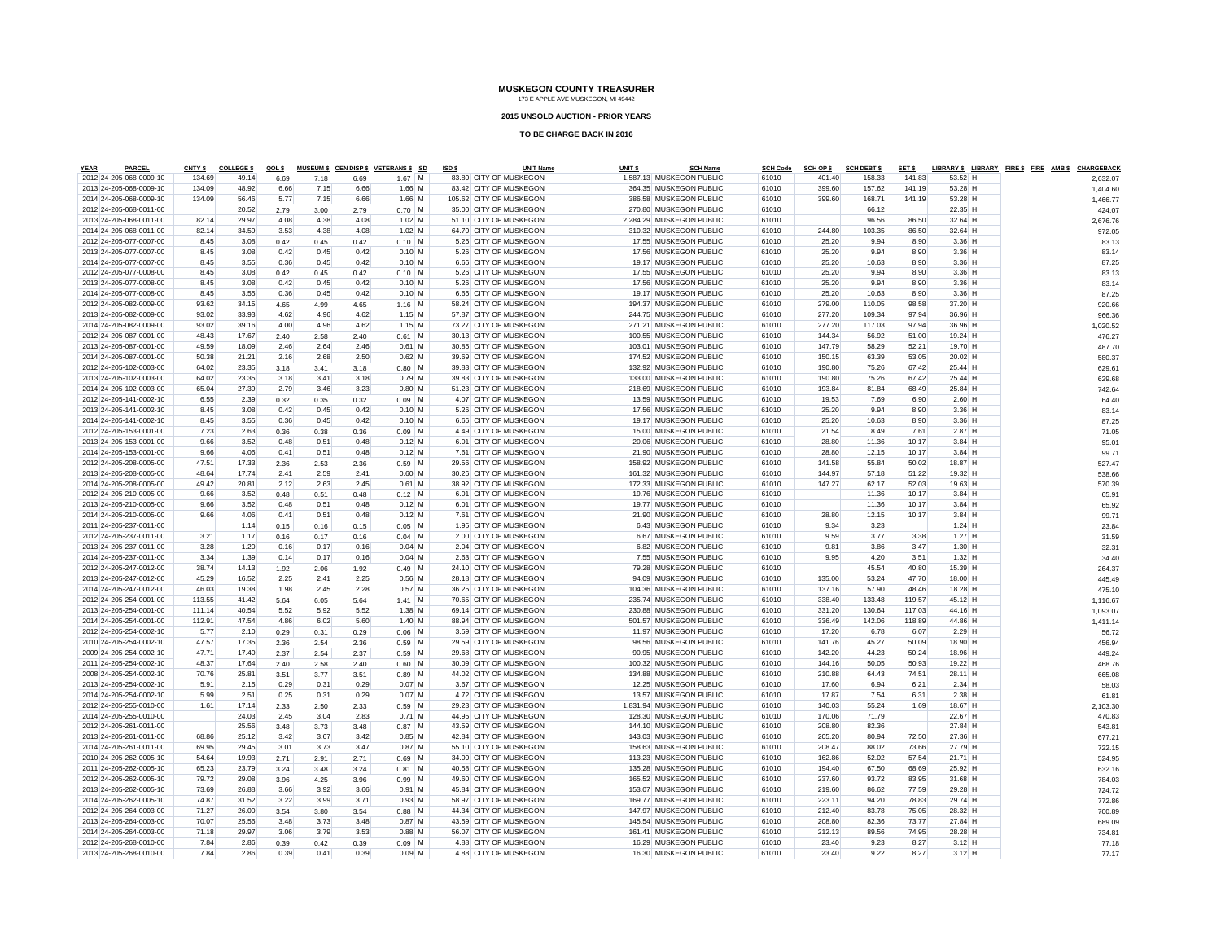#### **2015 UNSOLD AUCTION - PRIOR YEARS**

| <b>YEAR</b> | <b>PARCEL</b>           | <b>CNTY \$</b> | <b>COLLEGE \$</b> | QOL \$ |              |      | MUSEUM \$ CEN DISP \$ VETERANS \$ ISD | ISD \$ | <b>UNIT Name</b>        | UNIT <sub>\$</sub> | <u>SCH Name</u>          | <b>SCH Code</b> | <b>SCH OP \$</b> | <b>SCH DEBT \$</b> | SET \$ |           | LIBRARY \$ LIBRARY FIRE \$ FIRE AMB \$ CHARGEBACH |          |  |
|-------------|-------------------------|----------------|-------------------|--------|--------------|------|---------------------------------------|--------|-------------------------|--------------------|--------------------------|-----------------|------------------|--------------------|--------|-----------|---------------------------------------------------|----------|--|
|             | 2012 24-205-068-0009-10 | 134.69         | 49.14             | 6.69   | 7.18         | 6.69 | $1.67$ M                              |        | 83.80 CITY OF MUSKEGON  |                    | 1,587.13 MUSKEGON PUBLIC | 61010           | 401.40           | 158.33             | 141.83 | 53.52 H   |                                                   | 2,632.07 |  |
|             | 2013 24-205-068-0009-10 | 134.09         | 48.92             | 6.66   | 7.15         | 6.66 | $1.66$ M                              |        | 83.42 CITY OF MUSKEGON  |                    | 364.35 MUSKEGON PUBLIC   | 61010           | 399.60           | 157.62             | 141.19 | 53.28 H   |                                                   | 1,404.60 |  |
|             | 2014 24-205-068-0009-10 | 134.09         | 56.46             | 5.77   | 7.15         | 6.66 | $1.66$ M                              |        | 105.62 CITY OF MUSKEGON |                    | 386.58 MUSKEGON PUBLIC   | 61010           | 399.60           | 168.71             | 141.19 | 53.28 H   |                                                   | 1,466.77 |  |
|             | 2012 24-205-068-0011-00 |                | 20.52             | 2.79   | 3.00         | 2.79 | $0.70$ M                              |        | 35.00 CITY OF MUSKEGON  |                    | 270.80 MUSKEGON PUBLIC   | 61010           |                  | 66.12              |        | 22.35 H   |                                                   | 424.07   |  |
|             | 2013 24-205-068-0011-00 | 82.14          | 29.97             | 4.08   | 4.38         | 4.08 | $1.02$ M                              |        | 51.10 CITY OF MUSKEGON  |                    | 2,284.29 MUSKEGON PUBLIC | 61010           |                  | 96.56              | 86.50  | 32.64 H   |                                                   | 2,676.76 |  |
|             | 2014 24-205-068-0011-00 | 82.14          | 34.59             | 3.53   | 4.38         | 4.08 | $1.02$ M                              |        | 64.70 CITY OF MUSKEGON  |                    | 310.32 MUSKEGON PUBLIC   | 61010           | 244.80           | 103.35             | 86.50  | 32.64 H   |                                                   | 972.05   |  |
|             | 2012 24-205-077-0007-00 | 8.45           | 3.08              | 0.42   | 0.45         | 0.42 | $0.10$ M                              |        | 5.26 CITY OF MUSKEGON   |                    | 17.55 MUSKEGON PUBLIC    | 61010           | 25.20            | 9.94               | 8.90   | $3.36$ H  |                                                   | 83.13    |  |
|             | 2013 24-205-077-0007-00 | 8.45           | 3.08              | 0.42   | 0.45         | 0.42 | 0.10 M                                |        | 5.26 CITY OF MUSKEGON   |                    | 17.56 MUSKEGON PUBLIC    | 61010           | 25.20            | 9.94               | 8.90   | $3.36$ H  |                                                   | 83.14    |  |
|             | 2014 24-205-077-0007-00 | 8.45           | 3.55              | 0.36   | 0.45         | 0.42 | $0.10$ M                              |        | 6.66 CITY OF MUSKEGON   |                    | 19.17 MUSKEGON PUBLIC    | 61010           | 25.20            | 10.63              | 8.90   | $3.36$ H  |                                                   | 87.25    |  |
|             | 2012 24-205-077-0008-00 | 8.45           | 3.08              | 0.42   | 0.45         | 0.42 | $0.10$ M                              |        | 5.26 CITY OF MUSKEGON   |                    | 17.55 MUSKEGON PUBLIC    | 61010           | 25.20            | 9.94               | 8.90   | $3.36$ H  |                                                   | 83.13    |  |
|             | 2013 24-205-077-0008-00 | 8.45           | 3.08              | 0.42   | 0.45         | 0.42 | $0.10$ M                              |        | 5.26 CITY OF MUSKEGON   |                    | 17.56 MUSKEGON PUBLIC    | 61010           | 25.20            | 9.94               | 8.90   | $3.36$ H  |                                                   | 83.14    |  |
|             | 2014 24-205-077-0008-00 | 8.45           | 3.55              | 0.36   | 0.45         | 0.42 | $0.10$ M                              |        | 6.66 CITY OF MUSKEGON   |                    | 19.17 MUSKEGON PUBLIC    | 61010           | 25.20            | 10.63              | 8.90   | $3.36$ H  |                                                   | 87.25    |  |
|             | 2012 24-205-082-0009-00 | 93.62          | 34.15             | 4.65   | 4.99         | 4.65 | $1.16$ M                              |        | 58.24 CITY OF MUSKEGON  |                    | 194.37 MUSKEGON PUBLIC   | 61010           | 279.00           | 110.05             | 98.58  | 37.20 H   |                                                   | 920.66   |  |
|             | 2013 24-205-082-0009-00 | 93.02          | 33.93             | 4.62   | 4.96         | 4.62 | $1.15$ M                              |        | 57.87 CITY OF MUSKEGON  |                    | 244.75 MUSKEGON PUBLIC   | 61010           | 277.20           | 109.34             | 97.94  | 36.96 H   |                                                   | 966.36   |  |
|             | 2014 24-205-082-0009-00 | 93.02          | 39.16             | 4.00   | 4.96         | 4.62 | $1.15$ M                              |        | 73.27 CITY OF MUSKEGON  |                    | 271.21 MUSKEGON PUBLIC   | 61010           | 277.20           | 117.03             | 97.94  | 36.96 H   |                                                   | 1,020.52 |  |
|             | 2012 24-205-087-0001-00 | 48.43          | 17.67             | 2.40   | 2.58         | 2.40 | $0.61$ M                              |        | 30.13 CITY OF MUSKEGON  |                    | 100.55 MUSKEGON PUBLIC   | 61010           | 144.34           | 56.92              | 51.00  | 19.24 H   |                                                   | 476.27   |  |
|             | 2013 24-205-087-0001-00 | 49.59          | 18.09             | 2.46   | 2.64         | 2.46 | $0.61$ M                              |        | 30.85 CITY OF MUSKEGON  |                    | 103.01 MUSKEGON PUBLIC   | 61010           | 147.79           | 58.29              | 52.21  | 19.70 H   |                                                   | 487.70   |  |
|             | 2014 24-205-087-0001-00 | 50.38          | 21.21             | 2.16   | 2.68         | 2.50 | $0.62$ M                              |        | 39.69 CITY OF MUSKEGON  |                    | 174.52 MUSKEGON PUBLIC   | 61010           | 150.15           | 63.39              | 53.05  | 20.02 H   |                                                   | 580.37   |  |
|             | 2012 24-205-102-0003-00 | 64.02          | 23.35             | 3.18   |              | 3.18 | $0.80$ M                              |        | 39.83 CITY OF MUSKEGON  |                    | 132.92 MUSKEGON PUBLIC   | 61010           | 190.80           | 75.26              | 67.42  | 25.44 H   |                                                   |          |  |
|             | 2013 24-205-102-0003-00 | 64.02          | 23.35             | 3.18   | 3.41<br>3.41 | 3.18 | $0.79$ M                              |        | 39.83 CITY OF MUSKEGON  |                    | 133.00 MUSKEGON PUBLIC   | 61010           | 190.80           | 75.26              | 67.42  | 25.44 H   |                                                   | 629.61   |  |
|             | 2014 24-205-102-0003-00 | 65.04          | 27.39             | 2.79   | 3.46         | 3.23 | $0.80$ M                              |        | 51.23 CITY OF MUSKEGON  |                    | 218.69 MUSKEGON PUBLIC   | 61010           | 193.84           | 81.84              | 68.49  | 25.84 H   |                                                   | 629.68   |  |
|             |                         |                |                   |        |              |      |                                       |        |                         |                    |                          |                 |                  |                    |        |           |                                                   | 742.64   |  |
|             | 2012 24-205-141-0002-10 | 6.55           | 2.39              | 0.32   | 0.35         | 0.32 | $0.09$ M                              |        | 4.07 CITY OF MUSKEGON   |                    | 13.59 MUSKEGON PUBLIC    | 61010           | 19.53            | 7.69               | 6.90   | $2.60$ H  |                                                   | 64.40    |  |
|             | 2013 24-205-141-0002-10 | 8.45           | 3.08              | 0.42   | 0.45         | 0.42 | $0.10$ M                              |        | 5.26 CITY OF MUSKEGON   |                    | 17.56 MUSKEGON PUBLIC    | 61010           | 25.20            | 9.94               | 8.90   | $3.36$ H  |                                                   | 83.14    |  |
|             | 2014 24-205-141-0002-10 | 8.45           | 3.55              | 0.36   | 0.45         | 0.42 | $0.10$ M                              |        | 6.66 CITY OF MUSKEGON   |                    | 19.17 MUSKEGON PUBLIC    | 61010           | 25.20            | 10.63              | 8.90   | $3.36$ H  |                                                   | 87.25    |  |
|             | 2012 24-205-153-0001-00 | 7.23           | 2.63              | 0.36   | 0.38         | 0.36 | $0.09$ M                              |        | 4.49 CITY OF MUSKEGON   |                    | 15.00 MUSKEGON PUBLIC    | 61010           | 21.54            | 8.49               | 7.61   | $2.87$ H  |                                                   | 71.05    |  |
|             | 2013 24-205-153-0001-00 | 9.66           | 3.52              | 0.48   | 0.51         | 0.48 | $0.12$ M                              |        | 6.01 CITY OF MUSKEGON   |                    | 20.06 MUSKEGON PUBLIC    | 61010           | 28.80            | 11.36              | 10.17  | $3.84$ H  |                                                   | 95.01    |  |
|             | 2014 24-205-153-0001-00 | 9.66           | 4.06              | 0.41   | 0.51         | 0.48 | $0.12$ M                              |        | 7.61 CITY OF MUSKEGON   |                    | 21.90 MUSKEGON PUBLIC    | 61010           | 28.80            | 12.15              | 10.17  | $3.84$ H  |                                                   | 99.7'    |  |
|             | 2012 24-205-208-0005-00 | 47.51          | 17.33             | 2.36   | 2.53         | 2.36 | $0.59$ M                              |        | 29.56 CITY OF MUSKEGON  |                    | 158.92 MUSKEGON PUBLIC   | 61010           | 141.58           | 55.84              | 50.02  | 18.87 H   |                                                   | 527.47   |  |
|             | 2013 24-205-208-0005-00 | 48.64          | 17.74             | 2.41   | 2.59         | 2.41 | $0.60$ M                              |        | 30.26 CITY OF MUSKEGON  |                    | 161.32 MUSKEGON PUBLIC   | 61010           | 144.97           | 57.18              | 51.22  | 19.32 H   |                                                   | 538.66   |  |
|             | 2014 24-205-208-0005-00 | 49.42          | 20.81             | 2.12   | 2.63         | 2.45 | $0.61$ M                              |        | 38.92 CITY OF MUSKEGON  |                    | 172.33 MUSKEGON PUBLIC   | 61010           | 147.27           | 62.17              | 52.03  | $19.63$ H |                                                   | 570.39   |  |
|             | 2012 24-205-210-0005-00 | 9.66           | 3.52              | 0.48   | 0.51         | 0.48 | $0.12$ M                              |        | 6.01 CITY OF MUSKEGON   |                    | 19.76 MUSKEGON PUBLIC    | 61010           |                  | 11.36              | 10.17  | $3.84$ H  |                                                   | 65.91    |  |
|             | 2013 24-205-210-0005-00 | 9.66           | 3.52              | 0.48   | 0.51         | 0.48 | $0.12$ M                              |        | 6.01 CITY OF MUSKEGON   |                    | 19.77 MUSKEGON PUBLIC    | 61010           |                  | 11.36              | 10.17  | $3.84$ H  |                                                   | 65.92    |  |
|             | 2014 24-205-210-0005-00 | 9.66           | 4.06              | 0.41   | 0.51         | 0.48 | $0.12$ M                              |        | 7.61 CITY OF MUSKEGON   |                    | 21.90 MUSKEGON PUBLIC    | 61010           | 28.80            | 12.15              | 10.17  | $3.84$ H  |                                                   | 99.7'    |  |
|             | 2011 24-205-237-0011-00 |                | 1.14              | 0.15   | 0.16         | 0.15 | $0.05$ M                              |        | 1.95 CITY OF MUSKEGON   |                    | 6.43 MUSKEGON PUBLIC     | 61010           | 9.34             | 3.23               |        | $1.24$ H  |                                                   | 23.84    |  |
|             | 2012 24-205-237-0011-00 | 3.21           | 1.17              | 0.16   | 0.17         | 0.16 | $0.04$ M                              |        | 2.00 CITY OF MUSKEGON   |                    | 6.67 MUSKEGON PUBLIC     | 61010           | 9.59             | 3.77               | 3.38   | $1.27$ H  |                                                   | 31.59    |  |
|             | 2013 24-205-237-0011-00 | 3.28           | 1.20              | 0.16   | 0.17         | 0.16 | $0.04$ M                              |        | 2.04 CITY OF MUSKEGON   |                    | 6.82 MUSKEGON PUBLIC     | 61010           | 9.81             | 3.86               | 3.47   | $1.30$ H  |                                                   | 32.31    |  |
|             | 2014 24-205-237-0011-00 | 3.34           | 1.39              | 0.14   | 0.17         | 0.16 | $0.04$ M                              |        | 2.63 CITY OF MUSKEGON   |                    | 7.55 MUSKEGON PUBLIC     | 61010           | 9.95             | 4.20               | 3.51   | $1.32$ H  |                                                   | 34.4     |  |
|             | 2012 24-205-247-0012-00 | 38.74          | 14.13             | 1.92   | 2.06         | 1.92 | $0.49$ M                              |        | 24.10 CITY OF MUSKEGON  |                    | 79.28 MUSKEGON PUBLIC    | 61010           |                  | 45.54              | 40.80  | 15.39 H   |                                                   | 264.37   |  |
|             | 2013 24-205-247-0012-00 | 45.29          | 16.52             | 2.25   | 2.41         | 2.25 | $0.56$ M                              |        | 28.18 CITY OF MUSKEGON  |                    | 94.09 MUSKEGON PUBLIC    | 61010           | 135.00           | 53.24              | 47.70  | 18.00 H   |                                                   | 445.49   |  |
|             | 2014 24-205-247-0012-00 | 46.03          | 19.38             | 1.98   | 2.45         | 2.28 | $0.57$ M                              |        | 36.25 CITY OF MUSKEGON  |                    | 104.36 MUSKEGON PUBLIC   | 61010           | 137.16           | 57.90              | 48.46  | 18.28 H   |                                                   | 475.10   |  |
|             | 2012 24-205-254-0001-00 | 113.55         | 41.42             |        |              |      | $1.41$ M                              |        | 70.65 CITY OF MUSKEGON  |                    | 235.74 MUSKEGON PUBLIC   | 61010           | 338.40           | 133.48             | 119.57 | 45.12 H   |                                                   |          |  |
|             |                         |                |                   | 5.64   | 6.05         | 5.64 |                                       |        |                         |                    | 230.88 MUSKEGON PUBLIC   | 61010           |                  |                    |        |           |                                                   | 1,116.67 |  |
|             | 2013 24-205-254-0001-00 | 111.14         | 40.54             | 5.52   | 5.92         | 5.52 | $1.38$ M                              |        | 69.14 CITY OF MUSKEGON  |                    |                          |                 | 331.20           | 130.64             | 117.03 | 44.16 H   |                                                   | 1,093.07 |  |
|             | 2014 24-205-254-0001-00 | 112.91         | 47.54             | 4.86   | 6.02         | 5.60 | $1.40$ M                              |        | 88.94 CITY OF MUSKEGON  |                    | 501.57 MUSKEGON PUBLIC   | 61010           | 336.49           | 142.06             | 118.89 | 44.86 H   |                                                   | 1,411.14 |  |
|             | 2012 24-205-254-0002-10 | 5.77           | 2.10              | 0.29   | 0.31         | 0.29 | $0.06$ M                              |        | 3.59 CITY OF MUSKEGON   |                    | 11.97 MUSKEGON PUBLIC    | 61010           | 17.20            | 6.78               | 6.07   | $2.29$ H  |                                                   | 56.72    |  |
|             | 2010 24-205-254-0002-10 | 47.57          | 17.35             | 2.36   | 2.54         | 2.36 | $0.59$ M                              |        | 29.59 CITY OF MUSKEGON  |                    | 98.56 MUSKEGON PUBLIC    | 61010           | 141.76           | 45.27              | 50.09  | 18.90 H   |                                                   | 456.94   |  |
|             | 2009 24-205-254-0002-10 | 47.71          | 17.40             | 2.37   | 2.54         | 2.37 | $0.59$ M                              |        | 29.68 CITY OF MUSKEGON  |                    | 90.95 MUSKEGON PUBLIC    | 61010           | 142.20           | 44.23              | 50.24  | 18.96 H   |                                                   | 449.24   |  |
|             | 2011 24-205-254-0002-10 | 48.37          | 17.64             | 2.40   | 2.58         | 2.40 | $0.60$ M                              |        | 30.09 CITY OF MUSKEGON  |                    | 100.32 MUSKEGON PUBLIC   | 61010           | 144.16           | 50.05              | 50.93  | 19.22 H   |                                                   | 468.76   |  |
|             | 2008 24-205-254-0002-10 | 70.76          | 25.81             | 3.51   | 3.77         | 3.51 | $0.89$ M                              |        | 44.02 CITY OF MUSKEGON  |                    | 134.88 MUSKEGON PUBLIC   | 61010           | 210.88           | 64.43              | 74.51  | 28.11 H   |                                                   | 665.08   |  |
|             | 2013 24-205-254-0002-10 | 5.91           | 2.15              | 0.29   | 0.31         | 0.29 | $0.07$ M                              |        | 3.67 CITY OF MUSKEGON   |                    | 12.25 MUSKEGON PUBLIC    | 61010           | 17.60            | 6.94               | 6.21   | $2.34$ H  |                                                   | 58.03    |  |
|             | 2014 24-205-254-0002-10 | 5.99           | 2.51              | 0.25   | 0.31         | 0.29 | $0.07$ M                              |        | 4.72 CITY OF MUSKEGON   |                    | 13.57 MUSKEGON PUBLIC    | 61010           | 17.87            | 7.54               | 6.31   | $2.38$ H  |                                                   | 61.81    |  |
|             | 2012 24-205-255-0010-00 | 1.61           | 17.14             | 2.33   | 2.50         | 2.33 | $0.59$ M                              |        | 29.23 CITY OF MUSKEGON  |                    | 1,831.94 MUSKEGON PUBLIC | 61010           | 140.03           | 55.24              | 1.69   | 18.67 H   |                                                   | 2,103.30 |  |
|             | 2014 24-205-255-0010-00 |                | 24.03             | 2.45   | 3.04         | 2.83 | $0.71$ M                              |        | 44.95 CITY OF MUSKEGON  |                    | 128.30 MUSKEGON PUBLIC   | 61010           | 170.06           | 71.79              |        | 22.67 H   |                                                   | 470.83   |  |
|             | 2012 24-205-261-0011-00 |                | 25.56             | 3.48   | 3.73         | 3.48 | $0.87$ M                              |        | 43.59 CITY OF MUSKEGON  |                    | 144.10 MUSKEGON PUBLIC   | 61010           | 208.80           | 82.36              |        | 27.84 H   |                                                   | 543.81   |  |
|             | 2013 24-205-261-0011-00 | 68.86          | 25.12             | 3.42   | 3.67         | 3.42 | $0.85$ M                              |        | 42.84 CITY OF MUSKEGON  |                    | 143.03 MUSKEGON PUBLIC   | 61010           | 205.20           | 80.94              | 72.50  | 27.36 H   |                                                   | 677.21   |  |
|             | 2014 24-205-261-0011-00 | 69.95          | 29.45             | 3.01   | 3.73         | 3.47 | $0.87$ M                              |        | 55.10 CITY OF MUSKEGON  |                    | 158.63 MUSKEGON PUBLIC   | 61010           | 208.47           | 88.02              | 73.66  | 27.79 H   |                                                   | 722.15   |  |
|             | 2010 24-205-262-0005-10 | 54.64          | 19.93             | 2.71   | 2.91         | 2.71 | $0.69$ M                              |        | 34.00 CITY OF MUSKEGON  |                    | 113.23 MUSKEGON PUBLIC   | 61010           | 162.86           | 52.02              | 57.54  | 21.71 H   |                                                   | 524.95   |  |
|             | 2011 24-205-262-0005-10 | 65.23          | 23.79             | 3.24   | 3.48         | 3.24 | $0.81$ M                              |        | 40.58 CITY OF MUSKEGON  |                    | 135.28 MUSKEGON PUBLIC   | 61010           | 194.40           | 67.50              | 68.69  | 25.92 H   |                                                   | 632.16   |  |
|             | 2012 24-205-262-0005-10 | 79.72          | 29.08             | 3.96   | 4.25         | 3.96 | $0.99$ M                              |        | 49.60 CITY OF MUSKEGON  |                    | 165.52 MUSKEGON PUBLIC   | 61010           | 237.60           | 93.72              | 83.95  | 31.68 H   |                                                   | 784.03   |  |
|             | 2013 24-205-262-0005-10 | 73.69          | 26.88             | 3.66   | 3.92         | 3.66 | $0.91$ M                              |        | 45.84 CITY OF MUSKEGON  |                    | 153.07 MUSKEGON PUBLIC   | 61010           | 219.60           | 86.62              | 77.59  | 29.28 H   |                                                   | 724.72   |  |
|             | 2014 24-205-262-0005-10 | 74.87          | 31.52             | 3.22   | 3.99         | 3.71 | $0.93$ M                              |        | 58.97 CITY OF MUSKEGON  |                    | 169.77 MUSKEGON PUBLIC   | 61010           | 223.11           | 94.20              | 78.83  | 29.74 H   |                                                   | 772.86   |  |
|             | 2012 24-205-264-0003-00 | 71.27          | 26.00             | 3.54   | 3.80         | 3.54 | $0.88$ M                              |        | 44.34 CITY OF MUSKEGON  |                    | 147.97 MUSKEGON PUBLIC   | 61010           | 212.40           | 83.78              | 75.05  | 28.32 H   |                                                   | 700.89   |  |
|             | 2013 24-205-264-0003-00 | 70.07          | 25.56             | 3.48   | 3.73         | 3.48 | $0.87$ M                              |        | 43.59 CITY OF MUSKEGON  |                    | 145.54 MUSKEGON PUBLIC   | 61010           | 208.80           | 82.36              | 73.77  | 27.84 H   |                                                   |          |  |
|             |                         |                |                   |        |              |      |                                       |        |                         |                    |                          |                 |                  |                    |        |           |                                                   | 689.09   |  |
|             | 2014 24-205-264-0003-00 | 71.18          | 29.97             | 3.06   | 3.79         | 3.53 | $0.88$ M                              |        | 56.07 CITY OF MUSKEGON  |                    | 161.41 MUSKEGON PUBLIC   | 61010           | 212.13           | 89.56              | 74.95  | 28.28 H   |                                                   | 734.81   |  |
|             | 2012 24-205-268-0010-00 | 7.84           | 2.86              | 0.39   | 0.42         | 0.39 | $0.09$ M                              |        | 4.88 CITY OF MUSKEGON   |                    | 16.29 MUSKEGON PUBLIC    | 61010           | 23.40            | 9.23               | 8.27   | $3.12$ H  |                                                   | 77.18    |  |
|             | 2013 24-205-268-0010-00 | 7.84           | 2.86              | 0.39   | 0.41         | 0.39 | $0.09$ M                              |        | 4.88 CITY OF MUSKEGON   |                    | 16.30 MUSKEGON PUBLIC    | 61010           | 23.40            | 9.22               | 8.27   | $3.12$ H  |                                                   | 77.17    |  |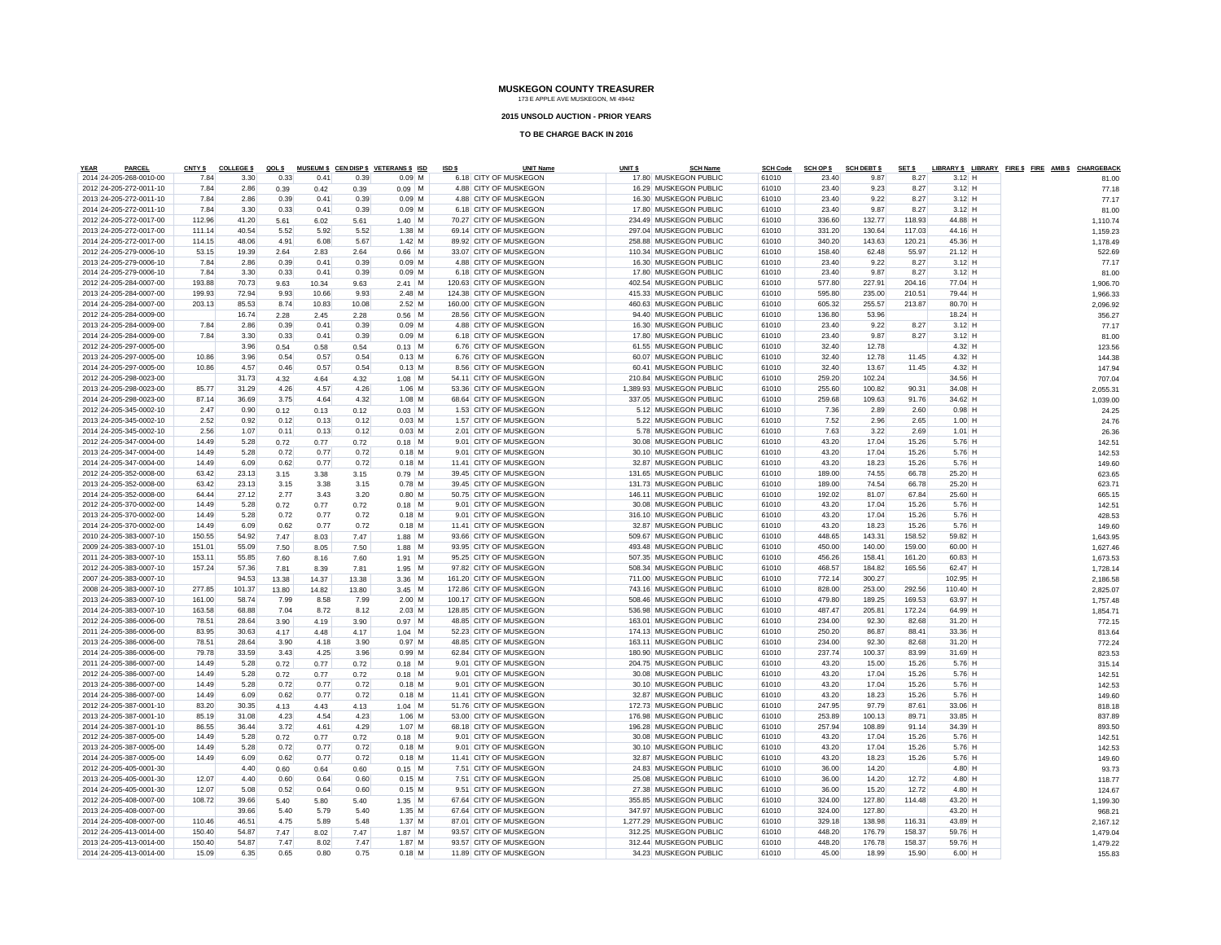#### **2015 UNSOLD AUCTION - PRIOR YEARS**

| <b>YEAR</b> | <b>PARCEL</b>           | <b>CNTY \$</b> | <b>COLLEGE \$</b> | QOL \$ |       |       | MUSEUM \$ CEN DISP \$ VETERANS \$ ISD | ISD \$ | <b>UNIT Name</b>        | UNIT <sub>\$</sub> | <b>SCH Name</b>          | <b>SCH Code</b> | <b>SCH OP \$</b> | <b>SCH DEBT \$</b> | SET <sub>\$</sub> |          | LIBRARY \$ LIBRARY FIRE \$ FIRE AMB \$ CHARGEBACH |
|-------------|-------------------------|----------------|-------------------|--------|-------|-------|---------------------------------------|--------|-------------------------|--------------------|--------------------------|-----------------|------------------|--------------------|-------------------|----------|---------------------------------------------------|
|             | 2014 24-205-268-0010-00 | 7.84           | 3.30              | 0.33   | 0.41  | 0.39  | $0.09$ M                              |        | 6.18 CITY OF MUSKEGON   |                    | 17.80 MUSKEGON PUBLIC    | 61010           | 23.40            | 9.87               | 8.27              | $3.12$ H | 81.00                                             |
|             | 2012 24-205-272-0011-10 | 7.84           | 2.86              | 0.39   | 0.42  | 0.39  | $0.09$ M                              |        | 4.88 CITY OF MUSKEGON   |                    | 16.29 MUSKEGON PUBLIC    | 61010           | 23.40            | 9.23               | 8.27              | $3.12$ H | 77.18                                             |
|             | 2013 24-205-272-0011-10 | 7.84           | 2.86              | 0.39   | 0.41  | 0.39  | $0.09$ M                              |        | 4.88 CITY OF MUSKEGON   |                    | 16.30 MUSKEGON PUBLIC    | 61010           | 23.40            | 9.22               | 8.27              | $3.12$ H | 77.17                                             |
|             | 2014 24-205-272-0011-10 | 7.84           | 3.30              | 0.33   | 0.41  | 0.39  | $0.09$ M                              |        | 6.18 CITY OF MUSKEGON   |                    | 17.80 MUSKEGON PUBLIC    | 61010           | 23.40            | 9.87               | 8.27              | $3.12$ H | 81.00                                             |
|             | 2012 24-205-272-0017-00 | 112.96         | 41.20             | 5.61   | 6.02  | 5.61  | $1.40$ M                              |        | 70.27 CITY OF MUSKEGON  |                    | 234.49 MUSKEGON PUBLIC   | 61010           | 336.60           | 132.77             | 118.93            | 44.88 H  | 1,110.74                                          |
|             | 2013 24-205-272-0017-00 | 111.14         | 40.54             | 5.52   | 5.92  | 5.52  | $1.38$ M                              |        | 69.14 CITY OF MUSKEGON  |                    | 297.04 MUSKEGON PUBLIC   | 61010           | 331.20           | 130.64             | 117.03            | 44.16 H  | 1,159.23                                          |
|             | 2014 24-205-272-0017-00 | 114.15         | 48.06             | 4.91   | 6.08  | 5.67  | $1.42$ M                              |        | 89.92 CITY OF MUSKEGON  |                    | 258.88 MUSKEGON PUBLIC   | 61010           | 340.20           | 143.63             | 120.21            | 45.36 H  | 1,178.49                                          |
|             | 2012 24-205-279-0006-10 | 53.15          | 19.39             | 2.64   | 2.83  | 2.64  | $0.66$ M                              |        | 33.07 CITY OF MUSKEGON  |                    | 110.34 MUSKEGON PUBLIC   | 61010           | 158.40           | 62.48              | 55.97             | 21.12 H  | 522.69                                            |
|             | 2013 24-205-279-0006-10 | 7.84           | 2.86              | 0.39   | 0.41  | 0.39  | $0.09$ M                              |        | 4.88 CITY OF MUSKEGON   |                    | 16.30 MUSKEGON PUBLIC    | 61010           | 23.40            | 9.22               | 8.27              | $3.12$ H | 77.17                                             |
|             | 2014 24-205-279-0006-10 | 7.84           | 3.30              | 0.33   | 0.41  | 0.39  | $0.09$ M                              |        | 6.18 CITY OF MUSKEGON   |                    | 17.80 MUSKEGON PUBLIC    | 61010           | 23.40            | 9.87               | 8.27              | $3.12$ H | 81.00                                             |
|             | 2012 24-205-284-0007-00 | 193.88         | 70.73             | 9.63   | 10.34 | 9.63  | $2.41$ M                              |        | 120.63 CITY OF MUSKEGON |                    | 402.54 MUSKEGON PUBLIC   | 61010           | 577.80           | 227.91             | 204.16            | 77.04 H  | 1.906.70                                          |
|             | 2013 24-205-284-0007-00 | 199.93         | 72.94             | 9.93   | 10.66 | 9.93  | $2.48$ M                              |        | 124.38 CITY OF MUSKEGON |                    | 415.33 MUSKEGON PUBLIC   | 61010           | 595.80           | 235.00             | 210.51            | 79.44 H  | 1,966.33                                          |
|             | 2014 24-205-284-0007-00 | 203.13         | 85.53             | 8.74   | 10.83 | 10.08 | $2.52$ M                              |        | 160.00 CITY OF MUSKEGON |                    | 460.63 MUSKEGON PUBLIC   | 61010           | 605.32           | 255.57             | 213.87            | 80.70 H  | 2,096.92                                          |
|             | 2012 24-205-284-0009-00 |                | 16.74             | 2.28   | 2.45  | 2.28  | $0.56$ M                              |        | 28.56 CITY OF MUSKEGON  |                    | 94.40 MUSKEGON PUBLIC    | 61010           | 136.80           | 53.96              |                   | 18.24 H  | 356.27                                            |
|             | 2013 24-205-284-0009-00 | 7.84           | 2.86              | 0.39   | 0.41  | 0.39  | $0.09$ M                              |        | 4.88 CITY OF MUSKEGON   |                    | 16.30 MUSKEGON PUBLIC    | 61010           | 23.40            | 9.22               | 8.27              | $3.12$ H | 77.17                                             |
|             | 2014 24-205-284-0009-00 | 7.84           | 3.30              | 0.33   | 0.41  | 0.39  | $0.09$ M                              |        | 6.18 CITY OF MUSKEGON   |                    | 17.80 MUSKEGON PUBLIC    | 61010           | 23.40            | 9.87               | 8.27              | $3.12$ H | 81.00                                             |
|             | 2012 24-205-297-0005-00 |                | 3.96              | 0.54   | 0.58  | 0.54  | $0.13$ M                              |        | 6.76 CITY OF MUSKEGON   |                    | 61.55 MUSKEGON PUBLIC    | 61010           | 32.40            | 12.78              |                   | $4.32$ H | 123.56                                            |
|             | 2013 24-205-297-0005-00 | 10.86          | 3.96              | 0.54   | 0.57  | 0.54  | $0.13$ M                              |        | 6.76 CITY OF MUSKEGON   |                    | 60.07 MUSKEGON PUBLIC    | 61010           | 32.40            | 12.78              | 11.45             | $4.32$ H | 144.38                                            |
|             | 2014 24-205-297-0005-00 | 10.86          | 4.57              | 0.46   | 0.57  | 0.54  | $0.13$ M                              |        | 8.56 CITY OF MUSKEGON   |                    | 60.41 MUSKEGON PUBLIC    | 61010           | 32.40            | 13.67              | 11.45             | 4.32 H   | 147.94                                            |
|             | 2012 24-205-298-0023-00 |                | 31.73             | 4.32   | 4.64  | 4.32  | $1.08$ M                              |        | 54.11 CITY OF MUSKEGON  |                    | 210.84 MUSKEGON PUBLIC   | 61010           | 259.20           | 102.24             |                   | 34.56 H  |                                                   |
|             | 2013 24-205-298-0023-00 | 85.77          | 31.29             | 4.26   | 4.57  | 4.26  | $1.06$ M                              |        | 53.36 CITY OF MUSKEGON  |                    | 1,389.93 MUSKEGON PUBLIC | 61010           | 255.60           | 100.82             | 90.31             | 34.08 H  | 707.04                                            |
|             | 2014 24-205-298-0023-00 | 87.14          | 36.69             | 3.75   | 4.64  | 4.32  | $1.08$ M                              |        | 68.64 CITY OF MUSKEGON  |                    | 337.05 MUSKEGON PUBLIC   | 61010           | 259.68           | 109.63             | 91.76             | 34.62 H  | 2,055.31                                          |
|             |                         |                |                   |        |       |       |                                       |        |                         |                    |                          |                 |                  |                    |                   |          | 1,039.00                                          |
|             | 2012 24-205-345-0002-10 | 2.47           | 0.90              | 0.12   | 0.13  | 0.12  | $0.03$ M                              |        | 1.53 CITY OF MUSKEGON   |                    | 5.12 MUSKEGON PUBLIC     | 61010           | 7.36             | 2.89               | 2.60              | $0.98$ H | 24.25                                             |
|             | 2013 24-205-345-0002-10 | 2.52           | 0.92              | 0.12   | 0.13  | 0.12  | $0.03$ M                              |        | 1.57 CITY OF MUSKEGON   |                    | 5.22 MUSKEGON PUBLIC     | 61010           | 7.52             | 2.96               | 2.65              | $1.00$ H | 24.76                                             |
|             | 2014 24-205-345-0002-10 | 2.56           | 1.07              | 0.11   | 0.13  | 0.12  | $0.03$ M                              |        | 2.01 CITY OF MUSKEGON   |                    | 5.78 MUSKEGON PUBLIC     | 61010           | 7.63             | 3.22               | 2.69              | $1.01$ H | 26.36                                             |
|             | 2012 24-205-347-0004-00 | 14.49          | 5.28              | 0.72   | 0.77  | 0.72  | $0.18$ M                              |        | 9.01 CITY OF MUSKEGON   |                    | 30.08 MUSKEGON PUBLIC    | 61010           | 43.20            | 17.04              | 15.26             | $5.76$ H | 142.51                                            |
|             | 2013 24-205-347-0004-00 | 14.49          | 5.28              | 0.72   | 0.77  | 0.72  | $0.18$ M                              |        | 9.01 CITY OF MUSKEGON   |                    | 30.10 MUSKEGON PUBLIC    | 61010           | 43.20            | 17.04              | 15.26             | 5.76 H   | 142.53                                            |
|             | 2014 24-205-347-0004-00 | 14.49          | 6.09              | 0.62   | 0.77  | 0.72  | $0.18$ M                              |        | 11.41 CITY OF MUSKEGON  |                    | 32.87 MUSKEGON PUBLIC    | 61010           | 43.20            | 18.23              | 15.26             | $5.76$ H | 149.60                                            |
|             | 2012 24-205-352-0008-00 | 63.42          | 23.13             | 3.15   | 3.38  | 3.15  | $0.79$ M                              |        | 39.45 CITY OF MUSKEGON  |                    | 131.65 MUSKEGON PUBLIC   | 61010           | 189.00           | 74.55              | 66.78             | 25.20 H  | 623.65                                            |
|             | 2013 24-205-352-0008-00 | 63.42          | 23.13             | 3.15   | 3.38  | 3.15  | $0.78$ M                              |        | 39.45 CITY OF MUSKEGON  |                    | 131.73 MUSKEGON PUBLIC   | 61010           | 189.00           | 74.54              | 66.78             | 25.20 H  | 623.71                                            |
|             | 2014 24-205-352-0008-00 | 64.44          | 27.12             | 2.77   | 3.43  | 3.20  | $0.80$ M                              |        | 50.75 CITY OF MUSKEGON  |                    | 146.11 MUSKEGON PUBLIC   | 61010           | 192.02           | 81.07              | 67.84             | 25.60 H  | 665.15                                            |
|             | 2012 24-205-370-0002-00 | 14.49          | 5.28              | 0.72   | 0.77  | 0.72  | $0.18$ M                              |        | 9.01 CITY OF MUSKEGON   |                    | 30.08 MUSKEGON PUBLIC    | 61010           | 43.20            | 17.04              | 15.26             | 5.76 H   | 142.51                                            |
|             | 2013 24-205-370-0002-00 | 14.49          | 5.28              | 0.72   | 0.77  | 0.72  | $0.18$ M                              |        | 9.01 CITY OF MUSKEGON   |                    | 316.10 MUSKEGON PUBLIC   | 61010           | 43.20            | 17.04              | 15.26             | 5.76 H   | 428.53                                            |
|             | 2014 24-205-370-0002-00 | 14.49          | 6.09              | 0.62   | 0.77  | 0.72  | $0.18$ M                              |        | 11.41 CITY OF MUSKEGON  |                    | 32.87 MUSKEGON PUBLIC    | 61010           | 43.20            | 18.23              | 15.26             | 5.76 H   | 149.60                                            |
|             | 2010 24-205-383-0007-10 | 150.55         | 54.92             | 7.47   | 8.03  | 7.47  | $1.88$ M                              |        | 93.66 CITY OF MUSKEGON  |                    | 509.67 MUSKEGON PUBLIC   | 61010           | 448.65           | 143.31             | 158.52            | 59.82 H  | 1,643.95                                          |
|             | 2009 24-205-383-0007-10 | 151.01         | 55.09             | 7.50   | 8.05  | 7.50  | $1.88$ M                              |        | 93.95 CITY OF MUSKEGON  |                    | 493.48 MUSKEGON PUBLIC   | 61010           | 450.00           | 140.00             | 159.00            | 60.00 H  | 1,627.46                                          |
|             | 2011 24-205-383-0007-10 | 153.11         | 55.85             | 7.60   | 8.16  | 7.60  | $1.91$ M                              |        | 95.25 CITY OF MUSKEGON  |                    | 507.35 MUSKEGON PUBLIC   | 61010           | 456.26           | 158.41             | 161.20            | 60.83 H  | 1,673.53                                          |
|             | 2012 24-205-383-0007-10 | 157.24         | 57.36             | 7.81   | 8.39  | 7.81  | $1.95$ M                              |        | 97.82 CITY OF MUSKEGON  |                    | 508.34 MUSKEGON PUBLIC   | 61010           | 468.57           | 184.82             | 165.56            | 62.47 H  | 1,728.14                                          |
|             | 2007 24-205-383-0007-10 |                | 94.53             | 13.38  | 14.37 | 13.38 | $3.36$ M                              |        | 161.20 CITY OF MUSKEGON |                    | 711.00 MUSKEGON PUBLIC   | 61010           | 772.14           | 300.27             |                   | 102.95 H | 2,186.58                                          |
|             | 2008 24-205-383-0007-10 | 277.85         | 101.37            | 13.80  | 14.82 | 13.80 | $3.45$ M                              |        | 172.86 CITY OF MUSKEGON |                    | 743.16 MUSKEGON PUBLIC   | 61010           | 828.00           | 253.00             | 292.56            | 110.40 H | 2,825.07                                          |
|             | 2013 24-205-383-0007-10 | 161.00         | 58.74             | 7.99   | 8.58  | 7.99  | $2.00$ M                              |        | 100.17 CITY OF MUSKEGON |                    | 508.46 MUSKEGON PUBLIC   | 61010           | 479.80           | 189.25             | 169.53            | 63.97 H  | 1,757.48                                          |
|             | 2014 24-205-383-0007-10 | 163.58         | 68.88             | 7.04   | 8.72  | 8.12  | $2.03$ M                              |        | 128.85 CITY OF MUSKEGON |                    | 536.98 MUSKEGON PUBLIC   | 61010           | 487.47           | 205.81             | 172.24            | 64.99 H  | 1.854.71                                          |
|             | 2012 24-205-386-0006-00 | 78.51          | 28.64             | 3.90   | 4.19  | 3.90  | $0.97$ M                              |        | 48.85 CITY OF MUSKEGON  |                    | 163.01 MUSKEGON PUBLIC   | 61010           | 234.00           | 92.30              | 82.68             | 31.20 H  | 772.15                                            |
|             | 2011 24-205-386-0006-00 | 83.95          | 30.63             | 4.17   | 4.48  | 4.17  | $1.04$ M                              |        | 52.23 CITY OF MUSKEGON  |                    | 174.13 MUSKEGON PUBLIC   | 61010           | 250.20           | 86.87              | 88.41             | 33.36 H  | 813.64                                            |
|             | 2013 24-205-386-0006-00 | 78.51          | 28.64             | 3.90   | 4.18  | 3.90  | $0.97$ M                              |        | 48.85 CITY OF MUSKEGON  |                    | 163.11 MUSKEGON PUBLIC   | 61010           | 234.00           | 92.30              | 82.68             | 31.20 H  | 772.24                                            |
|             | 2014 24-205-386-0006-00 | 79.78          | 33.59             | 3.43   | 4.25  | 3.96  | $0.99$ M                              |        | 62.84 CITY OF MUSKEGON  |                    | 180.90 MUSKEGON PUBLIC   | 61010           | 237.74           | 100.37             | 83.99             | 31.69 H  | 823.53                                            |
|             | 2011 24-205-386-0007-00 | 14.49          | 5.28              | 0.72   | 0.77  | 0.72  | $0.18$ M                              |        | 9.01 CITY OF MUSKEGON   |                    | 204.75 MUSKEGON PUBLIC   | 61010           | 43.20            | 15.00              | 15.26             | 5.76 H   | 315.14                                            |
|             | 2012 24-205-386-0007-00 | 14.49          | 5.28              | 0.72   | 0.77  | 0.72  | $0.18$ M                              |        | 9.01 CITY OF MUSKEGON   |                    | 30.08 MUSKEGON PUBLIC    | 61010           | 43.20            | 17.04              | 15.26             | $5.76$ H | 142.51                                            |
|             | 2013 24-205-386-0007-00 | 14.49          | 5.28              | 0.72   | 0.77  | 0.72  | $0.18$ M                              |        | 9.01 CITY OF MUSKEGON   |                    | 30.10 MUSKEGON PUBLIC    | 61010           | 43.20            | 17.04              | 15.26             | $5.76$ H | 142.53                                            |
|             | 2014 24-205-386-0007-00 | 14.49          | 6.09              | 0.62   | 0.77  | 0.72  | $0.18$ M                              |        | 11.41 CITY OF MUSKEGON  |                    | 32.87 MUSKEGON PUBLIC    | 61010           | 43.20            | 18.23              | 15.26             | 5.76 H   | 149.60                                            |
|             | 2012 24-205-387-0001-10 | 83.20          | 30.35             | 4.13   | 4.43  | 4.13  | $1.04$ M                              |        | 51.76 CITY OF MUSKEGON  |                    | 172.73 MUSKEGON PUBLIC   | 61010           | 247.95           | 97.79              | 87.61             | 33.06 H  | 818.18                                            |
|             | 2013 24-205-387-0001-10 | 85.19          | 31.08             | 4.23   | 4.54  | 4.23  | $1.06$ M                              |        | 53.00 CITY OF MUSKEGON  |                    | 176.98 MUSKEGON PUBLIC   | 61010           | 253.89           | 100.13             | 89.71             | 33.85 H  |                                                   |
|             | 2014 24-205-387-0001-10 | 86.55          | 36.44             | 3.72   | 4.61  | 4.29  | $1.07$ M                              |        | 68.18 CITY OF MUSKEGON  |                    | 196.28 MUSKEGON PUBLIC   | 61010           | 257.94           | 108.89             | 91.14             | 34.39 H  | 837.89                                            |
|             |                         | 14.49          |                   |        |       |       |                                       |        |                         |                    | 30.08 MUSKEGON PUBLIC    | 61010           |                  | 17.04              |                   | $5.76$ H | 893.50                                            |
|             | 2012 24-205-387-0005-00 |                | 5.28              | 0.72   | 0.77  | 0.72  | $0.18$ M                              |        | 9.01 CITY OF MUSKEGON   |                    |                          |                 | 43.20            |                    | 15.26             |          | 142.51                                            |
|             | 2013 24-205-387-0005-00 | 14.49          | 5.28              | 0.72   | 0.77  | 0.72  | $0.18$ M                              |        | 9.01 CITY OF MUSKEGON   |                    | 30.10 MUSKEGON PUBLIC    | 61010           | 43.20            | 17.04              | 15.26             | 5.76 H   | 142.53                                            |
|             | 2014 24-205-387-0005-00 | 14.49          | 6.09              | 0.62   | 0.77  | 0.72  | $0.18$ M                              |        | 11.41 CITY OF MUSKEGON  |                    | 32.87 MUSKEGON PUBLIC    | 61010           | 43.20            | 18.23              | 15.26             | 5.76 H   | 149.60                                            |
|             | 2012 24-205-405-0001-30 |                | 4.40              | 0.60   | 0.64  | 0.60  | $0.15$ M                              |        | 7.51 CITY OF MUSKEGON   |                    | 24.83 MUSKEGON PUBLIC    | 61010           | 36.00            | 14.20              |                   | 4.80 H   | 93.73                                             |
|             | 2013 24-205-405-0001-30 | 12.07          | 4.40              | 0.60   | 0.64  | 0.60  | $0.15$ M                              |        | 7.51 CITY OF MUSKEGON   |                    | 25.08 MUSKEGON PUBLIC    | 61010           | 36.00            | 14.20              | 12.72             | $4.80$ H | 118.77                                            |
|             | 2014 24-205-405-0001-30 | 12.07          | 5.08              | 0.52   | 0.64  | 0.60  | $0.15$ M                              |        | 9.51 CITY OF MUSKEGON   |                    | 27.38 MUSKEGON PUBLIC    | 61010           | 36.00            | 15.20              | 12.72             | $4.80$ H | 124.67                                            |
|             | 2012 24-205-408-0007-00 | 108.72         | 39.66             | 5.40   | 5.80  | 5.40  | $1.35$ M                              |        | 67.64 CITY OF MUSKEGON  |                    | 355.85 MUSKEGON PUBLIC   | 61010           | 324.00           | 127.80             | 114.48            | 43.20 H  | 1,199.30                                          |
|             | 2013 24-205-408-0007-00 |                | 39.66             | 5.40   | 5.79  | 5.40  | $1.35$ M                              |        | 67.64 CITY OF MUSKEGON  |                    | 347.97 MUSKEGON PUBLIC   | 61010           | 324.00           | 127.80             |                   | 43.20 H  | 968.21                                            |
|             | 2014 24-205-408-0007-00 | 110.46         | 46.51             | 4.75   | 5.89  | 5.48  | $1.37$ M                              |        | 87.01 CITY OF MUSKEGON  |                    | 1,277.29 MUSKEGON PUBLIC | 61010           | 329.18           | 138.98             | 116.31            | 43.89 H  | 2,167.12                                          |
|             | 2012 24-205-413-0014-00 | 150.40         | 54.87             | 7.47   | 8.02  | 7.47  | $1.87$ M                              |        | 93.57 CITY OF MUSKEGON  |                    | 312.25 MUSKEGON PUBLIC   | 61010           | 448.20           | 176.79             | 158.37            | 59.76 H  | 1,479.04                                          |
|             | 2013 24-205-413-0014-00 | 150.40         | 54.87             | 7.47   | 8.02  | 7.47  | 1.87 M                                |        | 93.57 CITY OF MUSKEGON  |                    | 312.44 MUSKEGON PUBLIC   | 61010           | 448.20           | 176.78             | 158.37            | 59.76 H  | 1.479.22                                          |
|             | 2014 24-205-413-0014-00 | 15.09          | 6.35              | 0.65   | 0.80  | 0.75  | $0.18$ M                              |        | 11.89 CITY OF MUSKEGON  |                    | 34.23 MUSKEGON PUBLIC    | 61010           | 45.00            | 18.99              | 15.90             | $6.00$ H | 155.83                                            |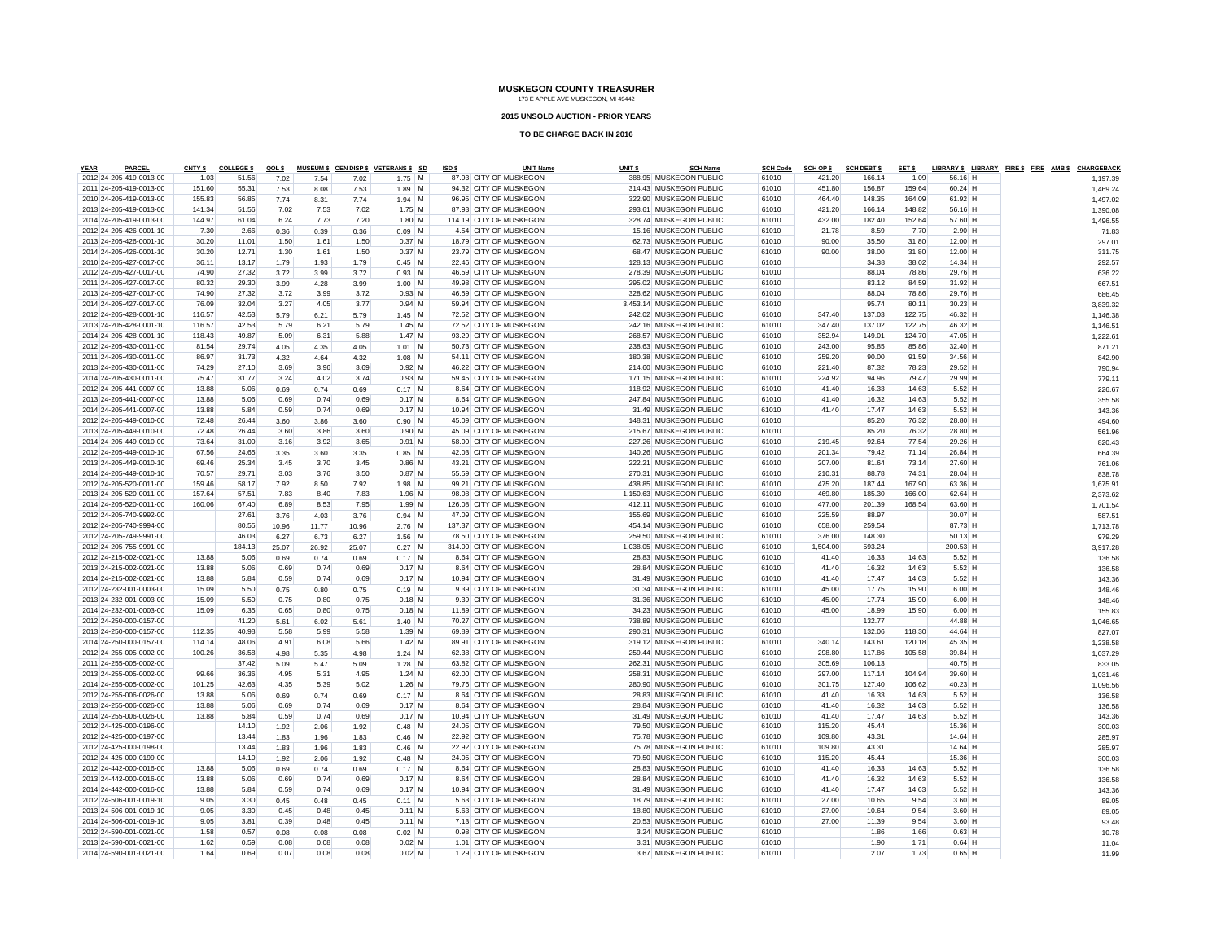#### **2015 UNSOLD AUCTION - PRIOR YEARS**

| <b>YEAR</b> | <b>PARCEL</b>           | <b>CNTY \$</b> | <b>COLLEGE \$</b> | QOL \$ |       |       | MUSEUM \$ CEN DISP \$ VETERANS \$ ISD | ISD \$ | <b>UNIT Name</b>        | UNIT <sub>\$</sub> | <b>SCH Name</b>          | <b>SCH Code</b> | <b>SCH OP \$</b> | <b>SCH DEBT \$</b> | SET <sub>\$</sub> |                 | LIBRARY \$ LIBRARY FIRE \$ FIRE AMB \$ CHARGEBACK |          |
|-------------|-------------------------|----------------|-------------------|--------|-------|-------|---------------------------------------|--------|-------------------------|--------------------|--------------------------|-----------------|------------------|--------------------|-------------------|-----------------|---------------------------------------------------|----------|
|             | 2012 24-205-419-0013-00 | 1.03           | 51.56             | 7.02   | 7.54  | 7.02  | $1.75$ M                              |        | 87.93 CITY OF MUSKEGON  |                    | 388.95 MUSKEGON PUBLIC   | 61010           | 421.20           | 166.14             | 1.09              | 56.16 H         |                                                   | 1.197.39 |
|             | 2011 24-205-419-0013-00 | 151.60         | 55.31             | 7.53   | 8.08  | 7.53  | $1.89$ M                              |        | 94.32 CITY OF MUSKEGON  |                    | 314.43 MUSKEGON PUBLIC   | 61010           | 451.80           | 156.87             | 159.64            | 60.24 H         |                                                   | 1,469.24 |
|             | 2010 24-205-419-0013-00 | 155.83         | 56.85             | 7.74   | 8.31  | 7.74  | $1.94$ M                              |        | 96.95 CITY OF MUSKEGON  |                    | 322.90 MUSKEGON PUBLIC   | 61010           | 464.40           | 148.35             | 164.09            | 61.92 H         |                                                   | 1,497.02 |
|             | 2013 24-205-419-0013-00 | 141.34         | 51.56             | 7.02   | 7.53  | 7.02  | $1.75$ M                              |        | 87.93 CITY OF MUSKEGON  |                    | 293.61 MUSKEGON PUBLIC   | 61010           | 421.20           | 166.14             | 148.82            | 56.16 H         |                                                   | 1,390.08 |
|             | 2014 24-205-419-0013-00 | 144.97         | 61.04             | 6.24   | 7.73  | 7.20  | $1.80$ M                              |        | 114.19 CITY OF MUSKEGON |                    | 328.74 MUSKEGON PUBLIC   | 61010           | 432.00           | 182.40             | 152.64            | 57.60 H         |                                                   | 1,496.55 |
|             | 2012 24-205-426-0001-10 | 7.30           | 2.66              | 0.36   | 0.39  | 0.36  | $0.09$ M                              |        | 4.54 CITY OF MUSKEGON   |                    | 15.16 MUSKEGON PUBLIC    | 61010           | 21.78            | 8.59               | 7.70              | $2.90$ H        |                                                   | 71.83    |
|             | 2013 24-205-426-0001-10 | 30.20          | 11.01             | 1.50   | 1.61  | 1.50  | $0.37$ M                              |        | 18.79 CITY OF MUSKEGON  |                    | 62.73 MUSKEGON PUBLIC    | 61010           | 90.00            | 35.50              | 31.80             | 12.00 H         |                                                   | 297.01   |
|             | 2014 24-205-426-0001-10 | 30.20          | 12.71             | 1.30   | 1.61  | 1.50  | $0.37$ M                              |        | 23.79 CITY OF MUSKEGON  |                    | 68.47 MUSKEGON PUBLIC    | 61010           | 90.00            | 38.00              | 31.80             | 12.00 H         |                                                   |          |
|             |                         |                |                   |        |       |       |                                       |        |                         |                    |                          |                 |                  |                    |                   |                 |                                                   | 311.75   |
|             | 2010 24-205-427-0017-00 | 36.11          | 13.17             | 1.79   | 1.93  | 1.79  | $0.45$ M                              |        | 22.46 CITY OF MUSKEGON  |                    | 128.13 MUSKEGON PUBLIC   | 61010           |                  | 34.38              | 38.02             | 14.34 H         |                                                   | 292.57   |
|             | 2012 24-205-427-0017-00 | 74.90          | 27.32             | 3.72   | 3.99  | 3.72  | $0.93$ M                              |        | 46.59 CITY OF MUSKEGON  |                    | 278.39 MUSKEGON PUBLIC   | 61010           |                  | 88.04              | 78.86             | 29.76 H         |                                                   | 636.22   |
|             | 2011 24-205-427-0017-00 | 80.32          | 29.30             | 3.99   | 4.28  | 3.99  | $1.00$ M                              |        | 49.98 CITY OF MUSKEGON  |                    | 295.02 MUSKEGON PUBLIC   | 61010           |                  | 83.12              | 84.59             | 31.92 H         |                                                   | 667.51   |
|             | 2013 24-205-427-0017-00 | 74.90          | 27.32             | 3.72   | 3.99  | 3.72  | $0.93$ M                              |        | 46.59 CITY OF MUSKEGON  |                    | 328.62 MUSKEGON PUBLIC   | 61010           |                  | 88.04              | 78.86             | 29.76 H         |                                                   | 686.45   |
|             | 2014 24-205-427-0017-00 | 76.09          | 32.04             | 3.27   | 4.05  | 3.77  | $0.94$ M                              |        | 59.94 CITY OF MUSKEGON  |                    | 3.453.14 MUSKEGON PUBLIC | 61010           |                  | 95.74              | 80.11             | $30.23$ H       |                                                   | 3,839.32 |
|             | 2012 24-205-428-0001-10 | 116.57         | 42.53             | 5.79   | 6.21  | 5.79  | $1.45$ M                              |        | 72.52 CITY OF MUSKEGON  |                    | 242.02 MUSKEGON PUBLIC   | 61010           | 347.40           | 137.03             | 122.75            | 46.32 H         |                                                   | 1,146.38 |
|             | 2013 24-205-428-0001-10 | 116.57         | 42.53             | 5.79   | 6.21  | 5.79  | $1.45$ M                              |        | 72.52 CITY OF MUSKEGON  |                    | 242.16 MUSKEGON PUBLIC   | 61010           | 347.40           | 137.02             | 122.75            | 46.32 H         |                                                   | 1,146.51 |
|             | 2014 24-205-428-0001-10 | 118.43         | 49.87             | 5.09   | 6.31  | 5.88  | $1.47$ M                              |        | 93.29 CITY OF MUSKEGON  |                    | 268.57 MUSKEGON PUBLIC   | 61010           | 352.94           | 149.01             | 124.70            | 47.05 H         |                                                   | 1,222.61 |
|             | 2012 24-205-430-0011-00 | 81.54          | 29.74             | 4.05   | 4.35  | 4.05  | $1.01$ M                              |        | 50.73 CITY OF MUSKEGON  |                    | 238.63 MUSKEGON PUBLIC   | 61010           | 243.00           | 95.85              | 85.86             | 32.40 H         |                                                   | 871.21   |
|             | 2011 24-205-430-0011-00 | 86.97          | 31.73             | 4.32   | 4.64  | 4.32  | $1.08$ M                              |        | 54.11 CITY OF MUSKEGON  |                    | 180.38 MUSKEGON PUBLIC   | 61010           | 259.20           | 90.00              | 91.59             | 34.56 H         |                                                   | 842.90   |
|             | 2013 24-205-430-0011-00 | 74.29          | 27.10             | 3.69   | 3.96  | 3.69  | $0.92$ M                              |        | 46.22 CITY OF MUSKEGON  |                    | 214.60 MUSKEGON PUBLIC   | 61010           | 221.40           | 87.32              | 78.23             | 29.52 H         |                                                   |          |
|             | 2014 24-205-430-0011-00 | 75.47          | 31.77             | 3.24   | 4.02  | 3.74  | $0.93$ M                              |        | 59.45 CITY OF MUSKEGON  |                    | 171.15 MUSKEGON PUBLIC   | 61010           | 224.92           | 94.96              | 79.47             | 29.99 H         |                                                   | 790.94   |
|             |                         |                |                   |        |       |       |                                       |        |                         |                    |                          |                 |                  |                    |                   |                 |                                                   | 779.11   |
|             | 2012 24-205-441-0007-00 | 13.88          | 5.06              | 0.69   | 0.74  | 0.69  | $0.17$ M                              |        | 8.64 CITY OF MUSKEGON   |                    | 118.92 MUSKEGON PUBLIC   | 61010           | 41.40            | 16.33              | 14.63             | $5.52$ H        |                                                   | 226.67   |
|             | 2013 24-205-441-0007-00 | 13.88          | 5.06              | 0.69   | 0.74  | 0.69  | $0.17$ M                              |        | 8.64 CITY OF MUSKEGON   |                    | 247.84 MUSKEGON PUBLIC   | 61010           | 41.40            | 16.32              | 14.63             | $5.52$ H        |                                                   | 355.58   |
|             | 2014 24-205-441-0007-00 | 13.88          | 5.84              | 0.59   | 0.74  | 0.69  | $0.17$ M                              |        | 10.94 CITY OF MUSKEGON  |                    | 31.49 MUSKEGON PUBLIC    | 61010           | 41.40            | 17.47              | 14.63             | $5.52$ H        |                                                   | 143.36   |
|             | 2012 24-205-449-0010-00 | 72.48          | 26.44             | 3.60   | 3.86  | 3.60  | $0.90$ M                              |        | 45.09 CITY OF MUSKEGON  |                    | 148.31 MUSKEGON PUBLIC   | 61010           |                  | 85.20              | 76.32             | 28.80 H         |                                                   | 494.60   |
|             | 2013 24-205-449-0010-00 | 72.48          | 26.44             | 3.60   | 3.86  | 3.60  | $0.90$ M                              |        | 45.09 CITY OF MUSKEGON  |                    | 215.67 MUSKEGON PUBLIC   | 61010           |                  | 85.20              | 76.32             | 28.80 H         |                                                   | 561.96   |
|             | 2014 24-205-449-0010-00 | 73.64          | 31.00             | 3.16   | 3.92  | 3.65  | $0.91$ M                              |        | 58.00 CITY OF MUSKEGON  |                    | 227.26 MUSKEGON PUBLIC   | 61010           | 219.45           | 92.64              | 77.54             | 29.26 H         |                                                   | 820.43   |
|             | 2012 24-205-449-0010-10 | 67.56          | 24.65             | 3.35   | 3.60  | 3.35  | $0.85$ M                              |        | 42.03 CITY OF MUSKEGON  |                    | 140.26 MUSKEGON PUBLIC   | 61010           | 201.34           | 79.42              | 71.14             | 26.84 H         |                                                   | 664.39   |
|             | 2013 24-205-449-0010-10 | 69.46          | 25.34             | 3.45   | 3.70  | 3.45  | $0.86$ M                              |        | 43.21 CITY OF MUSKEGON  |                    | 222.21 MUSKEGON PUBLIC   | 61010           | 207.00           | 81.64              | 73.14             | 27.60 H         |                                                   | 761.06   |
|             | 2014 24-205-449-0010-10 | 70.57          | 29.71             | 3.03   | 3.76  | 3.50  | $0.87$ M                              |        | 55.59 CITY OF MUSKEGON  |                    | 270.31 MUSKEGON PUBLIC   | 61010           | 210.31           | 88.78              | 74.31             | 28.04 H         |                                                   | 838.78   |
|             | 2012 24-205-520-0011-00 | 159.46         | 58.17             | 7.92   | 8.50  | 7.92  | $1.98$ M                              |        | 99.21 CITY OF MUSKEGON  |                    | 438.85 MUSKEGON PUBLIC   | 61010           | 475.20           | 187.44             | 167.90            | 63.36 H         |                                                   | 1,675.91 |
|             | 2013 24-205-520-0011-00 | 157.64         | 57.51             | 7.83   | 8.40  | 7.83  | $1.96$ M                              |        | 98.08 CITY OF MUSKEGON  |                    | 1,150.63 MUSKEGON PUBLIC | 61010           | 469.80           | 185.30             | 166.00            | 62.64 H         |                                                   | 2.373.62 |
|             | 2014 24-205-520-0011-00 | 160.06         | 67.40             | 6.89   | 8.53  | 7.95  | $1.99$ M                              |        | 126.08 CITY OF MUSKEGON |                    | 412.11 MUSKEGON PUBLIC   | 61010           | 477.00           | 201.39             | 168.54            | 63.60 H         |                                                   |          |
|             |                         |                |                   |        |       |       |                                       |        |                         |                    |                          |                 |                  |                    |                   |                 |                                                   | 1,701.54 |
|             | 2012 24-205-740-9992-00 |                | 27.61             | 3.76   | 4.03  | 3.76  | $0.94$ M                              |        | 47.09 CITY OF MUSKEGON  |                    | 155.69 MUSKEGON PUBLIC   | 61010           | 225.59           | 88.97              |                   | 30.07 H         |                                                   | 587.51   |
|             | 2012 24-205-740-9994-00 |                | 80.55             | 10.96  | 11.77 | 10.96 | $2.76$ M                              |        | 137.37 CITY OF MUSKEGON |                    | 454.14 MUSKEGON PUBLIC   | 61010           | 658.00           | 259.54             |                   | 87.73 H         |                                                   | 1,713.78 |
|             | 2012 24-205-749-9991-00 |                | 46.03             | 6.27   | 6.73  | 6.27  | $1.56$ M                              |        | 78.50 CITY OF MUSKEGON  |                    | 259.50 MUSKEGON PUBLIC   | 61010           | 376.00           | 148.30             |                   | $50.13$ H       |                                                   | 979.29   |
|             | 2012 24-205-755-9991-00 |                | 184.13            | 25.07  | 26.92 | 25.07 | $6.27$ M                              |        | 314.00 CITY OF MUSKEGON |                    | 1,038.05 MUSKEGON PUBLIC | 61010           | 1,504.00         | 593.24             |                   | 200.53 H        |                                                   | 3,917.28 |
|             | 2012 24-215-002-0021-00 | 13.88          | 5.06              | 0.69   | 0.74  | 0.69  | $0.17$ M                              |        | 8.64 CITY OF MUSKEGON   |                    | 28.83 MUSKEGON PUBLIC    | 61010           | 41.40            | 16.33              | 14.63             | $5.52$ H        |                                                   | 136.58   |
|             | 2013 24-215-002-0021-00 | 13.88          | 5.06              | 0.69   | 0.74  | 0.69  | $0.17$ M                              |        | 8.64 CITY OF MUSKEGON   |                    | 28.84 MUSKEGON PUBLIC    | 61010           | 41.40            | 16.32              | 14.63             | $5.52$ H        |                                                   | 136.58   |
|             | 2014 24-215-002-0021-00 | 13.88          | 5.84              | 0.59   | 0.74  | 0.69  | $0.17$ M                              |        | 10.94 CITY OF MUSKEGON  |                    | 31.49 MUSKEGON PUBLIC    | 61010           | 41.40            | 17.47              | 14.63             | $5.52$ H        |                                                   | 143.36   |
|             | 2012 24-232-001-0003-00 | 15.09          | 5.50              | 0.75   | 0.80  | 0.75  | $0.19$ M                              |        | 9.39 CITY OF MUSKEGON   |                    | 31.34 MUSKEGON PUBLIC    | 61010           | 45.00            | 17.75              | 15.90             | $6.00$ H        |                                                   | 148.46   |
|             | 2013 24-232-001-0003-00 | 15.09          | 5.50              | 0.75   | 0.80  | 0.75  | $0.18$ M                              |        | 9.39 CITY OF MUSKEGON   |                    | 31.36 MUSKEGON PUBLIC    | 61010           | 45.00            | 17.74              | 15.90             | $6.00$ H        |                                                   | 148.46   |
|             | 2014 24-232-001-0003-00 | 15.09          | 6.35              | 0.65   | 0.80  | 0.75  | $0.18$ M                              |        | 11.89 CITY OF MUSKEGON  |                    | 34.23 MUSKEGON PUBLIC    | 61010           | 45.00            | 18.99              | 15.90             | 6.00 H          |                                                   | 155.83   |
|             | 2012 24-250-000-0157-00 |                | 41.20             | 5.61   | 6.02  | 5.61  | $1.40$ M                              |        | 70.27 CITY OF MUSKEGON  |                    | 738.89 MUSKEGON PUBLIC   | 61010           |                  | 132.77             |                   | 44.88 H         |                                                   | 1,046.65 |
|             | 2013 24-250-000-0157-00 | 112.35         | 40.98             | 5.58   | 5.99  | 5.58  | $1.39$ M                              |        | 69.89 CITY OF MUSKEGON  |                    | 290.31 MUSKEGON PUBLIC   | 61010           |                  | 132.06             | 118.30            | 44.64 H         |                                                   | 827.07   |
|             |                         |                |                   |        |       |       |                                       |        |                         |                    |                          |                 |                  |                    |                   |                 |                                                   |          |
|             | 2014 24-250-000-0157-00 | 114.14         | 48.06             | 4.91   | 6.08  | 5.66  | $1.42$ M                              |        | 89.91 CITY OF MUSKEGON  |                    | 319.12 MUSKEGON PUBLIC   | 61010           | 340.14           | 143.61             | 120.18            | 45.35 H         |                                                   | 1,238.58 |
|             | 2012 24-255-005-0002-00 | 100.26         | 36.58             | 4.98   | 5.35  | 4.98  | $1.24$ M                              |        | 62.38 CITY OF MUSKEGON  |                    | 259.44 MUSKEGON PUBLIC   | 61010           | 298.80           | 117.86             | 105.58            | 39.84 H         |                                                   | 1,037.29 |
|             | 2011 24-255-005-0002-00 |                | 37.42             | 5.09   | 5.47  | 5.09  | $1.28$ M                              |        | 63.82 CITY OF MUSKEGON  |                    | 262.31 MUSKEGON PUBLIC   | 61010           | 305.69           | 106.13             |                   | 40.75 H         |                                                   | 833.05   |
|             | 2013 24-255-005-0002-00 | 99.66          | 36.36             | 4.95   | 5.31  | 4.95  | $1.24$ M                              |        | 62.00 CITY OF MUSKEGON  |                    | 258.31 MUSKEGON PUBLIC   | 61010           | 297.00           | 117.14             | 104.94            | 39.60 H         |                                                   | 1,031.46 |
|             | 2014 24-255-005-0002-00 | 101.25         | 42.63             | 4.35   | 5.39  | 5.02  | $1.26$ M                              |        | 79.76 CITY OF MUSKEGON  |                    | 280.90 MUSKEGON PUBLIC   | 61010           | 301.75           | 127.40             | 106.62            | 40.23 H         |                                                   | 1,096.56 |
|             | 2012 24-255-006-0026-00 | 13.88          | 5.06              | 0.69   | 0.74  | 0.69  | $0.17$ M                              |        | 8.64 CITY OF MUSKEGON   |                    | 28.83 MUSKEGON PUBLIC    | 61010           | 41.40            | 16.33              | 14.63             | $5.52$ H        |                                                   | 136.58   |
|             | 2013 24-255-006-0026-00 | 13.88          | 5.06              | 0.69   | 0.74  | 0.69  | $0.17$ M                              |        | 8.64 CITY OF MUSKEGON   |                    | 28.84 MUSKEGON PUBLIC    | 61010           | 41.40            | 16.32              | 14.63             | $5.52$ H        |                                                   | 136.58   |
|             | 2014 24-255-006-0026-00 | 13.88          | 5.84              | 0.59   | 0.74  | 0.69  | $0.17$ M                              |        | 10.94 CITY OF MUSKEGON  |                    | 31.49 MUSKEGON PUBLIC    | 61010           | 41.40            | 17.47              | 14.63             | $5.52$ H        |                                                   | 143.36   |
|             | 2012 24-425-000-0196-00 |                | 14.10             | 1.92   | 2.06  | 1.92  | $0.48$ M                              |        | 24.05 CITY OF MUSKEGON  |                    | 79.50 MUSKEGON PUBLIC    | 61010           | 115.20           | 45.44              |                   | 15.36 H         |                                                   | 300.03   |
|             | 2012 24-425-000-0197-00 |                | 13.44             | 1.83   | 1.96  | 1.83  | $0.46$ M                              |        | 22.92 CITY OF MUSKEGON  |                    | 75.78 MUSKEGON PUBLIC    | 61010           | 109.80           | 43.31              |                   | 14.64 H         |                                                   | 285.97   |
|             | 2012 24-425-000-0198-00 |                | 13.44             | 1.83   | 1.96  | 1.83  | $0.46$ M                              |        | 22.92 CITY OF MUSKEGON  |                    | 75.78 MUSKEGON PUBLIC    | 61010           | 109.80           | 43.31              |                   | 14.64 H         |                                                   | 285.97   |
|             | 2012 24-425-000-0199-00 |                | 14.10             | 1.92   | 2.06  | 1.92  | $0.48$ M                              |        | 24.05 CITY OF MUSKEGON  |                    | 79.50 MUSKEGON PUBLIC    | 61010           | 115.20           | 45.44              |                   | 15.36 H         |                                                   | 300.03   |
|             | 2012 24-442-000-0016-00 | 13.88          | 5.06              | 0.69   | 0.74  | 0.69  | $0.17$ M                              |        | 8.64 CITY OF MUSKEGON   |                    | 28.83 MUSKEGON PUBLIC    | 61010           | 41.40            | 16.33              | 14.63             | $5.52$ H        |                                                   |          |
|             |                         |                |                   |        |       |       |                                       |        |                         |                    |                          |                 |                  |                    |                   |                 |                                                   | 136.58   |
|             | 2013 24-442-000-0016-00 | 13.88          | 5.06              | 0.69   | 0.74  | 0.69  | $0.17$ M                              |        | 8.64 CITY OF MUSKEGON   |                    | 28.84 MUSKEGON PUBLIC    | 61010           | 41.40            | 16.32              | 14.63             | $5.52$ H        |                                                   | 136.58   |
|             | 2014 24-442-000-0016-00 | 13.88          | 5.84              | 0.59   | 0.74  | 0.69  | $0.17$ M                              |        | 10.94 CITY OF MUSKEGON  |                    | 31.49 MUSKEGON PUBLIC    | 61010           | 41.40            | 17.47              | 14.63             | $5.52$ H        |                                                   | 143.36   |
|             | 2012 24-506-001-0019-10 | 9.05           | 3.30              | 0.45   | 0.48  | 0.45  | $0.11$ M                              |        | 5.63 CITY OF MUSKEGON   |                    | 18.79 MUSKEGON PUBLIC    | 61010           | 27.00            | 10.65              | 9.54              | $3.60$ H        |                                                   | 89.05    |
|             | 2013 24-506-001-0019-10 | 9.05           | 3.30              | 0.45   | 0.48  | 0.45  | $0.11$ M                              |        | 5.63 CITY OF MUSKEGON   |                    | 18.80 MUSKEGON PUBLIC    | 61010           | 27.00            | 10.64              | 9.54              | $3.60$ H        |                                                   | 89.05    |
|             | 2014 24-506-001-0019-10 | 9.05           | 3.81              | 0.39   | 0.48  | 0.45  | $0.11$ M                              |        | 7.13 CITY OF MUSKEGON   |                    | 20.53 MUSKEGON PUBLIC    | 61010           | 27.00            | 11.39              | 9.54              | $3.60$ H        |                                                   | 93.48    |
|             | 2012 24-590-001-0021-00 | 1.58           | 0.57              | 0.08   | 0.08  | 0.08  | $0.02$   M                            |        | 0.98 CITY OF MUSKEGON   |                    | 3.24 MUSKEGON PUBLIC     | 61010           |                  | 1.86               | 1.66              | $0.63$ H        |                                                   | 10.78    |
|             | 2013 24-590-001-0021-00 | 1.62           | 0.59              | 0.08   | 0.08  | 0.08  | 0.02M                                 |        | 1.01 CITY OF MUSKEGON   |                    | 3.31 MUSKEGON PUBLIC     | 61010           |                  | 1.90               | 1.71              | $0.64$ $\vdash$ |                                                   | 11.04    |
|             | 2014 24-590-001-0021-00 | 1.64           | 0.69              | 0.07   | 0.08  | 0.08  | $0.02$ M                              |        | 1.29 CITY OF MUSKEGON   |                    | 3.67 MUSKEGON PUBLIC     | 61010           |                  | 207                | 173               | $0.65$ H        |                                                   | 11.99    |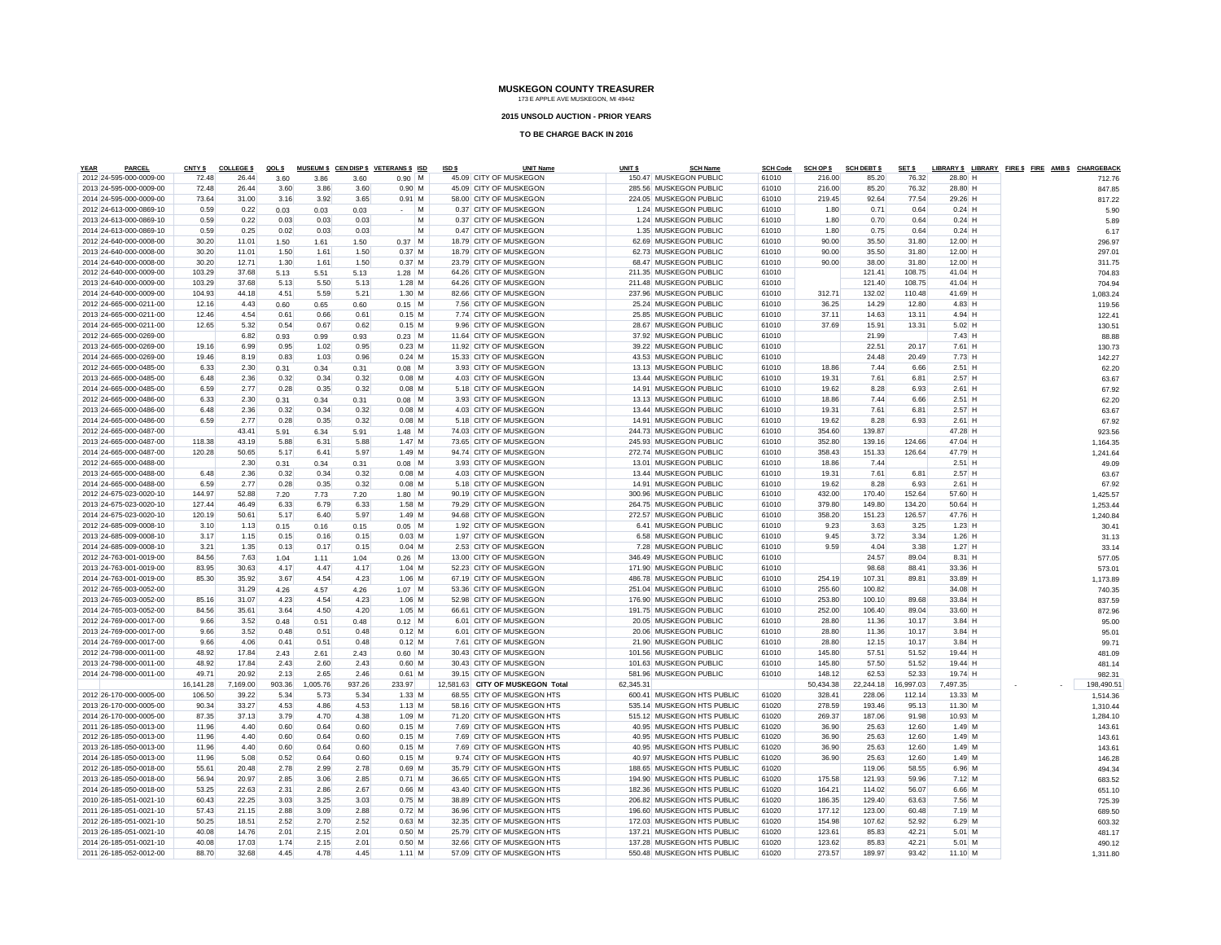#### **2015 UNSOLD AUCTION - PRIOR YEARS**

| <b>YEAR</b><br><b>PARCEI</b>                       | CNTY <sub>\$</sub> | <b>COLLEGE \$</b> | QOL \$ |        |        | MUSEUM \$ CEN DISP \$ VETERANS \$ ISD | ISD \$ | <b>UNIT Name</b>                 | UNIT \$   | <b>SCH Name</b>            | <b>SCH Code</b> | <b>SCH OP \$</b> | <b>SCH DEBT \$</b> | SET \$    |           |  | LIBRARY \$ LIBRARY FIRE \$ FIRE AMB \$ CHARGEBACK |
|----------------------------------------------------|--------------------|-------------------|--------|--------|--------|---------------------------------------|--------|----------------------------------|-----------|----------------------------|-----------------|------------------|--------------------|-----------|-----------|--|---------------------------------------------------|
| 2012 24-595-000-0009-00                            | 72.48              | 26.44             | 3.60   | 3.86   | 3.60   | $0.90$ M                              |        | 45.09 CITY OF MUSKEGON           |           | 150.47 MUSKEGON PUBLIC     | 61010           | 216.00           | 85.20              | 76.32     | 28.80 H   |  | 712.76                                            |
| 2013 24-595-000-0009-00                            | 72.48              | 26.44             | 3.60   | 3.86   | 3.60   | $0.90$ M                              |        | 45.09 CITY OF MUSKEGON           |           | 285.56 MUSKEGON PUBLIC     | 61010           | 216.00           | 85.20              | 76.32     | 28.80 H   |  | 847.85                                            |
| 2014 24-595-000-0009-00                            | 73.64              | 31.00             | 3.16   | 3.92   | 3.65   | $0.91$ M                              |        | 58.00 CITY OF MUSKEGON           |           | 224.05 MUSKEGON PUBLIC     | 61010           | 219.45           | 92.64              | 77.54     | 29.26 H   |  | 817.22                                            |
| 2012 24-613-000-0869-10                            | 0.59               | 0.22              | 0.03   | 0.03   | 0.03   | $\sim$ M                              |        | 0.37 CITY OF MUSKEGON            |           | 1.24 MUSKEGON PUBLIC       | 61010           | 1.80             | 0.71               | 0.64      | $0.24$ H  |  | 5.90                                              |
| 2013 24-613-000-0869-10                            | 0.59               | 0.22              | 0.03   | 0.03   | 0.03   | M                                     |        | 0.37 CITY OF MUSKEGON            |           | 1.24 MUSKEGON PUBLIC       | 61010           | 1.80             | 0.70               | 0.64      | $0.24$ H  |  | 5.89                                              |
| 2014 24-613-000-0869-10                            | 0.59               | 0.25              | 0.02   | 0.03   | 0.03   | M                                     |        | 0.47 CITY OF MUSKEGON            |           | 1.35 MUSKEGON PUBLIC       | 61010           | 1.80             | 0.75               | 0.64      | $0.24$ H  |  | 6.17                                              |
| 2012 24-640-000-0008-00                            | 30.20              | 11.01             | 1.50   | 1.61   | 1.50   | $0.37$ M                              |        | 18.79 CITY OF MUSKEGON           |           | 62.69 MUSKEGON PUBLIC      | 61010           | 90.00            | 35.50              | 31.80     | 12.00 H   |  | 296.97                                            |
| 2013 24-640-000-0008-00                            | 30.20              | 11.01             | 1.50   | 1.61   | 1.50   | $0.37$ M                              |        | 18.79 CITY OF MUSKEGON           |           | 62.73 MUSKEGON PUBLIC      | 61010           | 90.00            | 35.50              | 31.80     | 12.00 H   |  | 297.01                                            |
| 2014 24-640-000-0008-00                            | 30.20              | 12.71             | 1.30   | 1.61   | 1.50   | $0.37$ M                              |        | 23.79 CITY OF MUSKEGON           |           | 68.47 MUSKEGON PUBLIC      | 61010           | 90.00            | 38.00              | 31.80     | $12.00$ H |  | 311.75                                            |
| 2012 24-640-000-0009-00                            | 103.29             | 37.68             | 5.13   | 5.51   | 5.13   | $1.28$ M                              |        | 64.26 CITY OF MUSKEGON           |           | 211.35 MUSKEGON PUBLIC     | 61010           |                  | 121.41             | 108.75    | 41.04 H   |  | 704.83                                            |
| 2013 24-640-000-0009-00                            | 103.29             | 37.68             | 5.13   | 5.50   | 5.13   | $1.28$ M                              |        | 64.26 CITY OF MUSKEGON           |           | 211.48 MUSKEGON PUBLIC     | 61010           |                  | 121.40             | 108.75    | 41.04 H   |  | 704.94                                            |
| 2014 24-640-000-0009-00                            | 104.93             | 44.18             | 4.51   | 5.59   | 5.21   | $1.30$ M                              |        | 82.66 CITY OF MUSKEGON           |           | 237.96 MUSKEGON PUBLIC     | 61010           | 312.71           | 132.02             | 110.48    | 41.69 H   |  | 1.083.24                                          |
| 2012 24-665-000-0211-00                            | 12.16              | 4.43              | 0.60   | 0.65   | 0.60   | $0.15$ M                              |        | 7.56 CITY OF MUSKEGON            |           | 25.24 MUSKEGON PUBLIC      | 61010           | 36.25            | 14.29              | 12.80     | $4.83$ H  |  | 119.56                                            |
| 2013 24-665-000-0211-00                            | 12.46              | 4.54              | 0.61   | 0.66   | 0.61   | $0.15$ M                              |        | 7.74 CITY OF MUSKEGON            |           | 25.85 MUSKEGON PUBLIC      | 61010           | 37.11            | 14.63              | 13.11     | $4.94$ H  |  | 122.41                                            |
| 2014 24-665-000-0211-00                            | 12.65              | 5.32              | 0.54   | 0.67   | 0.62   | $0.15$ M                              |        | 9.96 CITY OF MUSKEGON            |           | 28.67 MUSKEGON PUBLIC      | 61010           | 37.69            | 15.91              | 13.31     | $5.02$ H  |  | 130.51                                            |
| 2012 24-665-000-0269-00                            |                    | 6.82              | 0.93   | 0.99   | 0.93   | $0.23$ M                              |        | 11.64 CITY OF MUSKEGON           |           | 37.92 MUSKEGON PUBLIC      | 61010           |                  | 21.99              |           | $7.43$ H  |  | 88.88                                             |
| 2013 24-665-000-0269-00                            | 19.16              | 6.99              | 0.95   | 1.02   | 0.95   | $0.23$ M                              |        | 11.92 CITY OF MUSKEGON           |           | 39.22 MUSKEGON PUBLIC      | 61010           |                  | 22.51              | 20.17     | 7.61 H    |  | 130.73                                            |
| 2014 24-665-000-0269-00                            | 19.46              | 8.19              | 0.83   | 1.03   | 0.96   | $0.24$ M                              |        | 15.33 CITY OF MUSKEGON           |           | 43.53 MUSKEGON PUBLIC      | 61010           |                  | 24.48              | 20.49     | 7.73 H    |  | 142.27                                            |
| 2012 24-665-000-0485-00                            | 6.33               | 2.30              | 0.31   | 0.34   | 0.31   | $0.08$ M                              |        | 3.93 CITY OF MUSKEGON            |           | 13.13 MUSKEGON PUBLIC      | 61010           | 18.86            | 7.44               | 6.66      | $2.51$ H  |  | 62.20                                             |
| 2013 24-665-000-0485-00                            | 6.48               | 2.36              | 0.32   | 0.34   | 0.32   | $0.08$ M                              |        | 4.03 CITY OF MUSKEGON            |           | 13.44 MUSKEGON PUBLIC      | 61010           | 19.31            | 7.61               | 6.81      | $2.57$ H  |  |                                                   |
| 2014 24-665-000-0485-00                            | 6.59               | 2.77              | 0.28   | 0.35   | 0.32   | $0.08$ M                              |        | 5.18 CITY OF MUSKEGON            |           | 14.91 MUSKEGON PUBLIC      | 61010           | 19.62            | 8.28               | 6.93      | $2.61$ H  |  | 63.67                                             |
| 2012 24-665-000-0486-00                            | 6.33               | 2.30              |        |        |        |                                       |        | 3.93 CITY OF MUSKEGON            |           | 13.13 MUSKEGON PUBLIC      | 61010           | 18.86            | 7.44               | 6.66      | $2.51$ H  |  | 67.92                                             |
|                                                    |                    |                   | 0.31   | 0.34   | 0.31   | $0.08$ M                              |        |                                  |           |                            |                 |                  |                    |           |           |  | 62.20                                             |
| 2013 24-665-000-0486-00                            | 6.48               | 2.36              | 0.32   | 0.34   | 0.32   | $0.08$ M                              |        | 4.03 CITY OF MUSKEGON            |           | 13.44 MUSKEGON PUBLIC      | 61010<br>61010  | 19.31            | 7.61               | 6.81      | $2.57$ H  |  | 63.67                                             |
| 2014 24-665-000-0486-00                            | 6.59               | 2.77              | 0.28   | 0.35   | 0.32   | $0.08$ M                              |        | 5.18 CITY OF MUSKEGON            |           | 14.91 MUSKEGON PUBLIC      |                 | 19.62            | 8.28               | 6.93      | $2.61$ H  |  | 67.92                                             |
| 2012 24-665-000-0487-00                            |                    | 43.41             | 5.91   | 6.34   | 5.91   | $1.48$ M                              |        | 74.03 CITY OF MUSKEGON           |           | 244.73 MUSKEGON PUBLIC     | 61010           | 354.60           | 139.87             |           | 47.28 H   |  | 923.56                                            |
| 2013 24-665-000-0487-00                            | 118.38             | 43.19             | 5.88   | 6.31   | 5.88   | $1.47$ M                              |        | 73.65 CITY OF MUSKEGON           |           | 245.93 MUSKEGON PUBLIC     | 61010           | 352.80           | 139.16             | 124.66    | 47.04 H   |  | 1,164.35                                          |
| 2014 24-665-000-0487-00                            | 120.28             | 50.65             | 5.17   | 6.41   | 5.97   | $1.49$ M                              |        | 94.74 CITY OF MUSKEGON           |           | 272.74 MUSKEGON PUBLIC     | 61010           | 358.43           | 151.33             | 126.64    | 47.79 H   |  | 1,241.64                                          |
| 2012 24-665-000-0488-00                            |                    | 2.30              | 0.31   | 0.34   | 0.31   | $0.08$ M                              |        | 3.93 CITY OF MUSKEGON            |           | 13.01 MUSKEGON PUBLIC      | 61010           | 18.86            | 7.44               |           | $2.51$ H  |  | 49.09                                             |
| 2013 24-665-000-0488-00                            | 6.48               | 2.36              | 0.32   | 0.34   | 0.32   | $0.08$ M                              |        | 4.03 CITY OF MUSKEGON            |           | 13.44 MUSKEGON PUBLIC      | 61010           | 19.31            | 7.61               | 6.81      | $2.57$ H  |  | 63.67                                             |
| 2014 24-665-000-0488-00                            | 6.59               | 2.77              | 0.28   | 0.35   | 0.32   | $0.08$ M                              |        | 5.18 CITY OF MUSKEGON            |           | 14.91 MUSKEGON PUBLIC      | 61010           | 19.62            | 8.28               | 6.93      | $2.61$ H  |  | 67.92                                             |
| 2012 24-675-023-0020-10                            | 144.97             | 52.88             | 7.20   | 7.73   | 7.20   | $1.80$ M                              |        | 90.19 CITY OF MUSKEGON           |           | 300.96 MUSKEGON PUBLIC     | 61010           | 432.00           | 170.40             | 152.64    | 57.60 H   |  | 1.425.57                                          |
| 2013 24-675-023-0020-10                            | 127.44             | 46.49             | 6.33   | 6.79   | 6.33   | $1.58$ M                              |        | 79.29 CITY OF MUSKEGON           |           | 264.75 MUSKEGON PUBLIC     | 61010           | 379.80           | 149.80             | 134.20    | 50.64 H   |  | 1.253.44                                          |
| 2014 24-675-023-0020-10                            | 120.19             | 50.61             | 5.17   | 6.40   | 5.97   | $1.49$ M                              |        | 94.68 CITY OF MUSKEGON           |           | 272.57 MUSKEGON PUBLIC     | 61010           | 358.20           | 151.23             | 126.57    | 47.76 H   |  | 1,240.84                                          |
| 2012 24-685-009-0008-10                            | 3.10               | 1.13              | 0.15   | 0.16   | 0.15   | $0.05$ M                              |        | 1.92 CITY OF MUSKEGON            |           | 6.41 MUSKEGON PUBLIC       | 61010           | 9.23             | 3.63               | 3.25      | $1.23$ H  |  | 30.41                                             |
| 2013 24-685-009-0008-10                            | 3.17               | 1.15              | 0.15   | 0.16   | 0.15   | $0.03$ M                              |        | 1.97 CITY OF MUSKEGON            |           | 6.58 MUSKEGON PUBLIC       | 61010           | 9.45             | 3.72               | 3.34      | $1.26$ H  |  | 31.13                                             |
| 2014 24-685-009-0008-10                            | 3.21               | 1.35              | 0.13   | 0.17   | 0.15   | $0.04$ M                              |        | 2.53 CITY OF MUSKEGON            |           | 7.28 MUSKEGON PUBLIC       | 61010           | 9.59             | 4.04               | 3.38      | $1.27$ H  |  | 33.14                                             |
| 2012 24-763-001-0019-00                            | 84.56              | 7.63              | 1.04   | 1.11   | 1.04   | $0.26$ M                              |        | 13.00 CITY OF MUSKEGON           |           | 346.49 MUSKEGON PUBLIC     | 61010           |                  | 24.57              | 89.04     | 8.31 H    |  | 577.05                                            |
| 2013 24-763-001-0019-00                            | 83.95              | 30.63             | 4.17   | 4.47   | 4.17   | $1.04$ M                              |        | 52.23 CITY OF MUSKEGON           |           | 171.90 MUSKEGON PUBLIC     | 61010           |                  | 98.68              | 88.41     | 33.36 H   |  | 573.01                                            |
| 2014 24-763-001-0019-00                            | 85.30              | 35.92             | 3.67   | 4.54   | 4.23   | $1.06$ M                              |        | 67.19 CITY OF MUSKEGON           |           | 486.78 MUSKEGON PUBLIC     | 61010           | 254.19           | 107.31             | 89.81     | 33.89 H   |  | 1,173.89                                          |
| 2012 24-765-003-0052-00                            |                    | 31.29             | 4.26   | 4.57   | 4.26   | $1.07$ M                              |        | 53.36 CITY OF MUSKEGON           |           | 251.04 MUSKEGON PUBLIC     | 61010           | 255.60           | 100.82             |           | 34.08 H   |  | 740.35                                            |
| 2013 24-765-003-0052-00                            | 85.16              | 31.07             | 4.23   | 4.54   | 4.23   | $1.06$ M                              |        | 52.98 CITY OF MUSKEGON           |           | 176.90 MUSKEGON PUBLIC     | 61010           | 253.80           | 100.10             | 89.68     | 33.84 H   |  | 837.59                                            |
| 2014 24-765-003-0052-00                            | 84.56              | 35.61             | 3.64   | 4.50   | 4.20   | $1.05$ M                              |        | 66.61 CITY OF MUSKEGON           |           | 191.75 MUSKEGON PUBLIC     | 61010           | 252.00           | 106.40             | 89.04     | 33.60 H   |  | 872.96                                            |
| 2012 24-769-000-0017-00                            | 9.66               | 3.52              | 0.48   | 0.51   | 0.48   | $0.12$ M                              |        | 6.01 CITY OF MUSKEGON            |           | 20.05 MUSKEGON PUBLIC      | 61010           | 28.80            | 11.36              | 10.17     | 3.84 H    |  | 95.00                                             |
| 2013 24-769-000-0017-00                            | 9.66               | 3.52              | 0.48   | 0.51   | 0.48   | $0.12$ M                              |        | 6.01 CITY OF MUSKEGON            |           | 20.06 MUSKEGON PUBLIC      | 61010           | 28.80            | 11.36              | 10.17     | $3.84$ H  |  | 95.01                                             |
| 2014 24-769-000-0017-00                            | 9.66               | 4.06              | 0.41   | 0.51   | 0.48   | $0.12$ M                              |        | 7.61 CITY OF MUSKEGON            |           | 21.90 MUSKEGON PUBLIC      | 61010           | 28.80            | 12.15              | 10.17     | $3.84$ H  |  | 99.7'                                             |
| 2012 24-798-000-0011-00                            | 48.92              | 17.84             | 2.43   | 2.61   | 2.43   | $0.60$ M                              |        | 30.43 CITY OF MUSKEGON           |           | 101.56 MUSKEGON PUBLIC     | 61010           | 145.80           | 57.51              | 51.52     | $19.44$ H |  | 481.09                                            |
| 2013 24-798-000-0011-00                            | 48.92              | 17.84             | 2.43   | 2.60   | 2.43   | $0.60$ M                              |        | 30.43 CITY OF MUSKEGON           |           | 101.63 MUSKEGON PUBLIC     | 61010           | 145.80           | 57.50              | 51.52     | 19.44 H   |  | 481.14                                            |
| 2014 24-798-000-0011-00                            | 49.71              | 20.92             | 2.13   | 2.65   | 2.46   | $0.61$ M                              |        | 39.15 CITY OF MUSKEGON           |           | 581.96 MUSKEGON PUBLIC     | 61010           | 148.12           | 62.53              | 52.33     | 19.74 H   |  | 982.31                                            |
|                                                    | 16,141.28          | 7,169.00          | 903.36 | 005.76 | 937.26 | 233.97                                |        | 12,581.63 CITY OF MUSKEGON Total | 62.345.31 |                            |                 | 50,434.38        | 22,244.18          | 16,997.03 | 7,497.35  |  | 198,490.5                                         |
| 2012 26-170-000-0005-00                            | 106.50             | 39.22             | 5.34   | 5.73   | 5.34   | $1.33$ M                              |        | 68.55 CITY OF MUSKEGON HTS       |           | 600.41 MUSKEGON HTS PUBLIC | 61020           | 328.41           | 228.06             | 112.14    | 13.33 M   |  | 1.514.36                                          |
| 2013 26-170-000-0005-00                            | 90.34              | 33.27             | 4.53   | 4.86   | 4.53   | $1.13$ M                              |        | 58.16 CITY OF MUSKEGON HTS       |           | 535.14 MUSKEGON HTS PUBLIC | 61020           | 278.59           | 193.46             | 95.13     | 11.30 M   |  | 1,310.44                                          |
|                                                    |                    | 37.13             | 3.79   | 4.70   | 4.38   | $1.09$ M                              |        | 71.20 CITY OF MUSKEGON HTS       |           | 515.12 MUSKEGON HTS PUBLIC | 61020           | 269.37           | 187.06             | 91.98     | 10.93 M   |  |                                                   |
| 2014 26-170-000-0005-00<br>2011 26-185-050-0013-00 | 87.35<br>11.96     | 4.40              | 0.60   | 0.64   | 0.60   | $0.15$ M                              |        | 7.69 CITY OF MUSKEGON HTS        |           | 40.95 MUSKEGON HTS PUBLIC  | 61020           | 36.90            | 25.63              | 12.60     | $1.49$ M  |  | 1,284.10                                          |
|                                                    |                    |                   |        |        |        |                                       |        |                                  |           |                            |                 |                  |                    |           |           |  | 143.61                                            |
| 2012 26-185-050-0013-00                            | 11.96              | 4.40              | 0.60   | 0.64   | 0.60   | $0.15$ M                              |        | 7.69 CITY OF MUSKEGON HTS        |           | 40.95 MUSKEGON HTS PUBLIC  | 61020           | 36.90            | 25.63              | 12.60     | $1.49$ M  |  | 143.61                                            |
| 2013 26-185-050-0013-00                            | 11.96              | 4.40              | 0.60   | 0.64   | 0.60   | $0.15$ M                              |        | 7.69 CITY OF MUSKEGON HTS        |           | 40.95 MUSKEGON HTS PUBLIC  | 61020           | 36.90            | 25.63              | 12.60     | $1.49$ M  |  | 143.61                                            |
| 2014 26-185-050-0013-00                            | 11.96              | 5.08              | 0.52   | 0.64   | 0.60   | $0.15$ M                              |        | 9.74 CITY OF MUSKEGON HTS        |           | 40.97 MUSKEGON HTS PUBLIC  | 61020           | 36.90            | 25.63              | 12.60     | 1.49 M    |  | 146.28                                            |
| 2012 26-185-050-0018-00                            | 55.61              | 20.48             | 2.78   | 2.99   | 2.78   | 0.69M                                 |        | 35.79 CITY OF MUSKEGON HTS       |           | 188.65 MUSKEGON HTS PUBLIC | 61020           |                  | 119.06             | 58.55     | 6.96 M    |  | 494.34                                            |
| 2013 26-185-050-0018-00                            | 56.94              | 20.97             | 2.85   | 3.06   | 2.85   | $0.71$ M                              |        | 36.65 CITY OF MUSKEGON HTS       |           | 194.90 MUSKEGON HTS PUBLIC | 61020           | 175.58           | 121.93             | 59.96     | $7.12$ M  |  | 683.52                                            |
| 2014 26-185-050-0018-00                            | 53.25              | 22.63             | 2.31   | 2.86   | 2.67   | $0.66$ M                              |        | 43.40 CITY OF MUSKEGON HTS       |           | 182.36 MUSKEGON HTS PUBLIC | 61020           | 164.21           | 114.02             | 56.07     | 6.66 M    |  | 651.10                                            |
| 2010 26-185-051-0021-10                            | 60.43              | 22.25             | 3.03   | 3.25   | 3.03   | $0.75$ M                              |        | 38.89 CITY OF MUSKEGON HTS       |           | 206.82 MUSKEGON HTS PUBLIC | 61020           | 186.35           | 129.40             | 63.63     | 7.56 M    |  | 725.39                                            |
| 2011 26-185-051-0021-10                            | 57.43              | 21.15             | 2.88   | 3.09   | 2.88   | $0.72$ M                              |        | 36.96 CITY OF MUSKEGON HTS       |           | 196.60 MUSKEGON HTS PUBLIC | 61020           | 177.12           | 123.00             | 60.48     | 7.19 M    |  | 689.50                                            |
| 2012 26-185-051-0021-10                            | 50.25              | 18.51             | 2.52   | 2.70   | 2.52   | $0.63$ M                              |        | 32.35 CITY OF MUSKEGON HTS       |           | 172.03 MUSKEGON HTS PUBLIC | 61020           | 154.98           | 107.62             | 52.92     | 6.29 M    |  | 603.32                                            |
| 2013 26-185-051-0021-10                            | 40.08              | 14.76             | 2.01   | 2.15   | 2.01   | $0.50$ M                              |        | 25.79 CITY OF MUSKEGON HTS       |           | 137.21 MUSKEGON HTS PUBLIC | 61020           | 123.61           | 85.83              | 42.21     | 5.01 M    |  | 481.17                                            |
| 2014 26-185-051-0021-10                            | 40.08              | 17.03             | 1.74   | 2.15   | 2.01   | $0.50$ M                              |        | 32.66 CITY OF MUSKEGON HTS       |           | 137.28 MUSKEGON HTS PUBLIC | 61020           | 123.62           | 85.83              | 42.21     | 5.01 M    |  | 490.12                                            |
| 2011 26-185-052-0012-00                            | 88.70              | 32.68             | 4.45   | 4.78   | 4.45   | $1.11$ M                              |        | 57.09 CITY OF MUSKEGON HTS       |           | 550.48 MUSKEGON HTS PUBLIC | 61020           | 273.57           | 189.97             | 93.42     | 11.10 M   |  | 1.311.80                                          |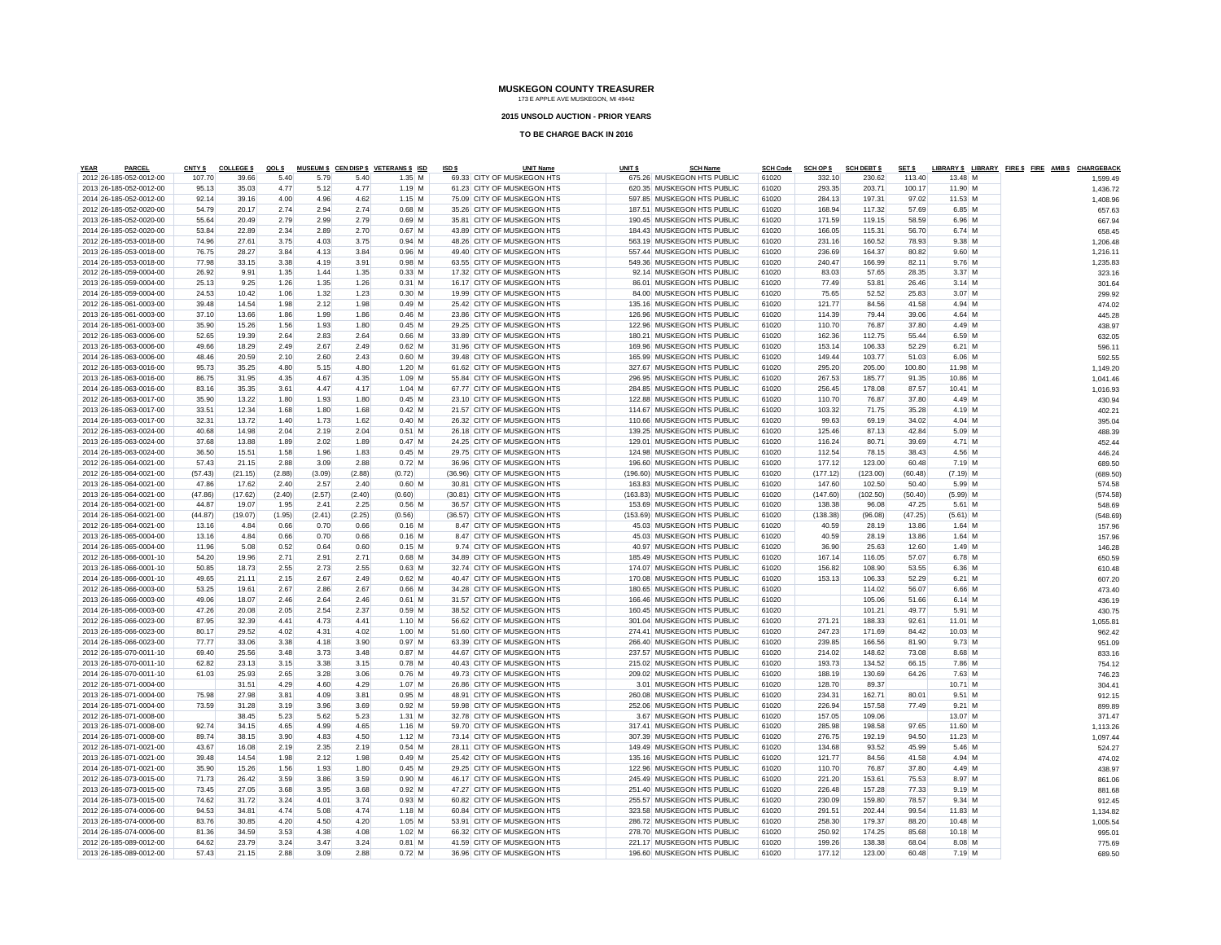#### **2015 UNSOLD AUCTION - PRIOR YEARS**

| <b>YEAR</b> | <b>PARCEL</b>           | CNTY \$ | <b>COLLEGE \$</b> | QOL \$ |        |        | MUSEUM \$ CEN DISP \$ VETERANS \$ ISD | ISD \$ | <b>UNIT Name</b>             | UNIT \$ | <b>SCH Name</b>              | <b>SCH Code</b> | <b>SCH OP \$</b> | <b>SCH DEBT \$</b> | SET \$  |            | LIBRARY \$ LIBRARY FIRE \$ FIRE AMB \$ CHARGEBACK |          |
|-------------|-------------------------|---------|-------------------|--------|--------|--------|---------------------------------------|--------|------------------------------|---------|------------------------------|-----------------|------------------|--------------------|---------|------------|---------------------------------------------------|----------|
|             | 2012 26-185-052-0012-00 | 107.70  | 39.66             | 5.40   | 5.79   | 5.40   | $1.35$ M                              |        | 69.33 CITY OF MUSKEGON HTS   |         | 675.26 MUSKEGON HTS PUBLIC   | 61020           | 332.10           | 230.62             | 113,40  | 13.48 M    |                                                   | 1,599.49 |
|             | 2013 26-185-052-0012-00 | 95.13   | 35.03             | 4.77   | 5.12   | 4.77   | $1.19$ M                              |        | 61.23 CITY OF MUSKEGON HTS   |         | 620.35 MUSKEGON HTS PUBLIC   | 61020           | 293.35           | 203.71             | 100.17  | 11.90 M    |                                                   | 1,436.72 |
|             | 2014 26-185-052-0012-00 | 92.14   | 39.16             | 4.00   | 4.96   | 4.62   | $1.15$ M                              |        | 75.09 CITY OF MUSKEGON HTS   |         | 597.85 MUSKEGON HTS PUBLIC   | 61020           | 284.13           | 197.31             | 97.02   | 11.53 M    |                                                   | 1,408.96 |
|             | 2012 26-185-052-0020-00 | 54.79   | 20.17             | 2.74   | 2.94   | 2.74   | $0.68$ M                              |        | 35.26 CITY OF MUSKEGON HTS   |         | 187.51 MUSKEGON HTS PUBLIC   | 61020           | 168.94           | 117.32             | 57.69   | 6.85 M     |                                                   | 657.63   |
|             | 2013 26-185-052-0020-00 | 55.64   | 20.49             | 2.79   | 2.99   | 2.79   | $0.69$ M                              |        | 35.81 CITY OF MUSKEGON HTS   |         | 190.45 MUSKEGON HTS PUBLIC   | 61020           | 171.59           | 119.15             | 58.59   | 6.96 M     |                                                   | 667.94   |
|             | 2014 26-185-052-0020-00 | 53.84   | 22.89             | 2.34   | 2.89   | 2.70   | $0.67$ M                              |        | 43.89 CITY OF MUSKEGON HTS   |         | 184.43 MUSKEGON HTS PUBLIC   | 61020           | 166.05           | 115.31             | 56.70   | $6.74$ M   |                                                   | 658.45   |
|             | 2012 26-185-053-0018-00 | 74.96   | 27.61             | 3.75   | 4.03   | 3.75   | $0.94$ M                              |        | 48.26 CITY OF MUSKEGON HTS   |         | 563.19 MUSKEGON HTS PUBLIC   | 61020           | 231.16           | 160.52             | 78.93   | $9.38$ M   |                                                   | 1,206.48 |
|             | 2013 26-185-053-0018-00 | 76.75   | 28.27             | 3.84   | 4.13   | 3.84   | $0.96$ M                              |        | 49.40 CITY OF MUSKEGON HTS   |         | 557.44 MUSKEGON HTS PUBLIC   | 61020           | 236.69           | 164.37             | 80.82   | $9.60$ M   |                                                   | 1,216.11 |
|             | 2014 26-185-053-0018-00 | 77.98   | 33.15             | 3.38   | 4.19   | 3.91   | $0.98$ M                              |        | 63.55 CITY OF MUSKEGON HTS   |         | 549.36 MUSKEGON HTS PUBLIC   | 61020           | 240.47           | 166.99             | 82.11   | $9.76$ M   |                                                   | 1,235.83 |
|             | 2012 26-185-059-0004-00 | 26.92   | 9.91              | 1.35   | 1.44   | 1.35   | $0.33$ M                              |        | 17.32 CITY OF MUSKEGON HTS   |         | 92.14 MUSKEGON HTS PUBLIC    | 61020           | 83.03            | 57.65              | 28.35   | $3.37$ M   |                                                   | 323.16   |
|             | 2013 26-185-059-0004-00 | 25.13   | 9.25              | 1.26   | 1.35   | 1.26   | $0.31$ M                              |        | 16.17 CITY OF MUSKEGON HTS   |         | 86.01 MUSKEGON HTS PUBLIC    | 61020           | 77.49            | 53.81              | 26.46   | $3.14$ M   |                                                   | 301.64   |
|             | 2014 26-185-059-0004-00 | 24.53   | 10.42             | 1.06   | 1.32   | 1.23   | $0.30$ M                              |        | 19.99 CITY OF MUSKEGON HTS   |         | 84.00 MUSKEGON HTS PUBLIC    | 61020           | 75.65            | 52.52              | 25.83   | $3.07$ M   |                                                   | 299.92   |
|             | 2012 26-185-061-0003-00 | 39.48   | 14.54             | 1.98   | 2.12   | 1.98   | $0.49$ M                              |        | 25.42 CITY OF MUSKEGON HTS   |         | 135.16 MUSKEGON HTS PUBLIC   | 61020           | 121.77           | 84.56              | 41.58   | $4.94$ M   |                                                   | 474.02   |
|             | 2013 26-185-061-0003-00 | 37.10   | 13.66             | 1.86   | 1.99   | 1.86   | $0.46$ M                              |        | 23.86 CITY OF MUSKEGON HTS   |         | 126.96 MUSKEGON HTS PUBLIC   | 61020           | 114.39           | 79.44              | 39.06   | $4.64$ M   |                                                   | 445.28   |
|             | 2014 26-185-061-0003-00 | 35.90   | 15.26             | 1.56   | 1.93   | 1.80   | $0.45$ M                              |        | 29.25 CITY OF MUSKEGON HTS   |         | 122.96 MUSKEGON HTS PUBLIC   | 61020           | 110.70           | 76.87              | 37.80   | $4.49$ M   |                                                   | 438.97   |
|             | 2012 26-185-063-0006-00 | 52.65   | 19.39             | 2.64   | 2.83   | 2.64   | $0.66$ M                              |        | 33.89 CITY OF MUSKEGON HTS   |         | 180.21 MUSKEGON HTS PUBLIC   | 61020           | 162.36           | 112.75             | 55.44   | $6.59$ M   |                                                   | 632.05   |
|             | 2013 26-185-063-0006-00 | 49.66   | 18.29             | 2.49   | 2.67   | 2.49   | $0.62$ M                              |        | 31.96 CITY OF MUSKEGON HTS   |         | 169.96 MUSKEGON HTS PUBLIC   | 61020           | 153.14           | 106.33             | 52.29   | $6.21$ M   |                                                   | 596.11   |
|             | 2014 26-185-063-0006-00 | 48.46   | 20.59             | 2.10   | 2.60   | 2.43   | $0.60$ M                              |        | 39.48 CITY OF MUSKEGON HTS   |         | 165.99 MUSKEGON HTS PUBLIC   | 61020           | 149.44           | 103.77             | 51.03   | $6.06$ M   |                                                   | 592.55   |
|             | 2012 26-185-063-0016-00 | 95.73   | 35.25             | 4.80   | 5.15   | 4.80   | $1.20$ M                              |        | 61.62 CITY OF MUSKEGON HTS   |         | 327.67 MUSKEGON HTS PUBLIC   | 61020           | 295.20           | 205.00             | 100.80  | 11.98 M    |                                                   | 1,149.20 |
|             | 2013 26-185-063-0016-00 | 86.75   | 31.95             | 4.35   | 4.67   | 4.35   | $1.09$ M                              |        | 55.84 CITY OF MUSKEGON HTS   |         | 296.95 MUSKEGON HTS PUBLIC   | 61020           | 267.53           | 185.77             | 91.35   | 10.86 M    |                                                   |          |
|             | 2014 26-185-063-0016-00 | 83.16   | 35.35             | 3.61   | 4.47   | 4.17   | $1.04$ M                              |        | 67.77 CITY OF MUSKEGON HTS   |         | 284.85 MUSKEGON HTS PUBLIC   | 61020           | 256.45           | 178.08             | 87.57   | $10.41$ M  |                                                   | 1,041.46 |
|             |                         |         |                   |        |        |        |                                       |        |                              |         |                              |                 |                  |                    |         |            |                                                   | 1,016.93 |
|             | 2012 26-185-063-0017-00 | 35.90   | 13.22             | 1.80   | 1.93   | 1.80   | $0.45$ M                              |        | 23.10 CITY OF MUSKEGON HTS   |         | 122.88 MUSKEGON HTS PUBLIC   | 61020           | 110.70           | 76.87              | 37.80   | $4.49$ M   |                                                   | 430.94   |
|             | 2013 26-185-063-0017-00 | 33.51   | 12.34             | 1.68   | 1.80   | 1.68   | $0.42$ M                              |        | 21.57 CITY OF MUSKEGON HTS   |         | 114.67 MUSKEGON HTS PUBLIC   | 61020           | 103.32           | 71.75              | 35.28   | $4.19$ M   |                                                   | 402.21   |
|             | 2014 26-185-063-0017-00 | 32.31   | 13.72             | 1.40   | 1.73   | 1.62   | $0.40$ M                              |        | 26.32 CITY OF MUSKEGON HTS   |         | 110.66 MUSKEGON HTS PUBLIC   | 61020           | 99.63            | 69.19              | 34.02   | 4.04 M     |                                                   | 395.04   |
|             | 2012 26-185-063-0024-00 | 40.68   | 14.98             | 2.04   | 2.19   | 2.04   | $0.51$ M                              |        | 26.18 CITY OF MUSKEGON HTS   |         | 139.25 MUSKEGON HTS PUBLIC   | 61020           | 125.46           | 87.13              | 42.84   | $5.09$ M   |                                                   | 488.39   |
|             | 2013 26-185-063-0024-00 | 37.68   | 13.88             | 1.89   | 2.02   | 1.89   | 0.47M                                 |        | 24.25 CITY OF MUSKEGON HTS   |         | 129.01 MUSKEGON HTS PUBLIC   | 61020           | 116.24           | 80.71              | 39.69   | $4.71$ M   |                                                   | 452.44   |
|             | 2014 26-185-063-0024-00 | 36.50   | 15.51             | 1.58   | 1.96   | 1.83   | $0.45$ M                              |        | 29.75 CITY OF MUSKEGON HTS   |         | 124.98 MUSKEGON HTS PUBLIC   | 61020           | 112.54           | 78.15              | 38.43   | $4.56$ M   |                                                   | 446.24   |
|             | 2012 26-185-064-0021-00 | 57.43   | 21.15             | 2.88   | 3.09   | 2.88   | $0.72$ M                              |        | 36.96 CITY OF MUSKEGON HTS   |         | 196.60 MUSKEGON HTS PUBLIC   | 61020           | 177.12           | 123.00             | 60.48   | 7.19 M     |                                                   | 689.50   |
|             | 2012 26-185-064-0021-00 | (57.43) | (21.15)           | (2.88) | (3.09) | (2.88) | (0.72)                                |        | (36.96) CITY OF MUSKEGON HTS |         | (196.60) MUSKEGON HTS PUBLIC | 61020           | (177.12)         | (123.00)           | (60.48) | $(7.19)$ M |                                                   | (689.50) |
|             | 2013 26-185-064-0021-00 | 47.86   | 17.62             | 2.40   | 2.57   | 2.40   | $0.60$ M                              |        | 30.81 CITY OF MUSKEGON HTS   |         | 163.83 MUSKEGON HTS PUBLIC   | 61020           | 147.60           | 102.50             | 50.40   | 5.99 M     |                                                   | 574.58   |
|             | 2013 26-185-064-0021-00 | (47.86) | (17.62)           | (2.40) | (2.57) | (2.40) | (0.60)                                |        | (30.81) CITY OF MUSKEGON HTS |         | (163.83) MUSKEGON HTS PUBLIC | 61020           | (147.60)         | (102.50)           | (50.40) | $(5.99)$ M |                                                   | (574.58) |
|             | 2014 26-185-064-0021-00 | 44.87   | 19.07             | 1.95   | 2.41   | 2.25   | $0.56$ M                              |        | 36.57 CITY OF MUSKEGON HTS   |         | 153.69 MUSKEGON HTS PUBLIC   | 61020           | 138.38           | 96.08              | 47.25   | $5.61$ M   |                                                   | 548.69   |
|             | 2014 26-185-064-0021-00 | (44.87) | (19.07)           | (1.95) | (2.41) | (2.25) | (0.56)                                |        | (36.57) CITY OF MUSKEGON HTS |         | (153.69) MUSKEGON HTS PUBLIC | 61020           | (138.38)         | (96.08)            | (47.25) | $(5.61)$ M |                                                   | (548.69) |
|             | 2012 26-185-064-0021-00 | 13.16   | 4.84              | 0.66   | 0.70   | 0.66   | $0.16$ M                              |        | 8.47 CITY OF MUSKEGON HTS    |         | 45.03 MUSKEGON HTS PUBLIC    | 61020           | 40.59            | 28.19              | 13.86   | $1.64$ M   |                                                   | 157.96   |
|             | 2013 26-185-065-0004-00 | 13.16   | 4.84              | 0.66   | 0.70   | 0.66   | $0.16$ M                              |        | 8.47 CITY OF MUSKEGON HTS    |         | 45.03 MUSKEGON HTS PUBLIC    | 61020           | 40.59            | 28.19              | 13.86   | $1.64$ M   |                                                   | 157.96   |
|             | 2014 26-185-065-0004-00 | 11.96   | 5.08              | 0.52   | 0.64   | 0.60   | $0.15$ M                              |        | 9.74 CITY OF MUSKEGON HTS    |         | 40.97 MUSKEGON HTS PUBLIC    | 61020           | 36.90            | 25.63              | 12.60   | $1.49$ M   |                                                   | 146.28   |
|             | 2012 26-185-066-0001-10 | 54.20   | 19.96             | 2.71   | 2.91   | 2.71   | $0.68$ M                              |        | 34.89 CITY OF MUSKEGON HTS   |         | 185.49 MUSKEGON HTS PUBLIC   | 61020           | 167.14           | 116.05             | 57.07   | 6.78 M     |                                                   | 650.59   |
|             | 2013 26-185-066-0001-10 | 50.85   | 18.73             | 2.55   | 2.73   | 2.55   | $0.63$ M                              |        | 32.74 CITY OF MUSKEGON HTS   |         | 174.07 MUSKEGON HTS PUBLIC   | 61020           | 156.82           | 108.90             | 53.55   | 6.36 M     |                                                   | 610.48   |
|             | 2014 26-185-066-0001-10 | 49.65   | 21.11             | 2.15   | 2.67   | 2.49   | $0.62$ M                              |        | 40.47 CITY OF MUSKEGON HTS   |         | 170.08 MUSKEGON HTS PUBLIC   | 61020           | 153.13           | 106.33             | 52.29   | $6.21$ M   |                                                   | 607.20   |
|             | 2012 26-185-066-0003-00 | 53.25   | 19.61             | 2.67   | 2.86   | 2.67   | $0.66$ M                              |        | 34.28 CITY OF MUSKEGON HTS   |         | 180.65 MUSKEGON HTS PUBLIC   | 61020           |                  | 114.02             | 56.07   | 6.66 M     |                                                   | 473.40   |
|             | 2013 26-185-066-0003-00 | 49.06   | 18.07             | 2.46   | 2.64   | 2.46   | $0.61$ M                              |        | 31.57 CITY OF MUSKEGON HTS   |         | 166.46 MUSKEGON HTS PUBLIC   | 61020           |                  | 105.06             | 51.66   | $6.14$ M   |                                                   | 436.19   |
|             | 2014 26-185-066-0003-00 | 47.26   | 20.08             | 2.05   | 2.54   | 2.37   | $0.59$ M                              |        | 38.52 CITY OF MUSKEGON HTS   |         | 160.45 MUSKEGON HTS PUBLIC   | 61020           |                  | 101.21             | 49.77   | 5.91 M     |                                                   | 430.75   |
|             | 2012 26-185-066-0023-00 | 87.95   | 32.39             | 4.41   | 4.73   | 4.41   | $1.10$ M                              |        | 56.62 CITY OF MUSKEGON HTS   |         | 301.04 MUSKEGON HTS PUBLIC   | 61020           | 271.21           | 188.33             | 92.61   | $11.01$ M  |                                                   | 1,055.81 |
|             | 2013 26-185-066-0023-00 | 80.17   | 29.52             | 4.02   | 4.31   | 4.02   | $1.00$ M                              |        | 51.60 CITY OF MUSKEGON HTS   |         | 274.41 MUSKEGON HTS PUBLIC   | 61020           | 247.23           | 171.69             | 84.42   | $10.03$ M  |                                                   | 962.42   |
|             | 2014 26-185-066-0023-00 | 77.77   | 33.06             | 3.38   | 4.18   | 3.90   | 0.97M                                 |        | 63.39 CITY OF MUSKEGON HTS   |         | 266.40 MUSKEGON HTS PUBLIC   | 61020           | 239.85           | 166.56             | 81.90   | $9.73$ M   |                                                   | 951.09   |
|             | 2012 26-185-070-0011-10 | 69.40   | 25.56             | 3.48   | 3.73   | 3.48   | $0.87$ M                              |        | 44.67 CITY OF MUSKEGON HTS   |         | 237.57 MUSKEGON HTS PUBLIC   | 61020           | 214.02           | 148.62             | 73.08   | 8.68 M     |                                                   | 833.16   |
|             | 2013 26-185-070-0011-10 | 62.82   | 23.13             | 3.15   | 3.38   | 3.15   | $0.78$ M                              |        | 40.43 CITY OF MUSKEGON HTS   |         | 215.02 MUSKEGON HTS PUBLIC   | 61020           | 193.73           | 134.52             | 66.15   | 7.86 M     |                                                   | 754.12   |
|             | 2014 26-185-070-0011-10 | 61.03   | 25.93             | 2.65   | 3.28   | 3.06   | $0.76$ M                              |        | 49.73 CITY OF MUSKEGON HTS   |         | 209.02 MUSKEGON HTS PUBLIC   | 61020           | 188.19           | 130.69             | 64.26   | 7.63 M     |                                                   | 746.23   |
|             | 2012 26-185-071-0004-00 |         | 31.51             | 4.29   | 4.60   | 4.29   | $1.07$ M                              |        | 26.86 CITY OF MUSKEGON HTS   |         | 3.01 MUSKEGON HTS PUBLIC     | 61020           | 128.70           | 89.37              |         | 10.71 M    |                                                   | 304.41   |
|             | 2013 26-185-071-0004-00 | 75.98   | 27.98             | 3.81   | 4.09   | 3.81   | $0.95$ M                              |        | 48.91 CITY OF MUSKEGON HTS   |         | 260.08 MUSKEGON HTS PUBLIC   | 61020           | 234.31           | 162.71             | 80.01   | $9.51$ M   |                                                   | 912.15   |
|             | 2014 26-185-071-0004-00 | 73.59   | 31.28             | 3.19   | 3.96   | 3.69   | $0.92$ M                              |        | 59.98 CITY OF MUSKEGON HTS   |         | 252.06 MUSKEGON HTS PUBLIC   | 61020           | 226.94           | 157.58             | 77.49   | $9.21$ M   |                                                   | 899.89   |
|             | 2012 26-185-071-0008-00 |         | 38.45             | 5.23   | 5.62   | 5.23   | $1.31$ M                              |        | 32.78 CITY OF MUSKEGON HTS   |         | 3.67 MUSKEGON HTS PUBLIC     | 61020           | 157.05           | 109.06             |         | 13.07 M    |                                                   | 371.47   |
|             | 2013 26-185-071-0008-00 | 92.74   | 34.15             | 4.65   | 4.99   | 4.65   | $1.16$ M                              |        | 59.70 CITY OF MUSKEGON HTS   |         | 317.41 MUSKEGON HTS PUBLIC   | 61020           | 285.98           | 198.58             | 97.65   | 11.60 M    |                                                   | 1,113.26 |
|             | 2014 26-185-071-0008-00 | 89.74   | 38.15             | 3.90   | 4.83   | 4.50   | $1.12$ M                              |        | 73.14 CITY OF MUSKEGON HTS   |         | 307.39 MUSKEGON HTS PUBLIC   | 61020           | 276.75           | 192.19             | 94.50   | $11.23$ M  |                                                   |          |
|             |                         |         |                   |        |        |        |                                       |        |                              |         |                              |                 |                  |                    |         |            |                                                   | 1,097.44 |
|             | 2012 26-185-071-0021-00 | 43.67   | 16.08             | 2.19   | 2.35   | 2.19   | $0.54$ M                              |        | 28.11 CITY OF MUSKEGON HTS   |         | 149.49 MUSKEGON HTS PUBLIC   | 61020           | 134.68           | 93.52              | 45.99   | $5.46$ M   |                                                   | 524.27   |
|             | 2013 26-185-071-0021-00 | 39.48   | 14.54             | 1.98   | 2.12   | 1.98   | $0.49$ M                              |        | 25.42 CITY OF MUSKEGON HTS   |         | 135.16 MUSKEGON HTS PUBLIC   | 61020           | 121.77           | 84.56              | 41.58   | 4.94 M     |                                                   | 474.02   |
|             | 2014 26-185-071-0021-00 | 35.90   | 15.26             | 1.56   | 1.93   | 1.80   | $0.45$ M                              |        | 29.25 CITY OF MUSKEGON HTS   |         | 122.96 MUSKEGON HTS PUBLIC   | 61020           | 110.70           | 76.87              | 37.80   | 4.49 M     |                                                   | 438.97   |
|             | 2012 26-185-073-0015-00 | 71.73   | 26.42             | 3.59   | 3.86   | 3.59   | $0.90$ M                              |        | 46.17 CITY OF MUSKEGON HTS   |         | 245.49 MUSKEGON HTS PUBLIC   | 61020           | 221.20           | 153.61             | 75.53   | 8.97 M     |                                                   | 861.06   |
|             | 2013 26-185-073-0015-00 | 73.45   | 27.05             | 3.68   | 3.95   | 3.68   | $0.92$ M                              |        | 47.27 CITY OF MUSKEGON HTS   |         | 251.40 MUSKEGON HTS PUBLIC   | 61020           | 226.48           | 157.28             | 77.33   | $9.19$ M   |                                                   | 881.68   |
|             | 2014 26-185-073-0015-00 | 74.62   | 31.72             | 3.24   | 4.01   | 3.74   | $0.93$ M                              |        | 60.82 CITY OF MUSKEGON HTS   |         | 255.57 MUSKEGON HTS PUBLIC   | 61020           | 230.09           | 159.80             | 78.57   | $9.34$ M   |                                                   | 912.45   |
|             | 2012 26-185-074-0006-00 | 94.53   | 34.81             | 4.74   | 5.08   | 4.74   | $1.18$ M                              |        | 60.84 CITY OF MUSKEGON HTS   |         | 323.58 MUSKEGON HTS PUBLIC   | 61020           | 291.51           | 202.44             | 99.54   | 11.83 M    |                                                   | 1,134.82 |
|             | 2013 26-185-074-0006-00 | 83.76   | 30.85             | 4.20   | 4.50   | 4.20   | $1.05$ M                              |        | 53.91 CITY OF MUSKEGON HTS   |         | 286.72 MUSKEGON HTS PUBLIC   | 61020           | 258.30           | 179.37             | 88.20   | $10.48$ M  |                                                   | 1,005.54 |
|             | 2014 26-185-074-0006-00 | 81.36   | 34.59             | 3.53   | 4.38   | 4.08   | $1.02$ M                              |        | 66.32 CITY OF MUSKEGON HTS   |         | 278.70 MUSKEGON HTS PUBLIC   | 61020           | 250.92           | 174.25             | 85.68   | $10.18$ M  |                                                   | 995.01   |
|             | 2012 26-185-089-0012-00 | 64.62   | 23.79             | 3.24   | 3.47   | 3.24   | $0.81$ M                              |        | 41.59 CITY OF MUSKEGON HTS   |         | 221.17 MUSKEGON HTS PUBLIC   | 61020           | 199.26           | 138.38             | 68.04   | 8.08 M     |                                                   | 775.69   |
|             | 2013 26-185-089-0012-00 | 57.43   | 21.15             | 2.88   | 3.09   | 2.88   | $0.72$ M                              |        | 36.96 CITY OF MUSKEGON HTS   |         | 196.60 MUSKEGON HTS PUBLIC   | 61020           | 177.12           | 123.00             | 60.48   | 7.19 M     |                                                   | 689.50   |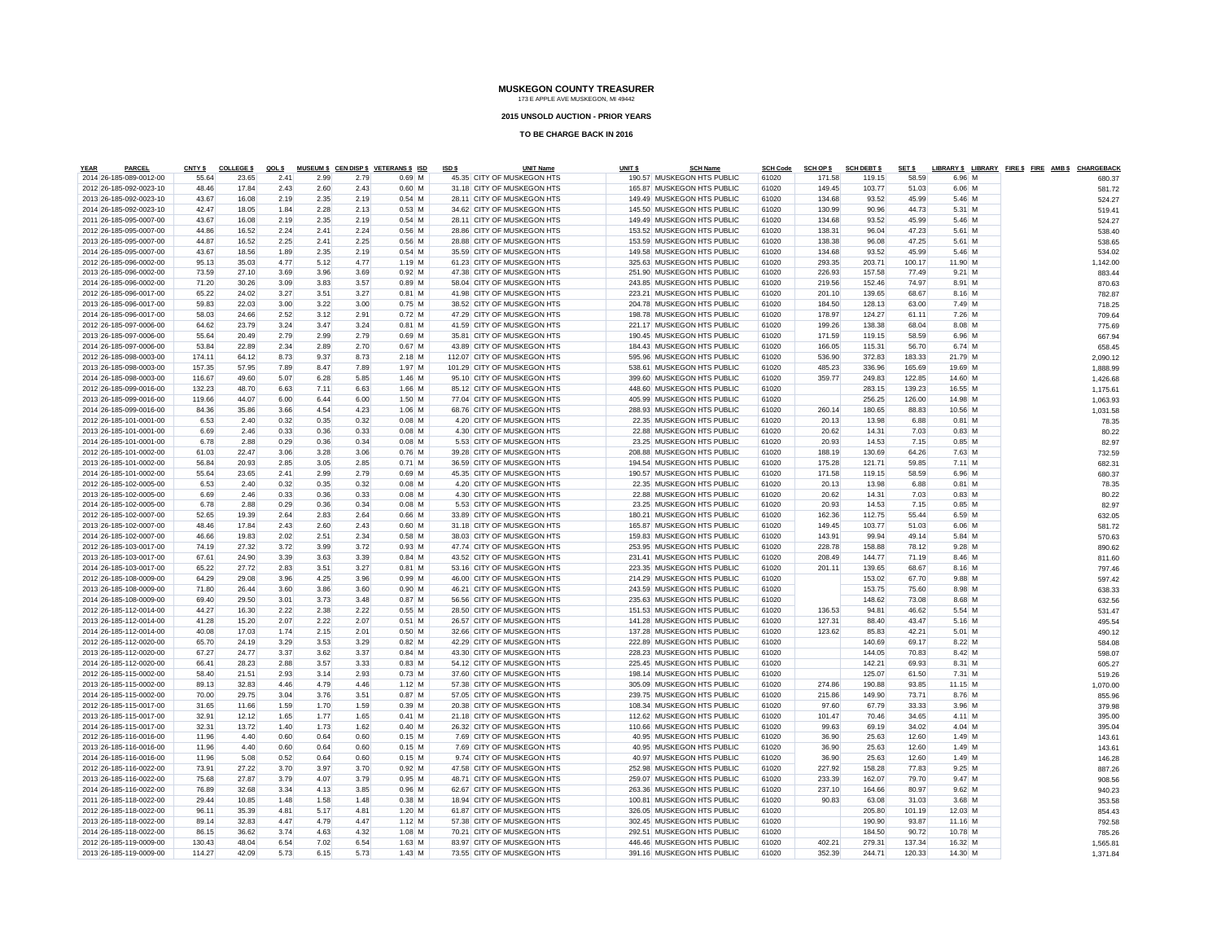#### **2015 UNSOLD AUCTION - PRIOR YEARS**

| YEAR<br><b>PARCEL</b>                              | CNTY \$       | <b>COLLEGE \$</b> | QOL \$       |              |      | MUSEUM \$ CEN DISP \$ VETERANS \$ ISD | ISD \$ | <b>UNIT Name</b>                                        | UNIT <sub>\$</sub> | <b>SCH Name</b>                                         | <b>SCH Code</b> | <b>SCH OP \$</b> | <b>SCH DEBT \$</b> | SET \$ |           | LIBRARY \$ LIBRARY FIRE \$ FIRE AMB \$ CHARGEBACK |          |  |
|----------------------------------------------------|---------------|-------------------|--------------|--------------|------|---------------------------------------|--------|---------------------------------------------------------|--------------------|---------------------------------------------------------|-----------------|------------------|--------------------|--------|-----------|---------------------------------------------------|----------|--|
| 2014 26-185-089-0012-00                            | 55.64         | 23.65             | 2.41         | 2.99         | 2.79 | $0.69$ M                              |        | 45.35 CITY OF MUSKEGON HTS                              |                    | 190.57 MUSKEGON HTS PUBLIC                              | 61020           | 171.58           | 119.15             | 58.59  | 6.96 M    |                                                   | 680.37   |  |
| 2012 26-185-092-0023-10                            | 48.46         | 17.84             | 2.43         | 2.60         | 2.43 | $0.60$ M                              |        | 31.18 CITY OF MUSKEGON HTS                              |                    | 165.87 MUSKEGON HTS PUBLIC                              | 61020           | 149.45           | 103.77             | 51.03  | 6.06 M    |                                                   | 581.72   |  |
| 2013 26-185-092-0023-10                            | 43.67         | 16.08             | 2.19         | 2.35         | 2.19 | $0.54$ M                              |        | 28.11 CITY OF MUSKEGON HTS                              |                    | 149.49 MUSKEGON HTS PUBLIC                              | 61020           | 134.68           | 93.52              | 45.99  | 5.46 M    |                                                   | 524.27   |  |
| 2014 26-185-092-0023-10                            | 42.47         | 18.05             | 1.84         | 2.28         | 2.13 | $0.53$ M                              |        | 34.62 CITY OF MUSKEGON HTS                              |                    | 145.50 MUSKEGON HTS PUBLIC                              | 61020           | 130.99           | 90.96              | 44.73  | 5.31 M    |                                                   | 519.41   |  |
| 2011 26-185-095-0007-00                            | 43.67         | 16.08             | 2.19         | 2.35         | 2.19 | $0.54$ M                              |        | 28.11 CITY OF MUSKEGON HTS                              |                    | 149.49 MUSKEGON HTS PUBLIC                              | 61020           | 134.68           | 93.52              | 45.99  | 5.46 M    |                                                   | 524.27   |  |
| 2012 26-185-095-0007-00                            | 44.86         | 16.52             | 2.24         | 2.41         | 2.24 | $0.56$ M                              |        | 28.86 CITY OF MUSKEGON HTS                              |                    | 153.52 MUSKEGON HTS PUBLIC                              | 61020           | 138.31           | 96.04              | 47.23  | $5.61$ M  |                                                   | 538.40   |  |
| 2013 26-185-095-0007-00                            | 44.87         | 16.52             | 2.25         | 2.41         | 2.25 | $0.56$ M                              |        | 28.88 CITY OF MUSKEGON HTS                              |                    | 153.59 MUSKEGON HTS PUBLIC                              | 61020           | 138.38           | 96.08              | 47.25  | 5.61 M    |                                                   | 538.65   |  |
| 2014 26-185-095-0007-00                            | 43.67         | 18.56             | 1.89         | 2.35         | 2.19 | $0.54$ M                              |        | 35.59 CITY OF MUSKEGON HTS                              |                    | 149.58 MUSKEGON HTS PUBLIC                              | 61020           | 134.68           | 93.52              | 45.99  | $5.46$ M  |                                                   | 534.02   |  |
| 2012 26-185-096-0002-00                            | 95.13         | 35.03             | 4.77         | 5.12         | 4.77 | $1.19$ M                              |        | 61.23 CITY OF MUSKEGON HTS                              |                    | 325.63 MUSKEGON HTS PUBLIC                              | 61020           | 293.35           | 203.71             | 100.17 | 11.90 M   |                                                   | 1,142.00 |  |
| 2013 26-185-096-0002-00                            | 73.59         | 27.10             | 3.69         | 3.96         | 3.69 | $0.92$ M                              |        | 47.38 CITY OF MUSKEGON HTS                              |                    | 251.90 MUSKEGON HTS PUBLIC                              | 61020           | 226.93           | 157.58             | 77.49  | $9.21$ M  |                                                   | 883.44   |  |
| 2014 26-185-096-0002-00                            | 71.20         | 30.26             | 3.09         | 3.83         | 3.57 | $0.89$ M                              |        | 58.04 CITY OF MUSKEGON HTS                              |                    | 243.85 MUSKEGON HTS PUBLIC                              | 61020           | 219.56           | 152.46             | 74.97  | $8.91$ M  |                                                   | 870.63   |  |
| 2012 26-185-096-0017-00                            | 65.22         | 24.02             | 3.27         | 3.51         | 3.27 | $0.81$ M                              |        | 41.98 CITY OF MUSKEGON HTS                              |                    | 223.21 MUSKEGON HTS PUBLIC                              | 61020           | 201.10           | 139.65             | 68.67  | $8.16$ M  |                                                   | 782.87   |  |
| 2013 26-185-096-0017-00                            | 59.83         | 22.03             | 3.00         | 3.22         | 3.00 | $0.75$ M                              |        | 38.52 CITY OF MUSKEGON HTS                              |                    | 204.78 MUSKEGON HTS PUBLIC                              | 61020           | 184.50           | 128.13             | 63.00  | 7.49 M    |                                                   | 718.25   |  |
| 2014 26-185-096-0017-00                            | 58.03         | 24.66             | 2.52         | 3.12         | 2.91 | $0.72$ M                              |        | 47.29 CITY OF MUSKEGON HTS                              |                    | 198.78 MUSKEGON HTS PUBLIC                              | 61020           | 178.97           | 124.27             | 61.11  | 7.26 M    |                                                   | 709.64   |  |
| 2012 26-185-097-0006-00                            | 64.62         | 23.79             | 3.24         | 3.47         | 3.24 | $0.81$ M                              |        | 41.59 CITY OF MUSKEGON HTS                              |                    | 221.17 MUSKEGON HTS PUBLIC                              | 61020           | 199.26           | 138.38             | 68.04  | 8.08 M    |                                                   | 775.69   |  |
| 2013 26-185-097-0006-00                            | 55.64         | 20.49             | 2.79         | 2.99         | 2.79 | $0.69$ M                              |        | 35.81 CITY OF MUSKEGON HTS                              |                    | 190.45 MUSKEGON HTS PUBLIC                              | 61020           | 171.59           | 119.15             | 58.59  | 6.96 M    |                                                   | 667.94   |  |
| 2014 26-185-097-0006-00                            | 53.84         | 22.89             | 2.34         | 2.89         | 2.70 | $0.67$ M                              |        | 43.89 CITY OF MUSKEGON HTS                              |                    | 184.43 MUSKEGON HTS PUBLIC                              | 61020           | 166.05           | 115.31             | 56.70  | 6.74 M    |                                                   | 658.45   |  |
| 2012 26-185-098-0003-00                            | 174.11        | 64.12             | 8.73         | 9.37         | 8.73 | $2.18$ M                              |        | 112.07 CITY OF MUSKEGON HTS                             |                    | 595.96 MUSKEGON HTS PUBLIC                              | 61020           | 536.90           | 372.83             | 183.33 | 21.79 M   |                                                   | 2,090.12 |  |
| 2013 26-185-098-0003-00                            | 157.35        | 57.95             | 7.89         | 8.47         | 7.89 | 1.97M                                 |        | 101.29 CITY OF MUSKEGON HTS                             |                    | 538.61 MUSKEGON HTS PUBLIC                              | 61020           | 485.23           | 336.96             | 165.69 | 19.69 M   |                                                   | 1,888.99 |  |
| 2014 26-185-098-0003-00                            | 116.67        | 49.60             | 5.07         | 6.28         | 5.85 | $1.46$ M                              |        | 95.10 CITY OF MUSKEGON HTS                              |                    | 399.60 MUSKEGON HTS PUBLIC                              | 61020           | 359.77           | 249.83             | 122.85 | 14.60 M   |                                                   | 1,426.68 |  |
| 2012 26-185-099-0016-00                            | 132.23        | 48.70             | 6.63         | 7.11         | 6.63 | $1.66$ M                              |        | 85.12 CITY OF MUSKEGON HTS                              |                    | 448.60 MUSKEGON HTS PUBLIC                              | 61020           |                  | 283.15             | 139.23 | 16.55 M   |                                                   | 1,175.61 |  |
| 2013 26-185-099-0016-00                            | 119.66        | 44.07             | 6.00         | 6.44         | 6.00 | $1.50$ M                              |        | 77.04 CITY OF MUSKEGON HTS                              |                    | 405.99 MUSKEGON HTS PUBLIC                              | 61020           |                  | 256.25             | 126.00 | 14.98 M   |                                                   |          |  |
|                                                    |               |                   |              |              | 4.23 |                                       |        |                                                         |                    |                                                         | 61020           | 260.14           |                    | 88.83  | 10.56 M   |                                                   | 1,063.93 |  |
| 2014 26-185-099-0016-00<br>2012 26-185-101-0001-00 | 84.36<br>6.53 | 35.86<br>2.40     | 3.66<br>0.32 | 4.54<br>0.35 | 0.32 | $1.06$ M<br>$0.08$ M                  |        | 68.76 CITY OF MUSKEGON HTS<br>4.20 CITY OF MUSKEGON HTS |                    | 288.93 MUSKEGON HTS PUBLIC<br>22.35 MUSKEGON HTS PUBLIC | 61020           | 20.13            | 180.65<br>13.98    | 6.88   | $0.81$ M  |                                                   | 1,031.58 |  |
|                                                    |               |                   |              |              |      |                                       |        |                                                         |                    |                                                         |                 |                  |                    |        |           |                                                   | 78.35    |  |
| 2013 26-185-101-0001-00                            | 6.69          | 2.46              | 0.33         | 0.36         | 0.33 | $0.08$ M                              |        | 4.30 CITY OF MUSKEGON HTS                               |                    | 22.88 MUSKEGON HTS PUBLIC                               | 61020           | 20.62            | 14.31              | 7.03   | $0.83$ M  |                                                   | 80.22    |  |
| 2014 26-185-101-0001-00                            | 6.78          | 2.88              | 0.29         | 0.36         | 0.34 | $0.08$ M                              |        | 5.53 CITY OF MUSKEGON HTS                               |                    | 23.25 MUSKEGON HTS PUBLIC                               | 61020           | 20.93            | 14.53              | 7.15   | $0.85$ M  |                                                   | 82.97    |  |
| 2012 26-185-101-0002-00                            | 61.03         | 22.47             | 3.06         | 3.28         | 3.06 | $0.76$ M                              |        | 39.28 CITY OF MUSKEGON HTS                              |                    | 208.88 MUSKEGON HTS PUBLIC                              | 61020           | 188.19           | 130.69             | 64.26  | 7.63 M    |                                                   | 732.59   |  |
| 2013 26-185-101-0002-00                            | 56.84         | 20.93             | 2.85         | 3.05         | 2.85 | $0.71$ M                              |        | 36.59 CITY OF MUSKEGON HTS                              |                    | 194.54 MUSKEGON HTS PUBLIC                              | 61020           | 175.28           | 121.71             | 59.85  | $7.11$ M  |                                                   | 682.31   |  |
| 2014 26-185-101-0002-00                            | 55.64         | 23.65             | 2.41         | 2.99         | 2.79 | $0.69$ M                              |        | 45.35 CITY OF MUSKEGON HTS                              |                    | 190.57 MUSKEGON HTS PUBLIC                              | 61020           | 171.58           | 119.15             | 58.59  | 6.96 M    |                                                   | 680.37   |  |
| 2012 26-185-102-0005-00                            | 6.53          | 2.40              | 0.32         | 0.35         | 0.32 | $0.08$ M                              |        | 4.20 CITY OF MUSKEGON HTS                               |                    | 22.35 MUSKEGON HTS PUBLIC                               | 61020           | 20.13            | 13.98              | 6.88   | $0.81$ M  |                                                   | 78.35    |  |
| 2013 26-185-102-0005-00                            | 6.69          | 2.46              | 0.33         | 0.36         | 0.33 | $0.08$ M                              |        | 4.30 CITY OF MUSKEGON HTS                               |                    | 22.88 MUSKEGON HTS PUBLIC                               | 61020           | 20.62            | 14.31              | 7.03   | $0.83$ M  |                                                   | 80.22    |  |
| 2014 26-185-102-0005-00                            | 6.78          | 2.88              | 0.29         | 0.36         | 0.34 | $0.08$ M                              |        | 5.53 CITY OF MUSKEGON HTS                               |                    | 23.25 MUSKEGON HTS PUBLIC                               | 61020           | 20.93            | 14.53              | 7.15   | $0.85$ M  |                                                   | 82.97    |  |
| 2012 26-185-102-0007-00                            | 52.65         | 19.39             | 2.64         | 2.83         | 2.64 | $0.66$ M                              |        | 33.89 CITY OF MUSKEGON HTS                              |                    | 180.21 MUSKEGON HTS PUBLIC                              | 61020           | 162.36           | 112.75             | 55.44  | 6.59 M    |                                                   | 632.05   |  |
| 2013 26-185-102-0007-00                            | 48.46         | 17.84             | 2.43         | 2.60         | 2.43 | $0.60$ M                              |        | 31.18 CITY OF MUSKEGON HTS                              |                    | 165.87 MUSKEGON HTS PUBLIC                              | 61020           | 149.45           | 103.77             | 51.03  | 6.06 M    |                                                   | 581.72   |  |
| 2014 26-185-102-0007-00                            | 46.66         | 19.83             | 2.02         | 2.51         | 2.34 | $0.58$ M                              |        | 38.03 CITY OF MUSKEGON HTS                              |                    | 159.83 MUSKEGON HTS PUBLIC                              | 61020           | 143.91           | 99.94              | 49.14  | 5.84 M    |                                                   | 570.63   |  |
| 2012 26-185-103-0017-00                            | 74.19         | 27.32             | 3.72         | 3.99         | 3.72 | $0.93$ M                              |        | 47.74 CITY OF MUSKEGON HTS                              |                    | 253.95 MUSKEGON HTS PUBLIC                              | 61020           | 228.78           | 158.88             | 78.12  | $9.28$ M  |                                                   | 890.62   |  |
| 2013 26-185-103-0017-00                            | 67.61         | 24.90             | 3.39         | 3.63         | 3.39 | $0.84$ M                              |        | 43.52 CITY OF MUSKEGON HTS                              |                    | 231.41 MUSKEGON HTS PUBLIC                              | 61020           | 208.49           | 144.77             | 71.19  | 8.46 M    |                                                   | 811.60   |  |
| 2014 26-185-103-0017-00                            | 65.22         | 27.72             | 2.83         | 3.51         | 3.27 | $0.81$ M                              |        | 53.16 CITY OF MUSKEGON HTS                              |                    | 223.35 MUSKEGON HTS PUBLIC                              | 61020           | 201.11           | 139.65             | 68.67  | 8.16 M    |                                                   | 797.46   |  |
| 2012 26-185-108-0009-00                            | 64.29         | 29.08             | 3.96         | 4.25         | 3.96 | $0.99$ M                              |        | 46.00 CITY OF MUSKEGON HTS                              |                    | 214.29 MUSKEGON HTS PUBLIC                              | 61020           |                  | 153.02             | 67.70  | $9.88$ M  |                                                   | 597.42   |  |
| 2013 26-185-108-0009-00                            | 71.80         | 26.44             | 3.60         | 3.86         | 3.60 | $0.90$ M                              |        | 46.21 CITY OF MUSKEGON HTS                              |                    | 243.59 MUSKEGON HTS PUBLIC                              | 61020           |                  | 153.75             | 75.60  | 8.98 M    |                                                   | 638.33   |  |
| 2014 26-185-108-0009-00                            | 69.40         | 29.50             | 3.01         | 3.73         | 3.48 | 0.87M                                 |        | 56.56 CITY OF MUSKEGON HTS                              |                    | 235.63 MUSKEGON HTS PUBLIC                              | 61020           |                  | 148.62             | 73.08  | 8.68 M    |                                                   | 632.56   |  |
| 2012 26-185-112-0014-00                            | 44.27         | 16.30             | 2.22         | 2.38         | 2.22 | $0.55$ M                              |        | 28.50 CITY OF MUSKEGON HTS                              |                    | 151.53 MUSKEGON HTS PUBLIC                              | 61020           | 136.53           | 94.81              | 46.62  | 5.54 M    |                                                   | 531.47   |  |
| 2013 26-185-112-0014-00                            | 41.28         | 15.20             | 2.07         | 2.22         | 2.07 | $0.51$ M                              |        | 26.57 CITY OF MUSKEGON HTS                              |                    | 141.28 MUSKEGON HTS PUBLIC                              | 61020           | 127.31           | 88.40              | 43.47  | $5.16$ M  |                                                   | 495.54   |  |
| 2014 26-185-112-0014-00                            | 40.08         | 17.03             | 1.74         | 2.15         | 2.01 | $0.50$ M                              |        | 32.66 CITY OF MUSKEGON HTS                              |                    | 137.28 MUSKEGON HTS PUBLIC                              | 61020           | 123.62           | 85.83              | 42.21  | $5.01$ M  |                                                   | 490.12   |  |
| 2012 26-185-112-0020-00                            | 65.70         | 24.19             | 3.29         | 3.53         | 3.29 | $0.82$ M                              |        | 42.29 CITY OF MUSKEGON HTS                              |                    | 222.89 MUSKEGON HTS PUBLIC                              | 61020           |                  | 140.69             | 69.17  | 8.22 M    |                                                   | 584.08   |  |
| 2013 26-185-112-0020-00                            | 67.27         | 24.77             | 3.37         | 3.62         | 3.37 | $0.84$ M                              |        | 43.30 CITY OF MUSKEGON HTS                              |                    | 228.23 MUSKEGON HTS PUBLIC                              | 61020           |                  | 144.05             | 70.83  | 8.42 M    |                                                   | 598.07   |  |
| 2014 26-185-112-0020-00                            | 66.41         | 28.23             | 2.88         | 3.57         | 3.33 | $0.83$ M                              |        | 54.12 CITY OF MUSKEGON HTS                              |                    | 225.45 MUSKEGON HTS PUBLIC                              | 61020           |                  | 142.21             | 69.93  | 8.31 M    |                                                   | 605.27   |  |
| 2012 26-185-115-0002-00                            | 58.40         | 21.51             | 2.93         | 3.14         | 2.93 | $0.73$ M                              |        | 37.60 CITY OF MUSKEGON HTS                              |                    | 198.14 MUSKEGON HTS PUBLIC                              | 61020           |                  | 125.07             | 61.50  | 7.31 M    |                                                   | 519.26   |  |
| 2013 26-185-115-0002-00                            | 89.13         | 32.83             | 4.46         | 4.79         | 4.46 | $1.12$ M                              |        | 57.38 CITY OF MUSKEGON HTS                              |                    | 305.09 MUSKEGON HTS PUBLIC                              | 61020           | 274.86           | 190.88             | 93.85  | $11.15$ M |                                                   | 1,070.00 |  |
| 2014 26-185-115-0002-00                            | 70.00         | 29.75             | 3.04         | 3.76         | 3.51 | $0.87$ M                              |        | 57.05 CITY OF MUSKEGON HTS                              |                    | 239.75 MUSKEGON HTS PUBLIC                              | 61020           | 215.86           | 149.90             | 73.71  | 8.76 M    |                                                   | 855.96   |  |
| 2012 26-185-115-0017-00                            | 31.65         | 11.66             | 1.59         | 1.70         | 1.59 | $0.39$ M                              |        | 20.38 CITY OF MUSKEGON HTS                              |                    | 108.34 MUSKEGON HTS PUBLIC                              | 61020           | 97.60            | 67.79              | 33.33  | 3.96 M    |                                                   | 379.98   |  |
| 2013 26-185-115-0017-00                            | 32.91         | 12.12             | 1.65         | 1.77         | 1.65 | $0.41$ M                              |        | 21.18 CITY OF MUSKEGON HTS                              |                    | 112.62 MUSKEGON HTS PUBLIC                              | 61020           | 101.47           | 70.46              | 34.65  | $4.11$ M  |                                                   | 395.00   |  |
| 2014 26-185-115-0017-00                            | 32.31         | 13.72             | 1.40         | 1.73         | 1.62 | $0.40$ M                              |        | 26.32 CITY OF MUSKEGON HTS                              |                    | 110.66 MUSKEGON HTS PUBLIC                              | 61020           | 99.63            | 69.19              | 34.02  | $4.04$ M  |                                                   | 395.04   |  |
| 2012 26-185-116-0016-00                            | 11.96         | 4.40              | 0.60         | 0.64         | 0.60 | $0.15$ M                              |        | 7.69 CITY OF MUSKEGON HTS                               |                    | 40.95 MUSKEGON HTS PUBLIC                               | 61020           | 36.90            | 25.63              | 12.60  | $1.49$ M  |                                                   |          |  |
|                                                    |               |                   |              |              |      |                                       |        |                                                         |                    |                                                         |                 |                  |                    |        |           |                                                   | 143.61   |  |
| 2013 26-185-116-0016-00                            | 11.96         | 4.40              | 0.60         | 0.64         | 0.60 | $0.15$ M                              |        | 7.69 CITY OF MUSKEGON HTS                               |                    | 40.95 MUSKEGON HTS PUBLIC                               | 61020           | 36.90            | 25.63<br>25.63     | 12.60  | $1.49$ M  |                                                   | 143.61   |  |
| 2014 26-185-116-0016-00                            | 11.96         | 5.08              | 0.52         | 0.64         | 0.60 | $0.15$ M                              |        | 9.74 CITY OF MUSKEGON HTS                               |                    | 40.97 MUSKEGON HTS PUBLIC                               | 61020           | 36.90            |                    | 12.60  | $1.49$ M  |                                                   | 146.28   |  |
| 2012 26-185-116-0022-00                            | 73.91         | 27.22             | 3.70         | 3.97         | 3.70 | $0.92$ M                              |        | 47.58 CITY OF MUSKEGON HTS                              |                    | 252.98 MUSKEGON HTS PUBLIC                              | 61020           | 227.92           | 158.28             | 77.83  | $9.25$ M  |                                                   | 887.26   |  |
| 2013 26-185-116-0022-00                            | 75.68         | 27.87             | 3.79         | 4.07         | 3.79 | $0.95$ M                              |        | 48.71 CITY OF MUSKEGON HTS                              |                    | 259.07 MUSKEGON HTS PUBLIC                              | 61020           | 233.39           | 162.07             | 79.70  | $9.47$ M  |                                                   | 908.56   |  |
| 2014 26-185-116-0022-00                            | 76.89         | 32.68             | 3.34         | 4.13         | 3.85 | $0.96$ M                              |        | 62.67 CITY OF MUSKEGON HTS                              |                    | 263.36 MUSKEGON HTS PUBLIC                              | 61020           | 237.10           | 164.66             | 80.97  | $9.62$ M  |                                                   | 940.23   |  |
| 2011 26-185-118-0022-00                            | 29.44         | 10.85             | 1.48         | 1.58         | 1.48 | $0.38$ M                              |        | 18.94 CITY OF MUSKEGON HTS                              |                    | 100.81 MUSKEGON HTS PUBLIC                              | 61020           | 90.83            | 63.08              | 31.03  | 3.68 M    |                                                   | 353.58   |  |
| 2012 26-185-118-0022-00                            | 96.11         | 35.39             | 4.81         | 5.17         | 4.81 | $1.20$ M                              |        | 61.87 CITY OF MUSKEGON HTS                              |                    | 326.05 MUSKEGON HTS PUBLIC                              | 61020           |                  | 205.80             | 101.19 | 12.03 M   |                                                   | 854.43   |  |
| 2013 26-185-118-0022-00                            | 89.14         | 32.83             | 4.47         | 4.79         | 4.47 | $1.12$ M                              |        | 57.38 CITY OF MUSKEGON HTS                              |                    | 302.45 MUSKEGON HTS PUBLIC                              | 61020           |                  | 190.90             | 93.87  | 11.16 M   |                                                   | 792.58   |  |
| 2014 26-185-118-0022-00                            | 86.15         | 36.62             | 3.74         | 4.63         | 4.32 | $1.08$ M                              |        | 70.21 CITY OF MUSKEGON HTS                              |                    | 292.51 MUSKEGON HTS PUBLIC                              | 61020           |                  | 184.50             | 90.72  | 10.78 M   |                                                   | 785.26   |  |
| 2012 26-185-119-0009-00                            | 130.43        | 48.04             | 6.54         | 7.02         | 6.54 | $1.63$ M                              |        | 83.97 CITY OF MUSKEGON HTS                              |                    | 446.46 MUSKEGON HTS PUBLIC                              | 61020           | 402.21           | 279.31             | 137.34 | 16.32 M   |                                                   | 1.565.81 |  |
| 2013 26-185-119-0009-00                            | 114.27        | 42.09             | 5.73         | 6.15         | 5.73 | $1.43$ M                              |        | 73.55 CITY OF MUSKEGON HTS                              |                    | 391.16 MUSKEGON HTS PUBLIC                              | 61020           | 352.39           | 244.71             | 120.33 | 14.30 M   |                                                   | 1.371.84 |  |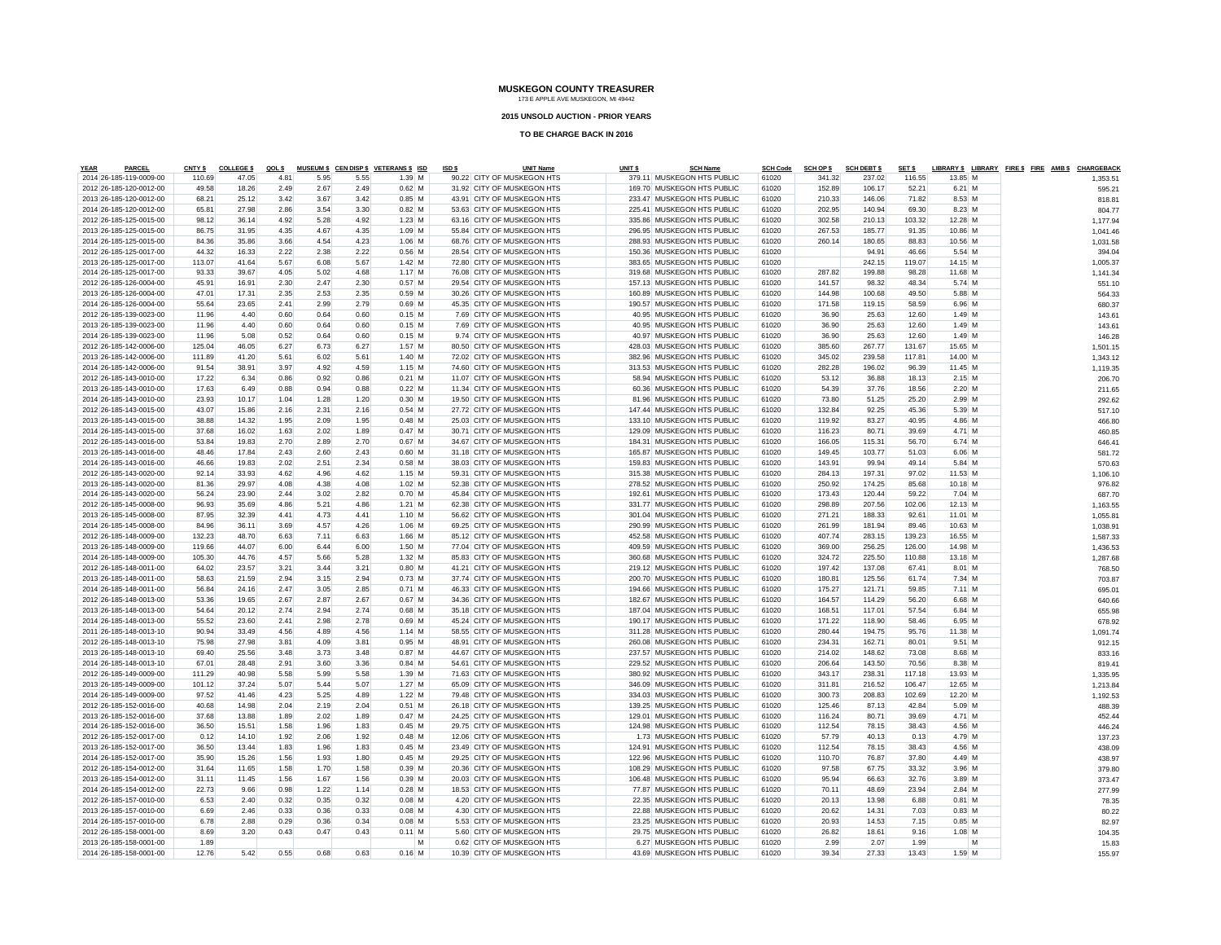#### **2015 UNSOLD AUCTION - PRIOR YEARS**

| <b>YEAR</b> | <b>PARCEL</b>           | <b>CNTY \$</b> | <b>COLLEGES</b> | QOL \$ |      |      | MUSEUM \$ CEN DISP \$ VETERANS \$ ISD | ISD \$ | <b>UNIT Name</b>           | UNIT <sub>S</sub> | <b>SCH Name</b>            | <b>SCH Code</b> | <b>SCH OP \$</b> | <b>SCH DEBT \$</b> | SET \$ |           |   | LIBRARY \$ LIBRARY FIRE \$ FIRE AMB \$ CHARGEBACK |          |  |
|-------------|-------------------------|----------------|-----------------|--------|------|------|---------------------------------------|--------|----------------------------|-------------------|----------------------------|-----------------|------------------|--------------------|--------|-----------|---|---------------------------------------------------|----------|--|
|             | 2014 26-185-119-0009-00 | 110.69         | 47.05           | 4.81   | 5.95 | 5.55 | $1.39$ M                              |        | 90.22 CITY OF MUSKEGON HTS |                   | 379.11 MUSKEGON HTS PUBLIC | 61020           | 341.32           | 237.02             | 116.55 | 13.85 M   |   |                                                   | 1.353.5' |  |
|             | 2012 26-185-120-0012-00 | 49.58          | 18.26           | 2.49   | 2.67 | 2.49 | $0.62$ M                              |        | 31.92 CITY OF MUSKEGON HTS |                   | 169.70 MUSKEGON HTS PUBLIC | 61020           | 152.89           | 106.17             | 52.21  | $6.21$ M  |   |                                                   | 595.21   |  |
|             | 2013 26-185-120-0012-00 | 68.21          | 25.12           | 3.42   | 3.67 | 3.42 | $0.85$ M                              |        | 43.91 CITY OF MUSKEGON HTS |                   | 233.47 MUSKEGON HTS PUBLIC | 61020           | 210.33           | 146.06             | 71.82  | 8.53 M    |   |                                                   | 818.81   |  |
|             | 2014 26-185-120-0012-00 | 65.81          | 27.98           | 2.86   | 3.54 | 3.30 | $0.82$ M                              |        | 53.63 CITY OF MUSKEGON HTS |                   | 225.41 MUSKEGON HTS PUBLIC | 61020           | 202.95           | 140.94             | 69.30  | 8.23 M    |   |                                                   | 804.77   |  |
|             | 2012 26-185-125-0015-00 | 98.12          | 36.14           | 4.92   | 5.28 | 4.92 | $1.23$ M                              |        | 63.16 CITY OF MUSKEGON HTS |                   | 335.86 MUSKEGON HTS PUBLIC | 61020           | 302.58           | 210.13             | 103.32 | 12.28 M   |   |                                                   | 1,177.94 |  |
|             | 2013 26-185-125-0015-00 | 86.75          | 31.95           | 4.35   | 4.67 | 4.35 | $1.09$ M                              |        | 55.84 CITY OF MUSKEGON HTS |                   | 296.95 MUSKEGON HTS PUBLIC | 61020           | 267.53           | 185.77             | 91.35  | 10.86 M   |   |                                                   | 1,041.46 |  |
|             | 2014 26-185-125-0015-00 | 84.36          | 35.86           | 3.66   | 4.54 | 4.23 | $1.06$ M                              |        | 68.76 CITY OF MUSKEGON HTS |                   | 288.93 MUSKEGON HTS PUBLIC | 61020           | 260.14           | 180.65             | 88.83  | 10.56 M   |   |                                                   | 1,031.58 |  |
|             | 2012 26-185-125-0017-00 | 44.32          | 16.33           | 2.22   | 2.38 | 2.22 | $0.56$ M                              |        | 28.54 CITY OF MUSKEGON HTS |                   | 150.36 MUSKEGON HTS PUBLIC | 61020           |                  | 94.91              | 46.66  | 5.54 M    |   |                                                   | 394.04   |  |
|             | 2013 26-185-125-0017-00 | 113.07         | 41.64           | 5.67   | 6.08 | 5.67 | $1.42$ M                              |        | 72.80 CITY OF MUSKEGON HTS |                   | 383.65 MUSKEGON HTS PUBLIC | 61020           |                  | 242.15             | 119.07 | 14.15 M   |   |                                                   | 1,005.37 |  |
|             | 2014 26-185-125-0017-00 | 93.33          | 39.67           | 4.05   | 5.02 | 4.68 | $1.17$ M                              |        | 76.08 CITY OF MUSKEGON HTS |                   | 319.68 MUSKEGON HTS PUBLIC | 61020           | 287.82           | 199.88             | 98.28  | 11.68 M   |   |                                                   | 1.141.34 |  |
|             | 2012 26-185-126-0004-00 | 45.91          | 16.91           | 2.30   | 2.47 | 2.30 | $0.57$ M                              |        | 29.54 CITY OF MUSKEGON HTS |                   | 157.13 MUSKEGON HTS PUBLIC | 61020           | 141.57           | 98.32              | 48.34  | 5.74 M    |   |                                                   | 551.10   |  |
|             | 2013 26-185-126-0004-00 | 47.01          | 17.31           | 2.35   | 2.53 | 2.35 | $0.59$ M                              |        | 30.26 CITY OF MUSKEGON HTS |                   | 160.89 MUSKEGON HTS PUBLIC | 61020           | 144.98           | 100.68             | 49.50  | 5.88 M    |   |                                                   | 564.33   |  |
|             | 2014 26-185-126-0004-00 | 55.64          | 23.65           | 2.41   | 2.99 | 2.79 | $0.69$ M                              |        | 45.35 CITY OF MUSKEGON HTS |                   | 190.57 MUSKEGON HTS PUBLIC | 61020           | 171.58           | 119.15             | 58.59  | 6.96 M    |   |                                                   | 680.37   |  |
|             | 2012 26-185-139-0023-00 | 11.96          | 4.40            | 0.60   | 0.64 | 0.60 | $0.15$ M                              |        | 7.69 CITY OF MUSKEGON HTS  |                   | 40.95 MUSKEGON HTS PUBLIC  | 61020           | 36.90            | 25.63              | 12.60  | 1.49 M    |   |                                                   | 143.61   |  |
|             | 2013 26-185-139-0023-00 | 11.96          | 4.40            | 0.60   | 0.64 | 0.60 | $0.15$ M                              |        | 7.69 CITY OF MUSKEGON HTS  |                   | 40.95 MUSKEGON HTS PUBLIC  | 61020           | 36.90            | 25.63              | 12.60  | 1.49 M    |   |                                                   | 143.61   |  |
|             | 2014 26-185-139-0023-00 | 11.96          | 5.08            | 0.52   | 0.64 | 0.60 | $0.15$ M                              |        | 9.74 CITY OF MUSKEGON HTS  |                   | 40.97 MUSKEGON HTS PUBLIC  | 61020           | 36.90            | 25.63              | 12.60  | $1.49$ M  |   |                                                   | 146.28   |  |
|             | 2012 26-185-142-0006-00 | 125.04         | 46.05           | 6.27   | 6.73 | 6.27 | $1.57$ M                              |        | 80.50 CITY OF MUSKEGON HTS |                   | 428.03 MUSKEGON HTS PUBLIC | 61020           | 385.60           | 267.77             | 131.67 | 15.65 M   |   |                                                   | 1,501.15 |  |
|             | 2013 26-185-142-0006-00 | 111.89         | 41.20           | 5.61   | 6.02 | 5.61 | $1.40$ M                              |        | 72.02 CITY OF MUSKEGON HTS |                   | 382.96 MUSKEGON HTS PUBLIC | 61020           | 345.02           | 239.58             | 117.81 | 14.00 M   |   |                                                   | 1,343.12 |  |
|             | 2014 26-185-142-0006-00 | 91.54          | 38.91           | 3.97   | 4.92 | 4.59 | $1.15$ M                              |        | 74.60 CITY OF MUSKEGON HTS |                   | 313.53 MUSKEGON HTS PUBLIC | 61020           | 282.28           | 196.02             | 96.39  | 11.45 M   |   |                                                   | 1,119.35 |  |
|             | 2012 26-185-143-0010-00 | 17.22          | 6.34            | 0.86   | 0.92 | 0.86 | $0.21$ M                              |        | 11.07 CITY OF MUSKEGON HTS |                   | 58.94 MUSKEGON HTS PUBLIC  | 61020           | 53.12            | 36.88              | 18.13  | $2.15$ M  |   |                                                   | 206.70   |  |
|             | 2013 26-185-143-0010-00 | 17.63          | 6.49            | 0.88   | 0.94 | 0.88 | $0.22$ M                              |        | 11.34 CITY OF MUSKEGON HTS |                   | 60.36 MUSKEGON HTS PUBLIC  | 61020           | 54.39            | 37.76              | 18.56  | $2.20$ M  |   |                                                   | 211.65   |  |
|             | 2014 26-185-143-0010-00 | 23.93          | 10.17           | 1.04   | 1.28 | 1.20 | $0.30$ M                              |        | 19.50 CITY OF MUSKEGON HTS |                   | 81.96 MUSKEGON HTS PUBLIC  | 61020           | 73.80            | 51.25              | 25.20  | 2.99 M    |   |                                                   | 292.62   |  |
|             | 2012 26-185-143-0015-00 | 43.07          | 15.86           | 2.16   | 2.31 | 2.16 | $0.54$ M                              |        | 27.72 CITY OF MUSKEGON HTS |                   | 147.44 MUSKEGON HTS PUBLIC | 61020           | 132.84           | 92.25              | 45.36  | 5.39 M    |   |                                                   | 517.10   |  |
|             | 2013 26-185-143-0015-00 | 38.88          | 14.32           | 1.95   | 2.09 | 1.95 | $0.48$ M                              |        | 25.03 CITY OF MUSKEGON HTS |                   | 133.10 MUSKEGON HTS PUBLIC | 61020           | 119.92           | 83.27              | 40.95  | $4.86$ M  |   |                                                   | 466.80   |  |
|             | 2014 26-185-143-0015-00 | 37.68          | 16.02           | 1.63   | 2.02 | 1.89 | $0.47$ M                              |        | 30.71 CITY OF MUSKEGON HTS |                   | 129.09 MUSKEGON HTS PUBLIC | 61020           | 116.23           | 80.71              | 39.69  | 4.71 M    |   |                                                   | 460.85   |  |
|             | 2012 26-185-143-0016-00 | 53.84          | 19.83           | 2.70   | 2.89 | 2.70 | $0.67$ M                              |        | 34.67 CITY OF MUSKEGON HTS |                   | 184.31 MUSKEGON HTS PUBLIC | 61020           | 166.05           | 115.31             | 56.70  | 6.74 M    |   |                                                   | 646.41   |  |
|             | 2013 26-185-143-0016-00 | 48.46          | 17.84           | 2.43   | 2.60 | 2.43 | $0.60$ M                              |        | 31.18 CITY OF MUSKEGON HTS |                   | 165.87 MUSKEGON HTS PUBLIC | 61020           | 149.45           | 103.77             | 51.03  | 6.06 M    |   |                                                   | 581.72   |  |
|             | 2014 26-185-143-0016-00 | 46.66          | 19.83           | 2.02   | 2.51 | 2.34 | $0.58$ M                              |        | 38.03 CITY OF MUSKEGON HTS |                   | 159.83 MUSKEGON HTS PUBLIC | 61020           | 143.91           | 99.94              | 49.14  | 5.84 M    |   |                                                   | 570.63   |  |
|             | 2012 26-185-143-0020-00 | 92.14          | 33.93           | 4.62   | 4.96 | 4.62 | $1.15$ M                              |        | 59.31 CITY OF MUSKEGON HTS |                   | 315.38 MUSKEGON HTS PUBLIC | 61020           | 284.13           | 197.31             | 97.02  | 11.53 M   |   |                                                   | 1,106.10 |  |
|             | 2013 26-185-143-0020-00 | 81.36          | 29.97           | 4.08   | 4.38 | 4.08 | $1.02$ M                              |        | 52.38 CITY OF MUSKEGON HTS |                   | 278.52 MUSKEGON HTS PUBLIC | 61020           | 250.92           | 174.25             | 85.68  | $10.18$ M |   |                                                   | 976.82   |  |
|             | 2014 26-185-143-0020-00 | 56.24          | 23.90           | 2.44   | 3.02 | 2.82 | $0.70$ M                              |        | 45.84 CITY OF MUSKEGON HTS |                   | 192.61 MUSKEGON HTS PUBLIC | 61020           | 173.43           | 120.44             | 59.22  | $7.04$ M  |   |                                                   | 687.70   |  |
|             | 2012 26-185-145-0008-00 | 96.93          | 35.69           | 4.86   | 5.21 | 4.86 | $1.21$ M                              |        | 62.38 CITY OF MUSKEGON HTS |                   | 331.77 MUSKEGON HTS PUBLIC | 61020           | 298.89           | 207.56             | 102.06 | 12.13 M   |   |                                                   | 1,163.55 |  |
|             | 2013 26-185-145-0008-00 | 87.95          | 32.39           | 4.41   | 4.73 | 4.41 | $1.10$ M                              |        | 56.62 CITY OF MUSKEGON HTS |                   | 301.04 MUSKEGON HTS PUBLIC | 61020           | 271.21           | 188.33             | 92.61  | 11.01 M   |   |                                                   | 1,055.81 |  |
|             | 2014 26-185-145-0008-00 | 84.96          | 36.11           | 3.69   | 4.57 | 4.26 | $1.06$ M                              |        | 69.25 CITY OF MUSKEGON HTS |                   | 290.99 MUSKEGON HTS PUBLIC | 61020           | 261.99           | 181.94             | 89.46  | 10.63 M   |   |                                                   | 1,038.91 |  |
|             | 2012 26-185-148-0009-00 | 132.23         | 48.70           | 6.63   | 7.11 | 6.63 | $1.66$ M                              |        | 85.12 CITY OF MUSKEGON HTS |                   | 452.58 MUSKEGON HTS PUBLIC | 61020           | 407.74           | 283.15             | 139.23 | 16.55 M   |   |                                                   | 1,587.33 |  |
|             | 2013 26-185-148-0009-00 | 119.66         | 44.07           | 6.00   | 6.44 | 6.00 | $1.50$ M                              |        | 77.04 CITY OF MUSKEGON HTS |                   | 409.59 MUSKEGON HTS PUBLIC | 61020           | 369.00           | 256.25             | 126.00 | 14.98 M   |   |                                                   | 1,436.53 |  |
|             | 2014 26-185-148-0009-00 | 105.30         | 44.76           | 4.57   | 5.66 | 5.28 | $1.32$ M                              |        | 85.83 CITY OF MUSKEGON HTS |                   | 360.68 MUSKEGON HTS PUBLIC | 61020           | 324.72           | 225.50             | 110.88 | $13.18$ M |   |                                                   | 1,287.68 |  |
|             | 2012 26-185-148-0011-00 | 64.02          | 23.57           | 3.21   | 3.44 | 3.21 | $0.80$ M                              |        | 41.21 CITY OF MUSKEGON HTS |                   | 219.12 MUSKEGON HTS PUBLIC | 61020           | 197.42           | 137.08             | 67.41  | 8.01 M    |   |                                                   | 768.50   |  |
|             | 2013 26-185-148-0011-00 | 58.63          | 21.59           | 2.94   | 3.15 | 2.94 | $0.73$ M                              |        | 37.74 CITY OF MUSKEGON HTS |                   | 200.70 MUSKEGON HTS PUBLIC | 61020           | 180.81           | 125.56             | 61.74  | 7.34 M    |   |                                                   | 703.87   |  |
|             | 2014 26-185-148-0011-00 | 56.84          | 24.16           | 2.47   | 3.05 | 2.85 | $0.71$ M                              |        | 46.33 CITY OF MUSKEGON HTS |                   | 194.66 MUSKEGON HTS PUBLIC | 61020           | 175.27           | 121.71             | 59.85  | $7.11$ M  |   |                                                   | 695.01   |  |
|             | 2012 26-185-148-0013-00 | 53.36          | 19.65           | 2.67   | 2.87 | 2.67 | $0.67$ M                              |        | 34.36 CITY OF MUSKEGON HTS |                   | 182.67 MUSKEGON HTS PUBLIC | 61020           | 164.57           | 114.29             | 56.20  | 6.68 M    |   |                                                   | 640.66   |  |
|             | 2013 26-185-148-0013-00 | 54.64          | 20.12           | 2.74   | 2.94 | 2.74 | $0.68$ M                              |        | 35.18 CITY OF MUSKEGON HTS |                   | 187.04 MUSKEGON HTS PUBLIC | 61020           | 168.51           | 117.01             | 57.54  | 6.84 M    |   |                                                   | 655.98   |  |
|             | 2014 26-185-148-0013-00 | 55.52          | 23.60           | 2.41   | 2.98 | 2.78 | $0.69$ M                              |        | 45.24 CITY OF MUSKEGON HTS |                   | 190.17 MUSKEGON HTS PUBLIC | 61020           | 171.22           | 118.90             | 58.46  | 6.95 M    |   |                                                   | 678.92   |  |
|             | 2011 26-185-148-0013-10 | 90.94          | 33.49           | 4.56   | 4.89 | 4.56 | $1.14$ M                              |        | 58.55 CITY OF MUSKEGON HTS |                   | 311.28 MUSKEGON HTS PUBLIC | 61020           | 280.44           | 194.75             | 95.76  | 11.38 M   |   |                                                   | 1,091.74 |  |
|             | 2012 26-185-148-0013-10 | 75.98          | 27.98           | 3.81   | 4.09 | 3.81 | $0.95$ M                              |        | 48.91 CITY OF MUSKEGON HTS |                   | 260.08 MUSKEGON HTS PUBLIC | 61020           | 234.31           | 162.71             | 80.01  | $9.51$ M  |   |                                                   | 912.15   |  |
|             | 2013 26-185-148-0013-10 | 69.40          | 25.56           | 3.48   | 3.73 | 3.48 | $0.87$ M                              |        | 44.67 CITY OF MUSKEGON HTS |                   | 237.57 MUSKEGON HTS PUBLIC | 61020           | 214.02           | 148.62             | 73.08  | 8.68 M    |   |                                                   | 833.16   |  |
|             | 2014 26-185-148-0013-10 | 67.01          | 28.48           | 2.91   | 3.60 | 3.36 | $0.84$ M                              |        | 54.61 CITY OF MUSKEGON HTS |                   | 229.52 MUSKEGON HTS PUBLIC | 61020           | 206.64           | 143.50             | 70.56  | 8.38 M    |   |                                                   | 819.41   |  |
|             | 2012 26-185-149-0009-00 | 111.29         | 40.98           | 5.58   | 5.99 | 5.58 | $1.39$ M                              |        | 71.63 CITY OF MUSKEGON HTS |                   | 380.92 MUSKEGON HTS PUBLIC | 61020           | 343.17           | 238.31             | 117.18 | 13.93 M   |   |                                                   | 1,335.95 |  |
|             | 2013 26-185-149-0009-00 | 101.12         | 37.24           | 5.07   | 5.44 | 5.07 | $1.27$ M                              |        | 65.09 CITY OF MUSKEGON HTS |                   | 346.09 MUSKEGON HTS PUBLIC | 61020           | 311.81           | 216.52             | 106.47 | 12.65 M   |   |                                                   | 1,213.84 |  |
|             | 2014 26-185-149-0009-00 | 97.52          | 41.46           | 4.23   | 5.25 | 4.89 | $1.22$ M                              |        | 79.48 CITY OF MUSKEGON HTS |                   | 334.03 MUSKEGON HTS PUBLIC | 61020           | 300.73           | 208.83             | 102.69 | 12.20 M   |   |                                                   | 1,192.53 |  |
|             | 2012 26-185-152-0016-00 | 40.68          | 14.98           | 2.04   | 2.19 | 2.04 | $0.51$ M                              |        | 26.18 CITY OF MUSKEGON HTS |                   | 139.25 MUSKEGON HTS PUBLIC | 61020           | 125.46           | 87.13              | 42.84  | 5.09 M    |   |                                                   | 488.39   |  |
|             | 2013 26-185-152-0016-00 | 37.68          | 13.88           | 1.89   | 2.02 | 1.89 | $0.47$ M                              |        | 24.25 CITY OF MUSKEGON HTS |                   | 129.01 MUSKEGON HTS PUBLIC | 61020           | 116.24           | 80.71              | 39.69  | 4.71 M    |   |                                                   | 452.44   |  |
|             | 2014 26-185-152-0016-00 | 36.50          | 15.51           | 1.58   | 1.96 | 1.83 | 0.45M                                 |        | 29.75 CITY OF MUSKEGON HTS |                   | 124.98 MUSKEGON HTS PUBLIC | 61020           | 112.54           | 78.15              | 38.43  | 4.56 M    |   |                                                   | 446.24   |  |
|             | 2012 26-185-152-0017-00 | 0.12           | 14.10           | 1.92   | 2.06 | 1.92 | $0.48$ M                              |        | 12.06 CITY OF MUSKEGON HTS |                   | 1.73 MUSKEGON HTS PUBLIC   | 61020           | 57.79            | 40.13              | 0.13   | 4.79 M    |   |                                                   | 137.23   |  |
|             | 2013 26-185-152-0017-00 | 36.50          | 13.44           | 1.83   | 1.96 | 1.83 | $0.45$ M                              |        | 23.49 CITY OF MUSKEGON HTS |                   | 124.91 MUSKEGON HTS PUBLIC | 61020           | 112.54           | 78.15              | 38.43  | 4.56 M    |   |                                                   | 438.09   |  |
|             | 2014 26-185-152-0017-00 | 35.90          | 15.26           | 1.56   | 1.93 | 1.80 | $0.45$ M                              |        | 29.25 CITY OF MUSKEGON HTS |                   | 122.96 MUSKEGON HTS PUBLIC | 61020           | 110.70           | 76.87              | 37.80  | 4.49 M    |   |                                                   | 438.97   |  |
|             | 2012 26-185-154-0012-00 | 31.64          | 11.65           | 1.58   | 1.70 | 1.58 | $0.39$ M                              |        | 20.36 CITY OF MUSKEGON HTS |                   | 108.29 MUSKEGON HTS PUBLIC | 61020           | 97.58            | 67.75              | 33.32  | 3.96 M    |   |                                                   | 379.80   |  |
|             | 2013 26-185-154-0012-00 | 31.11          | 11.45           | 1.56   | 1.67 | 1.56 | $0.39$ M                              |        | 20.03 CITY OF MUSKEGON HTS |                   | 106.48 MUSKEGON HTS PUBLIC | 61020           | 95.94            | 66.63              | 32.76  | 3.89 M    |   |                                                   | 373.47   |  |
|             | 2014 26-185-154-0012-00 | 22.73          | 9.66            | 0.98   | 1.22 | 1.14 | $0.28$ M                              |        | 18.53 CITY OF MUSKEGON HTS |                   | 77.87 MUSKEGON HTS PUBLIC  | 61020           | 70.11            | 48.69              | 23.94  | 2.84 M    |   |                                                   | 277.99   |  |
|             | 2012 26-185-157-0010-00 | 6.53           | 2.40            | 0.32   | 0.35 | 0.32 | $0.08$ M                              |        | 4.20 CITY OF MUSKEGON HTS  |                   | 22.35 MUSKEGON HTS PUBLIC  | 61020           | 20.13            | 13.98              | 6.88   | $0.81$ M  |   |                                                   | 78.35    |  |
|             | 2013 26-185-157-0010-00 | 6.69           | 2.46            | 0.33   | 0.36 | 0.33 | $0.08$ M                              |        | 4.30 CITY OF MUSKEGON HTS  |                   | 22.88 MUSKEGON HTS PUBLIC  | 61020           | 20.62            | 14.31              | 7.03   | $0.83$ M  |   |                                                   | 80.22    |  |
|             | 2014 26-185-157-0010-00 | 6.78           | 2.88            | 0.29   | 0.36 | 0.34 | $0.08$ M                              |        | 5.53 CITY OF MUSKEGON HTS  |                   | 23.25 MUSKEGON HTS PUBLIC  | 61020           | 20.93            | 14.53              | 7.15   | $0.85$ M  |   |                                                   | 82.97    |  |
|             | 2012 26-185-158-0001-00 | 8.69           | 3.20            | 0.43   | 0.47 | 0.43 | $0.11$ M                              |        | 5.60 CITY OF MUSKEGON HTS  |                   | 29.75 MUSKEGON HTS PUBLIC  | 61020           | 26.82            | 18.61              | 9.16   | $1.08$ M  |   |                                                   | 104.35   |  |
|             | 2013 26-185-158-0001-00 | 1.89           |                 |        |      |      | M                                     |        | 0.62 CITY OF MUSKEGON HTS  |                   | 6.27 MUSKEGON HTS PUBLIC   | 61020           | 2.99             | 2.07               | 1.99   |           | M |                                                   | 15.83    |  |
|             | 2014 26-185-158-0001-00 | 12.76          | 5.42            | 0.55   | 0.68 | 0.63 | $0.16$ M                              |        | 10.39 CITY OF MUSKEGON HTS |                   | 43.69 MUSKEGON HTS PUBLIC  | 61020           | 39.34            | 27.33              | 13.43  | 1.59 M    |   |                                                   | 155.97   |  |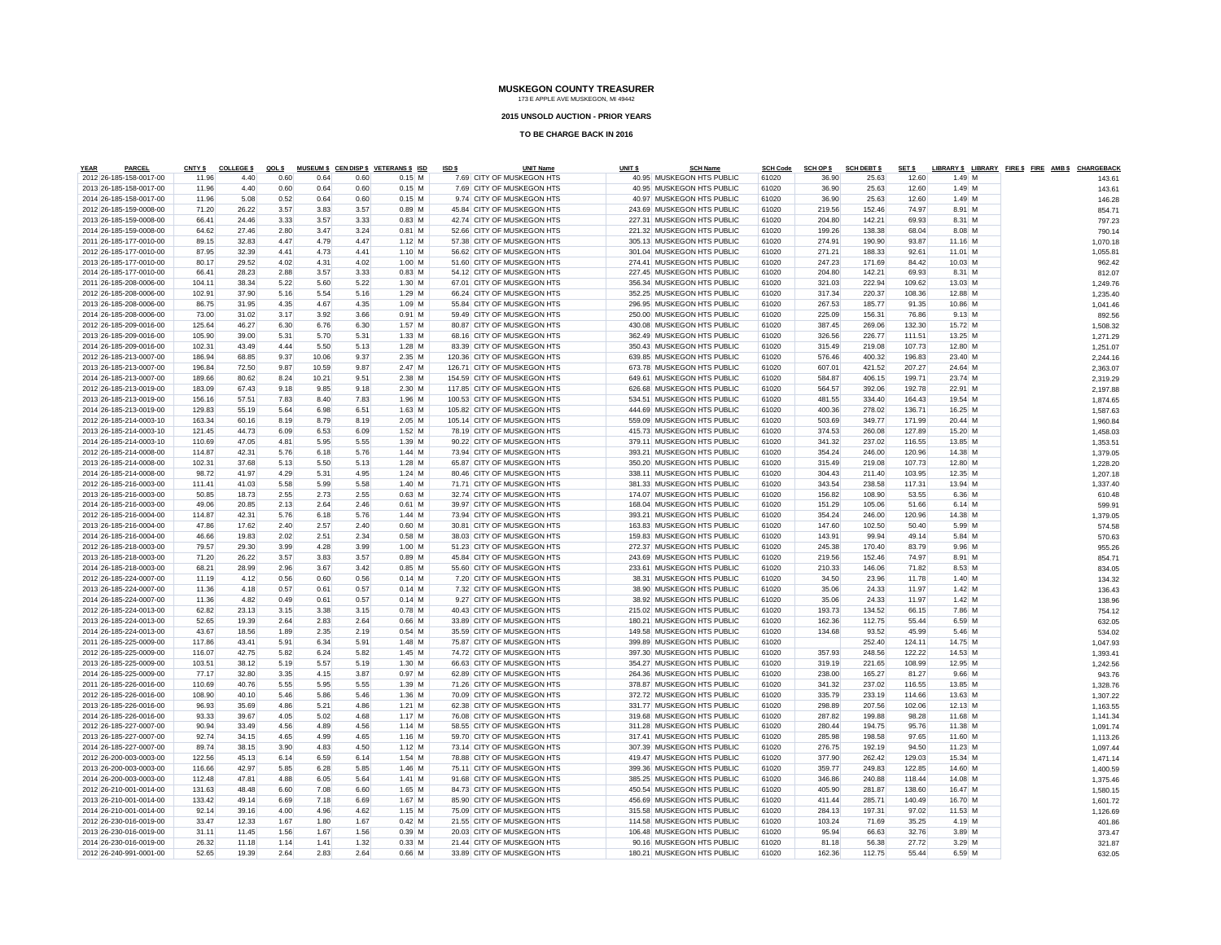#### **2015 UNSOLD AUCTION - PRIOR YEARS**

| <b>YEAR</b> | PARCEL                                             | <b>CNTY \$</b>   | <b>COLLEGE \$</b> | QOL \$       |              |              | MUSEUM \$ CEN DISP \$ VETERANS \$ ISD | ISD \$ | <b>UNIT Name</b>                                           | UNIT <sub>\$</sub> | <b>SCH Name</b>                                          | <b>SCH Code</b> | <b>SCH OP \$</b> | <b>SCH DEBT \$</b> | SET \$           |                    | LIBRARY \$ LIBRARY FIRE \$ FIRE AMB \$ CHARGEBACK |                      |
|-------------|----------------------------------------------------|------------------|-------------------|--------------|--------------|--------------|---------------------------------------|--------|------------------------------------------------------------|--------------------|----------------------------------------------------------|-----------------|------------------|--------------------|------------------|--------------------|---------------------------------------------------|----------------------|
|             | 2012 26-185-158-0017-00                            | 11.96            | 4.40              | 0.60         | 0.64         | 0.60         | $0.15$ M                              |        | 7.69 CITY OF MUSKEGON HTS                                  |                    | 40.95 MUSKEGON HTS PUBLIC                                | 61020           | 36.90            | 25.63              | 12.60            | $1.49$ M           |                                                   | $143.6^{\circ}$      |
|             | 2013 26-185-158-0017-00                            | 11.96            | 4.40              | 0.60         | 0.64         | 0.60         | $0.15$ M                              |        | 7.69 CITY OF MUSKEGON HTS                                  |                    | 40.95 MUSKEGON HTS PUBLIC                                | 61020           | 36.90            | 25.63              | 12.60            | 1.49 M             |                                                   | 143.61               |
|             | 2014 26-185-158-0017-00                            | 11.96            | 5.08              | 0.52         | 0.64         | 0.60         | $0.15$ M                              |        | 9.74 CITY OF MUSKEGON HTS                                  |                    | 40.97 MUSKEGON HTS PUBLIC                                | 61020           | 36.90            | 25.63              | 12.60            | $1.49$ M           |                                                   | 146.28               |
|             | 2012 26-185-159-0008-00                            | 71.20            | 26.22             | 3.57         | 3.83         | 3.57         | $0.89$ M                              |        | 45.84 CITY OF MUSKEGON HTS                                 |                    | 243.69 MUSKEGON HTS PUBLIC                               | 61020           | 219.56           | 152.46             | 74.97            | 8.91 M             |                                                   | 854.71               |
|             | 2013 26-185-159-0008-00                            | 66.41            | 24.46             | 3.33         | 3.57         | 3.33         | $0.83$ M                              |        | 42.74 CITY OF MUSKEGON HTS                                 |                    | 227.31 MUSKEGON HTS PUBLIC                               | 61020           | 204.80           | 142.21             | 69.93            | 8.31 M             |                                                   | 797.23               |
|             | 2014 26-185-159-0008-00                            | 64.62            | 27.46             | 2.80         | 3.47         | 3.24         | $0.81$ M                              |        | 52.66 CITY OF MUSKEGON HTS                                 |                    | 221.32 MUSKEGON HTS PUBLIC                               | 61020           | 199.26           | 138.38             | 68.04            | 8.08 M             |                                                   | 790.14               |
|             | 2011 26-185-177-0010-00                            | 89.15            | 32.83             | 4.47         | 4.79         | 4.47         | $1.12$ M                              |        | 57.38 CITY OF MUSKEGON HTS                                 |                    | 305.13 MUSKEGON HTS PUBLIC                               | 61020           | 274.91           | 190.90             | 93.87            | 11.16 M            |                                                   | 1,070.18             |
|             | 2012 26-185-177-0010-00                            | 87.95            | 32.39             | 4.41         | 4.73         | 4.41         | $1.10$ M                              |        | 56.62 CITY OF MUSKEGON HTS                                 |                    | 301.04 MUSKEGON HTS PUBLIC                               | 61020           | 271.21           | 188.33             | 92.61            | 11.01 M            |                                                   | 1,055.81             |
|             | 2013 26-185-177-0010-00                            | 80.17            | 29.52             | 4.02         | 4.31         | 4.02         | $1.00$ M                              |        | 51.60 CITY OF MUSKEGON HTS                                 |                    | 274.41 MUSKEGON HTS PUBLIC                               | 61020           | 247.23           | 171.69             | 84.42            | 10.03 M            |                                                   | 962.42               |
|             | 2014 26-185-177-0010-00                            | 66.41            | 28.23             | 2.88         | 3.57         | 3.33         | $0.83$ M                              |        | 54.12 CITY OF MUSKEGON HTS                                 |                    | 227.45 MUSKEGON HTS PUBLIC                               | 61020           | 204.80           | 142.21             | 69.93            | 8.31 M             |                                                   | 812.07               |
|             | 2011 26-185-208-0006-00                            | 104.11           | 38.34             | 5.22         | 5.60         | 5.22         | $1.30$ M                              |        | 67.01 CITY OF MUSKEGON HTS                                 |                    | 356.34 MUSKEGON HTS PUBLIC                               | 61020           | 321.03           | 222.94             | 109.62           | 13.03 M            |                                                   | 1,249.76             |
|             | 2012 26-185-208-0006-00                            | 102.91           | 37.90             | 5.16         | 5.54         | 5.16         | $1.29$ M                              |        | 66.24 CITY OF MUSKEGON HTS                                 |                    | 352.25 MUSKEGON HTS PUBLIC                               | 61020           | 317.34           | 220.37             | 108.36           | 12.88 M            |                                                   | 1,235.40             |
|             | 2013 26-185-208-0006-00                            | 86.75            | 31.95             | 4.35         | 4.67         | 4.35         | $1.09$ M                              |        | 55.84 CITY OF MUSKEGON HTS                                 |                    | 296.95 MUSKEGON HTS PUBLIC                               | 61020           | 267.53           | 185.77             | 91.35            | 10.86 M            |                                                   | 1,041.46             |
|             | 2014 26-185-208-0006-00                            | 73.00            | 31.02             | 3.17         | 3.92         | 3.66         | $0.91$ M                              |        | 59.49 CITY OF MUSKEGON HTS                                 |                    | 250.00 MUSKEGON HTS PUBLIC                               | 61020           | 225.09           | 156.31             | 76.86            | $9.13$ M           |                                                   | 892.56               |
|             | 2012 26-185-209-0016-00                            | 125.64           | 46.27             | 6.30         | 6.76         | 6.30         | $1.57$ M                              |        | 80.87 CITY OF MUSKEGON HTS                                 |                    | 430.08 MUSKEGON HTS PUBLIC                               | 61020           | 387.45           | 269.06             | 132.30           | 15.72 M            |                                                   | 1,508.32             |
|             | 2013 26-185-209-0016-00                            | 105.90           | 39.00             | 5.31         | 5.70         | 5.31         | $1.33$ M                              |        | 68.16 CITY OF MUSKEGON HTS                                 |                    | 362.49 MUSKEGON HTS PUBLIC                               | 61020           | 326.56           | 226.77             | 111.51           | 13.25 M            |                                                   | 1,271.29             |
|             | 2014 26-185-209-0016-00                            | 102.31           | 43.49             | 4.44         | 5.50         | 5.13         | $1.28$ M                              |        | 83.39 CITY OF MUSKEGON HTS                                 |                    | 350.43 MUSKEGON HTS PUBLIC                               | 61020           | 315.49           | 219.08             | 107.73           | 12.80 M            |                                                   | 1,251.07             |
|             | 2012 26-185-213-0007-00                            | 186.94           | 68.85             | 9.37         | 10.06        | 9.37         | $2.35$ M                              |        | 120.36 CITY OF MUSKEGON HTS                                |                    | 639.85 MUSKEGON HTS PUBLIC                               | 61020           | 576.46           | 400.32             | 196.83           | 23.40 M            |                                                   | 2,244.16             |
|             | 2013 26-185-213-0007-00                            | 196.84           | 72.50             | 9.87         | 10.59        | 9.87         | 2.47M                                 |        | 126.71 CITY OF MUSKEGON HTS                                |                    | 673.78 MUSKEGON HTS PUBLIC                               | 61020           | 607.01           | 421.52             | 207.27           | 24.64 M            |                                                   | 2,363.07             |
|             | 2014 26-185-213-0007-00                            | 189.66           | 80.62             | 8.24         | 10.21        | 9.51         | $2.38$ M                              |        | 154.59 CITY OF MUSKEGON HTS                                |                    | 649.61 MUSKEGON HTS PUBLIC                               | 61020           | 584.87           | 406.15             | 199.71           | 23.74 M            |                                                   |                      |
|             | 2012 26-185-213-0019-00                            | 183.09           | 67.43             | 9.18         | 9.85         | 9.18         | $2.30$ M                              |        | 117.85 CITY OF MUSKEGON HTS                                |                    | 626.68 MUSKEGON HTS PUBLIC                               | 61020           | 564.57           | 392.06             | 192.78           | 22.91 M            |                                                   | 2,319.29<br>2,197.88 |
|             | 2013 26-185-213-0019-00                            | 156.16           | 57.51             | 7.83         | 8.40         | 7.83         | $1.96$ M                              |        | 100.53 CITY OF MUSKEGON HTS                                |                    | 534.51 MUSKEGON HTS PUBLIC                               | 61020           | 481.55           | 334.40             | 164.43           | 19.54 M            |                                                   |                      |
|             |                                                    |                  |                   |              |              |              |                                       |        |                                                            |                    |                                                          |                 |                  |                    |                  |                    |                                                   | 1,874.65             |
|             | 2014 26-185-213-0019-00<br>2012 26-185-214-0003-10 | 129.83<br>163.34 | 55.19<br>60.16    | 5.64<br>8.19 | 6.98<br>8.79 | 6.51<br>8.19 | $1.63$ M<br>$2.05$ M                  |        | 105.82 CITY OF MUSKEGON HTS<br>105.14 CITY OF MUSKEGON HTS |                    | 444.69 MUSKEGON HTS PUBLIC<br>559.09 MUSKEGON HTS PUBLIC | 61020<br>61020  | 400.36<br>503.69 | 278.02<br>349.77   | 136.71<br>171.99 | 16.25 M<br>20.44 M |                                                   | 1,587.63             |
|             |                                                    |                  |                   |              |              |              |                                       |        |                                                            |                    |                                                          |                 |                  |                    |                  |                    |                                                   | 1,960.84             |
|             | 2013 26-185-214-0003-10                            | 121.45           | 44.73             | 6.09         | 6.53         | 6.09         | $1.52$ M                              |        | 78.19 CITY OF MUSKEGON HTS                                 |                    | 415.73 MUSKEGON HTS PUBLIC                               | 61020           | 374.53           | 260.08             | 127.89           | 15.20 M            |                                                   | 1,458.03             |
|             | 2014 26-185-214-0003-10                            | 110.69           | 47.05             | 4.81         | 5.95         | 5.55         | 1.39M                                 |        | 90.22 CITY OF MUSKEGON HTS                                 |                    | 379.11 MUSKEGON HTS PUBLIC                               | 61020           | 341.32           | 237.02             | 116.55           | 13.85 M            |                                                   | 1,353.51             |
|             | 2012 26-185-214-0008-00                            | 114.87           | 42.31             | 5.76         | 6.18         | 5.76         | $1.44$ M                              |        | 73.94 CITY OF MUSKEGON HTS                                 |                    | 393.21 MUSKEGON HTS PUBLIC                               | 61020           | 354.24           | 246.00             | 120.96           | 14.38 M            |                                                   | 1,379.05             |
|             | 2013 26-185-214-0008-00                            | 102.31           | 37.68             | 5.13         | 5.50         | 5.13         | $1.28$ M                              |        | 65.87 CITY OF MUSKEGON HTS                                 |                    | 350.20 MUSKEGON HTS PUBLIC                               | 61020           | 315.49           | 219.08             | 107.73           | 12.80 M            |                                                   | 1,228.20             |
|             | 2014 26-185-214-0008-00                            | 98.72            | 41.97             | 4.29         | 5.31         | 4.95         | $1.24$ M                              |        | 80.46 CITY OF MUSKEGON HTS                                 |                    | 338.11 MUSKEGON HTS PUBLIC                               | 61020           | 304.43           | 211.40             | 103.95           | 12.35 M            |                                                   | 1,207.18             |
|             | 2012 26-185-216-0003-00                            | 111.41           | 41.03             | 5.58         | 5.99         | 5.58         | $1.40$ M                              |        | 71.71 CITY OF MUSKEGON HTS                                 |                    | 381.33 MUSKEGON HTS PUBLIC                               | 61020           | 343.54           | 238.58             | 117.31           | 13.94 M            |                                                   | 1,337.40             |
|             | 2013 26-185-216-0003-00                            | 50.85            | 18.73             | 2.55         | 2.73         | 2.55         | $0.63$ M                              |        | 32.74 CITY OF MUSKEGON HTS                                 |                    | 174.07 MUSKEGON HTS PUBLIC                               | 61020           | 156.82           | 108.90             | 53.55            | 6.36 M             |                                                   | 610.48               |
|             | 2014 26-185-216-0003-00                            | 49.06            | 20.85             | 2.13         | 2.64         | 2.46         | $0.61$ M                              |        | 39.97 CITY OF MUSKEGON HTS                                 |                    | 168.04 MUSKEGON HTS PUBLIC                               | 61020           | 151.29           | 105.06             | 51.66            | $6.14$ M           |                                                   | 599.91               |
|             | 2012 26-185-216-0004-00                            | 114.87           | 42.31             | 5.76         | 6.18         | 5.76         | $1.44$ M                              |        | 73.94 CITY OF MUSKEGON HTS                                 |                    | 393.21 MUSKEGON HTS PUBLIC                               | 61020           | 354.24           | 246.00             | 120.96           | 14.38 M            |                                                   | 1,379.05             |
|             | 2013 26-185-216-0004-00                            | 47.86            | 17.62             | 2.40         | 2.57         | 2.40         | $0.60$ M                              |        | 30.81 CITY OF MUSKEGON HTS                                 |                    | 163.83 MUSKEGON HTS PUBLIC                               | 61020           | 147.60           | 102.50             | 50.40            | 5.99 M             |                                                   | 574.58               |
|             | 2014 26-185-216-0004-00                            | 46.66            | 19.83             | 2.02         | 2.51         | 2.34         | $0.58$ M                              |        | 38.03 CITY OF MUSKEGON HTS                                 |                    | 159.83 MUSKEGON HTS PUBLIC                               | 61020           | 143.91           | 99.94              | 49.14            | 5.84 M             |                                                   | 570.63               |
|             | 2012 26-185-218-0003-00                            | 79.57            | 29.30             | 3.99         | 4.28         | 3.99         | $1.00$ M                              |        | 51.23 CITY OF MUSKEGON HTS                                 |                    | 272.37 MUSKEGON HTS PUBLIC                               | 61020           | 245.38           | 170.40             | 83.79            | $9.96$ M           |                                                   | 955.26               |
|             | 2013 26-185-218-0003-00                            | 71.20            | 26.22             | 3.57         | 3.83         | 3.57         | $0.89$ M                              |        | 45.84 CITY OF MUSKEGON HTS                                 |                    | 243.69 MUSKEGON HTS PUBLIC                               | 61020           | 219.56           | 152.46             | 74.97            | 8.91 M             |                                                   | 854.7'               |
|             | 2014 26-185-218-0003-00                            | 68.21            | 28.99             | 2.96         | 3.67         | 3.42         | $0.85$ M                              |        | 55.60 CITY OF MUSKEGON HTS                                 |                    | 233.61 MUSKEGON HTS PUBLIC                               | 61020           | 210.33           | 146.06             | 71.82            | 8.53 M             |                                                   | 834.05               |
|             | 2012 26-185-224-0007-00                            | 11.19            | 4.12              | 0.56         | 0.60         | 0.56         | $0.14$ M                              |        | 7.20 CITY OF MUSKEGON HTS                                  |                    | 38.31 MUSKEGON HTS PUBLIC                                | 61020           | 34.50            | 23.96              | 11.78            | $1.40$ M           |                                                   | 134.32               |
|             | 2013 26-185-224-0007-00                            | 11.36            | 4.18              | 0.57         | 0.61         | 0.57         | $0.14$ M                              |        | 7.32 CITY OF MUSKEGON HTS                                  |                    | 38.90 MUSKEGON HTS PUBLIC                                | 61020           | 35.06            | 24.33              | 11.97            | $1.42$ M           |                                                   | 136.43               |
|             | 2014 26-185-224-0007-00                            | 11.36            | 4.82              | 0.49         | 0.61         | 0.57         | $0.14$ M                              |        | 9.27 CITY OF MUSKEGON HTS                                  |                    | 38.92 MUSKEGON HTS PUBLIC                                | 61020           | 35.06            | 24.33              | 11.97            | $1.42$ M           |                                                   | 138.96               |
|             | 2012 26-185-224-0013-00                            | 62.82            | 23.13             | 3.15         | 3.38         | 3.15         | $0.78$ M                              |        | 40.43 CITY OF MUSKEGON HTS                                 |                    | 215.02 MUSKEGON HTS PUBLIC                               | 61020           | 193.73           | 134.52             | 66.15            | 7.86 M             |                                                   | 754.12               |
|             | 2013 26-185-224-0013-00                            | 52.65            | 19.39             | 2.64         | 2.83         | 2.64         | $0.66$ M                              |        | 33.89 CITY OF MUSKEGON HTS                                 |                    | 180.21 MUSKEGON HTS PUBLIC                               | 61020           | 162.36           | 112.75             | 55.44            | 6.59 M             |                                                   | 632.05               |
|             | 2014 26-185-224-0013-00                            | 43.67            | 18.56             | 1.89         | 2.35         | 2.19         | $0.54$ M                              |        | 35.59 CITY OF MUSKEGON HTS                                 |                    | 149.58 MUSKEGON HTS PUBLIC                               | 61020           | 134.68           | 93.52              | 45.99            | 5.46 M             |                                                   | 534.02               |
|             | 2011 26-185-225-0009-00                            | 117.86           | 43.41             | 5.91         | 6.34         | 5.91         | $1.48$ M                              |        | 75.87 CITY OF MUSKEGON HTS                                 |                    | 399.89 MUSKEGON HTS PUBLIC                               | 61020           |                  | 252.40             | 124.11           | 14.75 M            |                                                   | 1,047.93             |
|             | 2012 26-185-225-0009-00                            | 116.07           | 42.75             | 5.82         | 6.24         | 5.82         | $1.45$ M                              |        | 74.72 CITY OF MUSKEGON HTS                                 |                    | 397.30 MUSKEGON HTS PUBLIC                               | 61020           | 357.93           | 248.56             | 122.22           | 14.53 M            |                                                   | 1,393.41             |
|             | 2013 26-185-225-0009-00                            | 103.51           | 38.12             | 5.19         | 5.57         | 5.19         | $1.30$ M                              |        | 66.63 CITY OF MUSKEGON HTS                                 |                    | 354.27 MUSKEGON HTS PUBLIC                               | 61020           | 319.19           | 221.65             | 108.99           | 12.95 M            |                                                   | 1,242.56             |
|             | 2014 26-185-225-0009-00                            | 77.17            | 32.80             | 3.35         | 4.15         | 3.87         | 0.97M                                 |        | 62.89 CITY OF MUSKEGON HTS                                 |                    | 264.36 MUSKEGON HTS PUBLIC                               | 61020           | 238.00           | 165.27             | 81.27            | $9.66$ M           |                                                   | 943.76               |
|             | 2011 26-185-226-0016-00                            | 110.69           | 40.76             | 5.55         | 5.95         | 5.55         | $1.39$ M                              |        | 71.26 CITY OF MUSKEGON HTS                                 |                    | 378.87 MUSKEGON HTS PUBLIC                               | 61020           | 341.32           | 237.02             | 116.55           | 13.85 M            |                                                   | 1,328.76             |
|             | 2012 26-185-226-0016-00                            | 108.90           | 40.10             | 5.46         | 5.86         | 5.46         | $1.36$ M                              |        | 70.09 CITY OF MUSKEGON HTS                                 |                    | 372.72 MUSKEGON HTS PUBLIC                               | 61020           | 335.79           | 233.19             | 114.66           | 13.63 M            |                                                   | 1,307.22             |
|             | 2013 26-185-226-0016-00                            | 96.93            | 35.69             | 4.86         | 5.21         | 4.86         | $1.21$ M                              |        | 62.38 CITY OF MUSKEGON HTS                                 |                    | 331.77 MUSKEGON HTS PUBLIC                               | 61020           | 298.89           | 207.56             | 102.06           | $12.13$ M          |                                                   | 1,163.55             |
|             | 2014 26-185-226-0016-00                            | 93.33            | 39.67             | 4.05         | 5.02         | 4.68         | $1.17$ M                              |        | 76.08 CITY OF MUSKEGON HTS                                 |                    | 319.68 MUSKEGON HTS PUBLIC                               | 61020           | 287.82           | 199.88             | 98.28            | 11.68 M            |                                                   |                      |
|             | 2012 26-185-227-0007-00                            | 90.94            | 33.49             | 4.56         | 4.89         | 4.56         | $1.14$ M                              |        | 58.55 CITY OF MUSKEGON HTS                                 |                    | 311.28 MUSKEGON HTS PUBLIC                               | 61020           | 280.44           | 194.75             | 95.76            | 11.38 M            |                                                   | 1,141.34             |
|             |                                                    |                  |                   |              |              | 4.65         |                                       |        |                                                            |                    | 317.41 MUSKEGON HTS PUBLIC                               |                 |                  |                    |                  |                    |                                                   | 1,091.74             |
|             | 2013 26-185-227-0007-00                            | 92.74            | 34.15             | 4.65         | 4.99         |              | $1.16$ M                              |        | 59.70 CITY OF MUSKEGON HTS                                 |                    |                                                          | 61020           | 285.98           | 198.58             | 97.65            | 11.60 M            |                                                   | 1,113.26             |
|             | 2014 26-185-227-0007-00                            | 89.74            | 38.15             | 3.90         | 4.83         | 4.50         | $1.12$ M                              |        | 73.14 CITY OF MUSKEGON HTS                                 |                    | 307.39 MUSKEGON HTS PUBLIC                               | 61020           | 276.75           | 192.19             | 94.50            | 11.23 M            |                                                   | 1,097.44             |
|             | 2012 26-200-003-0003-00                            | 122.56           | 45.13             | 6.14         | 6.59         | 6.14         | $1.54$ M                              |        | 78.88 CITY OF MUSKEGON HTS                                 |                    | 419.47 MUSKEGON HTS PUBLIC                               | 61020           | 377.90           | 262.42             | 129.03           | 15.34 M            |                                                   | 1,471.14             |
|             | 2013 26-200-003-0003-00                            | 116.66           | 42.97             | 5.85         | 6.28         | 5.85         | $1.46$ M                              |        | 75.11 CITY OF MUSKEGON HTS                                 |                    | 399.36 MUSKEGON HTS PUBLIC                               | 61020           | 359.77           | 249.83             | 122.85           | 14.60 M            |                                                   | 1,400.59             |
|             | 2014 26-200-003-0003-00                            | 112.48           | 47.81             | 4.88         | 6.05         | 5.64         | $1.41$ M                              |        | 91.68 CITY OF MUSKEGON HTS                                 |                    | 385.25 MUSKEGON HTS PUBLIC                               | 61020           | 346.86           | 240.88             | 118.44           | 14.08 M            |                                                   | 1,375.46             |
|             | 2012 26-210-001-0014-00                            | 131.63           | 48.48             | 6.60         | 7.08         | 6.60         | $1.65$ M                              |        | 84.73 CITY OF MUSKEGON HTS                                 |                    | 450.54 MUSKEGON HTS PUBLIC                               | 61020           | 405.90           | 281.87             | 138.60           | 16.47 M            |                                                   | 1,580.15             |
|             | 2013 26-210-001-0014-00                            | 133.42           | 49.14             | 6.69         | 7.18         | 6.69         | $1.67$ M                              |        | 85.90 CITY OF MUSKEGON HTS                                 |                    | 456.69 MUSKEGON HTS PUBLIC                               | 61020           | 411.44           | 285.71             | 140.49           | 16.70 M            |                                                   | 1,601.72             |
|             | 2014 26-210-001-0014-00                            | 92.14            | 39.16             | 4.00         | 4.96         | 4.62         | $1.15$ M                              |        | 75.09 CITY OF MUSKEGON HTS                                 |                    | 315.58 MUSKEGON HTS PUBLIC                               | 61020           | 284.13           | 197.31             | 97.02            | 11.53 M            |                                                   | 1,126.69             |
|             | 2012 26-230-016-0019-00                            | 33.47            | 12.33             | 1.67         | 1.80         | 1.67         | $0.42$ M                              |        | 21.55 CITY OF MUSKEGON HTS                                 |                    | 114.58 MUSKEGON HTS PUBLIC                               | 61020           | 103.24           | 71.69              | 35.25            | 4.19 M             |                                                   | 401.86               |
|             | 2013 26-230-016-0019-00                            | 31.11            | 11.45             | 1.56         | 1.67         | 1.56         | $0.39$ M                              |        | 20.03 CITY OF MUSKEGON HTS                                 |                    | 106.48 MUSKEGON HTS PUBLIC                               | 61020           | 95.94            | 66.63              | 32.76            | 3.89 M             |                                                   | 373.47               |
|             | 2014 26-230-016-0019-00                            | 26.32            | 11.18             | 1.14         | 1.41         | 1.32         | $0.33$ M                              |        | 21.44 CITY OF MUSKEGON HTS                                 |                    | 90.16 MUSKEGON HTS PUBLIC                                | 61020           | 81.18            | 56.38              | 27.72            | 3.29M              |                                                   | 321.87               |
|             | 2012 26-240-991-0001-00                            | 52.65            | 19.39             | 2.64         | 2.83         | 2.64         | $0.66$ M                              |        | 33.89 CITY OF MUSKEGON HTS                                 |                    | 180.21 MUSKEGON HTS PUBLIC                               | 61020           | 162.36           | 112.75             | 55.44            | 6.59 M             |                                                   | 632.05               |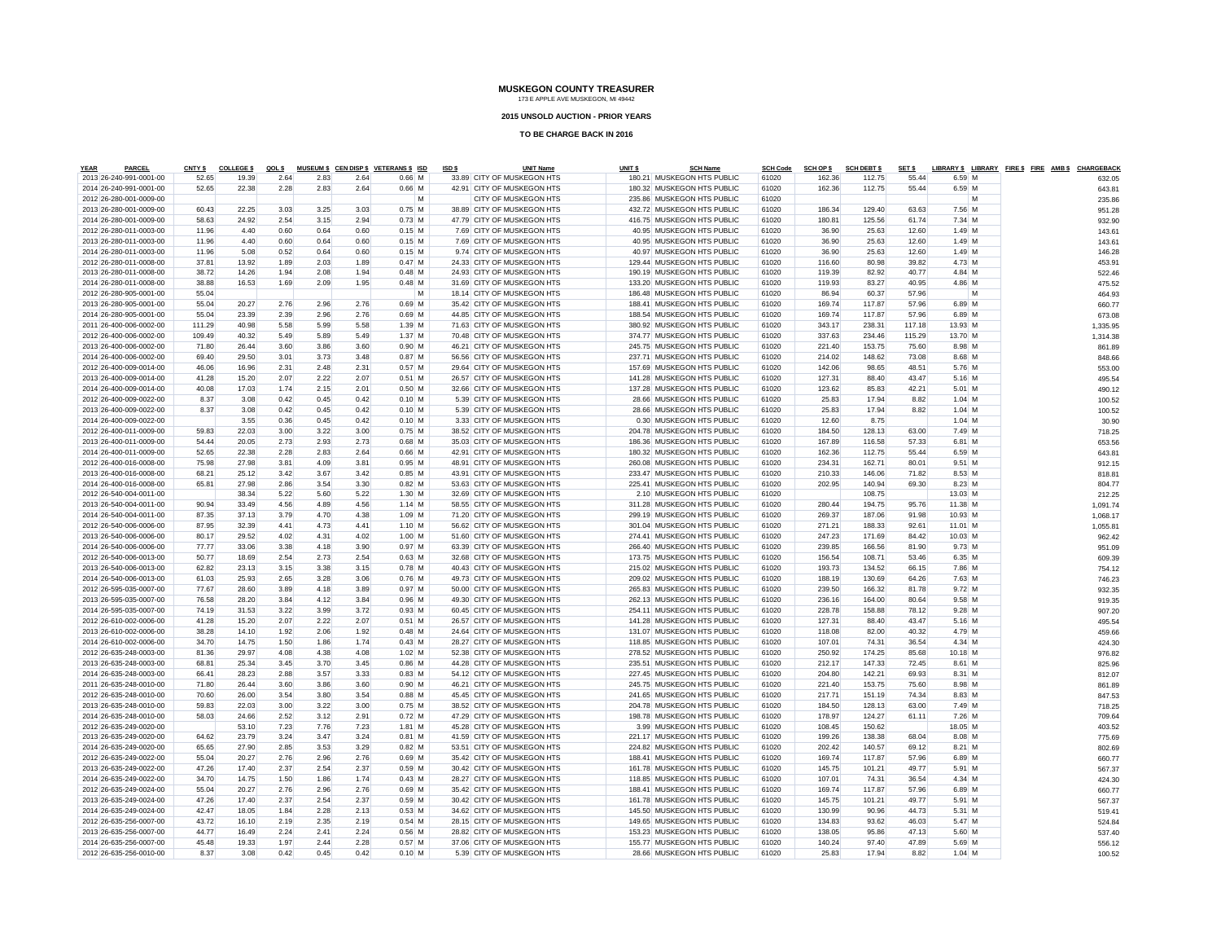#### **2015 UNSOLD AUCTION - PRIOR YEARS**

| <b>YEAR</b> | <b>PARCEL</b>           | CNTY \$ | <b>COLLEGES</b> | QOL \$ |      |      | MUSEUM \$ CEN DISP \$ VETERANS \$ ISD | ISD \$ | <b>UNIT Name</b>           | UNIT <sub>\$</sub> | <b>SCH Name</b>            | <b>SCH Code</b> | <b>SCH OP \$</b> | <b>SCH DEBT \$</b> | SET \$ |          | LIBRARY \$ LIBRARY FIRE \$ FIRE AMB \$ CHARGEBACK |          |
|-------------|-------------------------|---------|-----------------|--------|------|------|---------------------------------------|--------|----------------------------|--------------------|----------------------------|-----------------|------------------|--------------------|--------|----------|---------------------------------------------------|----------|
|             | 2013 26-240-991-0001-00 | 52.65   | 19.39           | 2.64   | 2.83 | 2.64 | $0.66$ M                              |        | 33.89 CITY OF MUSKEGON HTS |                    | 180.21 MUSKEGON HTS PUBLIC | 61020           | 162.36           | 112.75             | 55.44  | 6.59 M   |                                                   | 632.05   |
|             | 2014 26-240-991-0001-00 | 52.65   | 22.38           | 2.28   | 2.83 | 2.64 | $0.66$ M                              |        | 42.91 CITY OF MUSKEGON HTS |                    | 180.32 MUSKEGON HTS PUBLIC | 61020           | 162.36           | 112.75             | 55.44  | 6.59 M   |                                                   | 643.81   |
|             | 2012 26-280-001-0009-00 |         |                 |        |      |      | M                                     |        | CITY OF MUSKEGON HTS       |                    | 235.86 MUSKEGON HTS PUBLIC | 61020           |                  |                    |        | M        |                                                   | 235.86   |
|             | 2013 26-280-001-0009-00 | 60.43   | 22.25           | 3.03   | 3.25 | 3.03 | $0.75$ M                              |        | 38.89 CITY OF MUSKEGON HTS |                    | 432.72 MUSKEGON HTS PUBLIC | 61020           | 186.34           | 129.40             | 63.63  | 7.56 M   |                                                   | 951.28   |
|             | 2014 26-280-001-0009-00 | 58.63   | 24.92           | 2.54   | 3.15 | 2.94 | $0.73$ M                              |        | 47.79 CITY OF MUSKEGON HTS |                    | 416.75 MUSKEGON HTS PUBLIC | 61020           | 180.81           | 125.56             | 61.74  | 7.34 M   |                                                   | 932.90   |
|             | 2012 26-280-011-0003-00 | 11.96   | 4.40            | 0.60   | 0.64 | 0.60 | $0.15$ M                              |        | 7.69 CITY OF MUSKEGON HTS  |                    | 40.95 MUSKEGON HTS PUBLIC  | 61020           | 36.90            | 25.63              | 12.60  | $1.49$ M |                                                   | 143.61   |
|             | 2013 26-280-011-0003-00 | 11.96   | 4.40            | 0.60   | 0.64 | 0.60 | $0.15$ M                              |        | 7.69 CITY OF MUSKEGON HTS  |                    | 40.95 MUSKEGON HTS PUBLIC  | 61020           | 36.90            | 25.63              | 12.60  | $1.49$ M |                                                   | 143.61   |
|             | 2014 26-280-011-0003-00 | 11.96   | 5.08            | 0.52   | 0.64 | 0.60 | $0.15$ M                              |        | 9.74 CITY OF MUSKEGON HTS  |                    | 40.97 MUSKEGON HTS PUBLIC  | 61020           | 36.90            | 25.63              | 12.60  | $1.49$ M |                                                   | 146.28   |
|             | 2012 26-280-011-0008-00 | 37.81   | 13.92           | 1.89   | 2.03 | 1.89 | $0.47$ M                              |        | 24.33 CITY OF MUSKEGON HTS |                    | 129.44 MUSKEGON HTS PUBLIC | 61020           | 116.60           | 80.98              | 39.82  | 4.73 M   |                                                   | 453.91   |
|             | 2013 26-280-011-0008-00 | 38.72   | 14.26           | 1.94   | 2.08 | 1.94 | $0.48$ M                              |        | 24.93 CITY OF MUSKEGON HTS |                    | 190.19 MUSKEGON HTS PUBLIC | 61020           | 119.39           | 82.92              | 40.77  | $4.84$ M |                                                   | 522.46   |
|             | 2014 26-280-011-0008-00 | 38.88   | 16.53           | 1.69   | 2.09 | 1.95 | $0.48$ M                              |        | 31.69 CITY OF MUSKEGON HTS |                    | 133.20 MUSKEGON HTS PUBLIC | 61020           | 119.93           | 83.27              | 40.95  | 4.86 M   |                                                   | 475.52   |
|             | 2012 26-280-905-0001-00 | 55.04   |                 |        |      |      | M                                     |        | 18.14 CITY OF MUSKEGON HTS |                    | 186.48 MUSKEGON HTS PUBLIC | 61020           | 86.94            | 60.37              | 57.96  | M        |                                                   | 464.93   |
|             | 2013 26-280-905-0001-00 | 55.04   | 20.27           | 2.76   | 2.96 | 2.76 | $0.69$ M                              |        | 35.42 CITY OF MUSKEGON HTS |                    | 188.41 MUSKEGON HTS PUBLIC | 61020           | 169.74           | 117.87             | 57.96  | 6.89 M   |                                                   | 660.77   |
|             | 2014 26-280-905-0001-00 | 55.04   | 23.39           | 2.39   | 2.96 | 2.76 | $0.69$ M                              |        | 44.85 CITY OF MUSKEGON HTS |                    | 188.54 MUSKEGON HTS PUBLIC | 61020           | 169.74           | 117.87             | 57.96  | 6.89 M   |                                                   | 673.08   |
|             | 2011 26-400-006-0002-00 | 111.29  | 40.98           | 5.58   | 5.99 | 5.58 | $1.39$ M                              |        | 71.63 CITY OF MUSKEGON HTS |                    | 380.92 MUSKEGON HTS PUBLIC | 61020           | 343.17           | 238.31             | 117.18 | 13.93 M  |                                                   | 1,335.95 |
|             | 2012 26-400-006-0002-00 | 109.49  | 40.32           | 5.49   | 5.89 | 5.49 | $1.37$ M                              |        | 70.48 CITY OF MUSKEGON HTS |                    | 374.77 MUSKEGON HTS PUBLIC | 61020           | 337.63           | 234.46             | 115.29 | 13.70 M  |                                                   | 1.314.38 |
|             | 2013 26-400-006-0002-00 | 71.80   | 26.44           | 3.60   | 3.86 | 3.60 | $0.90$ M                              |        | 46.21 CITY OF MUSKEGON HTS |                    | 245.75 MUSKEGON HTS PUBLIC | 61020           | 221.40           | 153.75             | 75.60  | 8.98 M   |                                                   | 861.89   |
|             | 2014 26-400-006-0002-00 | 69.40   | 29.50           | 3.01   | 3.73 | 3.48 | 0.87M                                 |        | 56.56 CITY OF MUSKEGON HTS |                    | 237.71 MUSKEGON HTS PUBLIC | 61020           | 214.02           | 148.62             | 73.08  | 8.68 M   |                                                   | 848.66   |
|             | 2012 26-400-009-0014-00 | 46.06   | 16.96           | 2.31   | 2.48 | 2.31 | $0.57$ M                              |        | 29.64 CITY OF MUSKEGON HTS |                    | 157.69 MUSKEGON HTS PUBLIC | 61020           | 142.06           | 98.65              | 48.51  | 5.76 M   |                                                   |          |
|             | 2013 26-400-009-0014-00 | 41.28   |                 | 2.07   | 2.22 | 2.07 | $0.51$ M                              |        | 26.57 CITY OF MUSKEGON HTS |                    | 141.28 MUSKEGON HTS PUBLIC | 61020           | 127.31           | 88.40              | 43.47  | $5.16$ M |                                                   | 553.00   |
|             |                         |         | 15.20           |        |      |      |                                       |        |                            |                    |                            | 61020           |                  |                    |        |          |                                                   | 495.54   |
|             | 2014 26-400-009-0014-00 | 40.08   | 17.03           | 1.74   | 2.15 | 2.01 | $0.50$ M                              |        | 32.66 CITY OF MUSKEGON HTS |                    | 137.28 MUSKEGON HTS PUBLIC |                 | 123.62           | 85.83              | 42.21  | $5.01$ M |                                                   | 490.12   |
|             | 2012 26-400-009-0022-00 | 8.37    | 3.08            | 0.42   | 0.45 | 0.42 | $0.10$ M                              |        | 5.39 CITY OF MUSKEGON HTS  |                    | 28.66 MUSKEGON HTS PUBLIC  | 61020           | 25.83            | 17.94              | 8.82   | $1.04$ M |                                                   | 100.52   |
|             | 2013 26-400-009-0022-00 | 8.37    | 3.08            | 0.42   | 0.45 | 0.42 | $0.10$ M                              |        | 5.39 CITY OF MUSKEGON HTS  |                    | 28.66 MUSKEGON HTS PUBLIC  | 61020           | 25.83            | 17.94              | 8.82   | $1.04$ M |                                                   | 100.52   |
|             | 2014 26-400-009-0022-00 |         | 3.55            | 0.36   | 0.45 | 0.42 | $0.10$ M                              |        | 3.33 CITY OF MUSKEGON HTS  |                    | 0.30 MUSKEGON HTS PUBLIC   | 61020           | 12.60            | 8.75               |        | $1.04$ M |                                                   | 30.90    |
|             | 2012 26-400-011-0009-00 | 59.83   | 22.03           | 3.00   | 3.22 | 3.00 | $0.75$ M                              |        | 38.52 CITY OF MUSKEGON HTS |                    | 204.78 MUSKEGON HTS PUBLIC | 61020           | 184.50           | 128.13             | 63.00  | 7.49 M   |                                                   | 718.25   |
|             | 2013 26-400-011-0009-00 | 54.44   | 20.05           | 2.73   | 2.93 | 2.73 | $0.68$ M                              |        | 35.03 CITY OF MUSKEGON HTS |                    | 186.36 MUSKEGON HTS PUBLIC | 61020           | 167.89           | 116.58             | 57.33  | 6.81 M   |                                                   | 653.56   |
|             | 2014 26-400-011-0009-00 | 52.65   | 22.38           | 2.28   | 2.83 | 2.64 | $0.66$ M                              |        | 42.91 CITY OF MUSKEGON HTS |                    | 180.32 MUSKEGON HTS PUBLIC | 61020           | 162.36           | 112.75             | 55.44  | 6.59 M   |                                                   | 643.81   |
|             | 2012 26-400-016-0008-00 | 75.98   | 27.98           | 3.81   | 4.09 | 3.81 | $0.95$ M                              |        | 48.91 CITY OF MUSKEGON HTS |                    | 260.08 MUSKEGON HTS PUBLIC | 61020           | 234.31           | 162.71             | 80.01  | $9.51$ M |                                                   | 912.15   |
|             | 2013 26-400-016-0008-00 | 68.21   | 25.12           | 3.42   | 3.67 | 3.42 | $0.85$ M                              |        | 43.91 CITY OF MUSKEGON HTS |                    | 233.47 MUSKEGON HTS PUBLIC | 61020           | 210.33           | 146.06             | 71.82  | 8.53 M   |                                                   | 818.81   |
|             | 2014 26-400-016-0008-00 | 65.81   | 27.98           | 2.86   | 3.54 | 3.30 | 0.82M                                 |        | 53.63 CITY OF MUSKEGON HTS |                    | 225.41 MUSKEGON HTS PUBLIC | 61020           | 202.95           | 140.94             | 69.30  | 8.23 M   |                                                   | 804.77   |
|             | 2012 26-540-004-0011-00 |         | 38.34           | 5.22   | 5.60 | 5.22 | $1.30$ M                              |        | 32.69 CITY OF MUSKEGON HTS |                    | 2.10 MUSKEGON HTS PUBLIC   | 61020           |                  | 108.75             |        | 13.03 M  |                                                   | 212.25   |
|             | 2013 26-540-004-0011-00 | 90.94   | 33.49           | 4.56   | 4.89 | 4.56 | $1.14$ M                              |        | 58.55 CITY OF MUSKEGON HTS |                    | 311.28 MUSKEGON HTS PUBLIC | 61020           | 280.44           | 194.75             | 95.76  | 11.38 M  |                                                   | 1.091.74 |
|             | 2014 26-540-004-0011-00 | 87.35   | 37.13           | 3.79   | 4.70 | 4.38 | $1.09$ M                              |        | 71.20 CITY OF MUSKEGON HTS |                    | 299.19 MUSKEGON HTS PUBLIC | 61020           | 269.37           | 187.06             | 91.98  | 10.93 M  |                                                   | 1.068.17 |
|             | 2012 26-540-006-0006-00 | 87.95   | 32.39           | 4.41   | 4.73 | 4.41 | $1.10$ M                              |        | 56.62 CITY OF MUSKEGON HTS |                    | 301.04 MUSKEGON HTS PUBLIC | 61020           | 271.21           | 188.33             | 92.61  | 11.01 M  |                                                   | 1,055.81 |
|             | 2013 26-540-006-0006-00 | 80.17   | 29.52           | 4.02   | 4.31 | 4.02 | $1.00$ M                              |        | 51.60 CITY OF MUSKEGON HTS |                    | 274.41 MUSKEGON HTS PUBLIC | 61020           | 247.23           | 171.69             | 84.42  | 10.03 M  |                                                   | 962.42   |
|             | 2014 26-540-006-0006-00 | 77.77   | 33.06           | 3.38   | 4.18 | 3.90 | 0.97M                                 |        | 63.39 CITY OF MUSKEGON HTS |                    | 266.40 MUSKEGON HTS PUBLIC | 61020           | 239.85           | 166.56             | 81.90  | $9.73$ M |                                                   | 951.09   |
|             | 2012 26-540-006-0013-00 | 50.77   | 18.69           | 2.54   | 2.73 | 2.54 | $0.63$ M                              |        | 32.68 CITY OF MUSKEGON HTS |                    | 173.75 MUSKEGON HTS PUBLIC | 61020           | 156.54           | 108.71             | 53.46  | 6.35 M   |                                                   |          |
|             |                         |         |                 |        |      |      |                                       |        |                            |                    |                            |                 |                  |                    |        |          |                                                   | 609.39   |
|             | 2013 26-540-006-0013-00 | 62.82   | 23.13           | 3.15   | 3.38 | 3.15 | $0.78$ M                              |        | 40.43 CITY OF MUSKEGON HTS |                    | 215.02 MUSKEGON HTS PUBLIC | 61020           | 193.73           | 134.52             | 66.15  | 7.86 M   |                                                   | 754.12   |
|             | 2014 26-540-006-0013-00 | 61.03   | 25.93           | 2.65   | 3.28 | 3.06 | $0.76$ M                              |        | 49.73 CITY OF MUSKEGON HTS |                    | 209.02 MUSKEGON HTS PUBLIC | 61020           | 188.19           | 130.69             | 64.26  | 7.63 M   |                                                   | 746.23   |
|             | 2012 26-595-035-0007-00 | 77.67   | 28.60           | 3.89   | 4.18 | 3.89 | 0.97M                                 |        | 50.00 CITY OF MUSKEGON HTS |                    | 265.83 MUSKEGON HTS PUBLIC | 61020           | 239.50           | 166.32             | 81.78  | $9.72$ M |                                                   | 932.35   |
|             | 2013 26-595-035-0007-00 | 76.58   | 28.20           | 3.84   | 4.12 | 3.84 | $0.96$ M                              |        | 49.30 CITY OF MUSKEGON HTS |                    | 262.13 MUSKEGON HTS PUBLIC | 61020           | 236.16           | 164.00             | 80.64  | $9.58$ M |                                                   | 919.35   |
|             | 2014 26-595-035-0007-00 | 74.19   | 31.53           | 3.22   | 3.99 | 3.72 | $0.93$ M                              |        | 60.45 CITY OF MUSKEGON HTS |                    | 254.11 MUSKEGON HTS PUBLIC | 61020           | 228.78           | 158.88             | 78.12  | $9.28$ M |                                                   | 907.20   |
|             | 2012 26-610-002-0006-00 | 41.28   | 15.20           | 2.07   | 2.22 | 2.07 | $0.51$ M                              |        | 26.57 CITY OF MUSKEGON HTS |                    | 141.28 MUSKEGON HTS PUBLIC | 61020           | 127.31           | 88.40              | 43.47  | $5.16$ M |                                                   | 495.54   |
|             | 2013 26-610-002-0006-00 | 38.28   | 14.10           | 1.92   | 2.06 | 1.92 | $0.48$ M                              |        | 24.64 CITY OF MUSKEGON HTS |                    | 131.07 MUSKEGON HTS PUBLIC | 61020           | 118.08           | 82.00              | 40.32  | 4.79 M   |                                                   | 459.66   |
|             | 2014 26-610-002-0006-00 | 34.70   | 14.75           | 1.50   | 1.86 | 1.74 | $0.43$ M                              |        | 28.27 CITY OF MUSKEGON HTS |                    | 118.85 MUSKEGON HTS PUBLIC | 61020           | 107.01           | 74.31              | 36.54  | $4.34$ M |                                                   | 424.30   |
|             | 2012 26-635-248-0003-00 | 81.36   | 29.97           | 4.08   | 4.38 | 4.08 | $1.02$ M                              |        | 52.38 CITY OF MUSKEGON HTS |                    | 278.52 MUSKEGON HTS PUBLIC | 61020           | 250.92           | 174.25             | 85.68  | 10.18 M  |                                                   | 976.82   |
|             | 2013 26-635-248-0003-00 | 68.81   | 25.34           | 3.45   | 3.70 | 3.45 | $0.86$ M                              |        | 44.28 CITY OF MUSKEGON HTS |                    | 235.51 MUSKEGON HTS PUBLIC | 61020           | 212.17           | 147.33             | 72.45  | $8.61$ M |                                                   | 825.96   |
|             | 2014 26-635-248-0003-00 | 66.41   | 28.23           | 2.88   | 3.57 | 3.33 | $0.83$ M                              |        | 54.12 CITY OF MUSKEGON HTS |                    | 227.45 MUSKEGON HTS PUBLIC | 61020           | 204.80           | 142.21             | 69.93  | 8.31 M   |                                                   | 812.07   |
|             | 2011 26-635-248-0010-00 | 71.80   | 26.44           | 3.60   | 3.86 | 3.60 | $0.90$ M                              |        | 46.21 CITY OF MUSKEGON HTS |                    | 245.75 MUSKEGON HTS PUBLIC | 61020           | 221.40           | 153.75             | 75.60  | 8.98 M   |                                                   | 861.89   |
|             | 2012 26-635-248-0010-00 | 70.60   | 26.00           | 3.54   | 3.80 | 3.54 | $0.88$ M                              |        | 45.45 CITY OF MUSKEGON HTS |                    | 241.65 MUSKEGON HTS PUBLIC | 61020           | 217.71           | 151.19             | 74.34  | 8.83 M   |                                                   | 847.53   |
|             | 2013 26-635-248-0010-00 | 59.83   | 22.03           | 3.00   | 3.22 | 3.00 | $0.75$ M                              |        | 38.52 CITY OF MUSKEGON HTS |                    | 204.78 MUSKEGON HTS PUBLIC | 61020           | 184.50           | 128.13             | 63.00  | 7.49 M   |                                                   | 718.25   |
|             | 2014 26-635-248-0010-00 | 58.03   | 24.66           | 2.52   | 3.12 | 2.91 | $0.72$ M                              |        | 47.29 CITY OF MUSKEGON HTS |                    | 198.78 MUSKEGON HTS PUBLIC | 61020           | 178.97           | 124.27             | 61.11  | 7.26 M   |                                                   | 709.64   |
|             | 2012 26-635-249-0020-00 |         | 53.10           | 7.23   | 7.76 | 7.23 | $1.81$ M                              |        | 45.28 CITY OF MUSKEGON HTS |                    | 3.99 MUSKEGON HTS PUBLIC   | 61020           | 108.45           | 150.62             |        | 18.05 M  |                                                   | 403.52   |
|             | 2013 26-635-249-0020-00 | 64.62   | 23.79           | 3.24   | 3.47 | 3.24 | $0.81$ M                              |        | 41.59 CITY OF MUSKEGON HTS |                    | 221.17 MUSKEGON HTS PUBLIC | 61020           | 199.26           | 138.38             | 68.04  | 8.08 M   |                                                   | 775.69   |
|             | 2014 26-635-249-0020-00 | 65.65   | 27.90           | 2.85   | 3.53 | 3.29 | $0.82$ M                              |        | 53.51 CITY OF MUSKEGON HTS |                    | 224.82 MUSKEGON HTS PUBLIC | 61020           | 202.42           | 140.57             | 69.12  | 8.21 M   |                                                   | 802.69   |
|             | 2012 26-635-249-0022-00 | 55.04   | 20.27           | 2.76   | 2.96 | 2.76 | $0.69$ M                              |        | 35.42 CITY OF MUSKEGON HTS |                    | 188.41 MUSKEGON HTS PUBLIC | 61020           | 169.74           | 117.87             | 57.96  | 6.89 M   |                                                   | 660.77   |
|             |                         | 47.26   |                 |        | 2.54 | 2.37 | $0.59$ M                              |        |                            |                    | 161.78 MUSKEGON HTS PUBLIC | 61020           |                  |                    | 49.77  |          |                                                   |          |
|             | 2013 26-635-249-0022-00 |         | 17.40           | 2.37   |      |      |                                       |        | 30.42 CITY OF MUSKEGON HTS |                    |                            |                 | 145.75           | 101.21             |        | $5.91$ M |                                                   | 567.37   |
|             | 2014 26-635-249-0022-00 | 34.70   | 14.75           | 1.50   | 1.86 | 1.74 | $0.43$ M                              |        | 28.27 CITY OF MUSKEGON HTS |                    | 118.85 MUSKEGON HTS PUBLIC | 61020           | 107.01           | 74.31              | 36.54  | 4.34 M   |                                                   | 424.30   |
|             | 2012 26-635-249-0024-00 | 55.04   | 20.27           | 2.76   | 2.96 | 2.76 | $0.69$ M                              |        | 35.42 CITY OF MUSKEGON HTS |                    | 188.41 MUSKEGON HTS PUBLIC | 61020           | 169.74           | 117.87             | 57.96  | 6.89 M   |                                                   | 660.77   |
|             | 2013 26-635-249-0024-00 | 47.26   | 17.40           | 2.37   | 2.54 | 2.37 | 0.59M                                 |        | 30.42 CITY OF MUSKEGON HTS |                    | 161.78 MUSKEGON HTS PUBLIC | 61020           | 145.75           | 101.21             | 49.77  | 5.91 M   |                                                   | 567.37   |
|             | 2014 26-635-249-0024-00 | 42.47   | 18.05           | 1.84   | 2.28 | 2.13 | $0.53$ M                              |        | 34.62 CITY OF MUSKEGON HTS |                    | 145.50 MUSKEGON HTS PUBLIC | 61020           | 130.99           | 90.96              | 44.73  | 5.31 M   |                                                   | 519.41   |
|             | 2012 26-635-256-0007-00 | 43.72   | 16.10           | 2.19   | 2.35 | 2.19 | $0.54$ M                              |        | 28.15 CITY OF MUSKEGON HTS |                    | 149.65 MUSKEGON HTS PUBLIC | 61020           | 134.83           | 93.62              | 46.03  | 5.47 M   |                                                   | 524.84   |
|             | 2013 26-635-256-0007-00 | 44.77   | 16.49           | 2.24   | 2.41 | 2.24 | $0.56$ M                              |        | 28.82 CITY OF MUSKEGON HTS |                    | 153.23 MUSKEGON HTS PUBLIC | 61020           | 138.05           | 95.86              | 47.13  | 5.60 M   |                                                   | 537.40   |
|             | 2014 26-635-256-0007-00 | 45.48   | 19.33           | 1.97   | 244  | 228  | 0.57M                                 |        | 37.06 CITY OF MUSKEGON HTS |                    | 155.77 MUSKEGON HTS PUBLIC | 61020           | 140.24           | 97.40              | 47.89  | 5.69 M   |                                                   | 556.12   |
|             | 2012 26-635-256-0010-00 | 8.37    | 3.08            | 0.42   | 0.45 | 0.42 | 0.10 M                                |        | 5.39 CITY OF MUSKEGON HTS  |                    | 28.66 MUSKEGON HTS PUBLIC  | 61020           | 25.83            | 17.94              | 8.82   | $1.04$ M |                                                   | 100.52   |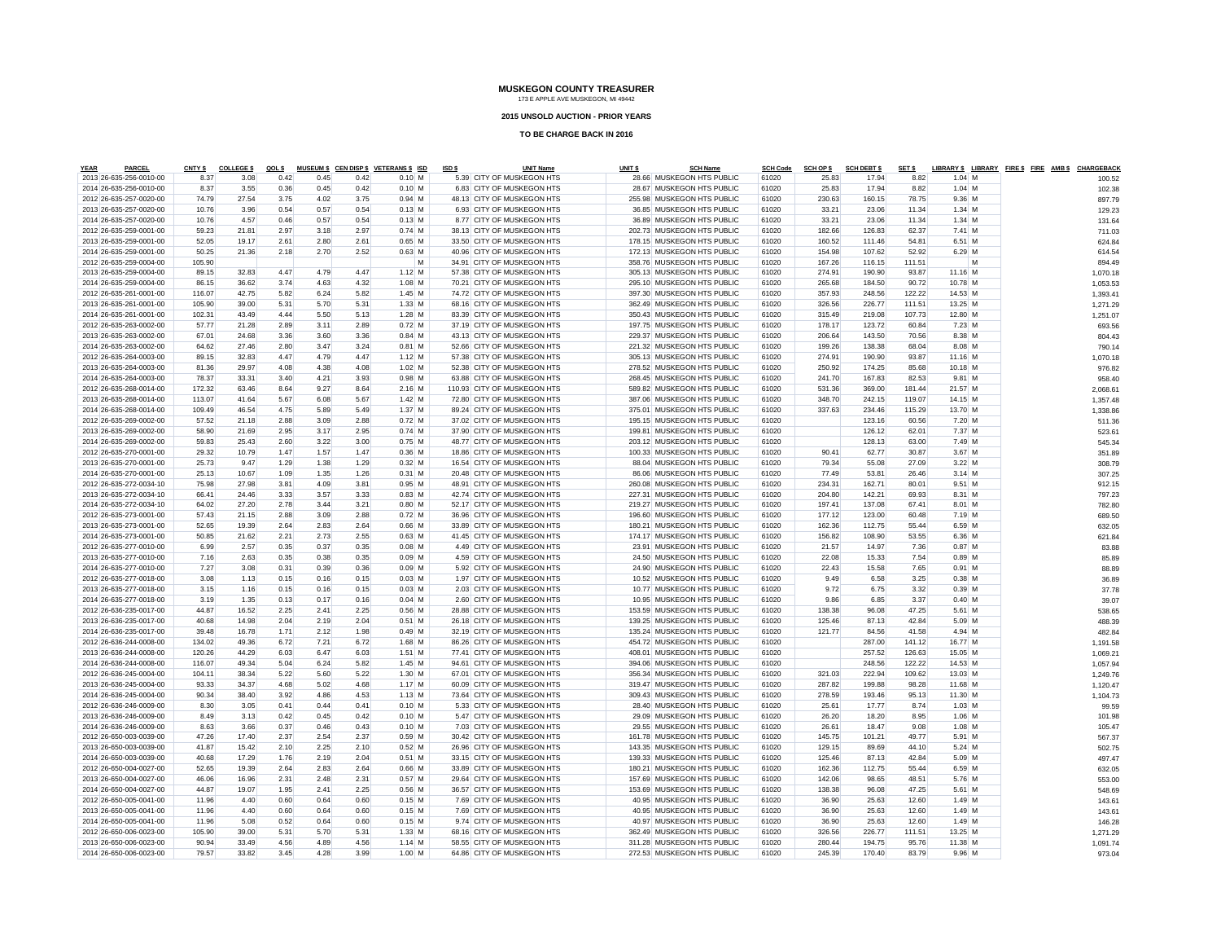#### **2015 UNSOLD AUCTION - PRIOR YEARS**

| <b>YEAR</b> | PARCEL                                             | <b>CNTY \$</b>  | <b>COLLEGE \$</b> | QOL \$       |              |              | MUSEUM \$ CEN DISP \$ VETERANS \$ ISD | ISD \$ | <b>UNIT Name</b>                                         | UNIT <sub>\$</sub> | <b>SCH Name</b>                                          | <b>SCH Code</b> | <b>SCH OP \$</b> | <b>SCH DEBT \$</b> | SET \$          |                   |   | LIBRARY \$ LIBRARY FIRE \$ FIRE AMB \$ CHARGEBACK |                 |  |
|-------------|----------------------------------------------------|-----------------|-------------------|--------------|--------------|--------------|---------------------------------------|--------|----------------------------------------------------------|--------------------|----------------------------------------------------------|-----------------|------------------|--------------------|-----------------|-------------------|---|---------------------------------------------------|-----------------|--|
|             | 2013 26-635-256-0010-00                            | 8.37            | 3.08              | 0.42         | 0.45         | 0.42         | $0.10$ M                              |        | 5.39 CITY OF MUSKEGON HTS                                |                    | 28.66 MUSKEGON HTS PUBLIC                                | 61020           | 25.83            | 17.94              | 8.82            | $1.04$ M          |   |                                                   | 100.52          |  |
|             | 2014 26-635-256-0010-00                            | 8.37            | 3.55              | 0.36         | 0.45         | 0.42         | $0.10$ M                              |        | 6.83 CITY OF MUSKEGON HTS                                |                    | 28.67 MUSKEGON HTS PUBLIC                                | 61020           | 25.83            | 17.94              | 8.82            | $1.04$ M          |   |                                                   | 102.38          |  |
|             | 2012 26-635-257-0020-00                            | 74.79           | 27.54             | 3.75         | 4.02         | 3.75         | $0.94$ M                              |        | 48.13 CITY OF MUSKEGON HTS                               |                    | 255.98 MUSKEGON HTS PUBLIC                               | 61020           | 230.63           | 160.15             | 78.75           | $9.36$ M          |   |                                                   | 897.79          |  |
|             | 2013 26-635-257-0020-00                            | 10.76           | 3.96              | 0.54         | 0.57         | 0.54         | $0.13$ M                              |        | 6.93 CITY OF MUSKEGON HTS                                |                    | 36.85 MUSKEGON HTS PUBLIC                                | 61020           | 33.21            | 23.06              | 11.34           | $1.34$ M          |   |                                                   | 129.23          |  |
|             | 2014 26-635-257-0020-00                            | 10.76           | 4.57              | 0.46         | 0.57         | 0.54         | $0.13$ M                              |        | 8.77 CITY OF MUSKEGON HTS                                |                    | 36.89 MUSKEGON HTS PUBLIC                                | 61020           | 33.21            | 23.06              | 11.34           | $1.34$ M          |   |                                                   | 131.64          |  |
|             | 2012 26-635-259-0001-00                            | 59.23           | 21.81             | 2.97         | 3.18         | 2.97         | $0.74$ M                              |        | 38.13 CITY OF MUSKEGON HTS                               |                    | 202.73 MUSKEGON HTS PUBLIC                               | 61020           | 182.66           | 126.83             | 62.37           | 7.41 M            |   |                                                   | 711.03          |  |
|             | 2013 26-635-259-0001-00                            | 52.05           | 19.17             | 2.61         | 2.80         | 2.61         | $0.65$ M                              |        | 33.50 CITY OF MUSKEGON HTS                               |                    | 178.15 MUSKEGON HTS PUBLIC                               | 61020           | 160.52           | 111.46             | 54.81           | 6.51 M            |   |                                                   | 624.84          |  |
|             | 2014 26-635-259-0001-00                            | 50.25           | 21.36             | 2.18         | 2.70         | 2.52         | $0.63$ M                              |        | 40.96 CITY OF MUSKEGON HTS                               |                    | 172.13 MUSKEGON HTS PUBLIC                               | 61020           | 154.98           | 107.62             | 52.92           | $6.29$ M          |   |                                                   | 614.54          |  |
|             | 2012 26-635-259-0004-00                            | 105.90          |                   |              |              |              | M                                     |        | 34.91 CITY OF MUSKEGON HTS                               |                    | 358.76 MUSKEGON HTS PUBLIC                               | 61020           | 167.26           | 116.15             | 111.51          |                   | M |                                                   | 894.49          |  |
|             | 2013 26-635-259-0004-00                            | 89.15           | 32.83             | 4.47         | 4.79         | 4.47         | $1.12$ M                              |        | 57.38 CITY OF MUSKEGON HTS                               |                    | 305.13 MUSKEGON HTS PUBLIC                               | 61020           | 274.91           | 190.90             | 93.87           | 11.16 M           |   |                                                   | 1,070.18        |  |
|             | 2014 26-635-259-0004-00                            | 86.15           | 36.62             | 3.74         | 4.63         | 4.32         | $1.08$ M                              |        | 70.21 CITY OF MUSKEGON HTS                               |                    | 295.10 MUSKEGON HTS PUBLIC                               | 61020           | 265.68           | 184.50             | 90.72           | 10.78 M           |   |                                                   | 1,053.53        |  |
|             | 2012 26-635-261-0001-00                            | 116.07          | 42.75             | 5.82         | 6.24         | 5.82         | $1.45$ M                              |        | 74.72 CITY OF MUSKEGON HTS                               |                    | 397.30 MUSKEGON HTS PUBLIC                               | 61020           | 357.93           | 248.56             | 122.22          | 14.53 M           |   |                                                   | 1,393.41        |  |
|             | 2013 26-635-261-0001-00                            | 105.90          | 39.00             | 5.31         | 5.70         | 5.31         | $1.33$ M                              |        | 68.16 CITY OF MUSKEGON HTS                               |                    | 362.49 MUSKEGON HTS PUBLIC                               | 61020           | 326.56           | 226.77             | 111.51          | 13.25 M           |   |                                                   | 1,271.29        |  |
|             | 2014 26-635-261-0001-00                            | 102.31          | 43.49             | 4.44         | 5.50         | 5.13         | $1.28$ M                              |        | 83.39 CITY OF MUSKEGON HTS                               |                    | 350.43 MUSKEGON HTS PUBLIC                               | 61020           | 315.49           | 219.08             | 107.73          | 12.80 M           |   |                                                   | 1.251.07        |  |
|             | 2012 26-635-263-0002-00                            | 57.77           | 21.28             | 2.89         | 3.11         | 2.89         | 0.72M                                 |        | 37.19 CITY OF MUSKEGON HTS                               |                    | 197.75 MUSKEGON HTS PUBLIC                               | 61020           | 178.17           | 123.72             | 60.84           | $7.23$ M          |   |                                                   | 693.56          |  |
|             | 2013 26-635-263-0002-00                            | 67.01           | 24.68             | 3.36         | 3.60         | 3.36         | $0.84$ M                              |        | 43.13 CITY OF MUSKEGON HTS                               |                    | 229.37 MUSKEGON HTS PUBLIC                               | 61020           | 206.64           | 143.50             | 70.56           | 8.38 M            |   |                                                   | 804.43          |  |
|             | 2014 26-635-263-0002-00                            | 64.62           | 27.46             | 2.80         | 3.47         | 3.24         | $0.81$ M                              |        | 52.66 CITY OF MUSKEGON HTS                               |                    | 221.32 MUSKEGON HTS PUBLIC                               | 61020           | 199.26           | 138.38             | 68.04           | 8.08 M            |   |                                                   | 790.14          |  |
|             | 2012 26-635-264-0003-00                            | 89.15           | 32.83             | 4.47         | 4.79         | 4.47         | $1.12$ M                              |        | 57.38 CITY OF MUSKEGON HTS                               |                    | 305.13 MUSKEGON HTS PUBLIC                               | 61020           | 274.91           | 190.90             | 93.87           | 11.16 M           |   |                                                   | 1,070.18        |  |
|             | 2013 26-635-264-0003-00                            | 81.36           | 29.97             | 4.08         | 4.38         | 4.08         | $1.02$ M                              |        | 52.38 CITY OF MUSKEGON HTS                               |                    | 278.52 MUSKEGON HTS PUBLIC                               | 61020           | 250.92           | 174.25             | 85.68           | $10.18$ M         |   |                                                   | 976.82          |  |
|             | 2014 26-635-264-0003-00                            | 78.37           | 33.31             | 3.40         | 4.21         | 3.93         | $0.98$ M                              |        | 63.88 CITY OF MUSKEGON HTS                               |                    | 268.45 MUSKEGON HTS PUBLIC                               | 61020           | 241.70           | 167.83             | 82.53           | 9.81 M            |   |                                                   | 958.40          |  |
|             | 2012 26-635-268-0014-00                            | 172.32          | 63.46             | 8.64         | 9.27         | 8.64         | $2.16$ M                              |        | 110.93 CITY OF MUSKEGON HTS                              |                    | 589.82 MUSKEGON HTS PUBLIC                               | 61020           | 531.36           | 369.00             | 181.44          | 21.57 M           |   |                                                   | 2,068.61        |  |
|             | 2013 26-635-268-0014-00                            | 113.07          | 41.64             | 5.67         | 6.08         | 5.67         | $1.42$ M                              |        | 72.80 CITY OF MUSKEGON HTS                               |                    | 387.06 MUSKEGON HTS PUBLIC                               | 61020           | 348.70           | 242.15             | 119.07          | 14.15 M           |   |                                                   |                 |  |
|             |                                                    |                 |                   |              |              |              |                                       |        |                                                          |                    |                                                          |                 |                  |                    |                 |                   |   |                                                   | 1,357.48        |  |
|             | 2014 26-635-268-0014-00<br>2012 26-635-269-0002-00 | 109.49<br>57.52 | 46.54<br>21.18    | 4.75<br>2.88 | 5.89<br>3.09 | 5.49<br>2.88 | $1.37$ M<br>0.72M                     |        | 89.24 CITY OF MUSKEGON HTS<br>37.02 CITY OF MUSKEGON HTS |                    | 375.01 MUSKEGON HTS PUBLIC<br>195.15 MUSKEGON HTS PUBLIC | 61020<br>61020  | 337.63           | 234.46<br>123.16   | 115.29<br>60.56 | 13.70 M<br>7.20 M |   |                                                   | 1,338.86        |  |
|             |                                                    |                 |                   |              |              |              |                                       |        |                                                          |                    |                                                          |                 |                  |                    |                 |                   |   |                                                   | 511.36          |  |
|             | 2013 26-635-269-0002-00                            | 58.90           | 21.69             | 2.95         | 3.17         | 2.95         | $0.74$ M                              |        | 37.90 CITY OF MUSKEGON HTS                               |                    | 199.81 MUSKEGON HTS PUBLIC                               | 61020           |                  | 126.12             | 62.01           | 7.37 M            |   |                                                   | 523.61          |  |
|             | 2014 26-635-269-0002-00                            | 59.83           | 25.43             | 2.60         | 3.22         | 3.00         | $0.75$ M                              |        | 48.77 CITY OF MUSKEGON HTS                               |                    | 203.12 MUSKEGON HTS PUBLIC                               | 61020           |                  | 128.13             | 63.00           | $7.49$ M          |   |                                                   | 545.34          |  |
|             | 2012 26-635-270-0001-00                            | 29.32           | 10.79             | 1.47         | 1.57         | 1.47         | $0.36$ M                              |        | 18.86 CITY OF MUSKEGON HTS                               |                    | 100.33 MUSKEGON HTS PUBLIC                               | 61020           | 90.41            | 62.77              | 30.87           | 3.67 M            |   |                                                   | 351.89          |  |
|             | 2013 26-635-270-0001-00                            | 25.73           | 9.47              | 1.29         | 1.38         | 1.29         | $0.32$ M                              |        | 16.54 CITY OF MUSKEGON HTS                               |                    | 88.04 MUSKEGON HTS PUBLIC                                | 61020           | 79.34            | 55.08              | 27.09           | 3.22M             |   |                                                   | 308.79          |  |
|             | 2014 26-635-270-0001-00                            | 25.13           | 10.67             | 1.09         | 1.35         | 1.26         | $0.31$ M                              |        | 20.48 CITY OF MUSKEGON HTS                               |                    | 86.06 MUSKEGON HTS PUBLIC                                | 61020           | 77.49            | 53.81              | 26.46           | $3.14$ M          |   |                                                   | 307.25          |  |
|             | 2012 26-635-272-0034-10                            | 75.98           | 27.98             | 3.81         | 4.09         | 3.81         | $0.95$ M                              |        | 48.91 CITY OF MUSKEGON HTS                               |                    | 260.08 MUSKEGON HTS PUBLIC                               | 61020           | 234.31           | 162.71             | 80.01           | $9.51$ M          |   |                                                   | 912.15          |  |
|             | 2013 26-635-272-0034-10                            | 66.41           | 24.46             | 3.33         | 3.57         | 3.33         | $0.83$ M                              |        | 42.74 CITY OF MUSKEGON HTS                               |                    | 227.31 MUSKEGON HTS PUBLIC                               | 61020           | 204.80           | 142.21             | 69.93           | 8.31 M            |   |                                                   | 797.23          |  |
|             | 2014 26-635-272-0034-10                            | 64.02           | 27.20             | 2.78         | 3.44         | 3.21         | $0.80$ M                              |        | 52.17 CITY OF MUSKEGON HTS                               |                    | 219.27 MUSKEGON HTS PUBLIC                               | 61020           | 197.41           | 137.08             | 67.41           | 8.01 M            |   |                                                   | 782.80          |  |
|             | 2012 26-635-273-0001-00                            | 57.43           | 21.15             | 2.88         | 3.09         | 2.88         | $0.72$ M                              |        | 36.96 CITY OF MUSKEGON HTS                               |                    | 196.60 MUSKEGON HTS PUBLIC                               | 61020           | 177.12           | 123.00             | 60.48           | 7.19 M            |   |                                                   | 689.50          |  |
|             | 2013 26-635-273-0001-00                            | 52.65           | 19.39             | 2.64         | 2.83         | 2.64         | $0.66$ M                              |        | 33.89 CITY OF MUSKEGON HTS                               |                    | 180.21 MUSKEGON HTS PUBLIC                               | 61020           | 162.36           | 112.75             | 55.44           | 6.59 M            |   |                                                   | 632.05          |  |
|             | 2014 26-635-273-0001-00                            | 50.85           | 21.62             | 2.21         | 2.73         | 2.55         | $0.63$ M                              |        | 41.45 CITY OF MUSKEGON HTS                               |                    | 174.17 MUSKEGON HTS PUBLIC                               | 61020           | 156.82           | 108.90             | 53.55           | 6.36 M            |   |                                                   | 621.84          |  |
|             | 2012 26-635-277-0010-00                            | 6.99            | 2.57              | 0.35         | 0.37         | 0.35         | $0.08$ M                              |        | 4.49 CITY OF MUSKEGON HTS                                |                    | 23.91 MUSKEGON HTS PUBLIC                                | 61020           | 21.57            | 14.97              | 7.36            | $0.87$ M          |   |                                                   | 83.88           |  |
|             | 2013 26-635-277-0010-00                            | 7.16            | 2.63              | 0.35         | 0.38         | 0.35         | $0.09$ M                              |        | 4.59 CITY OF MUSKEGON HTS                                |                    | 24.50 MUSKEGON HTS PUBLIC                                | 61020           | 22.08            | 15.33              | 7.54            | $0.89$ M          |   |                                                   | 85.89           |  |
|             | 2014 26-635-277-0010-00                            | 7.27            | 3.08              | 0.31         | 0.39         | 0.36         | $0.09$ M                              |        | 5.92 CITY OF MUSKEGON HTS                                |                    | 24.90 MUSKEGON HTS PUBLIC                                | 61020           | 22.43            | 15.58              | 7.65            | $0.91$ M          |   |                                                   | 88.89           |  |
|             | 2012 26-635-277-0018-00                            | 3.08            | 1.13              | 0.15         | 0.16         | 0.15         | $0.03$ M                              |        | 1.97 CITY OF MUSKEGON HTS                                |                    | 10.52 MUSKEGON HTS PUBLIC                                | 61020           | 9.49             | 6.58               | 3.25            | $0.38$ M          |   |                                                   | 36.89           |  |
|             | 2013 26-635-277-0018-00                            | 3.15            | 1.16              | 0.15         | 0.16         | 0.15         | $0.03$ M                              |        | 2.03 CITY OF MUSKEGON HTS                                |                    | 10.77 MUSKEGON HTS PUBLIC                                | 61020           | 9.72             | 6.75               | 3.32            | $0.39$ M          |   |                                                   | 37.78           |  |
|             | 2014 26-635-277-0018-00                            | 3.19            | 1.35              | 0.13         | 0.17         | 0.16         | $0.04$ M                              |        | 2.60 CITY OF MUSKEGON HTS                                |                    | 10.95 MUSKEGON HTS PUBLIC                                | 61020           | 9.86             | 6.85               | 3.37            | $0.40$ M          |   |                                                   | 39.07           |  |
|             | 2012 26-636-235-0017-00                            | 44.87           | 16.52             | 2.25         | 2.41         | 2.25         | $0.56$ M                              |        | 28.88 CITY OF MUSKEGON HTS                               |                    | 153.59 MUSKEGON HTS PUBLIC                               | 61020           | 138.38           | 96.08              | 47.25           | 5.61 M            |   |                                                   | 538.65          |  |
|             | 2013 26-636-235-0017-00                            | 40.68           | 14.98             | 2.04         | 2.19         | 2.04         | $0.51$ M                              |        | 26.18 CITY OF MUSKEGON HTS                               |                    | 139.25 MUSKEGON HTS PUBLIC                               | 61020           | 125.46           | 87.13              | 42.84           | 5.09 M            |   |                                                   | 488.39          |  |
|             | 2014 26-636-235-0017-00                            | 39.48           | 16.78             | 1.71         | 2.12         | 1.98         | $0.49$ M                              |        | 32.19 CITY OF MUSKEGON HTS                               |                    | 135.24 MUSKEGON HTS PUBLIC                               | 61020           | 121.77           | 84.56              | 41.58           | 4.94 M            |   |                                                   | 482.84          |  |
|             | 2012 26-636-244-0008-00                            | 134.02          | 49.36             | 6.72         | 7.21         | 6.72         | $1.68$ M                              |        | 86.26 CITY OF MUSKEGON HTS                               |                    | 454.72 MUSKEGON HTS PUBLIC                               | 61020           |                  | 287.00             | 141.12          | 16.77 M           |   |                                                   | 1,191.58        |  |
|             | 2013 26-636-244-0008-00                            | 120.26          | 44.29             | 6.03         | 6.47         | 6.03         | $1.51$ M                              |        | 77.41 CITY OF MUSKEGON HTS                               |                    | 408.01 MUSKEGON HTS PUBLIC                               | 61020           |                  | 257.52             | 126.63          | 15.05 M           |   |                                                   | 1,069.21        |  |
|             | 2014 26-636-244-0008-00                            | 116.07          | 49.34             | 5.04         | 6.24         | 5.82         | $1.45$ M                              |        | 94.61 CITY OF MUSKEGON HTS                               |                    | 394.06 MUSKEGON HTS PUBLIC                               | 61020           |                  | 248.56             | 122.22          | 14.53 M           |   |                                                   | 1,057.94        |  |
|             | 2012 26-636-245-0004-00                            | 104.11          | 38.34             | 5.22         | 5.60         | 5.22         | $1.30$ M                              |        | 67.01 CITY OF MUSKEGON HTS                               |                    | 356.34 MUSKEGON HTS PUBLIC                               | 61020           | 321.03           | 222.94             | 109.62          | 13.03 M           |   |                                                   | 1.249.76        |  |
|             | 2013 26-636-245-0004-00                            | 93.33           | 34.37             | 4.68         | 5.02         | 4.68         | $1.17$ M                              |        | 60.09 CITY OF MUSKEGON HTS                               |                    | 319.47 MUSKEGON HTS PUBLIC                               | 61020           | 287.82           | 199.88             | 98.28           | 11.68 M           |   |                                                   | 1,120.47        |  |
|             | 2014 26-636-245-0004-00                            | 90.34           | 38.40             | 3.92         | 4.86         | 4.53         | $1.13$ M                              |        | 73.64 CITY OF MUSKEGON HTS                               |                    | 309.43 MUSKEGON HTS PUBLIC                               | 61020           | 278.59           | 193.46             | 95.13           | 11.30 M           |   |                                                   | 1,104.73        |  |
|             | 2012 26-636-246-0009-00                            | 8.30            | 3.05              | 0.41         | 0.44         | 0.41         | $0.10$ M                              |        | 5.33 CITY OF MUSKEGON HTS                                |                    | 28.40 MUSKEGON HTS PUBLIC                                | 61020           | 25.61            | 17.77              | 8.74            | $1.03$ M          |   |                                                   | 99.59           |  |
|             | 2013 26-636-246-0009-00                            | 8.49            | 3.13              | 0.42         | 0.45         | 0.42         | $0.10$ M                              |        | 5.47 CITY OF MUSKEGON HTS                                |                    | 29.09 MUSKEGON HTS PUBLIC                                | 61020           | 26.20            | 18.20              | 8.95            | 1.06 M            |   |                                                   | 101.98          |  |
|             | 2014 26-636-246-0009-00                            | 8.63            | 3.66              | 0.37         | 0.46         | 0.43         | $0.10$ M                              |        | 7.03 CITY OF MUSKEGON HTS                                |                    | 29.55 MUSKEGON HTS PUBLIC                                | 61020           | 26.61            | 18.47              | 9.08            | $1.08$ M          |   |                                                   | 105.47          |  |
|             | 2012 26-650-003-0039-00                            | 47.26           | 17.40             | 2.37         | 2.54         | 2.37         | $0.59$ M                              |        | 30.42 CITY OF MUSKEGON HTS                               |                    | 161.78 MUSKEGON HTS PUBLIC                               | 61020           | 145.75           | 101.21             | 49.77           | 5.91 M            |   |                                                   | 567.37          |  |
|             | 2013 26-650-003-0039-00                            | 41.87           | 15.42             | 2.10         | 2.25         | 2.10         | $0.52$ M                              |        | 26.96 CITY OF MUSKEGON HTS                               |                    | 143.35 MUSKEGON HTS PUBLIC                               | 61020           | 129.15           | 89.69              | 44.10           | 5.24 M            |   |                                                   | 502.75          |  |
|             | 2014 26-650-003-0039-00                            | 40.68           | 17.29             | 1.76         | 2.19         | 2.04         | $0.51$ M                              |        | 33.15 CITY OF MUSKEGON HTS                               |                    | 139.33 MUSKEGON HTS PUBLIC                               | 61020           | 125.46           | 87.13              | 42.84           | $5.09$ M          |   |                                                   | 497.47          |  |
|             | 2012 26-650-004-0027-00                            | 52.65           | 19.39             | 2.64         | 2.83         | 2.64         | $0.66$ M                              |        | 33.89 CITY OF MUSKEGON HTS                               |                    | 180.21 MUSKEGON HTS PUBLIC                               | 61020           | 162.36           | 112.75             | 55.44           | 6.59 M            |   |                                                   | 632.05          |  |
|             | 2013 26-650-004-0027-00                            | 46.06           | 16.96             | 2.31         | 2.48         | 2.31         | $0.57$ M                              |        | 29.64 CITY OF MUSKEGON HTS                               |                    | 157.69 MUSKEGON HTS PUBLIC                               | 61020           | 142.06           | 98.65              | 48.51           | 5.76 M            |   |                                                   |                 |  |
|             |                                                    |                 |                   |              |              |              |                                       |        |                                                          |                    |                                                          |                 |                  |                    |                 |                   |   |                                                   | 553.00          |  |
|             | 2014 26-650-004-0027-00                            | 44.87           | 19.07             | 1.95         | 2.41         | 2.25         | $0.56$ M                              |        | 36.57 CITY OF MUSKEGON HTS                               |                    | 153.69 MUSKEGON HTS PUBLIC                               | 61020           | 138.38           | 96.08              | 47.25           | 5.61 M            |   |                                                   | 548.69          |  |
|             | 2012 26-650-005-0041-00                            | 11.96           | 4.40              | 0.60         | 0.64         | 0.60         | $0.15$ M                              |        | 7.69 CITY OF MUSKEGON HTS                                |                    | 40.95 MUSKEGON HTS PUBLIC                                | 61020           | 36.90            | 25.63              | 12.60           | $1.49$ M          |   |                                                   | $143.6^{\circ}$ |  |
|             | 2013 26-650-005-0041-00                            | 11.96           | 4.40              | 0.60         | 0.64         | 0.60         | $0.15$ M                              |        | 7.69 CITY OF MUSKEGON HTS                                |                    | 40.95 MUSKEGON HTS PUBLIC                                | 61020           | 36.90            | 25.63              | 12.60           | 1.49 M            |   |                                                   | 143.61          |  |
|             | 2014 26-650-005-0041-00                            | 11.96           | 5.08              | 0.52         | 0.64         | 0.60         | $0.15$ M                              |        | 9.74 CITY OF MUSKEGON HTS                                |                    | 40.97 MUSKEGON HTS PUBLIC                                | 61020           | 36.90            | 25.63              | 12.60           | $1.49$ M          |   |                                                   | 146.28          |  |
|             | 2012 26-650-006-0023-00                            | 105.90          | 39.00             | 5.31         | 5.70         | 5.31         | 1.33M                                 |        | 68.16 CITY OF MUSKEGON HTS                               |                    | 362.49 MUSKEGON HTS PUBLIC                               | 61020           | 326.56           | 226.77             | 111.51          | 13.25 M           |   |                                                   | 1,271.29        |  |
|             | 2013 26-650-006-0023-00                            | 90.94           | 33.49             | 4.56         | 4.89         | 4.56         | $1.14$ M                              |        | 58.55 CITY OF MUSKEGON HTS                               |                    | 311.28 MUSKEGON HTS PUBLIC                               | 61020           | 280.44           | 194.75             | 95.76           | 11.38 M           |   |                                                   | 1,091.74        |  |
|             | 2014 26-650-006-0023-00                            | 79.57           | 33.82             | 3.45         | 4.28         | 3.99         | $1.00$ M                              |        | 64.86 CITY OF MUSKEGON HTS                               |                    | 272.53 MUSKEGON HTS PUBLIC                               | 61020           | 245.39           | 170.40             | 83.79           | $9.96$ M          |   |                                                   | 973.04          |  |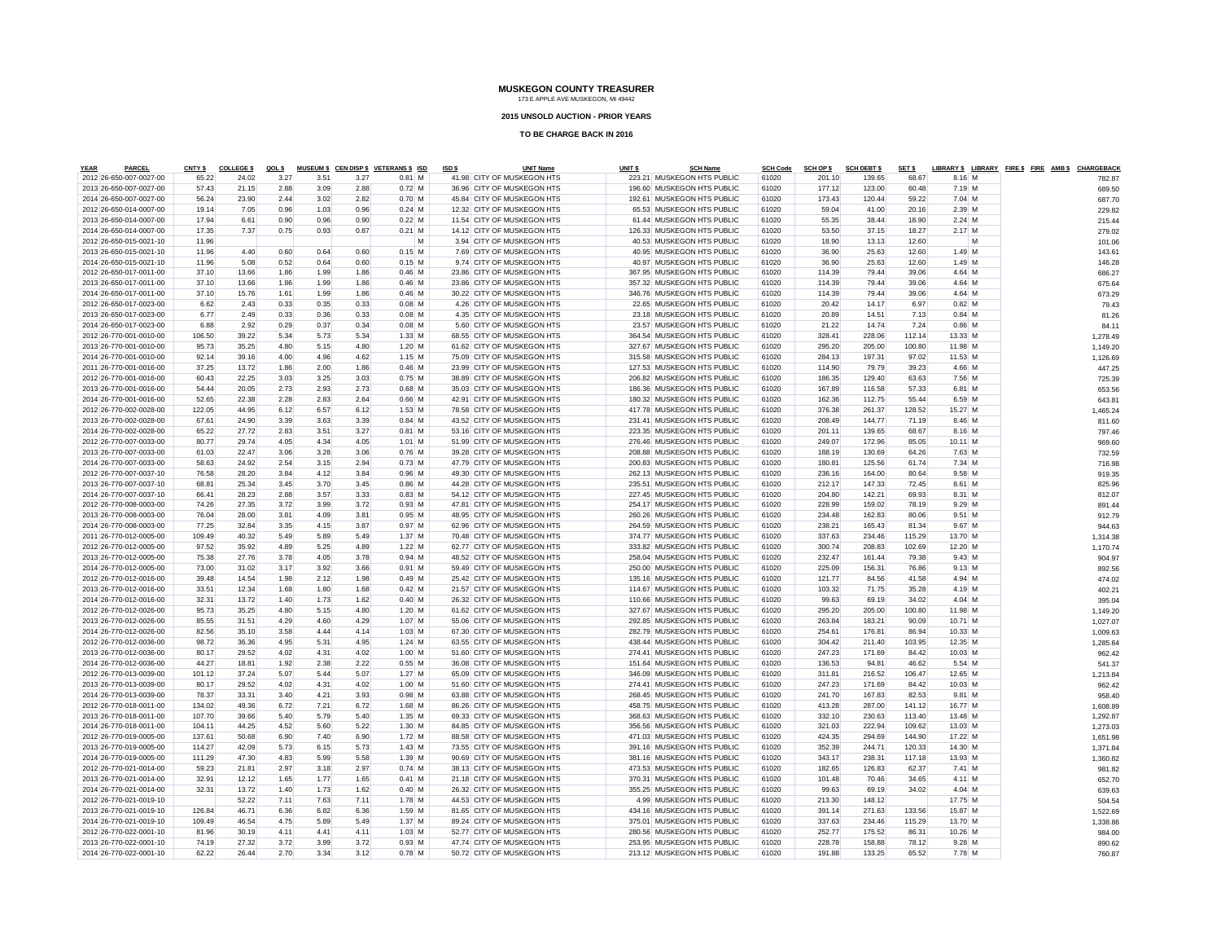#### **2015 UNSOLD AUCTION - PRIOR YEARS**

| <b>YEAR</b> | <b>PARCEL</b>           | CNTY \$ | <b>COLLEGE \$</b> | QOL \$ |      |      | MUSEUM \$ CEN DISP \$ VETERANS \$ ISD | ISD \$ | <b>UNIT Name</b>           | UNIT <sub>\$</sub> | <b>SCH Name</b>            | <b>SCH Code</b> | <b>SCH OP \$</b> | <b>SCH DEBT \$</b> | SET \$ |           |   | LIBRARY \$ LIBRARY FIRE \$ FIRE AMB \$ CHARGEBACK |          |       |
|-------------|-------------------------|---------|-------------------|--------|------|------|---------------------------------------|--------|----------------------------|--------------------|----------------------------|-----------------|------------------|--------------------|--------|-----------|---|---------------------------------------------------|----------|-------|
|             | 2012 26-650-007-0027-00 | 65.22   | 24.02             | 3.27   | 3.51 | 3.27 | $0.81$ M                              |        | 41.98 CITY OF MUSKEGON HTS |                    | 223.21 MUSKEGON HTS PUBLIC | 61020           | 201.10           | 139.65             | 68.67  | 8.16 M    |   |                                                   | 782.87   |       |
|             | 2013 26-650-007-0027-00 | 57.43   | 21.15             | 2.88   | 3.09 | 2.88 | $0.72$ M                              |        | 36.96 CITY OF MUSKEGON HTS |                    | 196.60 MUSKEGON HTS PUBLIC | 61020           | 177.12           | 123.00             | 60.48  | 7.19 M    |   |                                                   | 689.50   |       |
|             | 2014 26-650-007-0027-00 | 56.24   | 23.90             | 2.44   | 3.02 | 2.82 | $0.70$ M                              |        | 45.84 CITY OF MUSKEGON HTS |                    | 192.61 MUSKEGON HTS PUBLIC | 61020           | 173.43           | 120.44             | 59.22  | $7.04$ M  |   |                                                   | 687.70   |       |
|             | 2012 26-650-014-0007-00 | 19.14   | 7.05              | 0.96   | 1.03 | 0.96 | $0.24$ M                              |        | 12.32 CITY OF MUSKEGON HTS |                    | 65.53 MUSKEGON HTS PUBLIC  | 61020           | 59.04            | 41.00              | 20.16  | $2.39$ M  |   |                                                   | 229.82   |       |
|             | 2013 26-650-014-0007-00 | 17.94   | 6.61              | 0.90   | 0.96 | 0.90 | $0.22$ M                              |        | 11.54 CITY OF MUSKEGON HTS |                    | 61.44 MUSKEGON HTS PUBLIC  | 61020           | 55.35            | 38.44              | 18.90  | $2.24$ M  |   |                                                   | 215.44   |       |
|             | 2014 26-650-014-0007-00 | 17.35   | 7.37              | 0.75   | 0.93 | 0.87 | $0.21$ M                              |        | 14.12 CITY OF MUSKEGON HTS |                    | 126.33 MUSKEGON HTS PUBLIC | 61020           | 53.50            | 37.15              | 18.27  | $2.17$ M  |   |                                                   | 279.02   |       |
|             | 2012 26-650-015-0021-10 | 11.96   |                   |        |      |      | M                                     |        | 3.94 CITY OF MUSKEGON HTS  |                    | 40.53 MUSKEGON HTS PUBLIC  | 61020           | 18.90            | 13.13              | 12.60  |           | M |                                                   | 101.06   |       |
|             | 2013 26-650-015-0021-10 | 11.96   | 4.40              | 0.60   | 0.64 | 0.60 | $0.15$ M                              |        | 7.69 CITY OF MUSKEGON HTS  |                    | 40.95 MUSKEGON HTS PUBLIC  | 61020           | 36.90            | 25.63              | 12.60  | $1.49$ M  |   |                                                   | 143.61   |       |
|             | 2014 26-650-015-0021-10 | 11.96   | 5.08              | 0.52   | 0.64 | 0.60 | $0.15$ M                              |        | 9.74 CITY OF MUSKEGON HTS  |                    | 40.97 MUSKEGON HTS PUBLIC  | 61020           | 36.90            | 25.63              | 12.60  | $1.49$ M  |   |                                                   | 146.28   |       |
|             | 2012 26-650-017-0011-00 | 37.10   | 13.66             | 1.86   | 1.99 | 1.86 | $0.46$ M                              |        | 23.86 CITY OF MUSKEGON HTS |                    | 367.95 MUSKEGON HTS PUBLIC | 61020           | 114.39           | 79.44              | 39.06  | 4.64 M    |   |                                                   | 686.27   |       |
|             | 2013 26-650-017-0011-00 | 37.10   | 13.66             | 1.86   | 1.99 | 1.86 | $0.46$ M                              |        | 23.86 CITY OF MUSKEGON HTS |                    | 357.32 MUSKEGON HTS PUBLIC | 61020           | 114.39           | 79.44              | 39.06  | 4.64 M    |   |                                                   | 675.64   |       |
|             | 2014 26-650-017-0011-00 | 37.10   | 15.76             | 1.61   | 1.99 | 1.86 | $0.46$ M                              |        | 30.22 CITY OF MUSKEGON HTS |                    | 346.76 MUSKEGON HTS PUBLIC | 61020           | 114.39           | 79.44              | 39.06  | 4.64 M    |   |                                                   | 673.29   |       |
|             | 2012 26-650-017-0023-00 | 6.62    | 2.43              | 0.33   | 0.35 | 0.33 | $0.08$ M                              |        | 4.26 CITY OF MUSKEGON HTS  |                    | 22.65 MUSKEGON HTS PUBLIC  | 61020           | 20.42            | 14.17              | 6.97   | $0.82$ M  |   |                                                   |          | 79.43 |
|             | 2013 26-650-017-0023-00 | 6.77    | 2.49              | 0.33   | 0.36 | 0.33 | $0.08$ M                              |        | 4.35 CITY OF MUSKEGON HTS  |                    | 23.18 MUSKEGON HTS PUBLIC  | 61020           | 20.89            | 14.51              | 7.13   | $0.84$ M  |   |                                                   |          | 81.26 |
|             | 2014 26-650-017-0023-00 | 6.88    | 2.92              | 0.29   | 0.37 | 0.34 | $0.08$ M                              |        | 5.60 CITY OF MUSKEGON HTS  |                    | 23.57 MUSKEGON HTS PUBLIC  | 61020           | 21.22            | 14.74              | 7.24   | $0.86$ M  |   |                                                   |          | 84.11 |
|             | 2012 26-770-001-0010-00 | 106.50  | 39.22             | 5.34   | 5.73 | 5.34 | $1.33$ M                              |        | 68.55 CITY OF MUSKEGON HTS |                    | 364.54 MUSKEGON HTS PUBLIC | 61020           | 328.41           | 228.06             | 112.14 | 13.33 M   |   |                                                   | 1,278.49 |       |
|             | 2013 26-770-001-0010-00 | 95.73   | 35.25             | 4.80   | 5.15 | 4.80 | $1.20$ M                              |        | 61.62 CITY OF MUSKEGON HTS |                    | 327.67 MUSKEGON HTS PUBLIC | 61020           | 295.20           | 205.00             | 100.80 | 11.98 M   |   |                                                   | 1,149.20 |       |
|             | 2014 26-770-001-0010-00 | 92.14   | 39.16             | 4.00   | 4.96 | 4.62 | $1.15$ M                              |        | 75.09 CITY OF MUSKEGON HTS |                    | 315.58 MUSKEGON HTS PUBLIC | 61020           | 284.13           | 197.31             | 97.02  | 11.53 M   |   |                                                   | 1,126.69 |       |
|             | 2011 26-770-001-0016-00 | 37.25   | 13.72             | 1.86   | 2.00 | 1.86 | $0.46$ M                              |        | 23.99 CITY OF MUSKEGON HTS |                    | 127.53 MUSKEGON HTS PUBLIC | 61020           | 114.90           | 79.79              | 39.23  | 4.66 M    |   |                                                   | 447.25   |       |
|             | 2012 26-770-001-0016-00 | 60.43   | 22.25             | 3.03   | 3.25 | 3.03 | $0.75$ M                              |        | 38.89 CITY OF MUSKEGON HTS |                    | 206.82 MUSKEGON HTS PUBLIC | 61020           | 186.35           | 129.40             | 63.63  | 7.56 M    |   |                                                   | 725.39   |       |
|             | 2013 26-770-001-0016-00 | 54.44   | 20.05             | 2.73   | 2.93 | 2.73 | $0.68$ M                              |        | 35.03 CITY OF MUSKEGON HTS |                    | 186.36 MUSKEGON HTS PUBLIC | 61020           | 167.89           | 116.58             | 57.33  | 6.81 M    |   |                                                   | 653.56   |       |
|             | 2014 26-770-001-0016-00 | 52.65   | 22.38             | 2.28   | 2.83 | 2.64 | $0.66$ M                              |        | 42.91 CITY OF MUSKEGON HTS |                    | 180.32 MUSKEGON HTS PUBLIC | 61020           | 162.36           | 112.75             | 55.44  | 6.59 M    |   |                                                   | 643.81   |       |
|             | 2012 26-770-002-0028-00 | 122.05  | 44.95             | 6.12   | 6.57 | 6.12 | $1.53$ M                              |        | 78.58 CITY OF MUSKEGON HTS |                    | 417.78 MUSKEGON HTS PUBLIC | 61020           | 376.38           | 261.37             | 128.52 | 15.27 M   |   |                                                   | 1,465.24 |       |
|             | 2013 26-770-002-0028-00 | 67.61   | 24.90             | 3.39   | 3.63 | 3.39 | $0.84$ M                              |        | 43.52 CITY OF MUSKEGON HTS |                    | 231.41 MUSKEGON HTS PUBLIC | 61020           | 208.49           | 144.77             | 71.19  | 8.46 M    |   |                                                   | 811.60   |       |
|             | 2014 26-770-002-0028-00 | 65.22   | 27.72             | 2.83   | 3.51 | 3.27 | $0.81$ M                              |        | 53.16 CITY OF MUSKEGON HTS |                    | 223.35 MUSKEGON HTS PUBLIC | 61020           | 201.11           | 139.65             | 68.67  | $8.16$ M  |   |                                                   | 797.46   |       |
|             | 2012 26-770-007-0033-00 | 80.77   | 29.74             | 4.05   | 4.34 | 4.05 | $1.01$ M                              |        | 51.99 CITY OF MUSKEGON HTS |                    | 276.46 MUSKEGON HTS PUBLIC | 61020           | 249.07           | 172.96             | 85.05  | $10.11$ M |   |                                                   | 969.60   |       |
|             | 2013 26-770-007-0033-00 | 61.03   | 22.47             | 3.06   | 3.28 | 3.06 | $0.76$ M                              |        | 39.28 CITY OF MUSKEGON HTS |                    | 208.88 MUSKEGON HTS PUBLIC | 61020           | 188.19           | 130.69             | 64.26  | 7.63 M    |   |                                                   | 732.59   |       |
|             | 2014 26-770-007-0033-00 | 58.63   | 24.92             | 2.54   | 3.15 | 2.94 | $0.73$ M                              |        | 47.79 CITY OF MUSKEGON HTS |                    | 200.83 MUSKEGON HTS PUBLIC | 61020           | 180.81           | 125.56             | 61.74  | 7.34 M    |   |                                                   | 716.98   |       |
|             | 2012 26-770-007-0037-10 | 76.58   | 28.20             | 3.84   | 4.12 | 3.84 | $0.96$ M                              |        | 49.30 CITY OF MUSKEGON HTS |                    | 262.13 MUSKEGON HTS PUBLIC | 61020           | 236.16           | 164.00             | 80.64  | $9.58$ M  |   |                                                   | 919.35   |       |
|             | 2013 26-770-007-0037-10 | 68.81   | 25.34             | 3.45   | 3.70 | 3.45 | $0.86$ M                              |        | 44.28 CITY OF MUSKEGON HTS |                    | 235.51 MUSKEGON HTS PUBLIC | 61020           | 212.17           | 147.33             | 72.45  | 8.61 M    |   |                                                   | 825.96   |       |
|             | 2014 26-770-007-0037-10 | 66.41   | 28.23             | 2.88   | 3.57 | 3.33 | $0.83$ M                              |        | 54.12 CITY OF MUSKEGON HTS |                    | 227.45 MUSKEGON HTS PUBLIC | 61020           | 204.80           | 142.21             | 69.93  | 8.31 M    |   |                                                   | 812.07   |       |
|             | 2012 26-770-008-0003-00 | 74.26   | 27.35             | 3.72   | 3.99 | 3.72 | $0.93$ M                              |        | 47.81 CITY OF MUSKEGON HTS |                    | 254.17 MUSKEGON HTS PUBLIC | 61020           | 228.99           | 159.02             | 78.19  | $9.29$ M  |   |                                                   | 891.44   |       |
|             | 2013 26-770-008-0003-00 | 76.04   | 28.00             | 3.81   | 4.09 | 3.81 | $0.95$ M                              |        | 48.95 CITY OF MUSKEGON HTS |                    | 260.26 MUSKEGON HTS PUBLIC | 61020           | 234.48           | 162.83             | 80.06  | $9.51$ M  |   |                                                   | 912.79   |       |
|             | 2014 26-770-008-0003-00 | 77.25   | 32.84             | 3.35   | 4.15 | 3.87 | $0.97$ M                              |        | 62.96 CITY OF MUSKEGON HTS |                    | 264.59 MUSKEGON HTS PUBLIC | 61020           | 238.21           | 165.43             | 81.34  | 9.67 M    |   |                                                   | 944.63   |       |
|             | 2011 26-770-012-0005-00 | 109.49  | 40.32             | 5.49   | 5.89 | 5.49 | $1.37$ M                              |        | 70.48 CITY OF MUSKEGON HTS |                    | 374.77 MUSKEGON HTS PUBLIC | 61020           | 337.63           | 234.46             | 115.29 | 13.70 M   |   |                                                   | 1,314.38 |       |
|             | 2012 26-770-012-0005-00 | 97.52   | 35.92             | 4.89   | 5.25 | 4.89 | $1.22$ M                              |        | 62.77 CITY OF MUSKEGON HTS |                    | 333.82 MUSKEGON HTS PUBLIC | 61020           | 300.74           | 208.83             | 102.69 | 12.20 M   |   |                                                   | 1,170.74 |       |
|             | 2013 26-770-012-0005-00 | 75.38   | 27.76             | 3.78   | 4.05 | 3.78 | $0.94$ M                              |        | 48.52 CITY OF MUSKEGON HTS |                    | 258.04 MUSKEGON HTS PUBLIC | 61020           | 232.47           | 161.44             | 79.38  | $9.43$ M  |   |                                                   | 904.97   |       |
|             | 2014 26-770-012-0005-00 | 73.00   | 31.02             | 3.17   | 3.92 | 3.66 | $0.91$ M                              |        | 59.49 CITY OF MUSKEGON HTS |                    | 250.00 MUSKEGON HTS PUBLIC | 61020           | 225.09           | 156.31             | 76.86  | $9.13$ M  |   |                                                   | 892.56   |       |
|             | 2012 26-770-012-0016-00 | 39.48   | 14.54             | 1.98   | 2.12 | 1.98 | $0.49$ M                              |        | 25.42 CITY OF MUSKEGON HTS |                    | 135.16 MUSKEGON HTS PUBLIC | 61020           | 121.77           | 84.56              | 41.58  | 4.94 M    |   |                                                   | 474.02   |       |
|             | 2013 26-770-012-0016-00 | 33.51   | 12.34             | 1.68   | 1.80 | 1.68 | $0.42$ M                              |        | 21.57 CITY OF MUSKEGON HTS |                    | 114.67 MUSKEGON HTS PUBLIC | 61020           | 103.32           | 71.75              | 35.28  | 4.19 M    |   |                                                   | 402.21   |       |
|             | 2014 26-770-012-0016-00 | 32.31   | 13.72             | 1.40   | 1.73 | 1.62 | $0.40$ M                              |        | 26.32 CITY OF MUSKEGON HTS |                    | 110.66 MUSKEGON HTS PUBLIC | 61020           | 99.63            | 69.19              | 34.02  | $4.04$ M  |   |                                                   | 395.04   |       |
|             | 2012 26-770-012-0026-00 | 95.73   | 35.25             | 4.80   | 5.15 | 4.80 | $1.20$ M                              |        | 61.62 CITY OF MUSKEGON HTS |                    | 327.67 MUSKEGON HTS PUBLIC | 61020           | 295.20           | 205.00             | 100.80 | 11.98 M   |   |                                                   | 1,149.20 |       |
|             | 2013 26-770-012-0026-00 | 85.55   | 31.51             | 4.29   | 4.60 | 4.29 | $1.07$ M                              |        | 55.06 CITY OF MUSKEGON HTS |                    | 292.85 MUSKEGON HTS PUBLIC | 61020           | 263.84           | 183.21             | 90.09  | 10.71 M   |   |                                                   | 1,027.07 |       |
|             | 2014 26-770-012-0026-00 | 82.56   | 35.10             | 3.58   | 4.44 | 4.14 | $1.03$ M                              |        | 67.30 CITY OF MUSKEGON HTS |                    | 282.79 MUSKEGON HTS PUBLIC | 61020           | 254.61           | 176.81             | 86.94  | 10.33 M   |   |                                                   | 1,009.63 |       |
|             | 2012 26-770-012-0036-00 | 98.72   | 36.36             | 4.95   | 5.31 | 4.95 | $1.24$ M                              |        | 63.55 CITY OF MUSKEGON HTS |                    | 438.44 MUSKEGON HTS PUBLIC | 61020           | 304.42           | 211.40             | 103.95 | 12.35 M   |   |                                                   | 1,285.64 |       |
|             | 2013 26-770-012-0036-00 | 80.17   | 29.52             | 4.02   | 4.31 | 4.02 | $1.00$ M                              |        | 51.60 CITY OF MUSKEGON HTS |                    | 274.41 MUSKEGON HTS PUBLIC | 61020           | 247.23           | 171.69             | 84.42  | 10.03 M   |   |                                                   | 962.42   |       |
|             | 2014 26-770-012-0036-00 | 44.27   | 18.81             | 1.92   | 2.38 | 2.22 | $0.55$ M                              |        | 36.08 CITY OF MUSKEGON HTS |                    | 151.64 MUSKEGON HTS PUBLIC | 61020           | 136.53           | 94.81              | 46.62  | 5.54 M    |   |                                                   | 541.37   |       |
|             | 2012 26-770-013-0039-00 | 101.12  | 37.24             | 5.07   | 5.44 | 5.07 | $1.27$ M                              |        | 65.09 CITY OF MUSKEGON HTS |                    | 346.09 MUSKEGON HTS PUBLIC | 61020           | 311.81           | 216.52             | 106.47 | 12.65 M   |   |                                                   | 1,213.84 |       |
|             | 2013 26-770-013-0039-00 | 80.17   | 29.52             | 4.02   | 4.31 | 4.02 | $1.00$ M                              |        | 51.60 CITY OF MUSKEGON HTS |                    | 274.41 MUSKEGON HTS PUBLIC | 61020           | 247.23           | 171.69             | 84.42  | 10.03 M   |   |                                                   | 962.42   |       |
|             | 2014 26-770-013-0039-00 | 78.37   | 33.31             | 3.40   | 4.21 | 3.93 | $0.98$ M                              |        | 63.88 CITY OF MUSKEGON HTS |                    | 268.45 MUSKEGON HTS PUBLIC | 61020           | 241.70           | 167.83             | 82.53  | $9.81$ M  |   |                                                   | 958.40   |       |
|             | 2012 26-770-018-0011-00 | 134.02  | 49.36             | 6.72   | 7.21 | 6.72 | $1.68$ M                              |        | 86.26 CITY OF MUSKEGON HTS |                    | 458.75 MUSKEGON HTS PUBLIC | 61020           | 413.28           | 287.00             | 141.12 | 16.77 M   |   |                                                   | 1.608.89 |       |
|             | 2013 26-770-018-0011-00 | 107.70  | 39.66             | 5.40   | 5.79 | 5.40 | $1.35$ M                              |        | 69.33 CITY OF MUSKEGON HTS |                    | 368.63 MUSKEGON HTS PUBLIC | 61020           | 332.10           | 230.63             | 113.40 | 13.48 M   |   |                                                   | 1,292.87 |       |
|             | 2014 26-770-018-0011-00 | 104.11  | 44.25             | 4.52   | 5.60 | 5.22 | $1.30$ M                              |        | 84.85 CITY OF MUSKEGON HTS |                    | 356.56 MUSKEGON HTS PUBLIC | 61020           | 321.03           | 222.94             | 109.62 | 13.03 M   |   |                                                   | 1,273.03 |       |
|             | 2012 26-770-019-0005-00 | 137.61  | 50.68             | 6.90   | 7.40 | 6.90 | $1.72$ M                              |        | 88.58 CITY OF MUSKEGON HTS |                    | 471.03 MUSKEGON HTS PUBLIC | 61020           | 424.35           | 294.69             | 144.90 | 17.22 M   |   |                                                   | 1,651.98 |       |
|             | 2013 26-770-019-0005-00 | 114.27  | 42.09             | 5.73   | 6.15 | 5.73 | $1.43$ M                              |        | 73.55 CITY OF MUSKEGON HTS |                    | 391.16 MUSKEGON HTS PUBLIC | 61020           | 352.39           | 244.71             | 120.33 | 14.30 M   |   |                                                   | 1,371.84 |       |
|             | 2014 26-770-019-0005-00 | 111.29  | 47.30             | 4.83   | 5.99 | 5.58 | $1.39$ M                              |        | 90.69 CITY OF MUSKEGON HTS |                    | 381.16 MUSKEGON HTS PUBLIC | 61020           | 343.17           | 238.31             | 117.18 | 13.93 M   |   |                                                   | 1,360.82 |       |
|             | 2012 26-770-021-0014-00 | 59.23   | 21.81             | 2.97   | 3.18 | 2.97 | $0.74$ M                              |        | 38.13 CITY OF MUSKEGON HTS |                    | 473.53 MUSKEGON HTS PUBLIC | 61020           | 182.65           | 126.83             | 62.37  | 7.41 M    |   |                                                   | 981.82   |       |
|             | 2013 26-770-021-0014-00 | 32.91   | 12.12             | 1.65   | 1.77 | 1.65 | $0.41$ M                              |        | 21.18 CITY OF MUSKEGON HTS |                    | 370.31 MUSKEGON HTS PUBLIC | 61020           | 101.48           | 70.46              | 34.65  | 4.11 M    |   |                                                   | 652.70   |       |
|             | 2014 26-770-021-0014-00 | 32.31   | 13.72             | 1.40   | 1.73 | 1.62 | $0.40$ M                              |        | 26.32 CITY OF MUSKEGON HTS |                    | 355.25 MUSKEGON HTS PUBLIC | 61020           | 99.63            | 69.19              | 34.02  | $4.04$ M  |   |                                                   | 639.63   |       |
|             | 2012 26-770-021-0019-10 |         | 52.22             | 7.11   | 7.63 | 7.11 | $1.78$ M                              |        | 44.53 CITY OF MUSKEGON HTS |                    | 4.99 MUSKEGON HTS PUBLIC   | 61020           | 213.30           | 148.12             |        | 17.75 M   |   |                                                   | 504.54   |       |
|             | 2013 26-770-021-0019-10 | 126.84  | 46.71             | 6.36   | 6.82 | 6.36 | $1.59$ M                              |        | 81.65 CITY OF MUSKEGON HTS |                    | 434.16 MUSKEGON HTS PUBLIC | 61020           | 391.14           | 271.63             | 133.56 | 15.87 M   |   |                                                   | 1,522.69 |       |
|             | 2014 26-770-021-0019-10 | 109.49  | 46.54             | 4.75   | 5.89 | 5.49 | $1.37$ M                              |        | 89.24 CITY OF MUSKEGON HTS |                    | 375.01 MUSKEGON HTS PUBLIC | 61020           | 337.63           | 234.46             | 115.29 | 13.70 M   |   |                                                   | 1.338.86 |       |
|             | 2012 26-770-022-0001-10 | 81.96   | 30.19             | 4.11   | 4.41 | 4.11 | $1.03 \, M$                           |        | 52.77 CITY OF MUSKEGON HTS |                    | 280.56 MUSKEGON HTS PUBLIC | 61020           | 252.77           | 175.52             | 86.31  | 10.26 M   |   |                                                   | 984.00   |       |
|             | 2013 26-770-022-0001-10 | 74.19   | 27.32             | 3.72   | 3.99 | 3.72 | 0.93M                                 |        | 47.74 CITY OF MUSKEGON HTS |                    | 253.95 MUSKEGON HTS PUBLIC | 61020           | 228.78           | 158.88             | 78.12  | $9.28$ M  |   |                                                   | 890.62   |       |
|             | 2014 26-770-022-0001-10 | 62.22   | 26.44             | 2.70   | 3.34 | 312  | $0.78$ M                              |        | 50.72 CITY OF MUSKEGON HTS |                    | 213.12 MUSKEGON HTS PUBLIC | 61020           | 191.88           | 133.25             | 65.52  | 7 78 M    |   |                                                   | 760.87   |       |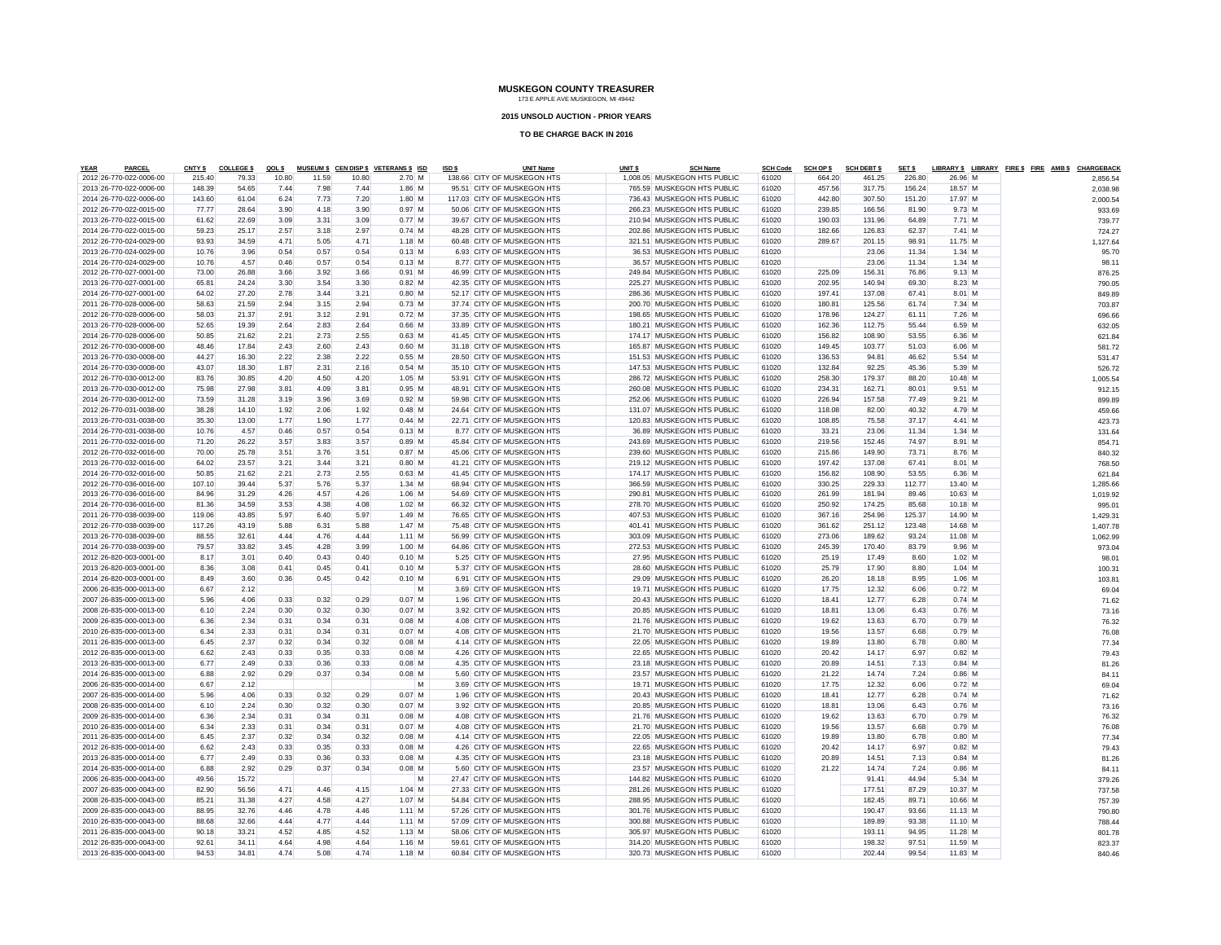#### **2015 UNSOLD AUCTION - PRIOR YEARS**

| <b>YEAR</b><br><b>PARCEL</b> | CNTY \$ | <b>COLLEGES</b> | QOL \$ |       |       | MUSEUM \$ CEN DISP \$ VETERANS \$ ISD | ISD \$ | <b>UNIT Name</b>            | UNIT <sub>s</sub> | <b>SCH Name</b>              | <b>SCH Code</b> | <b>SCH OP \$</b> | <b>SCH DEBT \$</b> | SET \$ |           | LIBRARY \$ LIBRARY FIRE \$ FIRE AMB \$ CHARGEBACK |          |
|------------------------------|---------|-----------------|--------|-------|-------|---------------------------------------|--------|-----------------------------|-------------------|------------------------------|-----------------|------------------|--------------------|--------|-----------|---------------------------------------------------|----------|
| 2012 26-770-022-0006-00      | 215.40  | 79.33           | 10.80  | 11.59 | 10.80 | $2.70$ M                              |        | 138.66 CITY OF MUSKEGON HTS |                   | 1,008.05 MUSKEGON HTS PUBLIC | 61020           | 664.20           | 461.25             | 226.80 | 26.96 M   |                                                   | 2,856.54 |
| 2013 26-770-022-0006-00      | 148.39  | 54.65           | 7.44   | 7.98  | 7.44  | $1.86$ M                              |        | 95.51 CITY OF MUSKEGON HTS  |                   | 765.59 MUSKEGON HTS PUBLIC   | 61020           | 457.56           | 317.75             | 156.24 | 18.57 M   |                                                   | 2,038.98 |
| 2014 26-770-022-0006-00      | 143.60  | 61.04           | 6.24   | 7.73  | 7.20  | $1.80$ M                              |        | 117.03 CITY OF MUSKEGON HTS |                   | 736.43 MUSKEGON HTS PUBLIC   | 61020           | 442.80           | 307.50             | 151.20 | 17.97 M   |                                                   | 2,000.54 |
| 2012 26-770-022-0015-00      | 77.77   | 28.64           | 3.90   | 4.18  | 3.90  | $0.97$ M                              |        | 50.06 CITY OF MUSKEGON HTS  |                   | 266.23 MUSKEGON HTS PUBLIC   | 61020           | 239.85           | 166.56             | 81.90  | $9.73$ M  |                                                   | 933.69   |
| 2013 26-770-022-0015-00      | 61.62   | 22.69           | 3.09   | 3.31  | 3.09  | $0.77$ M                              |        | 39.67 CITY OF MUSKEGON HTS  |                   | 210.94 MUSKEGON HTS PUBLIC   | 61020           | 190.03           | 131.96             | 64.89  | 7.71M     |                                                   | 739.77   |
| 2014 26-770-022-0015-00      | 59.23   | 25.17           | 2.57   | 3.18  | 2.97  | $0.74$ M                              |        | 48.28 CITY OF MUSKEGON HTS  |                   | 202.86 MUSKEGON HTS PUBLIC   | 61020           | 182.66           | 126.83             | 62.37  | $7.41$ M  |                                                   | 724.27   |
| 2012 26-770-024-0029-00      | 93.93   | 34.59           | 4.71   | 5.05  | 4.71  | $1.18$ M                              |        | 60.48 CITY OF MUSKEGON HTS  |                   | 321.51 MUSKEGON HTS PUBLIC   | 61020           | 289.67           | 201.15             | 98.91  | 11.75 M   |                                                   | 1,127.64 |
| 2013 26-770-024-0029-00      | 10.76   | 3.96            | 0.54   | 0.57  | 0.54  | $0.13$ M                              |        | 6.93 CITY OF MUSKEGON HTS   |                   | 36.53 MUSKEGON HTS PUBLIC    | 61020           |                  | 23.06              | 11.34  | $1.34$ M  |                                                   | 95.70    |
| 2014 26-770-024-0029-00      | 10.76   | 4.57            | 0.46   | 0.57  | 0.54  | $0.13$ M                              |        | 8.77 CITY OF MUSKEGON HTS   |                   | 36.57 MUSKEGON HTS PUBLIC    | 61020           |                  | 23.06              | 11.34  | $1.34$ M  |                                                   | 98.1'    |
| 2012 26-770-027-0001-00      | 73.00   | 26.88           | 3.66   | 3.92  | 3.66  | $0.91$ M                              |        | 46.99 CITY OF MUSKEGON HTS  |                   | 249.84 MUSKEGON HTS PUBLIC   | 61020           | 225.09           | 156.31             | 76.86  | $9.13$ M  |                                                   | 876.25   |
| 2013 26-770-027-0001-00      | 65.81   | 24.24           | 3.30   | 3.54  | 3.30  | $0.82$ M                              |        | 42.35 CITY OF MUSKEGON HTS  |                   | 225.27 MUSKEGON HTS PUBLIC   | 61020           | 202.95           | 140.94             | 69.30  | 8.23 M    |                                                   | 790.05   |
| 2014 26-770-027-0001-00      | 64.02   | 27.20           | 2.78   | 3.44  | 3.21  | $0.80$ M                              |        | 52.17 CITY OF MUSKEGON HTS  |                   | 286.36 MUSKEGON HTS PUBLIC   | 61020           | 197.41           | 137.08             | 67.41  | 8.01 M    |                                                   | 849.89   |
| 2011 26-770-028-0006-00      | 58.63   | 21.59           | 2.94   | 3.15  | 2.94  | $0.73$ M                              |        | 37.74 CITY OF MUSKEGON HTS  |                   | 200.70 MUSKEGON HTS PUBLIC   | 61020           | 180.81           | 125.56             | 61.74  | 7.34 M    |                                                   | 703.87   |
| 2012 26-770-028-0006-00      | 58.03   | 21.37           | 2.91   | 3.12  | 2.91  | $0.72$ M                              |        | 37.35 CITY OF MUSKEGON HTS  |                   | 198.65 MUSKEGON HTS PUBLIC   | 61020           | 178.96           | 124.27             | 61.11  | 7.26 M    |                                                   | 696.66   |
| 2013 26-770-028-0006-00      | 52.65   | 19.39           | 2.64   | 2.83  | 2.64  | $0.66$ M                              |        | 33.89 CITY OF MUSKEGON HTS  |                   | 180.21 MUSKEGON HTS PUBLIC   | 61020           | 162.36           | 112.75             | 55.44  | 6.59 M    |                                                   | 632.05   |
| 2014 26-770-028-0006-00      | 50.85   | 21.62           | 2.21   | 2.73  | 2.55  | $0.63$ M                              |        | 41.45 CITY OF MUSKEGON HTS  |                   | 174.17 MUSKEGON HTS PUBLIC   | 61020           | 156.82           | 108.90             | 53.55  | 6.36 M    |                                                   | 621.84   |
| 2012 26-770-030-0008-00      | 48.46   | 17.84           | 2.43   | 2.60  | 2.43  | $0.60$ M                              |        | 31.18 CITY OF MUSKEGON HTS  |                   | 165.87 MUSKEGON HTS PUBLIC   | 61020           | 149.45           | 103.77             | 51.03  | $6.06$ M  |                                                   | 581.72   |
| 2013 26-770-030-0008-00      | 44.27   | 16.30           | 2.22   | 2.38  | 2.22  | $0.55$ M                              |        | 28.50 CITY OF MUSKEGON HTS  |                   | 151.53 MUSKEGON HTS PUBLIC   | 61020           | 136.53           | 94.81              | 46.62  | 5.54 M    |                                                   | 531.47   |
| 2014 26-770-030-0008-00      | 43.07   | 18.30           | 1.87   | 2.31  | 2.16  | $0.54$ M                              |        | 35.10 CITY OF MUSKEGON HTS  |                   | 147.53 MUSKEGON HTS PUBLIC   | 61020           | 132.84           | 92.25              | 45.36  | 5.39 M    |                                                   | 526.72   |
| 2012 26-770-030-0012-00      | 83.76   | 30.85           | 4.20   | 4.50  | 4.20  | $1.05$ M                              |        | 53.91 CITY OF MUSKEGON HTS  |                   | 286.72 MUSKEGON HTS PUBLIC   | 61020           | 258.30           | 179.37             | 88.20  | $10.48$ M |                                                   | 1,005.54 |
| 2013 26-770-030-0012-00      | 75.98   | 27.98           | 3.81   | 4.09  | 3.81  | $0.95$ M                              |        | 48.91 CITY OF MUSKEGON HTS  |                   | 260.08 MUSKEGON HTS PUBLIC   | 61020           | 234.31           | 162.71             | 80.01  | $9.51$ M  |                                                   | 912.15   |
| 2014 26-770-030-0012-00      | 73.59   | 31.28           | 3.19   | 3.96  | 3.69  | $0.92$ M                              |        | 59.98 CITY OF MUSKEGON HTS  |                   | 252.06 MUSKEGON HTS PUBLIC   | 61020           | 226.94           | 157.58             | 77.49  | $9.21$ M  |                                                   | 899.89   |
| 2012 26-770-031-0038-00      | 38.28   | 14.10           | 1.92   | 2.06  | 1.92  | $0.48$ M                              |        | 24.64 CITY OF MUSKEGON HTS  |                   | 131.07 MUSKEGON HTS PUBLIC   | 61020           | 118.08           | 82.00              | 40.32  | 4.79 M    |                                                   | 459.66   |
| 2013 26-770-031-0038-00      | 35.30   | 13.00           | 1.77   | 1.90  | 1.77  | $0.44$ M                              |        | 22.71 CITY OF MUSKEGON HTS  |                   | 120.83 MUSKEGON HTS PUBLIC   | 61020           | 108.85           | 75.58              | 37.17  | $4.41$ M  |                                                   | 423.73   |
| 2014 26-770-031-0038-00      | 10.76   | 4.57            | 0.46   | 0.57  | 0.54  | $0.13$ M                              |        | 8.77 CITY OF MUSKEGON HTS   |                   | 36.89 MUSKEGON HTS PUBLIC    | 61020           | 33.21            | 23.06              | 11.34  | $1.34$ M  |                                                   | 131.64   |
| 2011 26-770-032-0016-00      | 71.20   | 26.22           | 3.57   | 3.83  | 3.57  | $0.89$ M                              |        | 45.84 CITY OF MUSKEGON HTS  |                   | 243.69 MUSKEGON HTS PUBLIC   | 61020           | 219.56           | 152.46             | 74.97  | 8.91 M    |                                                   | 854.7'   |
| 2012 26-770-032-0016-00      | 70.00   | 25.78           | 3.51   | 3.76  | 3.51  | $0.87$ M                              |        | 45.06 CITY OF MUSKEGON HTS  |                   | 239.60 MUSKEGON HTS PUBLIC   | 61020           | 215.86           | 149.90             | 73.71  | 8.76 M    |                                                   | 840.32   |
| 2013 26-770-032-0016-00      | 64.02   | 23.57           | 3.21   | 3.44  | 3.21  | $0.80$ M                              |        | 41.21 CITY OF MUSKEGON HTS  |                   | 219.12 MUSKEGON HTS PUBLIC   | 61020           | 197.42           | 137.08             | 67.41  | 8.01 M    |                                                   | 768.50   |
| 2014 26-770-032-0016-00      | 50.85   | 21.62           | 2.21   | 2.73  | 2.55  | $0.63$ M                              |        | 41.45 CITY OF MUSKEGON HTS  |                   | 174.17 MUSKEGON HTS PUBLIC   | 61020           | 156.82           | 108.90             | 53.55  | 6.36 M    |                                                   | 621.84   |
| 2012 26-770-036-0016-00      | 107.10  | 39.44           | 5.37   | 5.76  | 5.37  | $1.34$ M                              |        | 68.94 CITY OF MUSKEGON HTS  |                   | 366.59 MUSKEGON HTS PUBLIC   | 61020           | 330.25           | 229.33             | 112.77 | 13.40 M   |                                                   | 1,285.66 |
| 2013 26-770-036-0016-00      | 84.96   | 31.29           | 4.26   | 4.57  | 4.26  | $1.06$ M                              |        | 54.69 CITY OF MUSKEGON HTS  |                   | 290.81 MUSKEGON HTS PUBLIC   | 61020           | 261.99           | 181.94             | 89.46  | 10.63 M   |                                                   | 1,019.92 |
| 2014 26-770-036-0016-00      | 81.36   | 34.59           | 3.53   | 4.38  | 4.08  | $1.02$ M                              |        | 66.32 CITY OF MUSKEGON HTS  |                   | 278.70 MUSKEGON HTS PUBLIC   | 61020           | 250.92           | 174.25             | 85.68  | $10.18$ M |                                                   | 995.01   |
| 2011 26-770-038-0039-00      | 119.06  | 43.85           | 5.97   | 6.40  | 5.97  | $1.49$ M                              |        | 76.65 CITY OF MUSKEGON HTS  |                   | 407.53 MUSKEGON HTS PUBLIC   | 61020           | 367.16           | 254.96             | 125.37 | 14.90 M   |                                                   | 1,429.31 |
| 2012 26-770-038-0039-00      | 117.26  | 43.19           | 5.88   | 6.31  | 5.88  | $1.47$ M                              |        | 75.48 CITY OF MUSKEGON HTS  |                   | 401.41 MUSKEGON HTS PUBLIC   | 61020           | 361.62           | 251.12             | 123.48 | 14.68 M   |                                                   | 1,407.78 |
| 2013 26-770-038-0039-00      | 88.55   | 32.61           | 4.44   | 4.76  | 4.44  | $1.11$ M                              |        | 56.99 CITY OF MUSKEGON HTS  |                   | 303.09 MUSKEGON HTS PUBLIC   | 61020           | 273.06           | 189.62             | 93.24  | 11.08 M   |                                                   | 1,062.99 |
| 2014 26-770-038-0039-00      | 79.57   | 33.82           | 3.45   | 4.28  | 3.99  | $1.00$ M                              |        | 64.86 CITY OF MUSKEGON HTS  |                   | 272.53 MUSKEGON HTS PUBLIC   | 61020           | 245.39           | 170.40             | 83.79  | $9.96$ M  |                                                   | 973.04   |
| 2012 26-820-003-0001-00      | 8.17    | 3.01            | 0.40   | 0.43  | 0.40  | $0.10$ M                              |        | 5.25 CITY OF MUSKEGON HTS   |                   | 27.95 MUSKEGON HTS PUBLIC    | 61020           | 25.19            | 17.49              | 8.60   | $1.02$ M  |                                                   | 98.01    |
| 2013 26-820-003-0001-00      | 8.36    | 3.08            | 0.41   | 0.45  | 0.41  | $0.10$ M                              |        | 5.37 CITY OF MUSKEGON HTS   |                   | 28.60 MUSKEGON HTS PUBLIC    | 61020           | 25.79            | 17.90              | 8.80   | $1.04$ M  |                                                   | 100.31   |
| 2014 26-820-003-0001-00      | 8.49    | 3.60            | 0.36   | 0.45  | 0.42  | $0.10$ M                              |        | 6.91 CITY OF MUSKEGON HTS   |                   | 29.09 MUSKEGON HTS PUBLIC    | 61020           | 26.20            | 18.18              | 8.95   | $1.06$ M  |                                                   | 103.81   |
| 2006 26-835-000-0013-00      | 6.67    | 2.12            |        |       |       | M                                     |        | 3.69 CITY OF MUSKEGON HTS   |                   | 19.71 MUSKEGON HTS PUBLIC    | 61020           | 17.75            | 12.32              | 6.06   | $0.72$ M  |                                                   | 69.04    |
| 2007 26-835-000-0013-00      | 5.96    | 4.06            | 0.33   | 0.32  | 0.29  | $0.07$ M                              |        | 1.96 CITY OF MUSKEGON HTS   |                   | 20.43 MUSKEGON HTS PUBLIC    | 61020           | 18.41            | 12.77              | 6.28   | $0.74$ M  |                                                   | 71.62    |
| 2008 26-835-000-0013-00      | 6.10    | 2.24            | 0.30   | 0.32  | 0.30  | $0.07$ M                              |        | 3.92 CITY OF MUSKEGON HTS   |                   | 20.85 MUSKEGON HTS PUBLIC    | 61020           | 18.81            | 13.06              | 6.43   | $0.76$ M  |                                                   | 73.16    |
| 2009 26-835-000-0013-00      | 6.36    | 2.34            | 0.31   | 0.34  | 0.31  | $0.08$ M                              |        | 4.08 CITY OF MUSKEGON HTS   |                   | 21.76 MUSKEGON HTS PUBLIC    | 61020           | 19.62            | 13.63              | 6.70   | $0.79$ M  |                                                   | 76.32    |
| 2010 26-835-000-0013-00      | 6.34    | 2.33            | 0.31   | 0.34  | 0.31  | $0.07$ M                              |        | 4.08 CITY OF MUSKEGON HTS   |                   | 21.70 MUSKEGON HTS PUBLIC    | 61020           | 19.56            | 13.57              | 6.68   | $0.79$ M  |                                                   | 76.08    |
| 2011 26-835-000-0013-00      | 6.45    | 2.37            | 0.32   | 0.34  | 0.32  | $0.08$ M                              |        | 4.14 CITY OF MUSKEGON HTS   |                   | 22.05 MUSKEGON HTS PUBLIC    | 61020           | 19.89            | 13.80              | 6.78   | $0.80$ M  |                                                   | 77.34    |
| 2012 26-835-000-0013-00      | 6.62    | 2.43            | 0.33   | 0.35  | 0.33  | $0.08$ M                              |        | 4.26 CITY OF MUSKEGON HTS   |                   | 22.65 MUSKEGON HTS PUBLIC    | 61020           | 20.42            | 14.17              | 6.97   | $0.82$ M  |                                                   | 79.43    |
| 2013 26-835-000-0013-00      | 6.77    | 2.49            | 0.33   | 0.36  | 0.33  | $0.08$ M                              |        | 4.35 CITY OF MUSKEGON HTS   |                   | 23.18 MUSKEGON HTS PUBLIC    | 61020           | 20.89            | 14.51              | 7.13   | $0.84$ M  |                                                   | 81.26    |
| 2014 26-835-000-0013-00      | 6.88    | 2.92            | 0.29   | 0.37  | 0.34  | $0.08$ M                              |        | 5.60 CITY OF MUSKEGON HTS   |                   | 23.57 MUSKEGON HTS PUBLIC    | 61020           | 21.22            | 14.74              | 7.24   | $0.86$ M  |                                                   | 84.11    |
| 2006 26-835-000-0014-00      | 6.67    | 2.12            |        |       |       | M                                     |        | 3.69 CITY OF MUSKEGON HTS   |                   | 19.71 MUSKEGON HTS PUBLIC    | 61020           | 17.75            | 12.32              | 6.06   | $0.72$ M  |                                                   | 69.04    |
| 2007 26-835-000-0014-00      | 5.96    | 4.06            | 0.33   | 0.32  | 0.29  | $0.07$ M                              |        | 1.96 CITY OF MUSKEGON HTS   |                   | 20.43 MUSKEGON HTS PUBLIC    | 61020           | 18.41            | 12.77              | 6.28   | $0.74$ M  |                                                   | 71.62    |
| 2008 26-835-000-0014-00      | 6.10    | 2.24            | 0.30   | 0.32  | 0.30  | $0.07$ M                              |        | 3.92 CITY OF MUSKEGON HTS   |                   | 20.85 MUSKEGON HTS PUBLIC    | 61020           | 18.81            | 13.06              | 6.43   | $0.76$ M  |                                                   | 73.16    |
| 2009 26-835-000-0014-00      | 6.36    | 2.34            | 0.31   | 0.34  | 0.31  | $0.08$ M                              |        | 4.08 CITY OF MUSKEGON HTS   |                   | 21.76 MUSKEGON HTS PUBLIC    | 61020           | 19.62            | 13.63              | 6.70   | $0.79$ M  |                                                   | 76.32    |
| 2010 26-835-000-0014-00      | 6.34    | 2.33            | 0.31   | 0.34  | 0.31  | $0.07$ M                              |        | 4.08 CITY OF MUSKEGON HTS   |                   | 21.70 MUSKEGON HTS PUBLIC    | 61020           | 19.56            | 13.57              | 6.68   | $0.79$ M  |                                                   | 76.08    |
| 2011 26-835-000-0014-00      | 6.45    | 2.37            | 0.32   | 0.34  | 0.32  | $0.08$ M                              |        | 4.14 CITY OF MUSKEGON HTS   |                   | 22.05 MUSKEGON HTS PUBLIC    | 61020           | 19.89            | 13.80              | 6.78   | $0.80$ M  |                                                   | 77.34    |
| 2012 26-835-000-0014-00      | 6.62    | 2.43            | 0.33   | 0.35  | 0.33  | $0.08$ M                              |        | 4.26 CITY OF MUSKEGON HTS   |                   | 22.65 MUSKEGON HTS PUBLIC    | 61020           | 20.42            | 14.17              | 6.97   | $0.82$ M  |                                                   | 79.43    |
| 2013 26-835-000-0014-00      | 6.77    | 2.49            | 0.33   | 0.36  | 0.33  | $0.08$ M                              |        | 4.35 CITY OF MUSKEGON HTS   |                   | 23.18 MUSKEGON HTS PUBLIC    | 61020           | 20.89            | 14.51              | 7.13   | $0.84$ M  |                                                   | 81.26    |
| 2014 26-835-000-0014-00      | 6.88    | 2.92            | 0.29   | 0.37  | 0.34  | $0.08$ M                              |        | 5.60 CITY OF MUSKEGON HTS   |                   | 23.57 MUSKEGON HTS PUBLIC    | 61020           | 21.22            | 14.74              | 7.24   | $0.86$ M  |                                                   | 84.11    |
| 2006 26-835-000-0043-00      | 49.56   | 15.72           |        |       |       | M                                     |        | 27.47 CITY OF MUSKEGON HTS  |                   | 144.82 MUSKEGON HTS PUBLIC   | 61020           |                  | 91.41              | 44.94  | 5.34 M    |                                                   | 379.26   |
| 2007 26-835-000-0043-00      | 82.90   | 56.56           | 4.71   | 4.46  | 4.15  | $1.04$ M                              |        | 27.33 CITY OF MUSKEGON HTS  |                   | 281.26 MUSKEGON HTS PUBLIC   | 61020           |                  | 177.51             | 87.29  | 10.37 M   |                                                   | 737.58   |
| 2008 26-835-000-0043-00      | 85.21   | 31.38           | 4.27   | 4.58  | 4.27  | $1.07$ M                              |        | 54.84 CITY OF MUSKEGON HTS  |                   | 288.95 MUSKEGON HTS PUBLIC   | 61020           |                  | 182.45             | 89.71  | 10.66 M   |                                                   | 757.39   |
| 2009 26-835-000-0043-00      | 88.95   | 32.76           | 4.46   | 4.78  | 4.46  | $1.11$ M                              |        | 57.26 CITY OF MUSKEGON HTS  |                   | 301.76 MUSKEGON HTS PUBLIC   | 61020           |                  | 190.47             | 93.66  | $11.13$ M |                                                   | 790.80   |
| 2010 26-835-000-0043-00      | 88.68   | 32.66           | 4.44   | 4.77  | 4.44  | $1.11$ M                              |        | 57.09 CITY OF MUSKEGON HTS  |                   | 300.88 MUSKEGON HTS PUBLIC   | 61020           |                  | 189.89             | 93.38  | 11.10 M   |                                                   | 788.44   |
| 2011 26-835-000-0043-00      | 90.18   | 33.21           | 4.52   | 4.85  | 4.52  | $1.13$ M                              |        | 58.06 CITY OF MUSKEGON HTS  |                   | 305.97 MUSKEGON HTS PUBLIC   | 61020           |                  | 193.11             | 94.95  | 11.28 M   |                                                   | 801.78   |
| 2012 26-835-000-0043-00      | 92.61   | 34.11           | 4.64   | 4.98  | 4.64  | $1.16$ M                              |        | 59.61 CITY OF MUSKEGON HTS  |                   | 314.20 MUSKEGON HTS PUBLIC   | 61020           |                  | 198.32             | 97.51  | 11.59 M   |                                                   | 823.37   |
| 2013 26-835-000-0043-00      | 94.53   | 34.81           | 4.74   | 5.08  | 4.74  | $1.18$ M                              |        | 60.84 CITY OF MUSKEGON HTS  |                   | 320.73 MUSKEGON HTS PUBLIC   | 61020           |                  | 202.44             | 99.54  | 11.83 M   |                                                   | 840.46   |